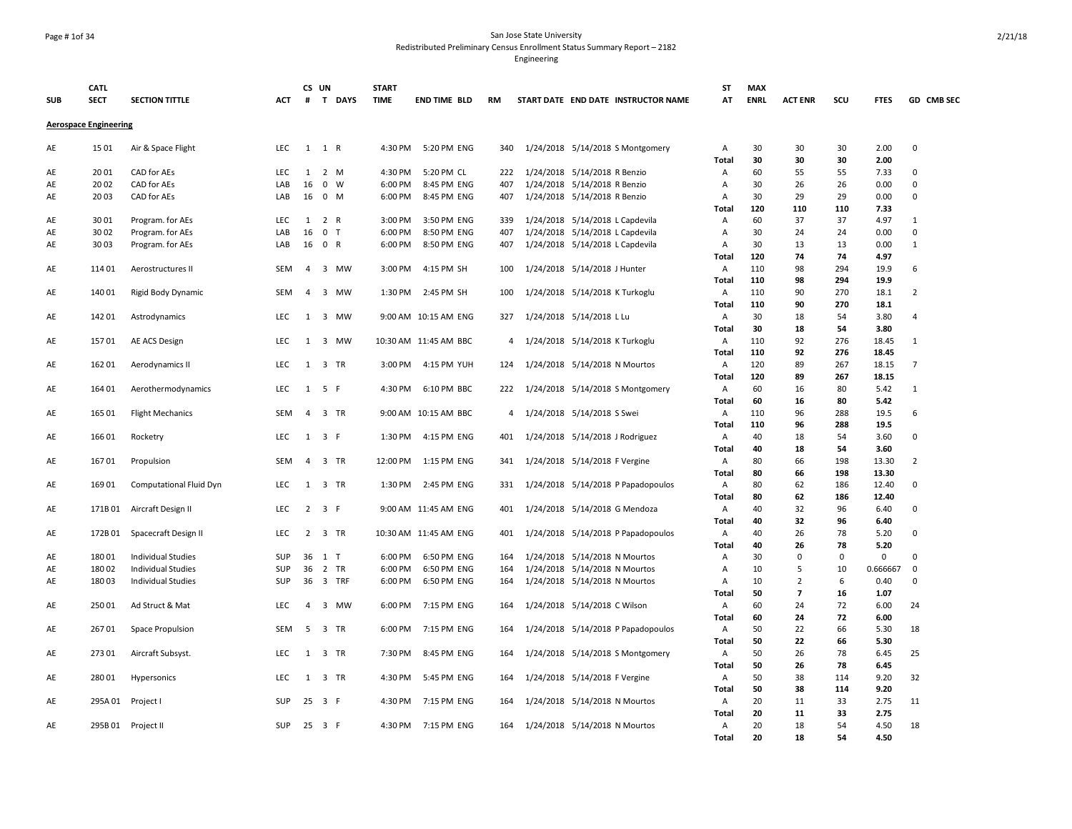### Page # 1of 34 San Jose State University Redistributed Preliminary Census Enrollment Status Summary Report – 2182

|            | <b>CATL</b>                  |                           |            | CS UN          |                           | <b>START</b>       |                            |            |                                |                               |                                     | <b>ST</b>         | <b>MAX</b>  |                         |             |              |                         |
|------------|------------------------------|---------------------------|------------|----------------|---------------------------|--------------------|----------------------------|------------|--------------------------------|-------------------------------|-------------------------------------|-------------------|-------------|-------------------------|-------------|--------------|-------------------------|
| <b>SUB</b> | <b>SECT</b>                  | <b>SECTION TITTLE</b>     | ACT        |                | # T DAYS                  | <b>TIME</b>        | <b>END TIME BLD</b>        | RM         |                                |                               | START DATE END DATE INSTRUCTOR NAME | AT                | <b>ENRL</b> | <b>ACT ENR</b>          | scu         | <b>FTES</b>  | GD CMB SEC              |
|            | <b>Aerospace Engineering</b> |                           |            |                |                           |                    |                            |            |                                |                               |                                     |                   |             |                         |             |              |                         |
| AE         | 1501                         | Air & Space Flight        | LEC        |                | $1 \quad 1 \quad R$       | 4:30 PM            | 5:20 PM ENG                | 340        |                                |                               | 1/24/2018 5/14/2018 S Montgomery    | Α                 | 30          | 30                      | 30          | 2.00         | $\pmb{0}$               |
|            |                              |                           |            |                |                           |                    |                            |            |                                |                               |                                     | Total             | 30          | 30                      | 30          | 2.00         |                         |
| AE         | 2001                         | CAD for AEs               | LEC        | 1              | 2 M                       | 4:30 PM            | 5:20 PM CL                 | 222        |                                | 1/24/2018 5/14/2018 R Benzio  |                                     | Α                 | 60          | 55                      | 55          | 7.33         | $\mathbf 0$             |
| AE         | 2002<br>2003                 | CAD for AEs               | LAB<br>LAB | 16<br>16       | $\mathbf 0$<br>W<br>$0$ M | 6:00 PM<br>6:00 PM | 8:45 PM ENG<br>8:45 PM ENG | 407<br>407 |                                | 1/24/2018 5/14/2018 R Benzio  |                                     | A<br>A            | 30<br>30    | 26<br>29                | 26<br>29    | 0.00<br>0.00 | $\mathsf 0$<br>$\Omega$ |
| AE         |                              | CAD for AEs               |            |                |                           |                    |                            |            |                                | 1/24/2018 5/14/2018 R Benzio  |                                     |                   | 120         | 110                     | 110         | 7.33         |                         |
| AE         | 3001                         | Program. for AEs          | LEC        | 1              | 2 R                       | 3:00 PM            | 3:50 PM ENG                | 339        |                                |                               | 1/24/2018 5/14/2018 L Capdevila     | Total<br>Α        | 60          | 37                      | 37          | 4.97         | $\mathbf{1}$            |
| AE         | 3002                         | Program. for AEs          | LAB        | 16             | $\mathsf 0$<br>T          | 6:00 PM            | 8:50 PM ENG                | 407        |                                |                               | 1/24/2018 5/14/2018 L Capdevila     | A                 | 30          | 24                      | 24          | 0.00         | $\pmb{0}$               |
| AE         | 3003                         | Program. for AEs          | LAB        | 16             | 0 R                       | 6:00 PM            | 8:50 PM ENG                | 407        |                                |                               | 1/24/2018 5/14/2018 L Capdevila     | A                 | 30          | 13                      | 13          | 0.00         | $\mathbf{1}$            |
|            |                              |                           |            |                |                           |                    |                            |            |                                |                               |                                     | Total             | 120         | 74                      | 74          | 4.97         |                         |
| AE         | 114 01                       | Aerostructures II         | <b>SEM</b> | $\overline{4}$ | 3 MW                      | 3:00 PM            | 4:15 PM SH                 | 100        |                                | 1/24/2018 5/14/2018 J Hunter  |                                     | A                 | 110         | 98                      | 294         | 19.9         | 6                       |
|            |                              |                           |            |                |                           |                    |                            |            |                                |                               |                                     | Total             | 110         | 98                      | 294         | 19.9         |                         |
| AE         | 140 01                       | Rigid Body Dynamic        | SEM        | 4              | 3 MW                      | 1:30 PM            | 2:45 PM SH                 | 100        |                                |                               | 1/24/2018 5/14/2018 K Turkoglu      | A                 | 110         | 90                      | 270         | 18.1         | $\overline{2}$          |
|            |                              |                           |            |                |                           |                    |                            |            |                                |                               |                                     | <b>Total</b>      | 110         | 90                      | 270         | 18.1         |                         |
| AE         | 142 01                       | Astrodynamics             | <b>LEC</b> | 1              | 3 MW                      |                    | 9:00 AM 10:15 AM ENG       | 327        |                                | 1/24/2018 5/14/2018 L Lu      |                                     | A                 | 30          | 18                      | 54          | 3.80         | $\overline{4}$          |
|            |                              |                           |            |                |                           |                    |                            |            |                                |                               |                                     | <b>Total</b>      | 30          | 18                      | 54          | 3.80         |                         |
| AE         | 15701                        | AE ACS Design             | <b>LEC</b> | 1              | 3 MW                      |                    | 10:30 AM 11:45 AM BBC      | 4          | 1/24/2018 5/14/2018 K Turkoglu |                               |                                     | Α                 | 110         | 92                      | 276         | 18.45        | 1                       |
|            |                              |                           |            |                |                           |                    |                            |            |                                |                               |                                     | Total             | 110         | 92                      | 276         | 18.45        |                         |
| AE         | 162 01                       | Aerodynamics II           | <b>LEC</b> | $\mathbf{1}$   | 3 TR                      | 3:00 PM            | 4:15 PM YUH                | 124        |                                |                               | 1/24/2018 5/14/2018 N Mourtos       | A                 | 120         | 89                      | 267         | 18.15        | $\overline{7}$          |
|            |                              |                           |            |                |                           |                    |                            |            |                                |                               |                                     | Total             | 120         | 89                      | 267         | 18.15        |                         |
| AE         | 164 01                       | Aerothermodynamics        | <b>LEC</b> | 1              | 5 F                       | 4:30 PM            | 6:10 PM BBC                | 222        |                                |                               | 1/24/2018 5/14/2018 S Montgomery    | $\overline{A}$    | 60          | 16                      | 80          | 5.42         | 1                       |
|            |                              |                           |            |                |                           |                    |                            |            |                                |                               |                                     | <b>Total</b>      | 60          | 16                      | 80          | 5.42         |                         |
| AE         | 165 01                       | <b>Flight Mechanics</b>   | <b>SEM</b> | 4              | 3 TR                      |                    | 9:00 AM 10:15 AM BBC       | 4          |                                | 1/24/2018 5/14/2018 S Swei    |                                     | $\overline{A}$    | 110         | 96                      | 288         | 19.5         | 6                       |
|            |                              |                           |            |                |                           |                    |                            |            |                                |                               |                                     | <b>Total</b>      | 110<br>40   | 96                      | 288         | 19.5         | $\mathsf 0$             |
| AE         | 166 01                       | Rocketry                  | <b>LEC</b> |                | $1 \quad 3 \quad F$       | 1:30 PM            | 4:15 PM ENG                | 401        |                                |                               | 1/24/2018 5/14/2018 J Rodriguez     | Α<br><b>Total</b> | 40          | 18<br>18                | 54<br>54    | 3.60<br>3.60 |                         |
| AE         | 16701                        | Propulsion                | SEM        | $\overline{4}$ | 3 TR                      | 12:00 PM           | 1:15 PM ENG                | 341        |                                | 1/24/2018 5/14/2018 F Vergine |                                     | A                 | 80          | 66                      | 198         | 13.30        | $\overline{2}$          |
|            |                              |                           |            |                |                           |                    |                            |            |                                |                               |                                     | Total             | 80          | 66                      | 198         | 13.30        |                         |
| AE         | 169 01                       | Computational Fluid Dyn   | <b>LEC</b> | 1              | 3 TR                      | 1:30 PM            | 2:45 PM ENG                | 331        |                                |                               | 1/24/2018 5/14/2018 P Papadopoulos  | Α                 | 80          | 62                      | 186         | 12.40        | $\mathbf 0$             |
|            |                              |                           |            |                |                           |                    |                            |            |                                |                               |                                     | Total             | 80          | 62                      | 186         | 12.40        |                         |
| AE         | 171B01                       | Aircraft Design II        | LEC        |                | $2 \t3 \tF$               |                    | 9:00 AM 11:45 AM ENG       | 401        |                                |                               | 1/24/2018 5/14/2018 G Mendoza       | A                 | 40          | 32                      | 96          | 6.40         | 0                       |
|            |                              |                           |            |                |                           |                    |                            |            |                                |                               |                                     | Total             | 40          | 32                      | 96          | 6.40         |                         |
| AE         | 172B01                       | Spacecraft Design II      | <b>LEC</b> |                | 2 3 TR                    |                    | 10:30 AM 11:45 AM ENG      | 401        |                                |                               | 1/24/2018 5/14/2018 P Papadopoulos  | Α                 | 40          | 26                      | 78          | 5.20         | $\Omega$                |
|            |                              |                           |            |                |                           |                    |                            |            |                                |                               |                                     | Total             | 40          | 26                      | 78          | 5.20         |                         |
| AE         | 18001                        | <b>Individual Studies</b> | SUP        | 36             | $1$ T                     | 6:00 PM            | 6:50 PM ENG                | 164        |                                |                               | 1/24/2018 5/14/2018 N Mourtos       | Α                 | 30          | $\Omega$                | $\mathbf 0$ | $\mathbf{0}$ | $\Omega$                |
| AE         | 18002                        | <b>Individual Studies</b> | SUP        | 36             | 2 TR                      | 6:00 PM            | 6:50 PM ENG                | 164        |                                |                               | 1/24/2018 5/14/2018 N Mourtos       | A                 | 10          | 5                       | 10          | 0.666667     | $\mathbf 0$             |
| AE         | 18003                        | <b>Individual Studies</b> | SUP        | 36             | 3 TRF                     | 6:00 PM            | 6:50 PM ENG                | 164        |                                |                               | 1/24/2018 5/14/2018 N Mourtos       | Α                 | 10          | $\overline{2}$          | 6           | 0.40         | $\mathbf 0$             |
|            |                              |                           |            |                |                           |                    |                            |            |                                |                               |                                     | <b>Total</b>      | 50          | $\overline{\mathbf{z}}$ | 16          | 1.07         |                         |
| AE         | 250 01                       | Ad Struct & Mat           | LEC        | $\overline{4}$ | 3 MW                      | 6:00 PM            | 7:15 PM ENG                | 164        |                                | 1/24/2018 5/14/2018 C Wilson  |                                     | Α                 | 60          | 24                      | 72          | 6.00         | 24                      |
|            |                              |                           |            |                |                           |                    |                            |            |                                |                               |                                     | <b>Total</b>      | 60          | 24                      | 72          | 6.00         |                         |
| AE         | 26701                        | Space Propulsion          | SEM        | 5              | 3 TR                      | 6:00 PM            | 7:15 PM ENG                | 164        |                                |                               | 1/24/2018 5/14/2018 P Papadopoulos  | A                 | 50          | 22                      | 66          | 5.30         | 18                      |
|            |                              |                           |            |                |                           |                    |                            |            |                                |                               |                                     | Total             | 50          | 22                      | 66          | 5.30         |                         |
| AE         | 273 01                       | Aircraft Subsyst.         | <b>LEC</b> | 1              | 3 TR                      | 7:30 PM            | 8:45 PM ENG                | 164        |                                |                               | 1/24/2018 5/14/2018 S Montgomery    | Α                 | 50<br>50    | 26<br>26                | 78<br>78    | 6.45<br>6.45 | 25                      |
| AE         | 280 01                       |                           | LEC        |                | 1 3 TR                    | 4:30 PM            | 5:45 PM ENG                | 164        |                                |                               |                                     | Total<br>A        | 50          | 38                      |             | 9.20         | 32                      |
|            |                              | Hypersonics               |            |                |                           |                    |                            |            |                                | 1/24/2018 5/14/2018 F Vergine |                                     | Total             | 50          | 38                      | 114<br>114  | 9.20         |                         |
| AE         | 295A01                       | Project I                 | <b>SUP</b> | 25             | 3 F                       | 4:30 PM            | 7:15 PM ENG                | 164        |                                |                               | 1/24/2018 5/14/2018 N Mourtos       | Α                 | 20          | 11                      | 33          | 2.75         | 11                      |
|            |                              |                           |            |                |                           |                    |                            |            |                                |                               |                                     | Total             | 20          | 11                      | 33          | 2.75         |                         |
| AE         | 295B 01                      | Project II                | <b>SUP</b> | 25             | 3 F                       | 4:30 PM            | 7:15 PM ENG                | 164        |                                |                               | 1/24/2018 5/14/2018 N Mourtos       | Α                 | 20          | 18                      | 54          | 4.50         | 18                      |
|            |                              |                           |            |                |                           |                    |                            |            |                                |                               |                                     | <b>Total</b>      | 20          | 18                      | 54          | 4.50         |                         |
|            |                              |                           |            |                |                           |                    |                            |            |                                |                               |                                     |                   |             |                         |             |              |                         |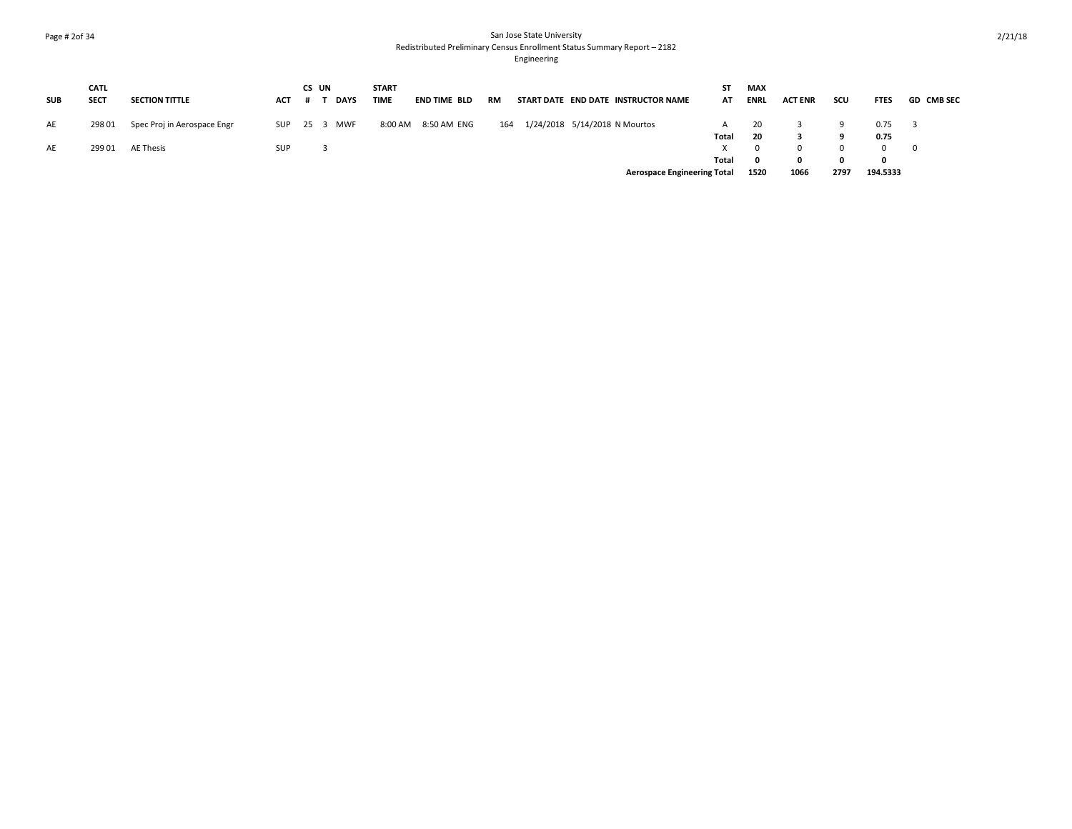### Page # 2of 34 San Jose State University Redistributed Preliminary Census Enrollment Status Summary Report – 2182

|            | <b>CATL</b> |                             |            | CS UN |             | <b>START</b> |              |     |  |                                     | ST    | MAX          |                |              |             |                   |
|------------|-------------|-----------------------------|------------|-------|-------------|--------------|--------------|-----|--|-------------------------------------|-------|--------------|----------------|--------------|-------------|-------------------|
| <b>SUB</b> | <b>SECT</b> | <b>SECTION TITTLE</b>       | <b>ACT</b> |       | <b>DAYS</b> | <b>TIME</b>  | END TIME BLD | RM  |  | START DATE END DATE INSTRUCTOR NAME | AT    | <b>ENRL</b>  | <b>ACT ENR</b> | scu          | <b>FTES</b> | <b>GD CMB SEC</b> |
| AE         | 298 01      | Spec Proj in Aerospace Engr | SUP        |       | 25 3 MWF    | 8:00 AM      | 8:50 AM ENG  | 164 |  | 1/24/2018 5/14/2018 N Mourtos       |       | 20           |                |              | 0.75        |                   |
|            |             |                             |            |       |             |              |              |     |  |                                     | Total | 20           |                |              | 0.75        |                   |
| AE         | 299 01      | AE Thesis                   | <b>SUP</b> |       |             |              |              |     |  |                                     |       | $\Omega$     |                | <sup>n</sup> |             | $\overline{0}$    |
|            |             |                             |            |       |             |              |              |     |  |                                     | Total | $\mathbf{0}$ |                | <sup>0</sup> | 0           |                   |
|            |             |                             |            |       |             |              |              |     |  | <b>Aerospace Engineering Total</b>  |       | 1520         | 1066           | 2797         | 194.5333    |                   |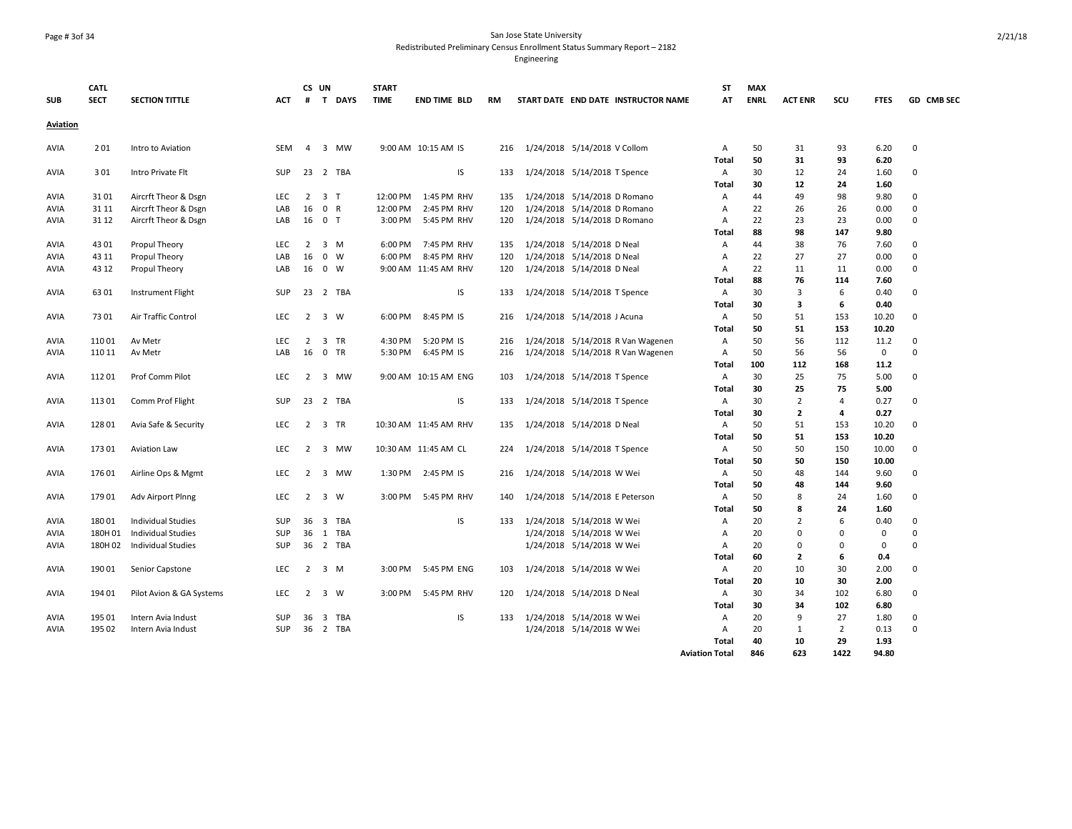### Page # 3of 34 San Jose State University Redistributed Preliminary Census Enrollment Status Summary Report – 2182

|                 | <b>CATL</b> |                           |            |                | CS UN          |             | <b>START</b> |                       |     |                                     | <b>ST</b>             | <b>MAX</b>  |                |                |             |              |
|-----------------|-------------|---------------------------|------------|----------------|----------------|-------------|--------------|-----------------------|-----|-------------------------------------|-----------------------|-------------|----------------|----------------|-------------|--------------|
| <b>SUB</b>      | <b>SECT</b> | <b>SECTION TITTLE</b>     | ACT        | #              |                | T DAYS      | <b>TIME</b>  | <b>END TIME BLD</b>   | RM  | START DATE END DATE INSTRUCTOR NAME | AT                    | <b>ENRL</b> | <b>ACT ENR</b> | SCU            | <b>FTES</b> | GD CMB SEC   |
| <b>Aviation</b> |             |                           |            |                |                |             |              |                       |     |                                     |                       |             |                |                |             |              |
| AVIA            | 201         | Intro to Aviation         | SEM        | 4              | 3              | MW          |              | 9:00 AM 10:15 AM IS   | 216 | 1/24/2018 5/14/2018 V Collom        | Α                     | 50          | 31             | 93             | 6.20        | 0            |
|                 |             |                           |            |                |                |             |              |                       |     |                                     | <b>Total</b>          | 50          | 31             | 93             | 6.20        |              |
| AVIA            | 301         | Intro Private Flt         | <b>SUP</b> | 23             |                | 2 TBA       |              | IS                    | 133 | 1/24/2018 5/14/2018 T Spence        | Α                     | 30          | 12             | 24             | 1.60        | $\mathbf{0}$ |
|                 |             |                           |            |                |                |             |              |                       |     |                                     | Total                 | 30          | 12             | 24             | 1.60        |              |
| AVIA            | 3101        | Aircrft Theor & Dsgn      | <b>LEC</b> | 2              | 3 <sub>T</sub> |             | 12:00 PM     | 1:45 PM RHV           | 135 | 1/24/2018 5/14/2018 D Romano        | Α                     | 44          | 49             | 98             | 9.80        | $\mathbf{0}$ |
| AVIA            | 31 11       | Aircrft Theor & Dsgn      | LAB        | 16             | 0 R            |             | 12:00 PM     | 2:45 PM RHV           | 120 | 1/24/2018 5/14/2018 D Romano        | Α                     | 22          | 26             | 26             | 0.00        | $\mathbf 0$  |
| AVIA            | 31 12       | Aircrft Theor & Dsgn      | LAB        | 16             | 0 <sub>T</sub> |             | 3:00 PM      | 5:45 PM RHV           | 120 | 1/24/2018 5/14/2018 D Romano        | Α                     | 22          | 23             | 23             | 0.00        | $\mathbf 0$  |
|                 |             |                           |            |                |                |             |              |                       |     |                                     | Total                 | 88          | 98             | 147            | 9.80        |              |
| AVIA            | 4301        | Propul Theory             | <b>LEC</b> | $\overline{2}$ |                | 3 M         | 6:00 PM      | 7:45 PM RHV           | 135 | 1/24/2018 5/14/2018 D Neal          | Α                     | 44          | 38             | 76             | 7.60        | $\mathbf{0}$ |
| AVIA            | 43 11       | Propul Theory             | LAB        | 16             | $\mathbf{0}$   | W           | 6:00 PM      | 8:45 PM RHV           | 120 | 1/24/2018 5/14/2018 D Neal          | Α                     | 22          | 27             | 27             | 0.00        | $\mathbf 0$  |
| AVIA            | 43 12       | Propul Theory             | LAB        | 16             |                | $0 \quad W$ |              | 9:00 AM 11:45 AM RHV  | 120 | 1/24/2018 5/14/2018 D Neal          | Α                     | 22          | 11             | 11             | 0.00        | $\mathbf 0$  |
|                 |             |                           |            |                |                |             |              |                       |     |                                     | Total                 | 88          | 76             | 114            | 7.60        |              |
| AVIA            | 6301        | <b>Instrument Flight</b>  | <b>SUP</b> |                |                | 23 2 TBA    |              | IS                    | 133 | 1/24/2018 5/14/2018 T Spence        | Α                     | 30          | 3              | 6              | 0.40        | 0            |
|                 |             |                           |            |                |                |             |              |                       |     |                                     | Total                 | 30          | 3              | 6              | 0.40        |              |
| AVIA            | 7301        | Air Traffic Control       | LEC        | $\overline{2}$ |                | 3 W         | 6:00 PM      | 8:45 PM IS            | 216 | 1/24/2018 5/14/2018 J Acuna         | Α                     | 50          | 51             | 153            | 10.20       | $\mathbf 0$  |
|                 |             |                           |            |                |                |             |              |                       |     |                                     | Total                 | 50          | 51             | 153            | 10.20       |              |
| AVIA            | 110 01      | Av Metr                   | <b>LEC</b> | 2              |                | 3 TR        | 4:30 PM      | 5:20 PM IS            | 216 | 1/24/2018 5/14/2018 R Van Wagenen   | Α                     | 50          | 56             | 112            | 11.2        | 0            |
| AVIA            | 110 11      | Av Metr                   | LAB        | 16             |                | 0 TR        | 5:30 PM      | 6:45 PM IS            | 216 | 1/24/2018 5/14/2018 R Van Wagenen   | Α                     | 50          | 56             | 56             | 0           | 0            |
|                 |             |                           |            |                |                |             |              |                       |     |                                     | Total                 | 100         | 112            | 168            | 11.2        |              |
| AVIA            | 11201       | Prof Comm Pilot           | <b>LEC</b> | 2              |                | 3 MW        |              | 9:00 AM 10:15 AM ENG  | 103 | 1/24/2018 5/14/2018 T Spence        | Α                     | 30          | 25             | 75             | 5.00        | $\mathbf{0}$ |
|                 |             |                           |            |                |                |             |              |                       |     |                                     | Total                 | 30          | 25             | 75             | 5.00        |              |
| AVIA            | 113 01      | Comm Prof Flight          | <b>SUP</b> |                |                | 23 2 TBA    |              | IS                    | 133 | 1/24/2018 5/14/2018 T Spence        | Α                     | 30          | $\overline{2}$ | $\overline{4}$ | 0.27        | 0            |
|                 |             |                           |            |                |                |             |              |                       |     |                                     | Total                 | 30          | $\overline{2}$ | 4              | 0.27        |              |
| AVIA            | 128 01      | Avia Safe & Security      | <b>LEC</b> | 2              |                | 3 TR        |              | 10:30 AM 11:45 AM RHV | 135 | 1/24/2018 5/14/2018 D Neal          | Α                     | 50          | 51             | 153            | 10.20       | $\mathbf{0}$ |
|                 |             |                           |            |                |                |             |              |                       |     |                                     | Total                 | 50          | 51             | 153            | 10.20       |              |
| AVIA            | 17301       | Aviation Law              | LEC        | $\overline{2}$ | $\overline{3}$ | MW          |              | 10:30 AM 11:45 AM CL  | 224 | 1/24/2018 5/14/2018 T Spence        | Α                     | 50          | 50             | 150            | 10.00       | $\mathbf 0$  |
|                 |             |                           |            |                |                |             |              |                       |     |                                     | Total                 | 50          | 50             | 150            | 10.00       |              |
| AVIA            | 176 01      | Airline Ops & Mgmt        | <b>LEC</b> | $\overline{2}$ |                | 3 MW        | 1:30 PM      | 2:45 PM IS            | 216 | 1/24/2018 5/14/2018 W Wei           | $\overline{A}$        | 50          | 48             | 144            | 9.60        | $\Omega$     |
|                 |             |                           |            |                |                |             |              |                       |     |                                     | Total                 | 50          | 48             | 144            | 9.60        |              |
| AVIA            | 179 01      | Adv Airport Plnng         | LEC        | 2              |                | 3 W         | 3:00 PM      | 5:45 PM RHV           | 140 | 1/24/2018 5/14/2018 E Peterson      | Α                     | 50          | 8              | 24             | 1.60        | 0            |
|                 |             |                           |            |                |                |             |              |                       |     |                                     | Total                 | 50          | 8              | 24             | 1.60        |              |
| AVIA            | 18001       | <b>Individual Studies</b> | <b>SUP</b> | 36             | $\overline{3}$ | <b>TBA</b>  |              | IS                    | 133 | 1/24/2018 5/14/2018 W Wei           | Α                     | 20          | $\overline{2}$ | 6              | 0.40        | $\Omega$     |
| AVIA            | 180H 01     | <b>Individual Studies</b> | SUP        | 36             |                | 1 TBA       |              |                       |     | 1/24/2018 5/14/2018 W Wei           | Α                     | 20          | $\Omega$       | $\Omega$       | 0           | 0            |
| AVIA            | 180H 02     | <b>Individual Studies</b> | <b>SUP</b> | 36             |                | 2 TBA       |              |                       |     | 1/24/2018 5/14/2018 W Wei           | Α                     | 20          | 0              | 0              | 0           | $\mathbf{0}$ |
|                 |             |                           |            |                |                |             |              |                       |     |                                     | Total                 | 60          | $\overline{2}$ | 6              | 0.4         |              |
| AVIA            | 190 01      | Senior Capstone           | <b>LEC</b> | 2              |                | 3 M         | $3:00$ PM    | 5:45 PM ENG           | 103 | 1/24/2018 5/14/2018 W Wei           | Α                     | 20          | 10             | 30             | 2.00        | $\mathbf{0}$ |
|                 |             |                           |            |                |                |             |              |                       |     |                                     | Total                 | 20          | 10             | 30             | 2.00        |              |
| AVIA            | 194 01      | Pilot Avion & GA Systems  | LEC        | 2              |                | 3 W         | 3:00 PM      | 5:45 PM RHV           | 120 | 1/24/2018 5/14/2018 D Neal          | Α                     | 30          | 34             | 102            | 6.80        | 0            |
|                 |             |                           |            |                |                |             |              |                       |     |                                     | Total                 | 30          | 34             | 102            | 6.80        |              |
| AVIA            | 195 01      | Intern Avia Indust        | <b>SUP</b> | 36             |                | 3 TBA       |              | IS                    | 133 | 1/24/2018 5/14/2018 W Wei           | Α                     | 20          | 9              | 27             | 1.80        | $\mathbf 0$  |
| AVIA            | 195 02      | Intern Avia Indust        | <b>SUP</b> |                |                | 36 2 TBA    |              |                       |     | 1/24/2018 5/14/2018 W Wei           | Α                     | 20          | 1              | $\overline{2}$ | 0.13        | $\mathbf 0$  |
|                 |             |                           |            |                |                |             |              |                       |     |                                     | Total                 | 40          | 10             | 29             | 1.93        |              |
|                 |             |                           |            |                |                |             |              |                       |     |                                     | <b>Aviation Total</b> | 846         | 623            | 1422           | 94.80       |              |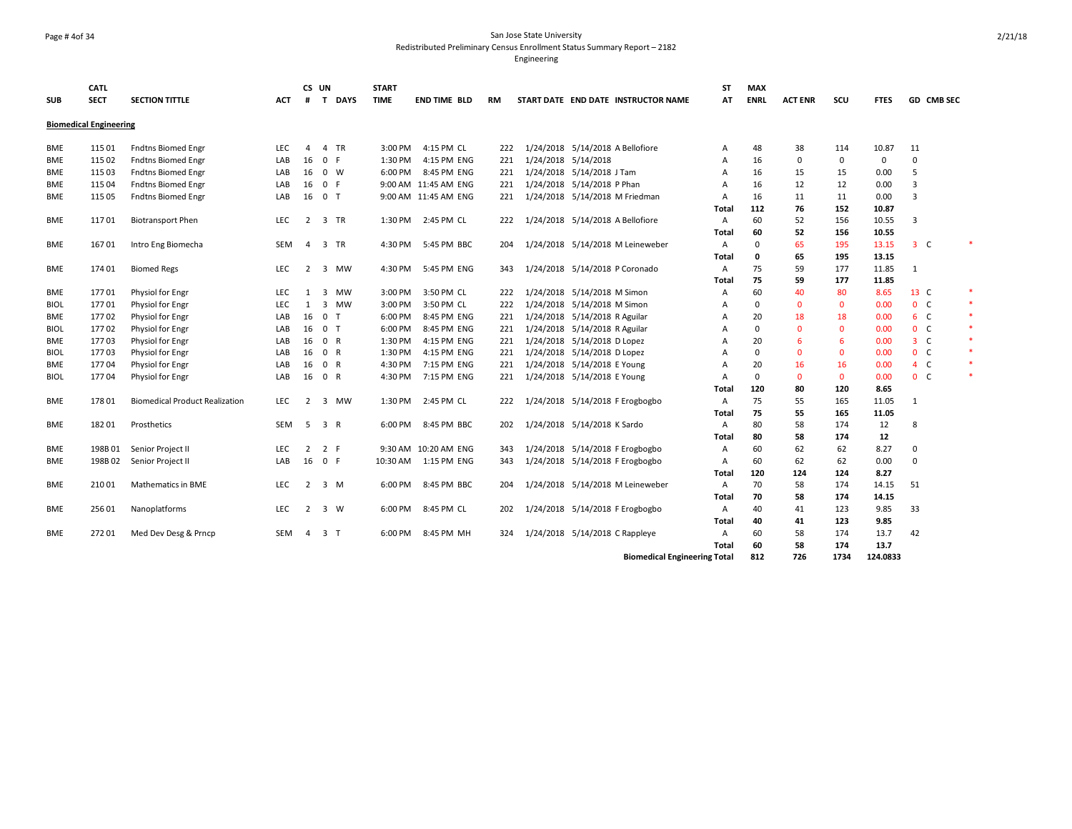### Page # 4of 34 San Jose State University Redistributed Preliminary Census Enrollment Status Summary Report – 2182

Engineering

|             | <b>CATL</b>                   |                                       |            |                 | CS UN          | <b>START</b> |                       |     |                                     | <b>ST</b>      | <b>MAX</b>  |                |              |              |                   |        |
|-------------|-------------------------------|---------------------------------------|------------|-----------------|----------------|--------------|-----------------------|-----|-------------------------------------|----------------|-------------|----------------|--------------|--------------|-------------------|--------|
| <b>SUB</b>  | <b>SECT</b>                   | <b>SECTION TITTLE</b>                 | <b>ACT</b> | #               | T DAYS         | <b>TIME</b>  | <b>END TIME BLD</b>   | RM  | START DATE END DATE INSTRUCTOR NAME | AT             | <b>ENRL</b> | <b>ACT ENR</b> | SCU          | <b>FTES</b>  | <b>GD CMB SEC</b> |        |
|             | <b>Biomedical Engineering</b> |                                       |            |                 |                |              |                       |     |                                     |                |             |                |              |              |                   |        |
| BME         | 115 01                        | <b>Fndtns Biomed Engr</b>             | LEC.       | 4               | 4 TR           | $3:00$ PM    | 4:15 PM CL            | 222 | 1/24/2018 5/14/2018 A Bellofiore    | $\overline{A}$ | 48          | 38             | 114          | 10.87        | 11                |        |
| <b>BME</b>  | 115 02                        | <b>Fndtns Biomed Engr</b>             | LAB        | 16              | 0 F            | 1:30 PM      | 4:15 PM ENG           | 221 | 1/24/2018 5/14/2018                 | Α              | 16          | $\mathbf{0}$   | 0            | $\mathbf{0}$ | $\mathbf 0$       |        |
| BME         | 115 03                        | <b>Fndtns Biomed Engr</b>             | LAB        | 16              | 0 W            | 6:00 PM      | 8:45 PM ENG           | 221 | 1/24/2018 5/14/2018 J Tam           | $\overline{A}$ | 16          | 15             | 15           | 0.00         | 5                 |        |
| BME         | 115 04                        | <b>Fndtns Biomed Engr</b>             | LAB        | 16              | 0 F            |              | 9:00 AM 11:45 AM ENG  | 221 | 1/24/2018 5/14/2018 P Phan          | $\overline{A}$ | 16          | 12             | 12           | 0.00         | 3                 |        |
| BME         | 115 05                        | <b>Fndtns Biomed Engr</b>             | LAB        | 16              | 0 <sub>T</sub> |              | 9:00 AM 11:45 AM ENG  | 221 | 1/24/2018 5/14/2018 M Friedman      | $\overline{A}$ | 16          | 11             | 11           | 0.00         | 3                 |        |
|             |                               |                                       |            |                 |                |              |                       |     |                                     | Total          | 112         | 76             | 152          | 10.87        |                   |        |
| <b>BME</b>  | 11701                         | <b>Biotransport Phen</b>              | <b>LEC</b> | 2               | 3 TR           |              | 1:30 PM 2:45 PM CL    | 222 | 1/24/2018 5/14/2018 A Bellofiore    | $\overline{A}$ | 60          | 52             | 156          | 10.55        | 3                 |        |
|             |                               |                                       |            |                 |                |              |                       |     |                                     | Total          | 60          | 52             | 156          | 10.55        |                   |        |
| BME         | 16701                         | Intro Eng Biomecha                    | SEM        | $\overline{4}$  | 3 TR           | 4:30 PM      | 5:45 PM BBC           | 204 | 1/24/2018 5/14/2018 M Leineweber    | $\overline{A}$ | $\Omega$    | 65             | 195          | 13.15        | 3 <sup>°</sup>    |        |
|             |                               |                                       |            |                 |                |              |                       |     |                                     | Total          | 0           | 65             | 195          | 13.15        |                   |        |
| BME         | 174 01                        | <b>Biomed Regs</b>                    | <b>LEC</b> | 2               | 3 MW           | 4:30 PM      | 5:45 PM ENG           | 343 | 1/24/2018 5/14/2018 P Coronado      | $\overline{A}$ | 75          | 59             | 177          | 11.85        | 1                 |        |
|             |                               |                                       |            |                 |                |              |                       |     |                                     | Total          | 75          | 59             | 177          | 11.85        |                   |        |
| BME         | 17701                         | Physiol for Engr                      | <b>LEC</b> | 1               | 3 MW           | 3:00 PM      | 3:50 PM CL            | 222 | 1/24/2018 5/14/2018 M Simon         | Α              | 60          | 40             | 80           | 8.65         | 13 C              | *      |
| <b>BIOL</b> | 17701                         | Physiol for Engr                      | LEC        | 1               | 3 MW           | 3:00 PM      | 3:50 PM CL            | 222 | 1/24/2018 5/14/2018 M Simon         | Α              | 0           | $\mathbf{0}$   | $\mathbf{0}$ | 0.00         | 0 <sub>c</sub>    | $\ast$ |
| <b>BME</b>  | 17702                         | Physiol for Engr                      | LAB        | 16              | 0 <sub>T</sub> | 6:00 PM      | 8:45 PM ENG           | 221 | 1/24/2018 5/14/2018 R Aguilar       | Α              | 20          | 18             | 18           | 0.00         | $6-$              | $\ast$ |
| <b>BIOL</b> | 17702                         | Physiol for Engr                      | LAB        | 16              | 0 <sub>T</sub> | 6:00 PM      | 8:45 PM ENG           | 221 | 1/24/2018 5/14/2018 R Aguilar       | $\overline{A}$ | $\mathbf 0$ | $\mathbf{0}$   | $\mathbf{0}$ | 0.00         | 0 <sup>o</sup>    | $\ast$ |
| <b>BME</b>  | 17703                         | Physiol for Engr                      | LAB        | 16              | 0 R            | 1:30 PM      | 4:15 PM ENG           | 221 | 1/24/2018 5/14/2018 D Lopez         | Α              | 20          | 6              | 6            | 0.00         | 3 <sup>°</sup>    | $\ast$ |
| <b>BIOL</b> | 17703                         | Physiol for Engr                      | LAB        | 16              | 0 R            | 1:30 PM      | 4:15 PM ENG           | 221 | 1/24/2018 5/14/2018 D Lopez         | A              | $\mathbf 0$ | $\mathbf{0}$   | $\mathbf{0}$ | 0.00         | 0 <sup>o</sup>    | *      |
| BME         | 17704                         | Physiol for Engr                      | LAB        | 16              | 0 R            | 4:30 PM      | 7:15 PM ENG           | 221 | 1/24/2018 5/14/2018 E Young         | A              | 20          | 16             | 16           | 0.00         | $4\quad C$        | $\ast$ |
| <b>BIOL</b> | 17704                         | Physiol for Engr                      | LAB        | 16              | 0 R            | 4:30 PM      | 7:15 PM ENG           | 221 | 1/24/2018 5/14/2018 E Young         | $\overline{A}$ | $\mathbf 0$ | $\mathbf{0}$   | $\mathbf 0$  | 0.00         | 0 <sub>c</sub>    | *      |
|             |                               |                                       |            |                 |                |              |                       |     |                                     | Total          | 120         | 80             | 120          | 8.65         |                   |        |
| <b>BME</b>  | 178 01                        | <b>Biomedical Product Realization</b> | <b>LEC</b> | 2               | 3 MW           | 1:30 PM      | 2:45 PM CL            | 222 | 1/24/2018 5/14/2018 F Erogbogbo     | $\overline{A}$ | 75          | 55             | 165          | 11.05        | 1                 |        |
|             |                               |                                       |            |                 |                |              |                       |     |                                     | Total          | 75          | 55             | 165          | 11.05        |                   |        |
| BME         | 18201                         | Prosthetics                           | SEM        | $5\overline{)}$ | 3 R            | 6:00 PM      | 8:45 PM BBC           | 202 | 1/24/2018 5/14/2018 K Sardo         | Α              | 80          | 58             | 174          | 12           | 8                 |        |
|             |                               |                                       |            |                 |                |              |                       |     |                                     | Total          | 80          | 58             | 174          | 12           |                   |        |
| BME         | 198B01                        | Senior Project II                     | <b>LEC</b> | 2               | 2 F            |              | 9:30 AM 10:20 AM ENG  | 343 | 1/24/2018 5/14/2018 F Erogbogbo     | Α              | 60          | 62             | 62           | 8.27         | $\mathbf 0$       |        |
| BME         | 198B02                        | Senior Project II                     | LAB        | 16              | 0 F            |              | 10:30 AM  1:15 PM ENG | 343 | 1/24/2018 5/14/2018 F Erogbogbo     | $\overline{A}$ | 60          | 62             | 62           | 0.00         | $\mathbf 0$       |        |
|             |                               |                                       |            |                 |                |              |                       |     |                                     | Total          | 120         | 124            | 124          | 8.27         |                   |        |
| BME         | 210 01                        | Mathematics in BME                    | LEC        | 2               | 3 M            | 6:00 PM      | 8:45 PM BBC           | 204 | 1/24/2018 5/14/2018 M Leineweber    | Α              | 70          | 58             | 174          | 14.15        | 51                |        |
|             |                               |                                       |            |                 |                |              |                       |     |                                     | Total          | 70          | 58             | 174          | 14.15        |                   |        |
| BME         | 256 01                        | Nanoplatforms                         | LEC        | $\overline{2}$  | 3 W            |              | 6:00 PM 8:45 PM CL    | 202 | 1/24/2018 5/14/2018 F Erogbogbo     | Α              | 40          | 41             | 123          | 9.85         | 33                |        |
|             |                               |                                       |            |                 |                |              |                       |     |                                     | Total          | 40          | 41             | 123          | 9.85         |                   |        |
| <b>BME</b>  | 27201                         | Med Dev Desg & Prncp                  | SEM        | 4               | 3 <sub>1</sub> | 6:00 PM      | 8:45 PM MH            | 324 | 1/24/2018 5/14/2018 C Rappleye      | Α              | 60          | 58             | 174          | 13.7         | 42                |        |
|             |                               |                                       |            |                 |                |              |                       |     |                                     | <b>Total</b>   | 60          | 58             | 174          | 13.7         |                   |        |
|             |                               |                                       |            |                 |                |              |                       |     | Diamondian LEmpire and an Takel     |                | 012         | 72c            | 1724         | 134.0033     |                   |        |

**Biomedical Engineering Total 812 726 1734 124.0833**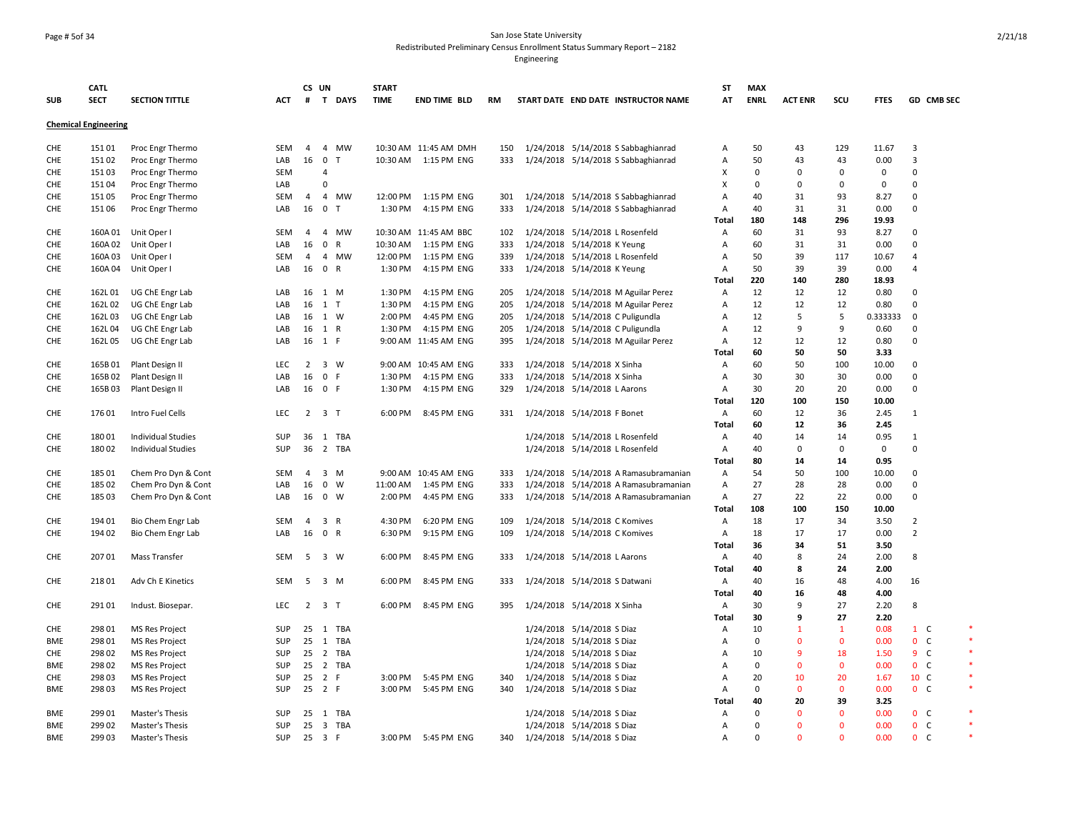### Page # 5of 34 San Jose State University Redistributed Preliminary Census Enrollment Status Summary Report – 2182

|            | <b>CATL</b>                 |                           |            |                | CS UN               |              | <b>START</b> |                       |     |                               |                               |                                       | SΤ             | MAX         |                |              |              |                |            |
|------------|-----------------------------|---------------------------|------------|----------------|---------------------|--------------|--------------|-----------------------|-----|-------------------------------|-------------------------------|---------------------------------------|----------------|-------------|----------------|--------------|--------------|----------------|------------|
| <b>SUB</b> | <b>SECT</b>                 | <b>SECTION TITTLE</b>     | ACT        |                |                     | # T DAYS     | <b>TIME</b>  | <b>END TIME BLD</b>   | RM  |                               |                               | START DATE END DATE INSTRUCTOR NAME   | AT             | <b>ENRL</b> | <b>ACT ENR</b> | SCU          | <b>FTES</b>  |                | GD CMB SEC |
|            | <b>Chemical Engineering</b> |                           |            |                |                     |              |              |                       |     |                               |                               |                                       |                |             |                |              |              |                |            |
| CHE        | 151 01                      | Proc Engr Thermo          | <b>SEM</b> | 4              |                     | 4 MW         |              | 10:30 AM 11:45 AM DMH | 150 |                               |                               | 1/24/2018 5/14/2018 S Sabbaghianrad   | Α              | 50          | 43             | 129          | 11.67        | 3              |            |
| CHE        | 151 02                      | Proc Engr Thermo          | LAB        | 16             | $\mathbf 0$         | $\mathsf{T}$ | 10:30 AM     | 1:15 PM ENG           | 333 |                               |                               | 1/24/2018 5/14/2018 S Sabbaghianrad   | A              | 50          | 43             | 43           | 0.00         | 3              |            |
| <b>CHE</b> | 15103                       | Proc Engr Thermo          | <b>SEM</b> |                | $\overline{4}$      |              |              |                       |     |                               |                               |                                       | X              | $\mathbf 0$ | $\Omega$       | 0            | $\mathbf{0}$ | $\mathbf 0$    |            |
| CHE        | 15104                       | Proc Engr Thermo          | LAB        |                | $\Omega$            |              |              |                       |     |                               |                               |                                       | X              | $\mathbf 0$ | $\Omega$       | 0            | $\mathbf{0}$ | $\mathbf 0$    |            |
| CHE        | 15105                       | Proc Engr Thermo          | SEM        | $\overline{4}$ |                     | 4 MW         | 12:00 PM     | 1:15 PM ENG           | 301 |                               |                               | 1/24/2018 5/14/2018 S Sabbaghianrad   | A              | 40          | 31             | 93           | 8.27         | $\mathbf 0$    |            |
| CHE        | 151 06                      | Proc Engr Thermo          | LAB        | 16             | $\mathbf 0$         | $\mathsf{T}$ | 1:30 PM      | 4:15 PM ENG           | 333 |                               |                               | 1/24/2018 5/14/2018 S Sabbaghianrad   | Α              | 40          | 31             | 31           | 0.00         | $\mathbf 0$    |            |
|            |                             |                           |            |                |                     |              |              |                       |     |                               |                               |                                       | Total          | 180         | 148            | 296          | 19.93        |                |            |
| CHE        | 160A 01                     | Unit Oper I               | <b>SEM</b> | $\overline{4}$ |                     | 4 MW         |              | 10:30 AM 11:45 AM BBC | 102 |                               |                               | 1/24/2018 5/14/2018 L Rosenfeld       | Α              | 60          | 31             | 93           | 8.27         | 0              |            |
| CHE        | 160A 02                     | Unit Oper I               | LAB        | 16             | $\mathbf 0$         | $\mathsf{R}$ | 10:30 AM     | 1:15 PM ENG           | 333 | 1/24/2018 5/14/2018 K Yeung   |                               |                                       | A              | 60          | 31             | 31           | 0.00         | $\mathbf 0$    |            |
| <b>CHE</b> | 160A03                      | Unit Oper I               | <b>SEM</b> | $\overline{4}$ |                     | 4 MW         | 12:00 PM     | 1:15 PM ENG           | 339 |                               |                               | 1/24/2018 5/14/2018 L Rosenfeld       | A              | 50          | 39             | 117          | 10.67        | $\overline{4}$ |            |
| CHE        | 160A 04                     | Unit Oper I               | LAB        | 16             | 0 R                 |              | 1:30 PM      | 4:15 PM ENG           | 333 | 1/24/2018 5/14/2018 K Yeung   |                               |                                       | A              | 50          | 39             | 39           | 0.00         | $\overline{4}$ |            |
|            |                             |                           |            |                |                     |              |              |                       |     |                               |                               |                                       | Total          | 220         | 140            | 280          | 18.93        |                |            |
| CHE        | 162L01                      | UG ChE Engr Lab           | LAB        | 16             | 1 M                 |              | 1:30 PM      | 4:15 PM ENG           | 205 |                               |                               | 1/24/2018 5/14/2018 M Aguilar Perez   | $\overline{A}$ | 12          | 12             | 12           | 0.80         | $\mathbf 0$    |            |
| CHE        | 162L02                      | UG ChE Engr Lab           | LAB        | 16             | 1 <sub>T</sub>      |              | 1:30 PM      | 4:15 PM ENG           | 205 |                               |                               | 1/24/2018 5/14/2018 M Aguilar Perez   | Α              | 12          | 12             | 12           | 0.80         | $\mathbf 0$    |            |
| <b>CHE</b> | 162L03                      | UG ChE Engr Lab           | LAB        |                | 16 1 W              |              | 2:00 PM      | 4:45 PM ENG           | 205 |                               |                               | 1/24/2018 5/14/2018 C Puligundla      | Α              | 12          | 5              | 5            | 0.333333     | $\mathbf 0$    |            |
| CHE        | 162L04                      | UG ChE Engr Lab           | LAB        | 16             | 1 R                 |              | 1:30 PM      | 4:15 PM ENG           | 205 |                               |                               | 1/24/2018 5/14/2018 C Puligundla      | Α              | 12          | 9              | 9            | 0.60         | $\mathbf 0$    |            |
| CHE        | 162L05                      | UG ChE Engr Lab           | LAB        |                | 16 1 F              |              |              | 9:00 AM 11:45 AM ENG  | 395 |                               |                               | 1/24/2018 5/14/2018 M Aguilar Perez   | Α              | 12          | 12             | 12           | 0.80         | $\mathbf 0$    |            |
|            |                             |                           |            |                |                     |              |              |                       |     |                               |                               |                                       | Total          | 60          | 50             | 50           | 3.33         |                |            |
| CHE        | 165B01                      | Plant Design II           | <b>LEC</b> | $\overline{2}$ | 3 W                 |              |              | 9:00 AM 10:45 AM ENG  | 333 | 1/24/2018 5/14/2018 X Sinha   |                               |                                       | A              | 60          | 50             | 100          | 10.00        | $\mathbf 0$    |            |
| <b>CHE</b> | 165B02                      | Plant Design II           | LAB        | 16             | 0 F                 |              | 1:30 PM      | 4:15 PM ENG           | 333 | 1/24/2018 5/14/2018 X Sinha   |                               |                                       | Α              | 30          | 30             | 30           | 0.00         | $\mathbf 0$    |            |
| CHE        | 165B03                      | Plant Design II           | LAB        | 16             | 0 F                 |              | 1:30 PM      | 4:15 PM ENG           | 329 | 1/24/2018 5/14/2018 L Aarons  |                               |                                       | Α              | 30          | 20             | 20           | 0.00         | $\mathbf 0$    |            |
|            |                             |                           |            |                |                     |              |              |                       |     |                               |                               |                                       | Total          | 120         | 100            | 150          | 10.00        |                |            |
| CHE        | 176 01                      | Intro Fuel Cells          | <b>LEC</b> |                | $2 \quad 3 \quad T$ |              | 6:00 PM      | 8:45 PM ENG           | 331 |                               |                               |                                       |                | 60          | 12             | 36           | 2.45         | 1              |            |
|            |                             |                           |            |                |                     |              |              |                       |     | 1/24/2018 5/14/2018 F Bonet   |                               |                                       | Α              | 60          | 12             | 36           | 2.45         |                |            |
|            |                             |                           |            |                |                     |              |              |                       |     |                               |                               |                                       | Total          |             |                |              |              |                |            |
| CHE        | 18001                       | <b>Individual Studies</b> | SUP        | 36             |                     | 1 TBA        |              |                       |     |                               |                               | 1/24/2018 5/14/2018 L Rosenfeld       | Α              | 40<br>40    | 14             | 14           | 0.95         | $\mathbf{1}$   |            |
| CHE        | 18002                       | <b>Individual Studies</b> | SUP        | 36             |                     | 2 TBA        |              |                       |     |                               |                               | 1/24/2018 5/14/2018 L Rosenfeld       | A              |             | $\Omega$       | 0            | $\mathbf 0$  | $\mathbf 0$    |            |
|            |                             |                           |            |                |                     |              |              |                       |     |                               |                               |                                       | Total          | 80          | 14             | 14           | 0.95         |                |            |
| CHE        | 185 01                      | Chem Pro Dyn & Cont       | SEM        | $\overline{4}$ | $3 \, M$            |              |              | 9:00 AM 10:45 AM ENG  | 333 |                               |                               | 1/24/2018 5/14/2018 A Ramasubramanian | Α              | 54          | 50             | 100          | 10.00        | $\mathbf 0$    |            |
| CHE        | 185 02                      | Chem Pro Dyn & Cont       | LAB        | 16             | $0 \quad W$         |              | 11:00 AM     | 1:45 PM ENG           | 333 |                               |                               | 1/24/2018 5/14/2018 A Ramasubramanian | Α              | 27          | 28             | 28           | 0.00         | $\mathbf 0$    |            |
| <b>CHE</b> | 185 03                      | Chem Pro Dyn & Cont       | LAB        | 16             | 0 W                 |              | 2:00 PM      | 4:45 PM ENG           | 333 |                               |                               | 1/24/2018 5/14/2018 A Ramasubramanian | Α              | 27          | 22             | 22           | 0.00         | $\mathbf 0$    |            |
|            |                             |                           |            |                |                     |              |              |                       |     |                               |                               |                                       | Total          | 108         | 100            | 150          | 10.00        |                |            |
| CHE        | 194 01                      | Bio Chem Engr Lab         | SEM        | 4              | 3 R                 |              | 4:30 PM      | 6:20 PM ENG           | 109 |                               | 1/24/2018 5/14/2018 C Komives |                                       | A              | 18          | 17             | 34           | 3.50         | 2              |            |
| <b>CHE</b> | 194 02                      | Bio Chem Engr Lab         | LAB        | 16             | 0 R                 |              | 6:30 PM      | 9:15 PM ENG           | 109 | 1/24/2018 5/14/2018 C Komives |                               |                                       | Α              | 18          | 17             | 17           | 0.00         | $\overline{2}$ |            |
|            |                             |                           |            |                |                     |              |              |                       |     |                               |                               |                                       | Total          | 36          | 34             | 51           | 3.50         |                |            |
| CHE        | 207 01                      | Mass Transfer             | <b>SEM</b> | - 5            | 3 W                 |              | 6:00 PM      | 8:45 PM ENG           | 333 | 1/24/2018 5/14/2018 L Aarons  |                               |                                       | Α              | 40          | 8              | 24           | 2.00         | 8              |            |
|            |                             |                           |            |                |                     |              |              |                       |     |                               |                               |                                       | Total          | 40          | 8              | 24           | 2.00         |                |            |
| CHE        | 218 01                      | Adv Ch E Kinetics         | SEM        | 5              | 3 M                 |              | 6:00 PM      | 8:45 PM ENG           | 333 | 1/24/2018 5/14/2018 S Datwani |                               |                                       | Α              | 40          | 16             | 48           | 4.00         | 16             |            |
|            |                             |                           |            |                |                     |              |              |                       |     |                               |                               |                                       | Total          | 40          | 16             | 48           | 4.00         |                |            |
| CHE        | 291 01                      | Indust. Biosepar.         | <b>LEC</b> | $2^{\circ}$    | 3 <sub>1</sub>      |              | 6:00 PM      | 8:45 PM ENG           | 395 | 1/24/2018 5/14/2018 X Sinha   |                               |                                       | Α              | 30          | 9              | 27           | 2.20         | 8              |            |
|            |                             |                           |            |                |                     |              |              |                       |     |                               |                               |                                       | Total          | 30          | 9              | 27           | 2.20         |                |            |
| CHE        | 298 01                      | MS Res Project            | SUP        | 25             |                     | 1 TBA        |              |                       |     |                               | 1/24/2018 5/14/2018 S Diaz    |                                       | Α              | 10          | $\mathbf{1}$   | $\mathbf{1}$ | 0.08         | $1 \quad C$    |            |
| <b>BME</b> | 298 01                      | <b>MS Res Project</b>     | SUP        | 25             | 1                   | TBA          |              |                       |     |                               | 1/24/2018 5/14/2018 S Diaz    |                                       | A              | 0           | $\mathbf{0}$   | $\mathbf{0}$ | 0.00         | 0 <sub>c</sub> |            |
| <b>CHE</b> | 298 02                      | MS Res Project            | SUP        | 25             |                     | 2 TBA        |              |                       |     |                               | 1/24/2018 5/14/2018 S Diaz    |                                       | A              | 10          | 9              | 18           | 1.50         | 9 <sup>C</sup> |            |
| BME        | 298 02                      | MS Res Project            | SUP        | 25             |                     | 2 TBA        |              |                       |     |                               | 1/24/2018 5/14/2018 S Diaz    |                                       | A              | 0           | $\mathbf{0}$   | 0            | 0.00         | 0 <sub>c</sub> |            |
| <b>CHE</b> | 298 03                      | <b>MS Res Project</b>     | <b>SUP</b> | 25             | 2 F                 |              | 3:00 PM      | 5:45 PM ENG           | 340 | 1/24/2018 5/14/2018 S Diaz    |                               |                                       | Α              | 20          | 10             | 20           | 1.67         | 10 C           |            |
| <b>BME</b> | 298 03                      | MS Res Project            | SUP        |                | 25 2 F              |              | 3:00 PM      | 5:45 PM ENG           | 340 | 1/24/2018 5/14/2018 S Diaz    |                               |                                       | A              | $\mathbf 0$ | $\mathbf{0}$   | $\mathbf{0}$ | 0.00         | 0 <sup>o</sup> |            |
|            |                             |                           |            |                |                     |              |              |                       |     |                               |                               |                                       | Total          | 40          | 20             | 39           | 3.25         |                |            |
| <b>BME</b> | 299 01                      | Master's Thesis           | <b>SUP</b> | 25             |                     | 1 TBA        |              |                       |     |                               | 1/24/2018 5/14/2018 S Diaz    |                                       | Α              | $\mathbf 0$ | $\Omega$       | $\mathbf{0}$ | 0.00         | 0 <sup>o</sup> |            |
| <b>BME</b> | 299 02                      | Master's Thesis           | SUP        | 25             |                     | 3 TBA        |              |                       |     |                               | 1/24/2018 5/14/2018 S Diaz    |                                       | A              | $\Omega$    | $\Omega$       | $\Omega$     | 0.00         | 0 C            |            |
| <b>BME</b> | 299 03                      | Master's Thesis           | <b>SUP</b> |                | 25 3 F              |              |              | 3:00 PM 5:45 PM ENG   | 340 | 1/24/2018 5/14/2018 S Diaz    |                               |                                       | Α              | $\Omega$    | $\Omega$       | $\Omega$     | 0.00         | 0 <sub>c</sub> |            |
|            |                             |                           |            |                |                     |              |              |                       |     |                               |                               |                                       |                |             |                |              |              |                |            |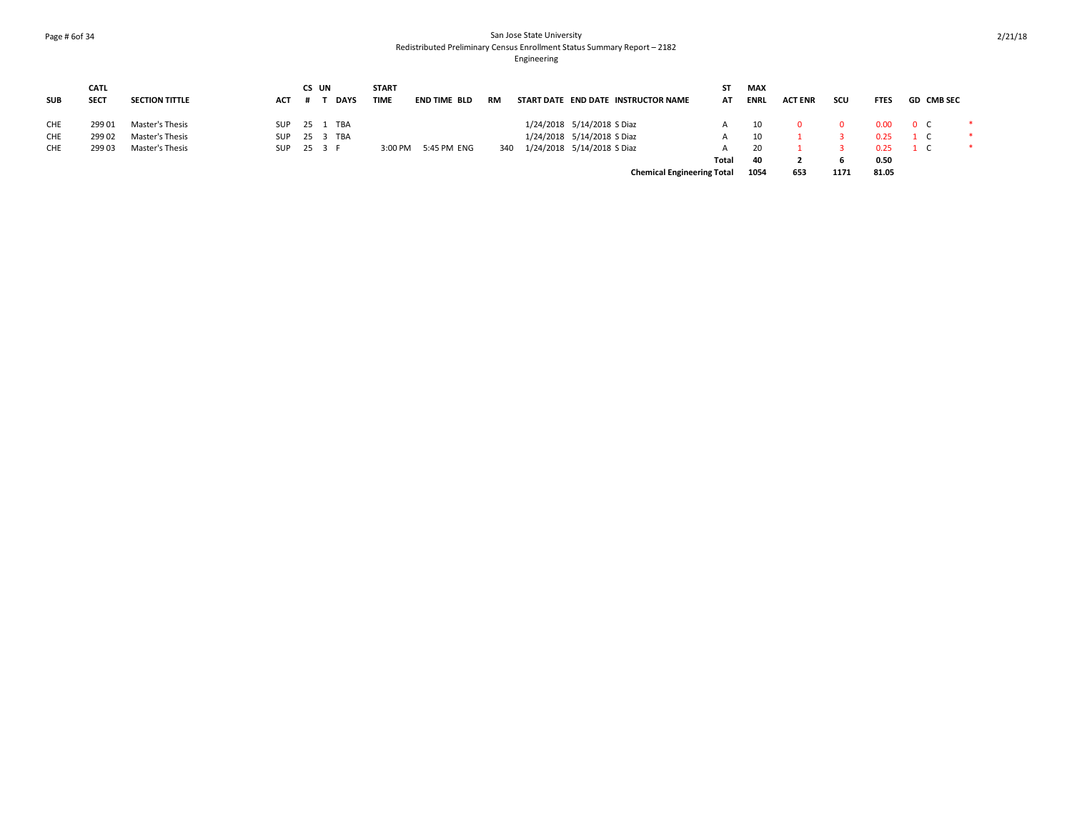### Page # 6of 34 San Jose State University Redistributed Preliminary Census Enrollment Status Summary Report – 2182 Engineering

|            | <b>CATL</b> |                       |            | CS UN |             | <b>START</b> |                     |     |                                     | ST    | MAX         |                |      |             |          |            |  |
|------------|-------------|-----------------------|------------|-------|-------------|--------------|---------------------|-----|-------------------------------------|-------|-------------|----------------|------|-------------|----------|------------|--|
| <b>SUB</b> | <b>SECT</b> | <b>SECTION TITTLE</b> | <b>ACT</b> |       | <b>DAYS</b> | TIME         | END TIME BLD        | RM  | START DATE END DATE INSTRUCTOR NAME | AT    | <b>ENRL</b> | <b>ACT ENR</b> | scu  | <b>FTES</b> |          | GD CMB SEC |  |
| <b>CHE</b> | 299 01      | Master's Thesis       | SUP        |       | 25 1 TBA    |              |                     |     | 1/24/2018 5/14/2018 S Diaz          | A     | - 10        |                |      | 0.00        | 0 C      |            |  |
| CHE        | 299 02      | Master's Thesis       | SUP        |       | 25 3 TBA    |              |                     |     | 1/24/2018 5/14/2018 S Diaz          | A     | 10          |                |      | 0.25        | $1 \, C$ |            |  |
| CHE        | 299 03      | Master's Thesis       | SUP 25 3 F |       |             |              | 3:00 PM 5:45 PM ENG | 340 | 1/24/2018 5/14/2018 S Diaz          | A     | 20          |                |      | 0.25        | $1 \, C$ |            |  |
|            |             |                       |            |       |             |              |                     |     |                                     | Total | 40          |                |      | 0.50        |          |            |  |
|            |             |                       |            |       |             |              |                     |     | <b>Chemical Engineering Total</b>   |       | 1054        | 653            | 1171 | 81.05       |          |            |  |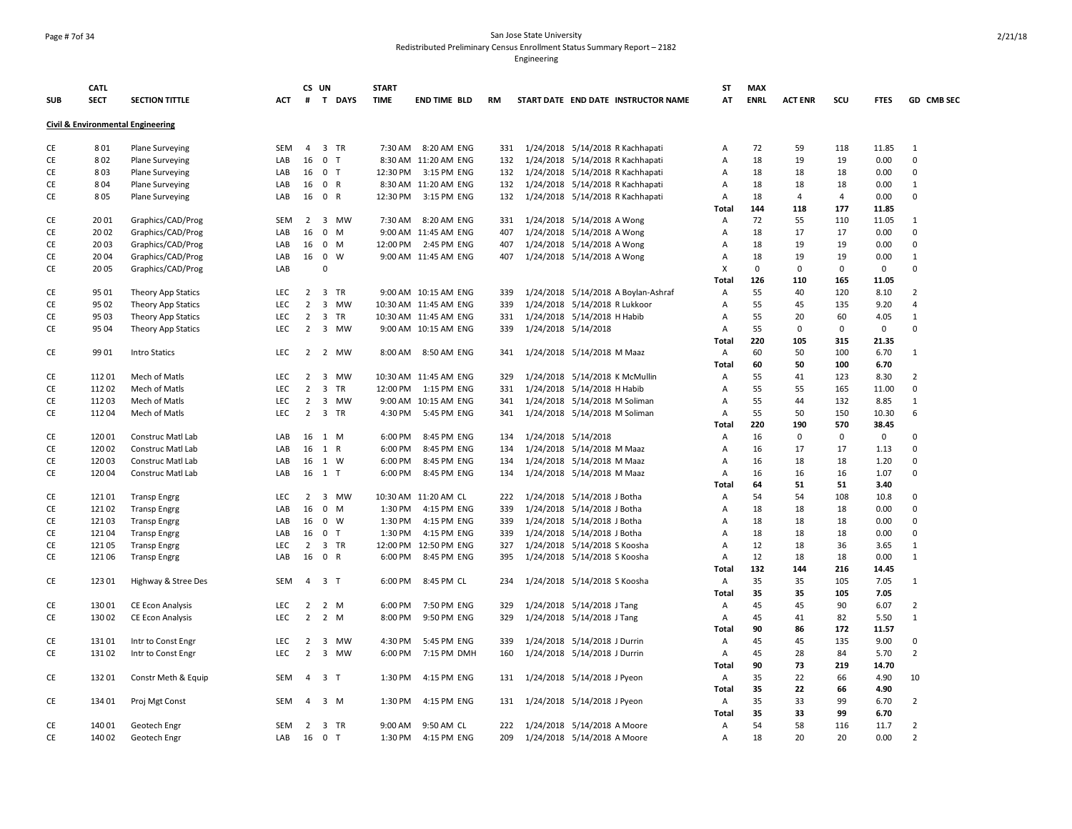### Page # 7of 34 San Jose State University Redistributed Preliminary Census Enrollment Status Summary Report – 2182

|            | <b>CATL</b> |                                              |            |                | CS UN          |        | <b>START</b> |                        |     |                               |                                     | ST             | <b>MAX</b>  |                |                |             |                |
|------------|-------------|----------------------------------------------|------------|----------------|----------------|--------|--------------|------------------------|-----|-------------------------------|-------------------------------------|----------------|-------------|----------------|----------------|-------------|----------------|
| <b>SUB</b> | <b>SECT</b> | <b>SECTION TITTLE</b>                        | ACT        | #              |                | T DAYS | <b>TIME</b>  | <b>END TIME BLD</b>    | RM  |                               | START DATE END DATE INSTRUCTOR NAME | AT             | <b>ENRL</b> | <b>ACT ENR</b> | SCU            | <b>FTES</b> | GD CMB SEC     |
|            |             | <b>Civil &amp; Environmental Engineering</b> |            |                |                |        |              |                        |     |                               |                                     |                |             |                |                |             |                |
| CE         | 801         | <b>Plane Surveying</b>                       | <b>SEM</b> |                | 4 3 TR         |        |              | 7:30 AM 8:20 AM ENG    | 331 |                               | 1/24/2018 5/14/2018 R Kachhapati    | Α              | 72          | 59             | 118            | 11.85       | $\mathbf{1}$   |
| CE         | 802         | <b>Plane Surveying</b>                       | LAB        | 16             | 0 <sub>T</sub> |        |              | 8:30 AM 11:20 AM ENG   | 132 |                               | 1/24/2018 5/14/2018 R Kachhapati    | $\overline{A}$ | 18          | 19             | 19             | 0.00        | $\mathbf 0$    |
| <b>CE</b>  | 803         | <b>Plane Surveying</b>                       | LAB        | 16 0 T         |                |        |              | 12:30 PM 3:15 PM ENG   | 132 |                               | 1/24/2018 5/14/2018 R Kachhapati    | $\overline{A}$ | 18          | 18             | 18             | 0.00        | $\Omega$       |
| СE         | 804         | <b>Plane Surveying</b>                       | LAB        | 16 0 R         |                |        |              | 8:30 AM 11:20 AM ENG   | 132 |                               | 1/24/2018 5/14/2018 R Kachhapati    | $\overline{A}$ | 18          | 18             | 18             | 0.00        | $\mathbf{1}$   |
| СE         | 805         | <b>Plane Surveying</b>                       | LAB        | 16 0 R         |                |        |              | 12:30 PM 3:15 PM ENG   | 132 |                               | 1/24/2018 5/14/2018 R Kachhapati    | $\overline{A}$ | 18          | 4              | $\overline{4}$ | 0.00        | $\mathbf 0$    |
|            |             |                                              |            |                |                |        |              |                        |     |                               |                                     | <b>Total</b>   | 144         | 118            | 177            | 11.85       |                |
| СE         | 2001        | Graphics/CAD/Prog                            | <b>SEM</b> |                |                | 2 3 MW |              | 7:30 AM 8:20 AM ENG    | 331 | 1/24/2018 5/14/2018 A Wong    |                                     | Α              | 72          | 55             | 110            | 11.05       | 1              |
| СE         | 2002        | Graphics/CAD/Prog                            | LAB        | 16             | $0$ M          |        |              | 9:00 AM 11:45 AM ENG   | 407 | 1/24/2018 5/14/2018 A Wong    |                                     | A              | 18          | 17             | 17             | 0.00        | $\Omega$       |
| CE         | 2003        | Graphics/CAD/Prog                            | LAB        | 16             | $0$ M          |        |              | 12:00 PM 2:45 PM ENG   | 407 | 1/24/2018 5/14/2018 A Wong    |                                     | A              | 18          | 19             | 19             | 0.00        | $\mathbf 0$    |
| CE         | 2004        | Graphics/CAD/Prog                            | LAB        | 16 0 W         |                |        |              | 9:00 AM 11:45 AM ENG   | 407 | 1/24/2018 5/14/2018 A Wong    |                                     | Α              | 18          | 19             | 19             | 0.00        | 1              |
| СE         | 2005        | Graphics/CAD/Prog                            | LAB        |                | $\mathbf 0$    |        |              |                        |     |                               |                                     | X              | $\mathbf 0$ | $\mathbf 0$    | $\mathbf 0$    | $\mathsf 0$ | $\Omega$       |
|            |             |                                              |            |                |                |        |              |                        |     |                               |                                     | Total          | 126         | 110            | 165            | 11.05       |                |
| CE         | 9501        | Theory App Statics                           | <b>LEC</b> | $\overline{2}$ |                | 3 TR   |              | 9:00 AM 10:15 AM ENG   | 339 |                               | 1/24/2018 5/14/2018 A Boylan-Ashraf | Α              | 55          | 40             | 120            | 8.10        | $\overline{2}$ |
| CE         | 95 02       | Theory App Statics                           | LEC        | $\overline{2}$ |                | 3 MW   |              | 10:30 AM 11:45 AM ENG  | 339 | 1/24/2018 5/14/2018 R Lukkoor |                                     | Α              | 55          | 45             | 135            | 9.20        | $\overline{4}$ |
| CE         | 9503        | Theory App Statics                           | LEC        |                | 2 3 TR         |        |              | 10:30 AM 11:45 AM ENG  | 331 | 1/24/2018 5/14/2018 H Habib   |                                     | Α              | 55          | 20             | 60             | 4.05        | $\mathbf{1}$   |
| CE         | 95 04       | Theory App Statics                           | <b>LEC</b> | $\overline{2}$ |                | 3 MW   |              | 9:00 AM 10:15 AM ENG   | 339 | 1/24/2018 5/14/2018           |                                     | Α              | 55          | 0              | 0              | $\mathbf 0$ | $\pmb{0}$      |
|            |             |                                              |            |                |                |        |              |                        |     |                               |                                     | Total          | 220         | 105            | 315            | 21.35       |                |
| СE         | 9901        | Intro Statics                                | <b>LEC</b> |                |                | 2 2 MW |              | 8:00 AM 8:50 AM ENG    | 341 | 1/24/2018 5/14/2018 M Maaz    |                                     | Α              | 60          | 50             | 100            | 6.70        | $\mathbf{1}$   |
|            |             |                                              |            |                |                |        |              |                        |     |                               |                                     | Total          | 60          | 50             | 100            | 6.70        |                |
| CE         | 11201       | Mech of Matls                                | <b>LEC</b> | $\overline{2}$ |                | 3 MW   |              | 10:30 AM 11:45 AM ENG  | 329 |                               | 1/24/2018 5/14/2018 K McMullin      | Α              | 55          | 41             | 123            | 8.30        | 2              |
| CE         | 112 02      | Mech of Matls                                | LEC        | $\overline{2}$ |                | 3 TR   |              | 12:00 PM  1:15 PM  ENG | 331 | 1/24/2018 5/14/2018 H Habib   |                                     | Α              | 55          | 55             | 165            | 11.00       | $\mathbf 0$    |
| CE         | 11203       | Mech of Matls                                | <b>LEC</b> | $\overline{2}$ |                | 3 MW   |              | 9:00 AM 10:15 AM ENG   | 341 | 1/24/2018 5/14/2018 M Soliman |                                     | $\overline{A}$ | 55          | 44             | 132            | 8.85        | 1              |
| CE         | 11204       | Mech of Matls                                | <b>LEC</b> |                | 2 3 TR         |        |              | 4:30 PM 5:45 PM ENG    | 341 | 1/24/2018 5/14/2018 M Soliman |                                     | A              | 55          | 50             | 150            | 10.30       | 6              |
|            |             |                                              |            |                |                |        |              |                        |     |                               |                                     | Total          | 220         | 190            | 570            | 38.45       |                |
| CE         | 120 01      | Construc Matl Lab                            | LAB        | 16             | 1 M            |        | 6:00 PM      | 8:45 PM ENG            | 134 | 1/24/2018 5/14/2018           |                                     | Α              | 16          | $\mathbf 0$    | $\mathbf 0$    | 0           | $\Omega$       |
| CE         | 120 02      | Construc Matl Lab                            | LAB        | 16             | 1 R            |        | 6:00 PM      | 8:45 PM ENG            | 134 | 1/24/2018 5/14/2018 M Maaz    |                                     | A              | 16          | 17             | 17             | 1.13        | $\pmb{0}$      |
| CE         | 120 03      | Construc Matl Lab                            | LAB        | 16 1 W         |                |        | 6:00 PM      | 8:45 PM ENG            | 134 | 1/24/2018 5/14/2018 M Maaz    |                                     | Α              | 16          | 18             | 18             | 1.20        | $\mathbf 0$    |
| СE         | 120 04      | Construc Matl Lab                            | LAB        | 16 1 T         |                |        | 6:00 PM      | 8:45 PM ENG            | 134 | 1/24/2018 5/14/2018 M Maaz    |                                     | Α              | 16          | 16             | 16             | 1.07        | $\mathbf 0$    |
|            |             |                                              |            |                |                |        |              |                        |     |                               |                                     | Total          | 64          | 51             | 51             | 3.40        |                |
| CE         | 12101       | <b>Transp Engrg</b>                          | <b>LEC</b> | $\overline{2}$ |                | 3 MW   |              | 10:30 AM 11:20 AM CL   | 222 | 1/24/2018 5/14/2018 J Botha   |                                     | Α              | 54          | 54             | 108            | 10.8        | $\mathbf 0$    |
| CE         | 12102       | <b>Transp Engrg</b>                          | LAB        | 16             | $0$ M          |        | 1:30 PM      | 4:15 PM ENG            | 339 | 1/24/2018 5/14/2018 J Botha   |                                     | Α              | 18          | 18             | 18             | 0.00        | $\pmb{0}$      |
| CE         | 12103       | <b>Transp Engrg</b>                          | LAB        | 16 0 W         |                |        | 1:30 PM      | 4:15 PM ENG            | 339 | 1/24/2018 5/14/2018 J Botha   |                                     | Α              | 18          | 18             | 18             | 0.00        | $\Omega$       |
| СE         | 12104       | <b>Transp Engrg</b>                          | LAB        | 16             | 0 <sub>T</sub> |        | 1:30 PM      | 4:15 PM ENG            | 339 | 1/24/2018 5/14/2018 J Botha   |                                     | A              | 18          | 18             | 18             | 0.00        | $\mathbf 0$    |
| CE         | 12105       | <b>Transp Engrg</b>                          | LEC        | $\overline{2}$ |                | 3 TR   |              | 12:00 PM 12:50 PM ENG  | 327 | 1/24/2018 5/14/2018 S Koosha  |                                     | $\overline{A}$ | 12          | 18             | 36             | 3.65        | 1              |
| CE         | 121 06      | <b>Transp Engrg</b>                          | LAB        | 16             | 0 R            |        | 6:00 PM      | 8:45 PM ENG            | 395 | 1/24/2018 5/14/2018 S Koosha  |                                     | $\overline{A}$ | 12          | 18             | 18             | 0.00        | $\mathbf{1}$   |
|            |             |                                              |            |                |                |        |              |                        |     |                               |                                     | Total          | 132         | 144            | 216            | 14.45       |                |
| CE         | 123 01      | Highway & Stree Des                          | <b>SEM</b> | $\overline{4}$ | 3 <sub>1</sub> |        | 6:00 PM      | 8:45 PM CL             | 234 | 1/24/2018 5/14/2018 S Koosha  |                                     | Α              | 35          | 35             | 105            | 7.05        | 1              |
|            |             |                                              |            |                |                |        |              |                        |     |                               |                                     | Total          | 35          | 35             | 105            | 7.05        |                |
| CE         | 13001       | CE Econ Analysis                             | <b>LEC</b> | $\overline{2}$ | 2 M            |        | 6:00 PM      | 7:50 PM ENG            | 329 | 1/24/2018 5/14/2018 J Tang    |                                     | $\overline{A}$ | 45          | 45             | 90             | 6.07        | $\overline{2}$ |
| CE         | 130 02      | CE Econ Analysis                             | LEC        | $\overline{2}$ | $2 \mathsf{M}$ |        | 8:00 PM      | 9:50 PM ENG            | 329 | 1/24/2018 5/14/2018 J Tang    |                                     | Α              | 45          | 41             | 82             | 5.50        | $\mathbf{1}$   |
|            |             |                                              |            |                |                |        |              |                        |     |                               |                                     | <b>Total</b>   | 90          | 86             | 172            | 11.57       |                |
| CE         | 13101       | Intr to Const Engr                           | LEC        | $\overline{2}$ |                | 3 MW   | 4:30 PM      | 5:45 PM ENG            | 339 | 1/24/2018 5/14/2018 J Durrin  |                                     | $\overline{A}$ | 45          | 45             | 135            | 9.00        | $\mathbf 0$    |
| CE         | 13102       | Intr to Const Engr                           | LEC        | 2              |                | 3 MW   | 6:00 PM      | 7:15 PM DMH            | 160 | 1/24/2018 5/14/2018 J Durrin  |                                     | Α              | 45          | 28             | 84             | 5.70        | $\overline{2}$ |
|            |             |                                              |            |                |                |        |              |                        |     |                               |                                     | <b>Total</b>   | 90          | 73             | 219            | 14.70       |                |
| CE         | 13201       | Constr Meth & Equip                          | <b>SEM</b> | $\overline{4}$ | 3 T            |        | 1:30 PM      | 4:15 PM ENG            | 131 | 1/24/2018 5/14/2018 J Pyeon   |                                     | $\overline{A}$ | 35          | 22             | 66             | 4.90        | 10             |
|            |             |                                              |            |                |                |        |              |                        |     |                               |                                     | <b>Total</b>   | 35          | 22             | 66             | 4.90        |                |
| CE         | 134 01      | Proj Mgt Const                               | SEM        | $\overline{4}$ | $3 \, M$       |        | 1:30 PM      | 4:15 PM ENG            | 131 | 1/24/2018 5/14/2018 J Pyeon   |                                     | Α              | 35          | 33             | 99             | 6.70        | $\overline{2}$ |
|            |             |                                              |            |                |                |        |              |                        |     |                               |                                     | <b>Total</b>   | 35          | 33             | 99             | 6.70        |                |
| <b>CE</b>  | 140 01      | Geotech Engr                                 | <b>SEM</b> |                | 2 3 TR         |        | $9:00$ AM    | 9:50 AM CL             | 222 | 1/24/2018 5/14/2018 A Moore   |                                     | $\overline{A}$ | 54          | 58             | 116            | 11.7        | $\overline{2}$ |
| <b>CE</b>  | 140 02      | Geotech Engr                                 | LAB        | 16 0 T         |                |        | 1:30 PM      | 4:15 PM ENG            | 209 | 1/24/2018 5/14/2018 A Moore   |                                     | Α              | 18          | 20             | 20             | 0.00        | $\overline{2}$ |
|            |             |                                              |            |                |                |        |              |                        |     |                               |                                     |                |             |                |                |             |                |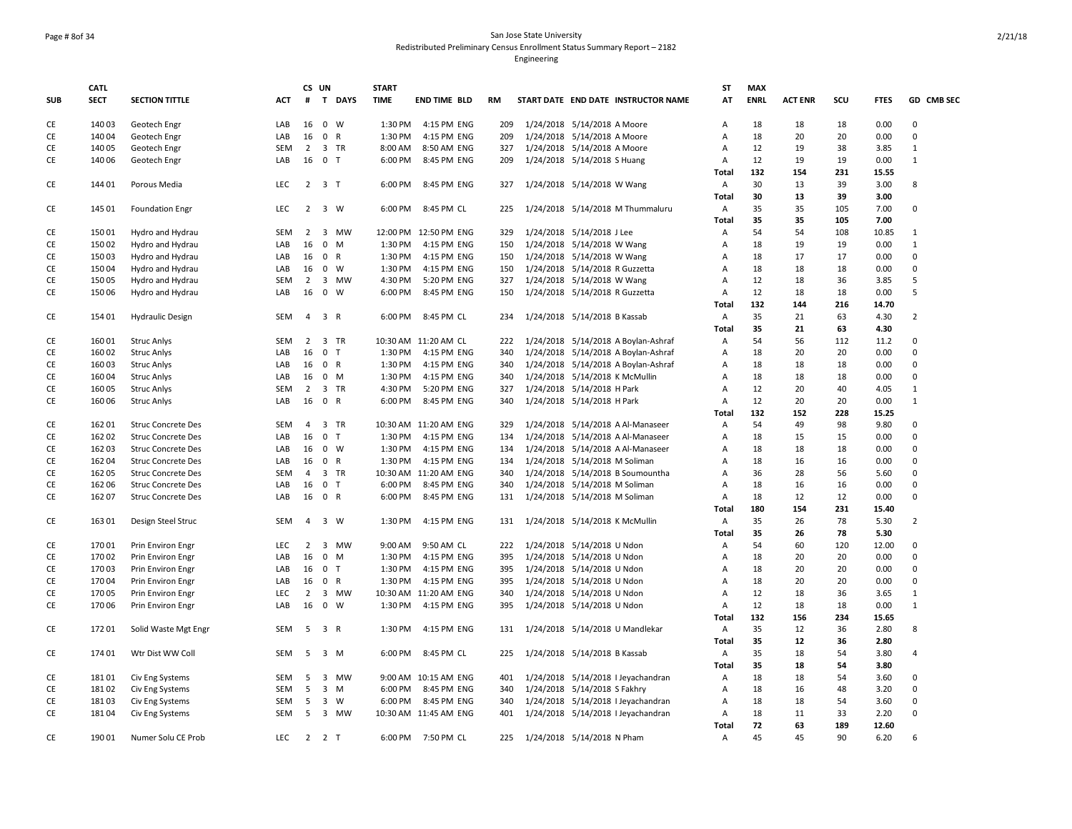# Page # 8of 34 San Jose State University Redistributed Preliminary Census Enrollment Status Summary Report – 2182

|            | <b>CATL</b> |                           |            |                | CS UN               |             | <b>START</b> |                       |           |                            |                                |                                     | ST             | <b>MAX</b>  |                |     |             |                |
|------------|-------------|---------------------------|------------|----------------|---------------------|-------------|--------------|-----------------------|-----------|----------------------------|--------------------------------|-------------------------------------|----------------|-------------|----------------|-----|-------------|----------------|
| <b>SUB</b> | <b>SECT</b> | <b>SECTION TITTLE</b>     | <b>ACT</b> | #              |                     | T DAYS      | <b>TIME</b>  | <b>END TIME BLD</b>   | <b>RM</b> |                            |                                | START DATE END DATE INSTRUCTOR NAME | AT             | <b>ENRL</b> | <b>ACT ENR</b> | SCU | <b>FTES</b> | GD CMB SEC     |
| CE         | 140 03      | Geotech Engr              | LAB        | 16             |                     | $0 \quad W$ | 1:30 PM      | 4:15 PM ENG           | 209       |                            | 1/24/2018 5/14/2018 A Moore    |                                     | Α              | 18          | 18             | 18  | 0.00        | $\pmb{0}$      |
| CE         | 140 04      | Geotech Engr              | LAB        | 16             | 0 R                 |             | 1:30 PM      | 4:15 PM ENG           | 209       |                            | 1/24/2018 5/14/2018 A Moore    |                                     | Α              | 18          | 20             | 20  | 0.00        | $\mathbf 0$    |
| CE         | 140 05      | Geotech Engr              | SEM        | $2^{\circ}$    |                     | 3 TR        | 8:00 AM      | 8:50 AM ENG           | 327       |                            | 1/24/2018 5/14/2018 A Moore    |                                     | $\overline{A}$ | 12          | 19             | 38  | 3.85        | 1              |
| CE         | 140 06      | Geotech Engr              | LAB        | 16             | 0 <sub>T</sub>      |             | 6:00 PM      | 8:45 PM ENG           | 209       |                            | 1/24/2018 5/14/2018 S Huang    |                                     | Α              | 12          | 19             | 19  | 0.00        | $\mathbf{1}$   |
|            |             |                           |            |                |                     |             |              |                       |           |                            |                                |                                     | <b>Total</b>   | 132         | 154            | 231 | 15.55       |                |
| <b>CE</b>  | 144 01      | Porous Media              | <b>LEC</b> |                | $2 \quad 3 \quad T$ |             |              | 6:00 PM 8:45 PM ENG   | 327       |                            | 1/24/2018 5/14/2018 W Wang     |                                     | A              | 30          | 13             | 39  | 3.00        | 8              |
|            |             |                           |            |                |                     |             |              |                       |           |                            |                                |                                     | Total          | 30          | 13             | 39  | 3.00        |                |
| CE         | 145 01      | <b>Foundation Engr</b>    | <b>LEC</b> | $\overline{2}$ |                     | 3 W         | 6:00 PM      | 8:45 PM CL            | 225       |                            |                                | 1/24/2018 5/14/2018 M Thummaluru    | Α              | 35          | 35             | 105 | 7.00        | $\Omega$       |
|            |             |                           |            |                |                     |             |              |                       |           |                            |                                |                                     | <b>Total</b>   | 35          | 35             | 105 | 7.00        |                |
| CE         | 150 01      | Hydro and Hydrau          | SEM        | $\overline{2}$ |                     | 3 MW        |              | 12:00 PM 12:50 PM ENG | 329       |                            | 1/24/2018 5/14/2018 J Lee      |                                     | Α              | 54          | 54             | 108 | 10.85       | $\mathbf{1}$   |
| CE         | 150 02      | Hydro and Hydrau          | LAB        | 16             |                     | $0$ M       | 1:30 PM      | 4:15 PM ENG           | 150       |                            | 1/24/2018 5/14/2018 W Wang     |                                     | Α              | 18          | 19             | 19  | 0.00        | $\mathbf{1}$   |
| СE         | 150 03      | Hydro and Hydrau          | LAB        | 16             | 0 R                 |             | 1:30 PM      | 4:15 PM ENG           | 150       |                            | 1/24/2018 5/14/2018 W Wang     |                                     | Α              | 18          | 17             | 17  | 0.00        | $\mathbf 0$    |
| CE         | 150 04      | Hydro and Hydrau          | LAB        | 16             |                     | 0 W         | 1:30 PM      | 4:15 PM ENG           | 150       |                            | 1/24/2018 5/14/2018 R Guzzetta |                                     | $\overline{A}$ | 18          | 18             | 18  | 0.00        | $\Omega$       |
| CE         | 150 05      | Hydro and Hydrau          | SEM        | $\overline{2}$ |                     | 3 MW        | 4:30 PM      | 5:20 PM ENG           | 327       |                            | 1/24/2018 5/14/2018 W Wang     |                                     | Α              | 12          | 18             | 36  | 3.85        | 5              |
| CE         | 150 06      | Hydro and Hydrau          | LAB        | 16             |                     | $0 \quad W$ | 6:00 PM      | 8:45 PM ENG           | 150       |                            | 1/24/2018 5/14/2018 R Guzzetta |                                     | $\overline{A}$ | 12          | 18             | 18  | 0.00        | 5              |
|            |             |                           |            |                |                     |             |              |                       |           |                            |                                |                                     | Total          | 132         | 144            | 216 | 14.70       |                |
| CE         | 154 01      | <b>Hydraulic Design</b>   | SEM        | $\overline{4}$ | 3 R                 |             | 6:00 PM      | 8:45 PM CL            | 234       |                            | 1/24/2018 5/14/2018 B Kassab   |                                     | $\mathsf{A}$   | 35          | 21             | 63  | 4.30        | $\overline{2}$ |
|            |             |                           |            |                |                     |             |              |                       |           |                            |                                |                                     | <b>Total</b>   | 35          | 21             | 63  | 4.30        |                |
| CE         | 160 01      | <b>Struc Anlys</b>        | SEM        | $\overline{2}$ |                     | 3 TR        |              | 10:30 AM 11:20 AM CL  | 222       |                            |                                | 1/24/2018 5/14/2018 A Boylan-Ashraf | Α              | 54          | 56             | 112 | 11.2        | $\Omega$       |
| CE         | 160 02      | <b>Struc Anlys</b>        | LAB        | 16             | 0 <sub>T</sub>      |             | 1:30 PM      | 4:15 PM ENG           | 340       |                            |                                | 1/24/2018 5/14/2018 A Boylan-Ashraf | Α              | 18          | 20             | 20  | 0.00        | $\mathbf 0$    |
| CE         | 160 03      | <b>Struc Anlys</b>        | LAB        | 16             | 0 R                 |             | 1:30 PM      | 4:15 PM ENG           | 340       |                            |                                | 1/24/2018 5/14/2018 A Boylan-Ashraf | Α              | 18          | 18             | 18  | 0.00        | $\mathbf 0$    |
| CE         | 16004       | Struc Anlys               | LAB        | 16             |                     | 0 M         | 1:30 PM      | 4:15 PM ENG           | 340       |                            |                                | 1/24/2018 5/14/2018 K McMullin      | Α              | 18          | 18             | 18  | 0.00        | $\pmb{0}$      |
| CE         | 160 05      | <b>Struc Anlys</b>        | <b>SEM</b> | $2^{\circ}$    |                     | 3 TR        | 4:30 PM      | 5:20 PM ENG           | 327       |                            | 1/24/2018 5/14/2018 H Park     |                                     | $\overline{A}$ | 12          | 20             | 40  | 4.05        | $\mathbf{1}$   |
| CE         | 160 06      | <b>Struc Anlys</b>        | LAB        | 16             | 0 R                 |             | 6:00 PM      | 8:45 PM ENG           | 340       |                            | 1/24/2018 5/14/2018 H Park     |                                     | Α              | 12          | 20             | 20  | 0.00        | $\mathbf{1}$   |
|            |             |                           |            |                |                     |             |              |                       |           |                            |                                |                                     | <b>Total</b>   | 132         | 152            | 228 | 15.25       |                |
| <b>CE</b>  | 162 01      | <b>Struc Concrete Des</b> | <b>SEM</b> | $\overline{4}$ |                     | 3 TR        |              | 10:30 AM 11:20 AM ENG | 329       |                            |                                | 1/24/2018 5/14/2018 A Al-Manaseer   | $\mathsf{A}$   | 54          | 49             | 98  | 9.80        | $\Omega$       |
| <b>CE</b>  | 162 02      | <b>Struc Concrete Des</b> | LAB        | 16             | 0 <sub>T</sub>      |             | 1:30 PM      | 4:15 PM ENG           | 134       |                            |                                | 1/24/2018 5/14/2018 A Al-Manaseer   | $\overline{A}$ | 18          | 15             | 15  | 0.00        | $\Omega$       |
| CE         | 162 03      | <b>Struc Concrete Des</b> | LAB        | 16             |                     | $0 \quad W$ | 1:30 PM      | 4:15 PM ENG           | 134       |                            |                                | 1/24/2018 5/14/2018 A Al-Manaseer   | Α              | 18          | 18             | 18  | 0.00        | $\Omega$       |
| CE         | 162 04      | <b>Struc Concrete Des</b> | LAB        | 16             | 0 R                 |             | 1:30 PM      | 4:15 PM ENG           | 134       |                            | 1/24/2018 5/14/2018 M Soliman  |                                     | Α              | 18          | 16             | 16  | 0.00        | $\Omega$       |
| CE         | 162 05      | <b>Struc Concrete Des</b> | SEM        | 4              |                     | 3 TR        |              | 10:30 AM 11:20 AM ENG | 340       |                            |                                | 1/24/2018 5/14/2018 B Soumountha    | Α              | 36          | 28             | 56  | 5.60        | $\mathbf 0$    |
| CE         | 162 06      | <b>Struc Concrete Des</b> | LAB        | 16             | $0$ T               |             | 6:00 PM      | 8:45 PM ENG           | 340       |                            | 1/24/2018 5/14/2018 M Soliman  |                                     | Α              | 18          | 16             | 16  | 0.00        | $\mathbf 0$    |
| CE         | 162 07      | <b>Struc Concrete Des</b> | LAB        |                | 16 0 R              |             | 6:00 PM      | 8:45 PM ENG           | 131       |                            | 1/24/2018 5/14/2018 M Soliman  |                                     | Α              | 18          | 12             | 12  | 0.00        | $\Omega$       |
|            |             |                           |            |                |                     |             |              |                       |           |                            |                                |                                     | Total          | 180         | 154            | 231 | 15.40       |                |
| CE         | 163 01      | Design Steel Struc        | SEM        | $\overline{4}$ |                     | 3 W         | 1:30 PM      | 4:15 PM ENG           | 131       |                            |                                | 1/24/2018 5/14/2018 K McMullin      | A              | 35          | 26             | 78  | 5.30        | $\overline{2}$ |
|            |             |                           |            |                |                     |             |              |                       |           |                            |                                |                                     | Total          | 35          | 26             | 78  | 5.30        |                |
| <b>CE</b>  | 170 01      | Prin Environ Engr         | LEC        | 2              |                     | 3 MW        | 9:00 AM      | 9:50 AM CL            | 222       |                            | 1/24/2018 5/14/2018 U Ndon     |                                     | $\overline{A}$ | 54          | 60             | 120 | 12.00       | $\Omega$       |
| <b>CE</b>  | 170 02      | Prin Environ Engr         | LAB        | 16             |                     | $0 \t M$    | 1:30 PM      | 4:15 PM ENG           | 395       |                            | 1/24/2018 5/14/2018 U Ndon     |                                     | Α              | 18          | 20             | 20  | 0.00        | $\Omega$       |
| <b>CE</b>  | 170 03      | Prin Environ Engr         | LAB        | 16             | 0 <sub>T</sub>      |             | 1:30 PM      | 4:15 PM ENG           | 395       |                            | 1/24/2018 5/14/2018 U Ndon     |                                     | $\overline{A}$ | 18          | 20             | 20  | 0.00        | $\Omega$       |
| CE         | 170 04      | Prin Environ Engr         | LAB        |                | 16 0 R              |             | 1:30 PM      | 4:15 PM ENG           | 395       |                            | 1/24/2018 5/14/2018 U Ndon     |                                     | Α              | 18          | 20             | 20  | 0.00        | $\mathbf 0$    |
| CE         | 170 05      | Prin Environ Engr         | LEC        | $\overline{2}$ |                     | 3 MW        |              | 10:30 AM 11:20 AM ENG | 340       |                            | 1/24/2018 5/14/2018 U Ndon     |                                     | Α              | 12          | 18             | 36  | 3.65        | $\mathbf{1}$   |
| CE         | 170 06      | Prin Environ Engr         | LAB        | 16             |                     | $0 \quad W$ | 1:30 PM      | 4:15 PM ENG           | 395       |                            | 1/24/2018 5/14/2018 U Ndon     |                                     | Α              | 12          | 18             | 18  | 0.00        | $\mathbf{1}$   |
|            |             |                           |            |                |                     |             |              |                       |           |                            |                                |                                     | Total          | 132         | 156            | 234 | 15.65       |                |
| CE         | 17201       | Solid Waste Mgt Engr      | <b>SEM</b> |                | 5 3 R               |             | 1:30 PM      | 4:15 PM ENG           | 131       |                            |                                | 1/24/2018 5/14/2018 U Mandlekar     | $\mathsf{A}$   | 35          | 12             | 36  | 2.80        | 8              |
|            |             |                           |            |                |                     |             |              |                       |           |                            |                                |                                     | Total          | 35          | 12             | 36  | 2.80        |                |
| CE         | 174 01      | Wtr Dist WW Coll          | <b>SEM</b> | 5              |                     | 3 M         | 6:00 PM      | 8:45 PM CL            | 225       |                            | 1/24/2018 5/14/2018 B Kassab   |                                     | Α              | 35          | 18             | 54  | 3.80        | $\overline{4}$ |
|            |             |                           |            |                |                     |             |              |                       |           |                            |                                |                                     | <b>Total</b>   | 35          | 18             | 54  | 3.80        |                |
| CE         | 18101       | Civ Eng Systems           | SEM        | 5              |                     | 3 MW        |              | 9:00 AM 10:15 AM ENG  | 401       |                            |                                | 1/24/2018 5/14/2018 I Jeyachandran  | Α              | 18          | 18             | 54  | 3.60        | $\Omega$       |
| CE         | 18102       | Civ Eng Systems           | SEM        | 5              |                     | 3 M         | 6:00 PM      | 8:45 PM ENG           | 340       |                            | 1/24/2018 5/14/2018 S Fakhry   |                                     | Α              | 18          | 16             | 48  | 3.20        | $\Omega$       |
| CE         | 18103       | Civ Eng Systems           | SEM        | 5              |                     | 3 W         |              | 6:00 PM 8:45 PM ENG   | 340       |                            |                                | 1/24/2018 5/14/2018 I Jeyachandran  | Α              | 18          | 18             | 54  | 3.60        | $\pmb{0}$      |
| CE         | 18104       | Civ Eng Systems           | SEM        | 5              |                     | 3 MW        |              | 10:30 AM 11:45 AM ENG | 401       |                            |                                | 1/24/2018 5/14/2018 I Jeyachandran  | Α              | 18          | 11             | 33  | 2.20        | $\mathbf 0$    |
|            |             |                           |            |                |                     |             |              |                       |           |                            |                                |                                     | Total          | 72          | 63             | 189 | 12.60       |                |
| CE         | 190 01      | Numer Solu CE Prob        | <b>LEC</b> |                | 2 2 T               |             |              | 6:00 PM 7:50 PM CL    | 225       | 1/24/2018 5/14/2018 N Pham |                                |                                     | Α              | 45          | 45             | 90  | 6.20        | 6              |
|            |             |                           |            |                |                     |             |              |                       |           |                            |                                |                                     |                |             |                |     |             |                |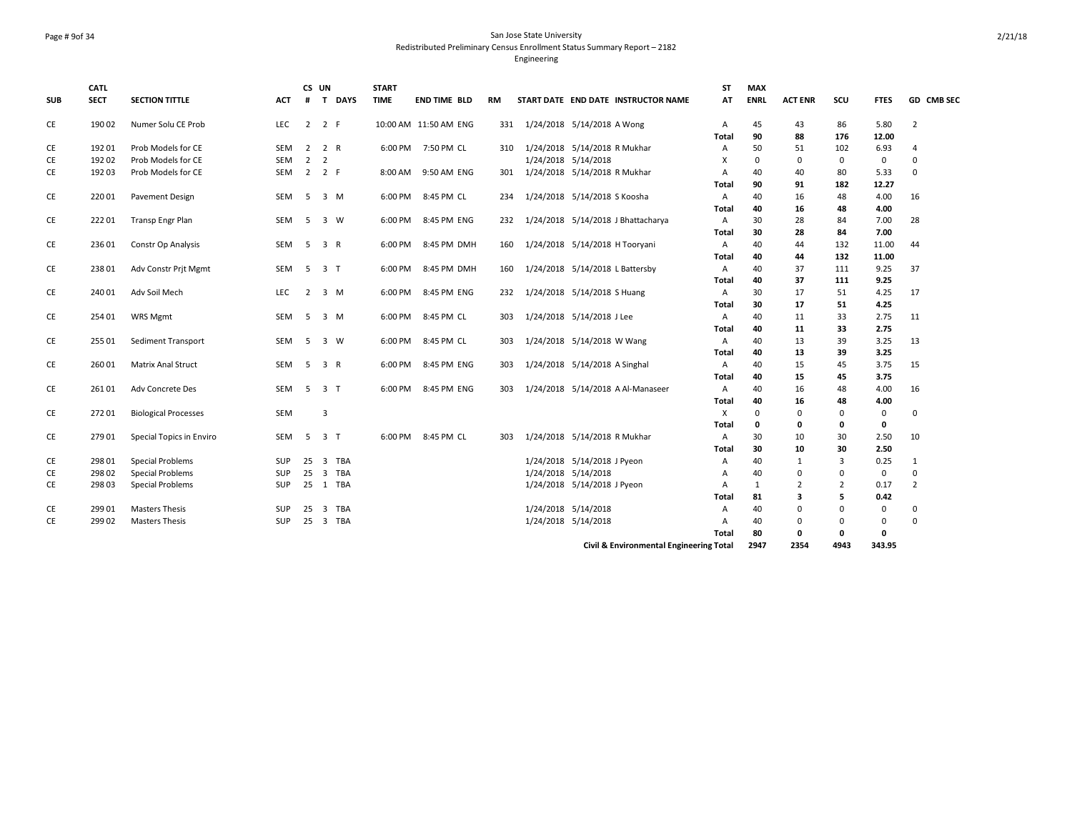# Page # 9of 34 San Jose State University Redistributed Preliminary Census Enrollment Status Summary Report – 2182

|            | <b>CATL</b> |                             |            |                | CS UN               |        | <b>START</b> |                       |           |                               |                             |                                         | <b>ST</b>      | <b>MAX</b>  |                |                |             |                |
|------------|-------------|-----------------------------|------------|----------------|---------------------|--------|--------------|-----------------------|-----------|-------------------------------|-----------------------------|-----------------------------------------|----------------|-------------|----------------|----------------|-------------|----------------|
| <b>SUB</b> | <b>SECT</b> | <b>SECTION TITTLE</b>       | <b>ACT</b> | #              |                     | T DAYS | <b>TIME</b>  | <b>END TIME BLD</b>   | <b>RM</b> |                               |                             | START DATE END DATE INSTRUCTOR NAME     | AT             | <b>ENRL</b> | <b>ACT ENR</b> | SCU            | <b>FTES</b> | GD CMB SEC     |
| CE         | 190 02      | Numer Solu CE Prob          | <b>LEC</b> | $\overline{2}$ | 2 F                 |        |              | 10:00 AM 11:50 AM ENG | 331       | 1/24/2018 5/14/2018 A Wong    |                             |                                         | Α              | 45          | 43             | 86             | 5.80        | $\overline{2}$ |
|            |             |                             |            |                |                     |        |              |                       |           |                               |                             |                                         | Total          | 90          | 88             | 176            | 12.00       |                |
| CE         | 192 01      | Prob Models for CE          | <b>SEM</b> | $\overline{2}$ | 2 R                 |        |              | 6:00 PM 7:50 PM CL    | 310       | 1/24/2018 5/14/2018 R Mukhar  |                             |                                         | Α              | 50          | 51             | 102            | 6.93        | $\overline{4}$ |
| CE         | 192 02      | Prob Models for CE          | <b>SEM</b> | $\overline{2}$ | $\overline{2}$      |        |              |                       |           |                               | 1/24/2018 5/14/2018         |                                         | х              | 0           | 0              | 0              | $\mathbf 0$ | $\Omega$       |
| CE         | 192 03      | Prob Models for CE          | SEM        |                | $2 \quad 2 \quad F$ |        |              | 8:00 AM 9:50 AM ENG   | 301       | 1/24/2018 5/14/2018 R Mukhar  |                             |                                         | $\overline{A}$ | 40          | 40             | 80             | 5.33        | $\mathbf 0$    |
|            |             |                             |            |                |                     |        |              |                       |           |                               |                             |                                         | Total          | 90          | 91             | 182            | 12.27       |                |
| CE         | 220 01      | Pavement Design             | SEM        | 5              | 3 M                 |        |              | 6:00 PM 8:45 PM CL    | 234       | 1/24/2018 5/14/2018 S Koosha  |                             |                                         | Α              | 40          | 16             | 48             | 4.00        | 16             |
|            |             |                             |            |                |                     |        |              |                       |           |                               |                             |                                         | <b>Total</b>   | 40          | 16             | 48             | 4.00        |                |
| CE         | 22201       | Transp Engr Plan            | SEM        | 5              | 3 W                 |        | 6:00 PM      | 8:45 PM ENG           | 232       |                               |                             | 1/24/2018 5/14/2018 J Bhattacharya      | Α              | 30          | 28             | 84             | 7.00        | 28             |
|            |             |                             |            |                |                     |        |              |                       |           |                               |                             |                                         | <b>Total</b>   | 30          | 28             | 84             | 7.00        |                |
| CE         | 236 01      | Constr Op Analysis          | <b>SEM</b> | 5              | 3 R                 |        | 6:00 PM      | 8:45 PM DMH           | 160       |                               |                             | 1/24/2018 5/14/2018 H Tooryani          | $\overline{A}$ | 40          | 44             | 132            | 11.00       | 44             |
|            |             |                             |            |                |                     |        |              |                       |           |                               |                             |                                         | Total          | 40          | 44             | 132            | 11.00       |                |
| CE         | 23801       | Adv Constr Prjt Mgmt        | <b>SEM</b> | 5              | 3 T                 |        | 6:00 PM      | 8:45 PM DMH           | 160       |                               |                             | 1/24/2018 5/14/2018 L Battersby         | $\overline{A}$ | 40          | 37             | 111            | 9.25        | 37             |
|            |             |                             |            |                |                     |        |              |                       |           |                               |                             |                                         | Total          | 40          | 37             | 111            | 9.25        |                |
| CE         | 240 01      | Adv Soil Mech               | <b>LEC</b> | $\overline{2}$ | 3 M                 |        | 6:00 PM      | 8:45 PM ENG           | 232       | 1/24/2018 5/14/2018 S Huang   |                             |                                         | $\overline{A}$ | 30          | 17             | 51             | 4.25        | 17             |
|            |             |                             |            |                |                     |        |              |                       |           |                               |                             |                                         | Total          | 30          | 17             | 51             | 4.25        |                |
| CE         | 254 01      | WRS Mgmt                    | <b>SEM</b> | 5              | 3 M                 |        | 6:00 PM      | 8:45 PM CL            | 303       |                               | 1/24/2018 5/14/2018 J Lee   |                                         | $\overline{A}$ | 40          | 11             | 33             | 2.75        | 11             |
|            |             |                             |            |                |                     |        |              |                       |           |                               |                             |                                         | Total          | 40          | 11             | 33             | 2.75        |                |
| CE         | 255 01      | Sediment Transport          | <b>SEM</b> | 5              | 3 W                 |        |              | 6:00 PM 8:45 PM CL    | 303       |                               | 1/24/2018 5/14/2018 W Wang  |                                         | $\overline{A}$ | 40          | 13             | 39             | 3.25        | 13             |
|            |             |                             |            |                |                     |        |              |                       |           |                               |                             |                                         | Total          | 40          | 13             | 39             | 3.25        |                |
| CE         | 260 01      | <b>Matrix Anal Struct</b>   | <b>SEM</b> | 5              | 3 R                 |        |              | 6:00 PM 8:45 PM ENG   | 303       | 1/24/2018 5/14/2018 A Singhal |                             |                                         | $\overline{A}$ | 40          | 15             | 45             | 3.75        | 15             |
|            |             |                             |            |                |                     |        |              |                       |           |                               |                             |                                         | Total          | 40          | 15             | 45             | 3.75        |                |
| CE         | 26101       | Adv Concrete Des            | <b>SEM</b> |                | 5 3 T               |        |              | 6:00 PM 8:45 PM ENG   | 303       |                               |                             | 1/24/2018 5/14/2018 A Al-Manaseer       | $\overline{A}$ | 40          | 16             | 48             | 4.00        | 16             |
|            |             |                             |            |                |                     |        |              |                       |           |                               |                             |                                         | Total          | 40          | 16             | 48             | 4.00        |                |
| CE         | 272 01      | <b>Biological Processes</b> | <b>SEM</b> |                | 3                   |        |              |                       |           |                               |                             |                                         | X              | $\Omega$    | $\Omega$       | 0              | $\mathbf 0$ | $\mathbf 0$    |
|            |             |                             |            |                |                     |        |              |                       |           |                               |                             |                                         | Total          | 0           | 0              | 0              | $\mathbf 0$ |                |
| CE         | 279 01      | Special Topics in Enviro    | SEM        | -5             | 3 <sub>T</sub>      |        |              | 6:00 PM 8:45 PM CL    | 303       | 1/24/2018 5/14/2018 R Mukhar  |                             |                                         | $\overline{A}$ | 30          | 10             | 30             | 2.50        | 10             |
|            |             |                             |            |                |                     |        |              |                       |           |                               |                             |                                         | Total          | 30          | 10             | 30             | 2.50        |                |
| CE         | 298 01      | <b>Special Problems</b>     | SUP        | 25             |                     | 3 TBA  |              |                       |           |                               | 1/24/2018 5/14/2018 J Pyeon |                                         | Α              | 40          | $\mathbf{1}$   | $\overline{3}$ | 0.25        | 1              |
| CE         | 298 02      | <b>Special Problems</b>     | SUP        | 25             |                     | 3 TBA  |              |                       |           |                               | 1/24/2018 5/14/2018         |                                         | Α              | 40          | $\mathbf 0$    | $\mathbf 0$    | $\mathbf 0$ | $\mathbf 0$    |
| <b>CE</b>  | 298 03      | <b>Special Problems</b>     | SUP        |                | 25 1 TBA            |        |              |                       |           |                               | 1/24/2018 5/14/2018 J Pyeon |                                         | $\overline{A}$ | 1           | $\overline{2}$ | $\overline{2}$ | 0.17        | $\overline{2}$ |
|            |             |                             |            |                |                     |        |              |                       |           |                               |                             |                                         | Total          | 81          | 3              | 5              | 0.42        |                |
| CE         | 299 01      | <b>Masters Thesis</b>       | <b>SUP</b> | 25             |                     | 3 TBA  |              |                       |           |                               | 1/24/2018 5/14/2018         |                                         | $\overline{A}$ | 40          | $\Omega$       | $\Omega$       | $\mathbf 0$ | $\mathbf 0$    |
| <b>CE</b>  | 299 02      | <b>Masters Thesis</b>       | <b>SUP</b> | 25             | 3 TBA               |        |              |                       |           |                               | 1/24/2018 5/14/2018         |                                         | $\overline{A}$ | 40          | $\mathbf 0$    | 0              | $\mathbf 0$ | $\Omega$       |
|            |             |                             |            |                |                     |        |              |                       |           |                               |                             |                                         | Total          | 80          | 0              | $\mathbf 0$    | 0           |                |
|            |             |                             |            |                |                     |        |              |                       |           |                               |                             | Civil & Environmental Engineering Total |                | 2947        | 2354           | 4943           | 343.95      |                |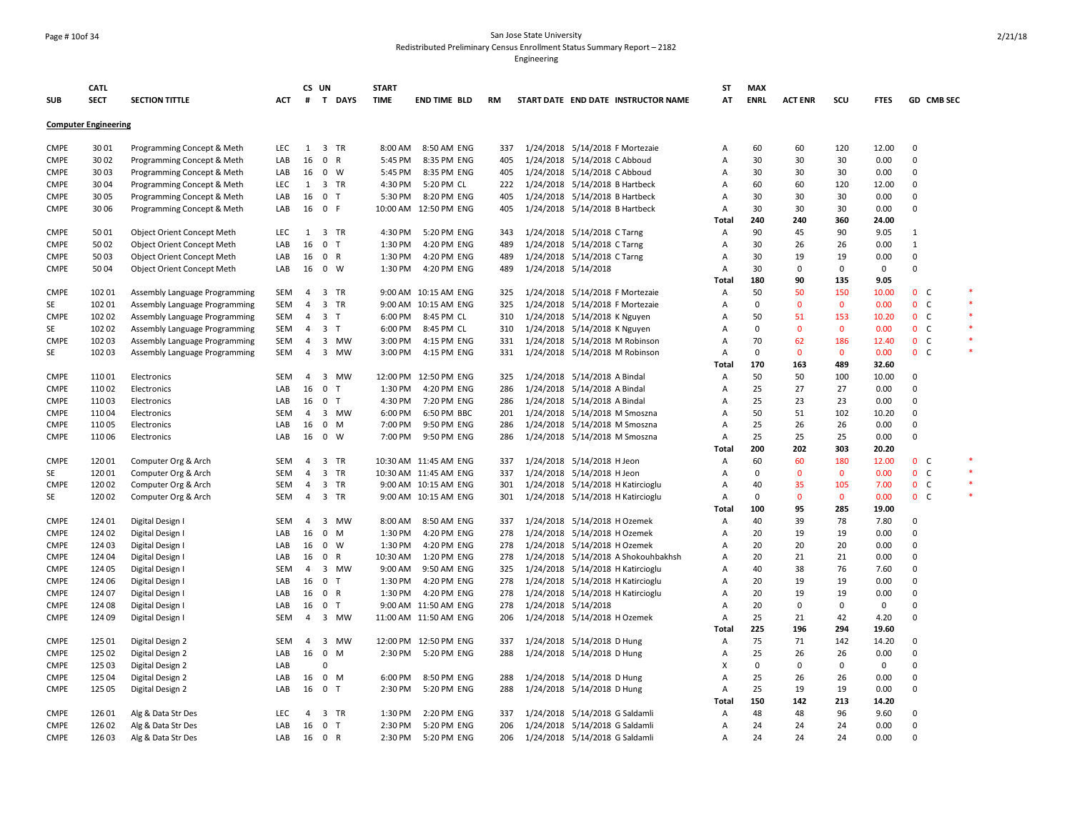### Page # 10of 34 San Jose State University Redistributed Preliminary Census Enrollment Status Summary Report – 2182

|             | <b>CATL</b>                 |                               |            |                | CS UN            | <b>START</b> |                       |           |                                     | ST             | <b>MAX</b>  |                |              |                |                |        |
|-------------|-----------------------------|-------------------------------|------------|----------------|------------------|--------------|-----------------------|-----------|-------------------------------------|----------------|-------------|----------------|--------------|----------------|----------------|--------|
| <b>SUB</b>  | <b>SECT</b>                 | <b>SECTION TITTLE</b>         | ACT        | #              | T DAYS           | <b>TIME</b>  | <b>END TIME BLD</b>   | <b>RM</b> | START DATE END DATE INSTRUCTOR NAME | AT             | <b>ENRL</b> | <b>ACT ENR</b> | SCU          | <b>FTES</b>    | GD CMB SEC     |        |
|             | <b>Computer Engineering</b> |                               |            |                |                  |              |                       |           |                                     |                |             |                |              |                |                |        |
| <b>CMPE</b> | 3001                        | Programming Concept & Meth    | LEC.       | 1              | 3 TR             | 8:00 AM      | 8:50 AM ENG           | 337       | 1/24/2018 5/14/2018 F Mortezaie     | Α              | 60          | 60             | 120          | 12.00          | $\Omega$       |        |
| <b>CMPE</b> | 3002                        | Programming Concept & Meth    | LAB        | 16             | 0 R              | 5:45 PM      | 8:35 PM ENG           | 405       | 1/24/2018 5/14/2018 C Abboud        | $\overline{A}$ | 30          | 30             | 30           | 0.00           | $\mathbf 0$    |        |
| <b>CMPE</b> | 3003                        | Programming Concept & Meth    | LAB        | 16             | $0 \quad W$      | 5:45 PM      | 8:35 PM ENG           | 405       | 1/24/2018 5/14/2018 C Abboud        | $\overline{A}$ | 30          | 30             | 30           | 0.00           | $\mathbf 0$    |        |
| <b>CMPE</b> | 3004                        | Programming Concept & Meth    | <b>LEC</b> | 1              | 3 TR             | 4:30 PM      | 5:20 PM CL            | 222       | 1/24/2018 5/14/2018 B Hartbeck      | $\overline{A}$ | 60          | 60             | 120          | 12.00          | $\Omega$       |        |
| <b>CMPE</b> | 3005                        | Programming Concept & Meth    | LAB        | 16             | 0 <sub>T</sub>   | 5:30 PM      | 8:20 PM ENG           | 405       | 1/24/2018 5/14/2018 B Hartbeck      | Α              | 30          | 30             | 30           | 0.00           | $\mathbf 0$    |        |
| <b>CMPE</b> | 3006                        | Programming Concept & Meth    | LAB        | 16             | 0 F              |              | 10:00 AM 12:50 PM ENG | 405       | 1/24/2018 5/14/2018 B Hartbeck      | $\overline{A}$ | 30          | 30             | 30           | 0.00           | $\Omega$       |        |
|             |                             |                               |            |                |                  |              |                       |           |                                     | Total          | 240         | 240            | 360          | 24.00          |                |        |
| <b>CMPE</b> | 5001                        | Object Orient Concept Meth    | LEC.       | 1              | 3 TR             | 4:30 PM      | 5:20 PM ENG           | 343       | 1/24/2018 5/14/2018 C Tarng         | Α              | 90          | 45             | 90           | 9.05           | $\mathbf{1}$   |        |
| <b>CMPE</b> | 5002                        | Object Orient Concept Meth    | LAB        | 16             | 0 <sub>T</sub>   | 1:30 PM      | 4:20 PM ENG           | 489       | 1/24/2018 5/14/2018 CTarng          | A              | 30          | 26             | 26           | 0.00           | $\mathbf{1}$   |        |
| <b>CMPE</b> | 5003                        | Object Orient Concept Meth    | LAB        | 16             | 0 R              | 1:30 PM      | 4:20 PM ENG           | 489       | 1/24/2018 5/14/2018 C Tarng         | A              | 30          | 19             | 19           | 0.00           | $\mathbf 0$    |        |
| <b>CMPE</b> | 5004                        | Object Orient Concept Meth    | LAB        | 16             | 0 W              | 1:30 PM      | 4:20 PM ENG           | 489       | 1/24/2018 5/14/2018                 | A              | 30          | $\Omega$       | 0            | 0              | $\Omega$       |        |
|             |                             |                               |            |                |                  |              |                       |           |                                     | Total          | 180         | 90             | 135          | 9.05           |                |        |
| <b>CMPE</b> | 102 01                      | Assembly Language Programming | SEM        | 4              | 3 TR             |              | 9:00 AM 10:15 AM ENG  | 325       | 1/24/2018 5/14/2018 F Mortezaie     | A              | 50          | 50             | 150          | 10.00          | 0 <sub>c</sub> | $\ast$ |
| SE          | 102 01                      | Assembly Language Programming | SEM        | 4              | 3 TR             |              | 9:00 AM 10:15 AM ENG  | 325       | 1/24/2018 5/14/2018 F Mortezaie     | A              | $\Omega$    | $\mathbf 0$    | $\mathbf 0$  | 0.00           | 0 <sup>o</sup> |        |
| <b>CMPE</b> | 102 02                      | Assembly Language Programming | SEM        | 4              | 3 <sub>T</sub>   | 6:00 PM      | 8:45 PM CL            | 310       | 1/24/2018 5/14/2018 K Nguyen        | Α              | 50          | 51             | 153          | 10.20          | 0 <sub>c</sub> |        |
| SE          | 102 02                      |                               | SEM        | 4              | 3 <sub>1</sub>   | 6:00 PM      | 8:45 PM CL            | 310       | 1/24/2018 5/14/2018 K Nguyen        | A              | $\mathbf 0$ | $\overline{0}$ | $\mathbf 0$  | 0.00           | 0 <sup>o</sup> |        |
| <b>CMPE</b> | 102 03                      | Assembly Language Programming | SEM        | 4              | 3 MW             | 3:00 PM      | 4:15 PM ENG           | 331       | 1/24/2018 5/14/2018 M Robinson      | A              | 70          | 62             | 186          | 12.40          | 0 <sub>c</sub> |        |
| SE          | 102 03                      | Assembly Language Programming | SEM        | 4              | 3 MW             | 3:00 PM      | 4:15 PM ENG           | 331       |                                     |                | $^{\circ}$  | $\mathbf{0}$   | 0            |                | 0 <sub>c</sub> |        |
|             |                             | Assembly Language Programming |            |                |                  |              |                       |           | 1/24/2018 5/14/2018 M Robinson      | Α              | 170         |                | 489          | 0.00           |                |        |
| <b>CMPE</b> | 11001                       | Electronics                   | SEM        | 4              | 3 MW             |              | 12:00 PM 12:50 PM ENG | 325       |                                     | Total          | 50          | 163<br>50      | 100          | 32.60<br>10.00 | 0              |        |
|             |                             |                               |            |                |                  |              |                       |           | 1/24/2018 5/14/2018 A Bindal        | Α              |             |                |              |                | $\mathbf 0$    |        |
| <b>CMPE</b> | 110 02                      | Electronics                   | LAB        | 16             | 0 <sub>T</sub>   | 1:30 PM      | 4:20 PM ENG           | 286       | 1/24/2018 5/14/2018 A Bindal        | A              | 25          | 27             | 27           | 0.00           |                |        |
| <b>CMPE</b> | 11003                       | Electronics                   | LAB        | 16             | 0 <sub>T</sub>   | 4:30 PM      | 7:20 PM ENG           | 286       | 1/24/2018 5/14/2018 A Bindal        | Α              | 25          | 23             | 23           | 0.00           | 0              |        |
| <b>CMPE</b> | 11004                       | Electronics                   | SEM        | $\overline{4}$ | 3 MW             | 6:00 PM      | 6:50 PM BBC           | 201       | 1/24/2018 5/14/2018 M Smoszna       | A              | 50          | 51             | 102          | 10.20          | $\mathbf 0$    |        |
| <b>CMPE</b> | 11005                       | Electronics                   | LAB        | 16             | $0 \quad M$      | 7:00 PM      | 9:50 PM ENG           | 286       | 1/24/2018 5/14/2018 M Smoszna       | A              | 25          | 26             | 26           | 0.00           | $\mathbf 0$    |        |
| <b>CMPE</b> | 110 06                      | Electronics                   | LAB        | 16             | $0 \quad W$      | 7:00 PM      | 9:50 PM ENG           | 286       | 1/24/2018 5/14/2018 M Smoszna       | A              | 25          | 25             | 25           | 0.00           | $\mathbf 0$    |        |
|             |                             |                               |            |                |                  |              |                       |           |                                     | Total          | 200         | 202            | 303          | 20.20          |                |        |
| <b>CMPE</b> | 12001                       | Computer Org & Arch           | SEM        | 4              | 3 TR             |              | 10:30 AM 11:45 AM ENG | 337       | 1/24/2018 5/14/2018 H Jeon          | A              | 60          | 60             | 180          | 12.00          | 0 <sup>o</sup> |        |
| SE          | 120 01                      | Computer Org & Arch           | <b>SEM</b> | $\overline{4}$ | 3 TR             |              | 10:30 AM 11:45 AM ENG | 337       | 1/24/2018 5/14/2018 H Jeon          | A              | $\mathbf 0$ | $\mathbf{0}$   | $\mathbf{0}$ | 0.00           | 0 <sub>c</sub> |        |
| <b>CMPE</b> | 120 02                      | Computer Org & Arch           | SEM        | 4              | 3 TR             |              | 9:00 AM 10:15 AM ENG  | 301       | 1/24/2018 5/14/2018 H Katircioglu   | $\overline{A}$ | 40          | 35             | 105          | 7.00           | $0-$           |        |
| SE          | 120 02                      | Computer Org & Arch           | <b>SEM</b> | 4              | 3 TR             |              | 9:00 AM 10:15 AM ENG  | 301       | 1/24/2018 5/14/2018 H Katircioglu   | Α              | $\Omega$    | $\Omega$       | $\mathbf 0$  | 0.00           | $0-$           |        |
|             |                             |                               |            |                |                  |              |                       |           |                                     | Total          | 100         | 95             | 285          | 19.00          |                |        |
| <b>CMPE</b> | 124 01                      | Digital Design I              | <b>SEM</b> | $\overline{4}$ | 3 MW             | 8:00 AM      | 8:50 AM ENG           | 337       | 1/24/2018 5/14/2018 H Ozemek        | Α              | 40          | 39             | 78           | 7.80           | $\Omega$       |        |
| <b>CMPE</b> | 124 02                      | Digital Design I              | LAB        | 16             | $0$ M            | 1:30 PM      | 4:20 PM ENG           | 278       | 1/24/2018 5/14/2018 H Ozemek        | Α              | 20          | 19             | 19           | 0.00           | $\mathbf 0$    |        |
| <b>CMPE</b> | 124 03                      | Digital Design I              | LAB        | 16             | $0 \quad W$      | 1:30 PM      | 4:20 PM ENG           | 278       | 1/24/2018 5/14/2018 H Ozemek        | $\overline{A}$ | 20          | 20             | 20           | 0.00           | $\mathbf 0$    |        |
| <b>CMPE</b> | 124 04                      | Digital Design I              | LAB        | 16             | 0 R              | 10:30 AM     | 1:20 PM ENG           | 278       | 1/24/2018 5/14/2018 A Shokouhbakhsh | A              | 20          | 21             | 21           | 0.00           | $\Omega$       |        |
| <b>CMPE</b> | 124 05                      | Digital Design I              | <b>SEM</b> | 4              | 3 MW             | 9:00 AM      | 9:50 AM ENG           | 325       | 1/24/2018 5/14/2018 H Katircioglu   | $\overline{A}$ | 40          | 38             | 76           | 7.60           | $\mathbf 0$    |        |
| <b>CMPE</b> | 124 06                      | Digital Design I              | LAB        | 16             | 0 <sub>T</sub>   | 1:30 PM      | 4:20 PM ENG           | 278       | 1/24/2018 5/14/2018 H Katircioglu   | A              | 20          | 19             | 19           | 0.00           | $\Omega$       |        |
| <b>CMPE</b> | 124 07                      | Digital Design I              | LAB        |                | 16 0 R           | 1:30 PM      | 4:20 PM ENG           | 278       | 1/24/2018 5/14/2018 H Katircioglu   | $\overline{A}$ | 20          | 19             | 19           | 0.00           | $\Omega$       |        |
| CMPE        | 124 08                      | Digital Design I              | LAB        | 16             | 0 <sub>T</sub>   |              | 9:00 AM 11:50 AM ENG  | 278       | 1/24/2018 5/14/2018                 | $\overline{A}$ | 20          | $\Omega$       | 0            | $\mathbf 0$    | $\Omega$       |        |
| <b>CMPE</b> | 124 09                      | Digital Design I              | SEM        | 4              | 3 MW             |              | 11:00 AM 11:50 AM ENG | 206       | 1/24/2018 5/14/2018 H Ozemek        | A              | 25          | 21             | 42           | 4.20           | $\Omega$       |        |
|             |                             |                               |            |                |                  |              |                       |           |                                     | Total          | 225         | 196            | 294          | 19.60          |                |        |
| <b>CMPE</b> | 125 01                      | Digital Design 2              | <b>SEM</b> | $\overline{4}$ | 3<br><b>MW</b>   |              | 12:00 PM 12:50 PM ENG | 337       | 1/24/2018 5/14/2018 D Hung          | Α              | 75          | 71             | 142          | 14.20          | $\Omega$       |        |
| <b>CMPE</b> | 125 02                      | Digital Design 2              | LAB        | 16             | $\mathsf 0$<br>M | 2:30 PM      | 5:20 PM ENG           | 288       | 1/24/2018 5/14/2018 D Hung          | $\overline{A}$ | 25          | 26             | 26           | 0.00           | $\mathbf 0$    |        |
| <b>CMPE</b> | 125 03                      | Digital Design 2              | LAB        |                | $\Omega$         |              |                       |           |                                     | X              | $\mathbf 0$ | $\Omega$       | 0            | $\mathbf 0$    | $\Omega$       |        |
| <b>CMPE</b> | 125 04                      | Digital Design 2              | LAB        | 16             | $0$ M            | 6:00 PM      | 8:50 PM ENG           | 288       | 1/24/2018 5/14/2018 D Hung          | $\overline{A}$ | 25          | 26             | 26           | 0.00           | $\Omega$       |        |
| <b>CMPE</b> | 125 05                      | Digital Design 2              | LAB        | 16             | 0 <sub>T</sub>   | 2:30 PM      | 5:20 PM ENG           | 288       | 1/24/2018 5/14/2018 D Hung          | Α              | 25          | 19             | 19           | 0.00           | $\mathbf 0$    |        |
|             |                             |                               |            |                |                  |              |                       |           |                                     | Total          | 150         | 142            | 213          | 14.20          |                |        |
| <b>CMPE</b> | 126 01                      | Alg & Data Str Des            | <b>LEC</b> | 4              | 3 TR             | 1:30 PM      | 2:20 PM ENG           | 337       | 1/24/2018 5/14/2018 G Saldamli      | $\overline{A}$ | 48          | 48             | 96           | 9.60           | $\Omega$       |        |
| <b>CMPE</b> | 126 02                      | Alg & Data Str Des            | LAB        | 16             | 0 <sub>T</sub>   | 2:30 PM      | 5:20 PM ENG           | 206       | 1/24/2018 5/14/2018 G Saldamli      | Α              | 24          | 24             | 24           | 0.00           | $\Omega$       |        |
| <b>CMPE</b> | 126 03                      | Alg & Data Str Des            | LAB        |                | 16 0 R           | 2:30 PM      | 5:20 PM ENG           | 206       | 1/24/2018 5/14/2018 G Saldamli      | А              | 24          | 24             | 24           | 0.00           | $\Omega$       |        |
|             |                             |                               |            |                |                  |              |                       |           |                                     |                |             |                |              |                |                |        |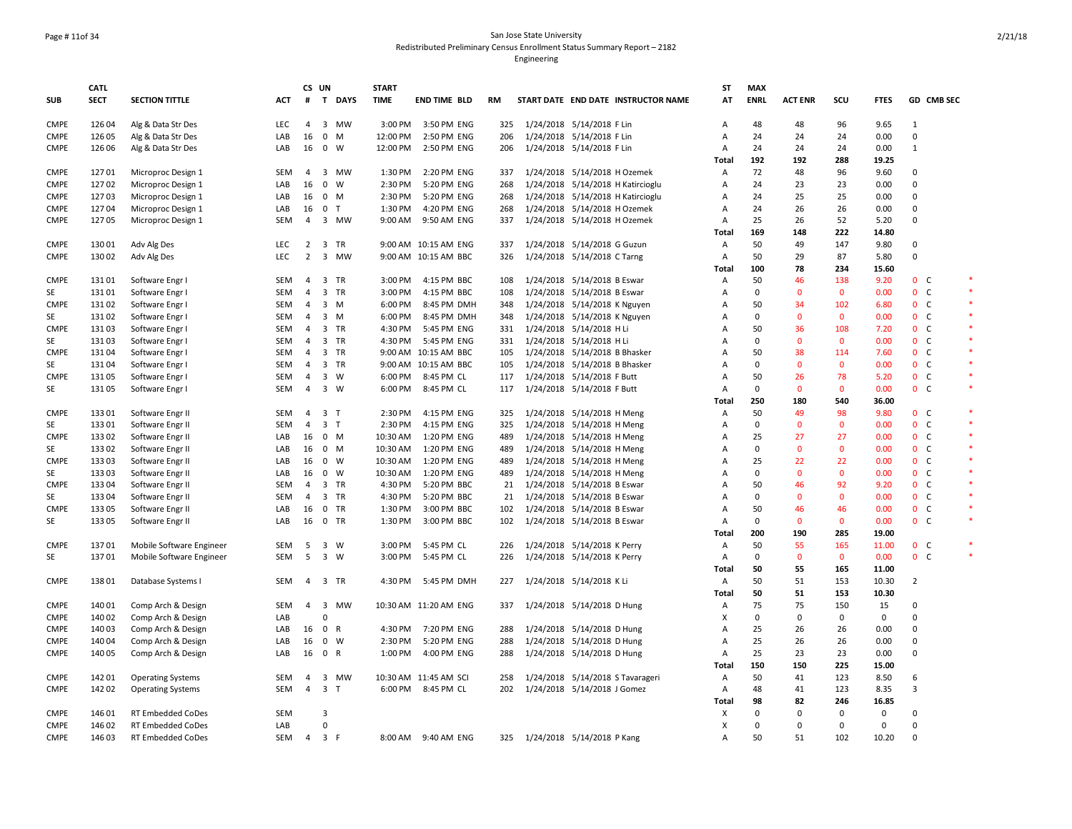## Page # 11of 34 San Jose State University Redistributed Preliminary Census Enrollment Status Summary Report – 2182

|             | <b>CATL</b> |                          |            | CS UN          |                |        | <b>START</b> |                       |     |                               |                                     | ST             | <b>MAX</b>  |                |                     |             |                |                |        |
|-------------|-------------|--------------------------|------------|----------------|----------------|--------|--------------|-----------------------|-----|-------------------------------|-------------------------------------|----------------|-------------|----------------|---------------------|-------------|----------------|----------------|--------|
| <b>SUB</b>  | <b>SECT</b> | <b>SECTION TITTLE</b>    | <b>ACT</b> | #              |                | T DAYS | <b>TIME</b>  | <b>END TIME BLD</b>   | RM  |                               | START DATE END DATE INSTRUCTOR NAME | AT             | <b>ENRL</b> | <b>ACT ENR</b> | SCU                 | <b>FTES</b> |                | GD CMB SEC     |        |
| <b>CMPE</b> | 126 04      | Alg & Data Str Des       | <b>LEC</b> | 4              |                | 3 MW   | 3:00 PM      | 3:50 PM ENG           | 325 | 1/24/2018 5/14/2018 F Lin     |                                     | Α              | 48          | 48             | 96                  | 9.65        | 1              |                |        |
| <b>CMPE</b> | 126 05      | Alg & Data Str Des       | LAB        | 16             | $0$ M          |        | 12:00 PM     | 2:50 PM ENG           | 206 | 1/24/2018 5/14/2018 F Lin     |                                     | Α              | 24          | 24             | 24                  | 0.00        | 0              |                |        |
| <b>CMPE</b> | 126 06      | Alg & Data Str Des       | LAB        | 16             | 0 W            |        | 12:00 PM     | 2:50 PM ENG           | 206 | 1/24/2018 5/14/2018 F Lin     |                                     | $\overline{A}$ | 24          | 24             | 24                  | 0.00        | $\mathbf{1}$   |                |        |
|             |             |                          |            |                |                |        |              |                       |     |                               |                                     | Total          | 192         | 192            | 288                 | 19.25       |                |                |        |
| <b>CMPE</b> | 12701       | Microproc Design 1       | <b>SEM</b> | $\overline{4}$ |                | 3 MW   | 1:30 PM      | 2:20 PM ENG           | 337 | 1/24/2018 5/14/2018 H Ozemek  |                                     | A              | 72          | 48             | 96                  | 9.60        | $\Omega$       |                |        |
| <b>CMPE</b> | 127 02      | Microproc Design 1       | LAB        | 16             | $0 \quad W$    |        | 2:30 PM      | 5:20 PM ENG           | 268 |                               | 1/24/2018 5/14/2018 H Katircioglu   | A              | 24          | 23             | 23                  | 0.00        | 0              |                |        |
| <b>CMPE</b> | 12703       | Microproc Design 1       | LAB        | 16             | $0 \mathsf{M}$ |        | 2:30 PM      | 5:20 PM ENG           | 268 |                               | 1/24/2018 5/14/2018 H Katircioglu   | $\mathsf{A}$   | 24          | 25             | 25                  | 0.00        | $\Omega$       |                |        |
| <b>CMPE</b> | 12704       | Microproc Design 1       | LAB        | 16             | 0 <sub>T</sub> |        | 1:30 PM      | 4:20 PM ENG           | 268 | 1/24/2018 5/14/2018 H Ozemek  |                                     | A              | 24          | 26             | 26                  | 0.00        | 0              |                |        |
| <b>CMPE</b> | 12705       | Microproc Design 1       | <b>SEM</b> | $\overline{4}$ |                | 3 MW   | 9:00 AM      | 9:50 AM ENG           | 337 | 1/24/2018 5/14/2018 H Ozemek  |                                     | A              | 25          | 26             | 52                  | 5.20        | 0              |                |        |
|             |             |                          |            |                |                |        |              |                       |     |                               |                                     | Total          | 169         | 148            | 222                 | 14.80       |                |                |        |
| <b>CMPE</b> | 130 01      | Adv Alg Des              | <b>LEC</b> | $\overline{2}$ | 3 TR           |        |              | 9:00 AM 10:15 AM ENG  | 337 | 1/24/2018 5/14/2018 G Guzun   |                                     | A              | 50          | 49             | 147                 | 9.80        | $\Omega$       |                |        |
| <b>CMPE</b> | 130 02      | Adv Alg Des              | <b>LEC</b> | 2              |                | 3 MW   |              | 9:00 AM 10:15 AM BBC  | 326 | 1/24/2018 5/14/2018 CTarng    |                                     | A              | 50          | 29             | 87                  | 5.80        | 0              |                |        |
|             |             |                          |            |                |                |        |              |                       |     |                               |                                     | Total          | 100         | 78             | 234                 | 15.60       |                |                |        |
| <b>CMPE</b> | 13101       | Software Engr I          | <b>SEM</b> | $\overline{4}$ | 3 TR           |        | 3:00 PM      | 4:15 PM BBC           | 108 | 1/24/2018 5/14/2018 B Eswar   |                                     | $\overline{A}$ | 50          | 46             | 138                 | 9.20        |                | 0 <sup>o</sup> |        |
| SE          | 13101       | Software Engr I          | <b>SEM</b> | $\overline{4}$ | 3 TR           |        | 3:00 PM      | 4:15 PM BBC           | 108 | 1/24/2018 5/14/2018 B Eswar   |                                     | A              | $\mathbf 0$ | $\mathbf{0}$   | $\mathbf{0}$        | 0.00        |                | 0 <sup>o</sup> | $\ast$ |
| <b>CMPE</b> | 13102       | Software Engr I          | <b>SEM</b> | $\overline{4}$ | $3 \, M$       |        | 6:00 PM      | 8:45 PM DMH           | 348 | 1/24/2018 5/14/2018 K Nguyen  |                                     | Α              | 50          | 34             | 102                 | 6.80        |                | 0 <sup>o</sup> |        |
| SE          | 13102       |                          | <b>SEM</b> | $\overline{4}$ | $3 \, M$       |        | 6:00 PM      | 8:45 PM DMH           | 348 |                               |                                     | $\overline{A}$ | $\Omega$    | $\mathbf{0}$   | $\mathbf{0}$        | 0.00        |                | 0 <sup>o</sup> | $\ast$ |
|             |             | Software Engr I          |            |                |                |        |              |                       |     | 1/24/2018 5/14/2018 K Nguyen  |                                     |                | 50          | 36             | 108                 |             |                |                |        |
| <b>CMPE</b> | 13103       | Software Engr I          | <b>SEM</b> | $\overline{4}$ | 3 TR           |        | 4:30 PM      | 5:45 PM ENG           | 331 | 1/24/2018 5/14/2018 H Li      |                                     | Α              | $\Omega$    |                |                     | 7.20        |                | 0 <sup>o</sup> |        |
| <b>SE</b>   | 13103       | Software Engr I          | <b>SEM</b> | $\overline{4}$ | 3 TR           |        | 4:30 PM      | 5:45 PM ENG           | 331 | 1/24/2018 5/14/2018 H Li      |                                     | $\overline{A}$ |             | $\mathbf{0}$   | $\mathbf{0}$        | 0.00        |                | 0 <sup>o</sup> | $\ast$ |
| <b>CMPE</b> | 13104       | Software Engr I          | SEM        | $\overline{4}$ | 3 TR           |        |              | 9:00 AM 10:15 AM BBC  | 105 | 1/24/2018 5/14/2018 B Bhasker |                                     | A              | 50          | 38             | 114                 | 7.60        |                | 0 <sub>c</sub> | $\ast$ |
| <b>SE</b>   | 13104       | Software Engr I          | <b>SEM</b> | $\overline{4}$ | 3 TR           |        |              | 9:00 AM 10:15 AM BBC  | 105 | 1/24/2018 5/14/2018 B Bhasker |                                     | $\overline{A}$ | $\Omega$    | $\overline{0}$ | $\mathbf{0}$        | 0.00        |                | 0 <sup>o</sup> |        |
| <b>CMPE</b> | 13105       | Software Engr I          | <b>SEM</b> | $\overline{4}$ | 3 W            |        | 6:00 PM      | 8:45 PM CL            | 117 | 1/24/2018 5/14/2018 F Butt    |                                     | A              | 50          | 26             | 78                  | 5.20        |                | 0 <sub>c</sub> | $\ast$ |
| SE          | 13105       | Software Engr I          | <b>SEM</b> | $\overline{4}$ | $3 \quad W$    |        | 6:00 PM      | 8:45 PM CL            | 117 | 1/24/2018 5/14/2018 F Butt    |                                     | $\overline{A}$ | $\Omega$    | $\mathbf{0}$   | $\mathbf{0}$        | 0.00        |                | 0 <sup>o</sup> |        |
|             |             |                          |            |                |                |        |              |                       |     |                               |                                     | <b>Total</b>   | 250         | 180            | 540                 | 36.00       |                |                |        |
| <b>CMPE</b> | 13301       | Software Engr II         | SEM        | $\overline{4}$ | 3 <sub>1</sub> |        | 2:30 PM      | 4:15 PM ENG           | 325 | 1/24/2018 5/14/2018 H Meng    |                                     | Α              | 50          | 49             | 98                  | 9.80        |                | 0 <sup>o</sup> |        |
| <b>SE</b>   | 13301       | Software Engr II         | <b>SEM</b> | $\overline{4}$ | 3 <sub>T</sub> |        | 2:30 PM      | 4:15 PM ENG           | 325 | 1/24/2018 5/14/2018 H Meng    |                                     | A              | $\Omega$    | $\mathbf{0}$   | $\mathbf{0}$        | 0.00        |                | 0 <sup>o</sup> | $\ast$ |
| <b>CMPE</b> | 133 02      | Software Engr II         | LAB        | 16             | $0$ M          |        | 10:30 AM     | 1:20 PM ENG           | 489 | 1/24/2018 5/14/2018 H Meng    |                                     | Α              | 25          | 27             | 27                  | 0.00        |                | 0 <sup>o</sup> |        |
| <b>SE</b>   | 133 02      | Software Engr II         | LAB        | 16             | $0 \t M$       |        | 10:30 AM     | 1:20 PM ENG           | 489 | 1/24/2018 5/14/2018 H Meng    |                                     | $\overline{A}$ | $\mathbf 0$ | $\overline{0}$ | $\mathbf{0}$        | 0.00        |                | 0 <sup>o</sup> | $\ast$ |
| <b>CMPE</b> | 133 03      | Software Engr II         | LAB        | 16             | $0 \quad W$    |        | 10:30 AM     | 1:20 PM ENG           | 489 | 1/24/2018 5/14/2018 H Meng    |                                     | A              | 25          | 22             | 22                  | 0.00        |                | 0 <sub>c</sub> | $\ast$ |
| SE          | 133 03      | Software Engr II         | LAB        | 16             | $0 \quad W$    |        | 10:30 AM     | 1:20 PM ENG           | 489 | 1/24/2018 5/14/2018 H Meng    |                                     | Α              | $\mathbf 0$ | $\mathbf{0}$   | $\mathbf{0}$        | 0.00        |                | 0 <sup>o</sup> |        |
| <b>CMPE</b> | 133 04      | Software Engr II         | <b>SEM</b> | $\overline{4}$ | 3 TR           |        | 4:30 PM      | 5:20 PM BBC           | 21  | 1/24/2018 5/14/2018 B Eswar   |                                     | $\overline{A}$ | 50          | 46             | 92                  | 9.20        |                | 0 <sup>o</sup> | $\ast$ |
| SE          | 133 04      | Software Engr II         | SEM        | 4              | 3 TR           |        | 4:30 PM      | 5:20 PM BBC           | 21  | 1/24/2018 5/14/2018 B Eswar   |                                     | A              | $\Omega$    | $\mathbf{0}$   | $\mathbf{0}$        | 0.00        |                | 0 <sub>c</sub> | $\ast$ |
| <b>CMPE</b> | 133 05      | Software Engr II         | LAB        | 16             | $0$ TR         |        | 1:30 PM      | 3:00 PM BBC           | 102 | 1/24/2018 5/14/2018 B Eswar   |                                     | $\overline{A}$ | 50          | 46             | 46                  | 0.00        |                | 0 <sup>o</sup> |        |
| SE          | 133 05      | Software Engr II         | LAB        | 16             | 0 TR           |        | 1:30 PM      | 3:00 PM BBC           | 102 | 1/24/2018 5/14/2018 B Eswar   |                                     | A              | $\Omega$    | $\mathbf 0$    | $\mathbf 0$         | 0.00        |                | 0 <sub>c</sub> | $\ast$ |
|             |             |                          |            |                |                |        |              |                       |     |                               |                                     | <b>Total</b>   | 200         | 190            | 285                 | 19.00       |                |                |        |
| <b>CMPE</b> | 13701       | Mobile Software Engineer | <b>SEM</b> | 5              | 3 W            |        | 3:00 PM      | 5:45 PM CL            | 226 | 1/24/2018 5/14/2018 K Perry   |                                     | A              | 50          | 55             | 165                 | 11.00       |                | 0 <sup>o</sup> |        |
| SE          | 13701       | Mobile Software Engineer | SEM        | 5              | $3 \quad W$    |        | 3:00 PM      | 5:45 PM CL            | 226 | 1/24/2018 5/14/2018 K Perry   |                                     | Α              | $\mathsf 0$ | $\mathbf 0$    | $\mathbf 0$         | 0.00        |                | $0-$           | $\ast$ |
|             |             |                          |            |                |                |        |              |                       |     |                               |                                     | <b>Total</b>   | 50          | 55             | 165                 | 11.00       |                |                |        |
| <b>CMPE</b> | 138 01      | Database Systems I       | SEM        |                | 4 3 TR         |        | 4:30 PM      | 5:45 PM DMH           | 227 | 1/24/2018 5/14/2018 K Li      |                                     | Α              | 50          | 51             | 153                 | 10.30       | $\overline{2}$ |                |        |
|             |             |                          |            |                |                |        |              |                       |     |                               |                                     | Total          | 50          | 51             | 153                 | 10.30       |                |                |        |
| <b>CMPE</b> | 140 01      | Comp Arch & Design       | SEM        | 4              |                | 3 MW   |              | 10:30 AM 11:20 AM ENG | 337 | 1/24/2018 5/14/2018 D Hung    |                                     | Α              | 75          | 75             | 150                 | 15          | $\Omega$       |                |        |
| <b>CMPE</b> | 140 02      | Comp Arch & Design       | LAB        |                | $\Omega$       |        |              |                       |     |                               |                                     | $\pmb{\times}$ | 0           | $\mathsf 0$    | $\mathsf{O}\xspace$ | 0           | 0              |                |        |
| <b>CMPE</b> | 140 03      | Comp Arch & Design       | LAB        | 16             | 0 R            |        | 4:30 PM      | 7:20 PM ENG           | 288 | 1/24/2018 5/14/2018 D Hung    |                                     | Α              | 25          | 26             | 26                  | 0.00        | $\Omega$       |                |        |
| <b>CMPE</b> | 140 04      | Comp Arch & Design       | LAB        | 16             | $0 \quad W$    |        | 2:30 PM      | 5:20 PM ENG           | 288 | 1/24/2018 5/14/2018 D Hung    |                                     | A              | 25          | 26             | 26                  | 0.00        | $\Omega$       |                |        |
| <b>CMPE</b> | 140 05      | Comp Arch & Design       | LAB        | 16             | 0 R            |        | 1:00 PM      | 4:00 PM ENG           | 288 | 1/24/2018 5/14/2018 D Hung    |                                     | Α              | 25          | 23             | 23                  | 0.00        | 0              |                |        |
|             |             |                          |            |                |                |        |              |                       |     |                               |                                     | Total          | 150         | 150            | 225                 | 15.00       |                |                |        |
| <b>CMPE</b> | 142 01      | <b>Operating Systems</b> | SEM        | 4              |                | 3 MW   |              | 10:30 AM 11:45 AM SCI | 258 |                               | 1/24/2018 5/14/2018 S Tavarageri    | Α              | 50          | 41             | 123                 | 8.50        | 6              |                |        |
| <b>CMPE</b> | 142 02      | <b>Operating Systems</b> | SEM        | $\overline{4}$ | 3 <sub>T</sub> |        |              | 6:00 PM 8:45 PM CL    | 202 | 1/24/2018 5/14/2018 J Gomez   |                                     | Α              | 48          | 41             | 123                 | 8.35        | 3              |                |        |
|             |             |                          |            |                |                |        |              |                       |     |                               |                                     | Total          | 98          | 82             | 246                 | 16.85       |                |                |        |
| <b>CMPE</b> | 146 01      | RT Embedded CoDes        | SEM        |                | $\overline{3}$ |        |              |                       |     |                               |                                     | X              | $\Omega$    | $\mathbf 0$    | 0                   | 0           | 0              |                |        |
| <b>CMPE</b> | 146 02      | RT Embedded CoDes        | LAB        |                | $\Omega$       |        |              |                       |     |                               |                                     | X              | $\Omega$    | $\Omega$       | $\mathsf{O}\xspace$ | 0           | $\Omega$       |                |        |
| <b>CMPE</b> | 146 03      | RT Embedded CoDes        | SEM        |                | 4 3 F          |        |              | 8:00 AM 9:40 AM ENG   |     | 1/24/2018 5/14/2018 P Kang    |                                     | Α              | 50          | 51             | 102                 | 10.20       | $\Omega$       |                |        |
|             |             |                          |            |                |                |        |              |                       | 325 |                               |                                     |                |             |                |                     |             |                |                |        |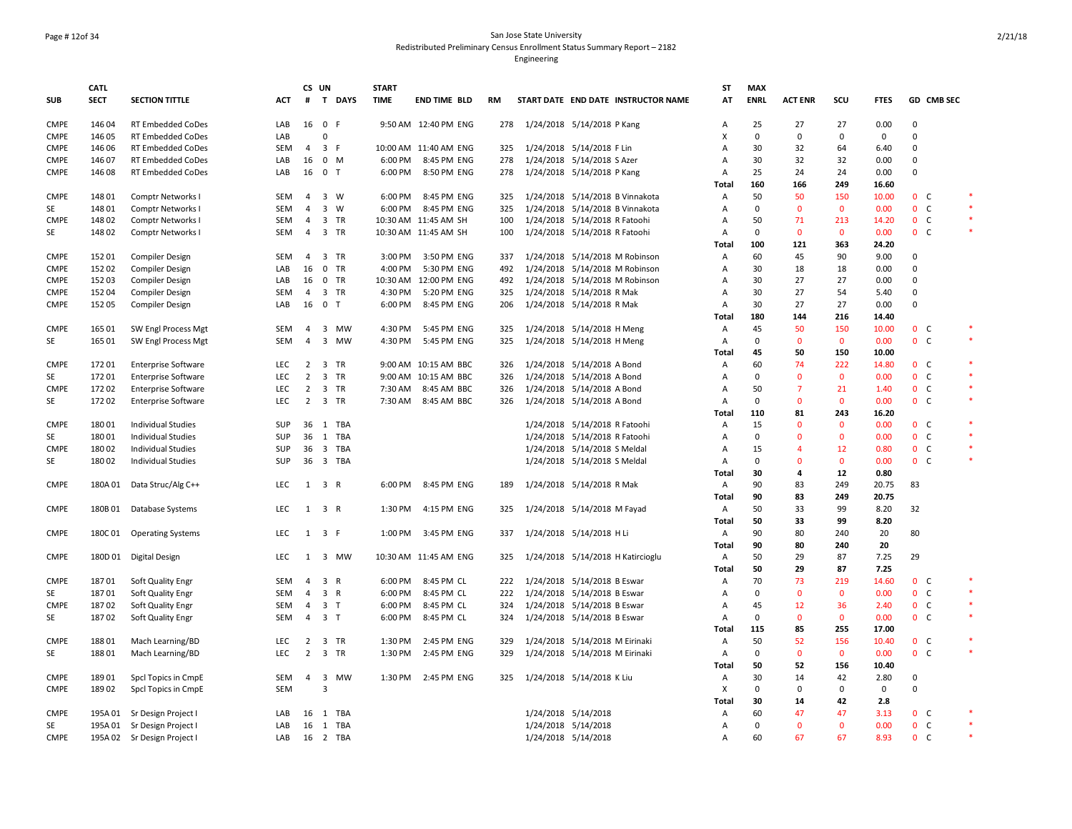### Page # 12of 34 San Jose State University Redistributed Preliminary Census Enrollment Status Summary Report – 2182

|             | <b>CATL</b> |                             |            |                | CS UN                   |           | <b>START</b> |                       |     |                                     | ST             | <b>MAX</b>        |                |              |             |             |                |        |
|-------------|-------------|-----------------------------|------------|----------------|-------------------------|-----------|--------------|-----------------------|-----|-------------------------------------|----------------|-------------------|----------------|--------------|-------------|-------------|----------------|--------|
| <b>SUB</b>  | <b>SECT</b> | <b>SECTION TITTLE</b>       | <b>ACT</b> | #              |                         | T DAYS    | <b>TIME</b>  | <b>END TIME BLD</b>   | RM  | START DATE END DATE INSTRUCTOR NAME | AT             | <b>ENRL</b>       | <b>ACT ENR</b> | SCU          | <b>FTES</b> |             | GD CMB SEC     |        |
| <b>CMPE</b> | 146 04      | <b>RT Embedded CoDes</b>    | LAB        | 16             | 0 F                     |           |              | 9:50 AM 12:40 PM ENG  | 278 | 1/24/2018 5/14/2018 P Kang          | $\overline{A}$ | 25                | 27             | 27           | 0.00        | 0           |                |        |
| <b>CMPE</b> | 146 05      | RT Embedded CoDes           | LAB        |                | $\mathbf 0$             |           |              |                       |     |                                     | x              | $\mathbf 0$       | 0              | 0            | 0           | $\Omega$    |                |        |
| <b>CMPE</b> | 146 06      | RT Embedded CoDes           | SEM        | 4              | 3 F                     |           |              | 10:00 AM 11:40 AM ENG | 325 | 1/24/2018 5/14/2018 F Lin           | A              | 30                | 32             | 64           | 6.40        | $\mathbf 0$ |                |        |
| CMPE        | 146 07      | <b>RT Embedded CoDes</b>    | LAB        | 16             | $0 \mathsf{M}$          |           |              | 6:00 PM 8:45 PM ENG   | 278 | 1/24/2018 5/14/2018 S Azer          | Α              | 30                | 32             | 32           | 0.00        | $\Omega$    |                |        |
| <b>CMPE</b> | 146 08      | RT Embedded CoDes           | LAB        | 16             | 0 <sub>T</sub>          |           | 6:00 PM      | 8:50 PM ENG           | 278 | 1/24/2018 5/14/2018 P Kang          | Α              | 25                | 24             | 24           | 0.00        | $\Omega$    |                |        |
|             |             |                             |            |                |                         |           |              |                       |     |                                     | Total          | 160               | 166            | 249          | 16.60       |             |                |        |
| <b>CMPE</b> | 148 01      | Comptr Networks I           | SEM        | $\overline{4}$ | $3 \quad W$             |           |              | 6:00 PM 8:45 PM ENG   | 325 | 1/24/2018 5/14/2018 B Vinnakota     | Α              | 50                | 50             | 150          | 10.00       |             | 0 <sub>c</sub> |        |
| SE          | 148 01      | <b>Comptr Networks I</b>    | <b>SEM</b> | $\overline{4}$ | $3 \quad W$             |           | 6:00 PM      | 8:45 PM ENG           | 325 | 1/24/2018 5/14/2018 B Vinnakota     | А              | $\mathbf 0$       | $\mathbf{0}$   | $\mathbf 0$  | 0.00        |             | 0 <sub>c</sub> |        |
| <b>CMPE</b> | 148 02      | <b>Comptr Networks I</b>    | <b>SEM</b> | $\overline{4}$ | 3 TR                    |           |              | 10:30 AM 11:45 AM SH  | 100 | 1/24/2018 5/14/2018 R Fatoohi       | Α              | 50                | 71             | 213          | 14.20       |             | 0 <sub>c</sub> | $\ast$ |
| SE          | 148 02      | Comptr Networks I           | <b>SEM</b> | $\overline{4}$ | 3 TR                    |           |              | 10:30 AM 11:45 AM SH  | 100 | 1/24/2018 5/14/2018 R Fatoohi       | Α              | $\Omega$          | $\mathbf{0}$   | $\mathbf{0}$ | 0.00        |             | 0 <sup>o</sup> | $\ast$ |
|             |             |                             |            |                |                         |           |              |                       |     |                                     | <b>Total</b>   | 100               | 121            | 363          | 24.20       |             |                |        |
| <b>CMPE</b> | 152 01      | <b>Compiler Design</b>      | SEM        | 4              | 3 TR                    |           | 3:00 PM      | 3:50 PM ENG           | 337 | 1/24/2018 5/14/2018 M Robinson      | А              | 60                | 45             | 90           | 9.00        | 0           |                |        |
| <b>CMPE</b> | 152 02      | <b>Compiler Design</b>      | LAB        | 16             | 0 TR                    |           | 4:00 PM      | 5:30 PM ENG           | 492 | 1/24/2018 5/14/2018 M Robinson      | A              | 30                | 18             | 18           | 0.00        | $\mathbf 0$ |                |        |
| <b>CMPE</b> | 152 03      | Compiler Design             | LAB        | 16             | 0 TR                    |           |              | 10:30 AM 12:00 PM ENG | 492 | 1/24/2018 5/14/2018 M Robinson      | Α              | 30                | 27             | 27           | 0.00        | $\mathbf 0$ |                |        |
| <b>CMPE</b> | 152 04      | <b>Compiler Design</b>      | SEM        | 4              | 3 TR                    |           | 4:30 PM      | 5:20 PM ENG           | 325 | 1/24/2018 5/14/2018 R Mak           | Α              | 30                | 27             | 54           | 5.40        | 0           |                |        |
| <b>CMPE</b> | 152 05      | <b>Compiler Design</b>      | LAB        | 16             | 0 <sub>T</sub>          |           | 6:00 PM      | 8:45 PM ENG           | 206 | 1/24/2018 5/14/2018 R Mak           | $\overline{A}$ | 30                | 27             | 27           | 0.00        | $\Omega$    |                |        |
|             |             |                             |            |                |                         |           |              |                       |     |                                     |                |                   |                |              |             |             |                |        |
|             |             |                             |            |                |                         |           |              |                       |     |                                     | Total          | 180               | 144            | 216          | 14.40       |             |                |        |
| <b>CMPE</b> | 165 01      | SW Engl Process Mgt         | SEM        | 4              | 3                       | MW        | 4:30 PM      | 5:45 PM ENG           | 325 | 1/24/2018 5/14/2018 H Meng          | Α              | 45                | 50             | 150          | 10.00       |             | 0 <sub>c</sub> | $\ast$ |
| SE          | 165 01      | SW Engl Process Mgt         | <b>SEM</b> | $\overline{4}$ |                         | 3 MW      | 4:30 PM      | 5:45 PM ENG           | 325 | 1/24/2018 5/14/2018 H Meng          | Α              | $\mathbf 0$       | $\mathbf{0}$   | $\mathbf 0$  | 0.00        |             | 0 <sup>o</sup> |        |
|             |             |                             |            |                |                         |           |              |                       |     |                                     | Total          | 45                | 50             | 150          | 10.00       |             |                |        |
| <b>CMPE</b> | 17201       | <b>Enterprise Software</b>  | <b>LEC</b> | $\overline{2}$ | $\overline{\mathbf{3}}$ | <b>TR</b> |              | 9:00 AM 10:15 AM BBC  | 326 | 1/24/2018 5/14/2018 A Bond          | Α              | 60                | 74             | 222          | 14.80       |             | 0 <sup>o</sup> | $\ast$ |
| SE          | 17201       | <b>Enterprise Software</b>  | <b>LEC</b> | $\overline{2}$ | 3 TR                    |           |              | 9:00 AM 10:15 AM BBC  | 326 | 1/24/2018 5/14/2018 A Bond          | А              | $\mathbf{0}$      | $\mathbf{0}$   | $\mathbf 0$  | 0.00        |             | 0 <sub>c</sub> | $\ast$ |
| <b>CMPE</b> | 172 02      | <b>Enterprise Software</b>  | <b>LEC</b> | $\overline{2}$ | 3 TR                    |           | 7:30 AM      | 8:45 AM BBC           | 326 | 1/24/2018 5/14/2018 A Bond          | Α              | 50                | $\overline{7}$ | 21           | 1.40        |             | 0 <sub>c</sub> | $\ast$ |
| SE          | 17202       | <b>Enterprise Software</b>  | <b>LEC</b> | $\overline{2}$ | 3 TR                    |           |              | 7:30 AM 8:45 AM BBC   | 326 | 1/24/2018 5/14/2018 A Bond          | $\overline{A}$ | $\Omega$          | $\mathbf{0}$   | $\mathbf{0}$ | 0.00        |             | 0 <sup>o</sup> | $\ast$ |
|             |             |                             |            |                |                         |           |              |                       |     |                                     | Total          | 110               | 81             | 243          | 16.20       |             |                |        |
| <b>CMPE</b> | 18001       | <b>Individual Studies</b>   | SUP        | 36             |                         | 1 TBA     |              |                       |     | 1/24/2018 5/14/2018 R Fatoohi       | $\overline{A}$ | 15                | $\Omega$       | $\mathbf{0}$ | 0.00        |             | 0 <sup>o</sup> | $\ast$ |
| SE          | 180 01      | <b>Individual Studies</b>   | SUP        | 36             | 1 TBA                   |           |              |                       |     | 1/24/2018 5/14/2018 R Fatoohi       | A              | $\mathbf 0$       | $\mathbf 0$    | $\mathbf 0$  | 0.00        |             | 0 <sub>c</sub> | $\ast$ |
| <b>CMPE</b> | 18002       | <b>Individual Studies</b>   | SUP        | 36             |                         | 3 TBA     |              |                       |     | 1/24/2018 5/14/2018 S Meldal        | Α              | 15                | $\overline{4}$ | 12           | 0.80        |             | $0-$           |        |
| SE          | 18002       | <b>Individual Studies</b>   | SUP        | 36             |                         | 3 TBA     |              |                       |     | 1/24/2018 5/14/2018 S Meldal        | Α              | $\Omega$          | $\Omega$       | $\mathbf 0$  | 0.00        |             | 0 <sub>c</sub> | $\ast$ |
|             |             |                             |            |                |                         |           |              |                       |     |                                     | Total          | 30                | $\overline{a}$ | $12$         | 0.80        |             |                |        |
| <b>CMPE</b> |             | 180A 01 Data Struc/Alg C++  | LEC        |                | $1 \quad 3 \quad R$     |           |              | 6:00 PM 8:45 PM ENG   | 189 | 1/24/2018 5/14/2018 R Mak           | Α              | 90                | 83             | 249          | 20.75       | 83          |                |        |
|             |             |                             |            |                |                         |           |              |                       |     |                                     | Total          | 90                | 83             | 249          | 20.75       |             |                |        |
| <b>CMPE</b> | 180B 01     | Database Systems            | LEC        | 1              | 3 R                     |           | 1:30 PM      | 4:15 PM ENG           | 325 | 1/24/2018 5/14/2018 M Fayad         | Α              | 50                | 33             | 99           | 8.20        | 32          |                |        |
|             |             |                             |            |                |                         |           |              |                       |     |                                     | Total          | 50                | 33             | 99           | 8.20        |             |                |        |
| <b>CMPE</b> | 180C 01     | <b>Operating Systems</b>    | LEC        | 1              | 3 F                     |           | 1:00 PM      | 3:45 PM ENG           | 337 | 1/24/2018 5/14/2018 H Li            | Α              | 90                | 80             | 240          | 20          | 80          |                |        |
|             |             |                             |            |                |                         |           |              |                       |     |                                     | <b>Total</b>   | 90                | 80             | 240          | 20          |             |                |        |
| <b>CMPE</b> |             | 180D 01 Digital Design      | <b>LEC</b> | 1              |                         | 3 MW      |              | 10:30 AM 11:45 AM ENG | 325 | 1/24/2018 5/14/2018 H Katircioglu   | А              | 50                | 29             | 87           | 7.25        | 29          |                |        |
|             |             |                             |            |                |                         |           |              |                       |     |                                     | Total          | 50                | 29             | 87           | 7.25        |             |                |        |
| <b>CMPE</b> | 18701       | Soft Quality Engr           | <b>SEM</b> | $\overline{4}$ | 3 R                     |           | 6:00 PM      | 8:45 PM CL            | 222 | 1/24/2018 5/14/2018 B Eswar         | А              | 70                | 73             | 219          | 14.60       |             | 0 <sup>o</sup> |        |
| SE          |             |                             | SEM        | $\overline{4}$ | 3 R                     |           | 6:00 PM      | 8:45 PM CL            | 222 |                                     | A              | $\mathsf 0$       | $\mathbf 0$    | $\mathbf 0$  | 0.00        |             | 0 <sub>c</sub> | $\ast$ |
|             | 18701       | Soft Quality Engr           |            |                |                         |           |              |                       |     | 1/24/2018 5/14/2018 B Eswar         |                |                   |                |              |             |             |                | $\ast$ |
| <b>CMPE</b> | 18702       | Soft Quality Engr           | SEM        | $\overline{4}$ | 3 <sub>7</sub>          |           | 6:00 PM      | 8:45 PM CL            | 324 | 1/24/2018 5/14/2018 B Eswar         | А              | 45<br>$\mathbf 0$ | 12             | 36           | 2.40        |             | 0 <sub>c</sub> | $\ast$ |
| SE          | 18702       | Soft Quality Engr           | SEM        | $\overline{4}$ | 3 <sub>1</sub>          |           | 6:00 PM      | 8:45 PM CL            | 324 | 1/24/2018 5/14/2018 B Eswar         | Α              |                   | $\mathbf 0$    | $\mathbf 0$  | 0.00        |             | 0 <sub>c</sub> |        |
|             |             |                             |            |                |                         |           |              |                       |     |                                     | Total          | 115               | 85             | 255          | 17.00       |             |                | $\ast$ |
| <b>CMPE</b> | 18801       | Mach Learning/BD            | LEC        | $\overline{2}$ | 3 TR                    |           | 1:30 PM      | 2:45 PM ENG           | 329 | 1/24/2018 5/14/2018 M Eirinaki      | Α              | 50                | 52             | 156          | 10.40       |             | 0 <sub>c</sub> |        |
| SE          | 18801       | Mach Learning/BD            | LEC        | $\overline{2}$ | 3 TR                    |           | 1:30 PM      | 2:45 PM ENG           | 329 | 1/24/2018 5/14/2018 M Eirinaki      | Α              | $\mathbf 0$       | $\mathbf 0$    | $\mathbf 0$  | 0.00        |             | 0 <sub>c</sub> |        |
|             |             |                             |            |                |                         |           |              |                       |     |                                     | Total          | 50                | 52             | 156          | 10.40       |             |                |        |
| <b>CMPE</b> | 18901       | Spcl Topics in CmpE         | SEM        | 4              |                         | 3 MW      |              | 1:30 PM 2:45 PM ENG   | 325 | 1/24/2018 5/14/2018 K Liu           | Α              | 30                | 14             | 42           | 2.80        | 0           |                |        |
| <b>CMPE</b> | 18902       | Spcl Topics in CmpE         | SEM        |                | 3                       |           |              |                       |     |                                     | X              | $\mathbf 0$       | 0              | 0            | 0           | $\Omega$    |                |        |
|             |             |                             |            |                |                         |           |              |                       |     |                                     | <b>Total</b>   | 30                | 14             | 42           | 2.8         |             |                |        |
| <b>CMPE</b> |             | 195A 01 Sr Design Project I | LAB        | 16             |                         | 1 TBA     |              |                       |     | 1/24/2018 5/14/2018                 | Α              | 60                | 47             | 47           | 3.13        |             | 0 <sub>c</sub> |        |
| SE          |             | 195A 01 Sr Design Project I | LAB        | 16             |                         | 1 TBA     |              |                       |     | 1/24/2018 5/14/2018                 | Α              | $\mathbf{0}$      | $\mathbf{0}$   | $\mathbf{0}$ | 0.00        |             | 0 <sub>c</sub> | $\ast$ |
| <b>CMPE</b> |             | 195A 02 Sr Design Project I | LAB        |                | 16 2 TBA                |           |              |                       |     | 1/24/2018 5/14/2018                 | А              | 60                | 67             | 67           | 8.93        |             | 0 <sub>c</sub> | $\ast$ |
|             |             |                             |            |                |                         |           |              |                       |     |                                     |                |                   |                |              |             |             |                |        |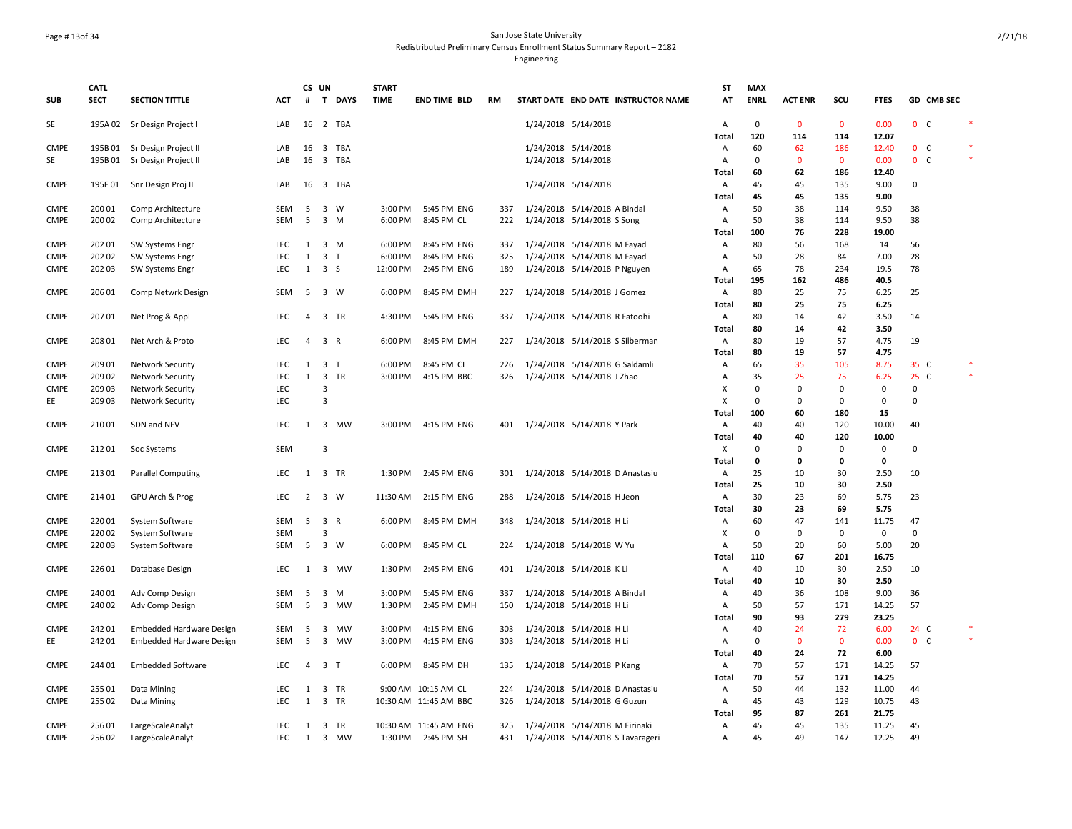# Page # 13of 34 San Jose State University Redistributed Preliminary Census Enrollment Status Summary Report – 2182

|             | <b>CATL</b> |                                                              |                   | CS UN          |                         | <b>START</b> |                       |            |                                                          | <b>ST</b>    | <b>MAX</b>  |                |              |                |                |            |  |
|-------------|-------------|--------------------------------------------------------------|-------------------|----------------|-------------------------|--------------|-----------------------|------------|----------------------------------------------------------|--------------|-------------|----------------|--------------|----------------|----------------|------------|--|
| SUB         | <b>SECT</b> | <b>SECTION TITTLE</b>                                        | ACT               | #              | T DAYS                  | <b>TIME</b>  | <b>END TIME BLD</b>   | RM         | START DATE END DATE INSTRUCTOR NAME                      | AT           | <b>ENRL</b> | <b>ACT ENR</b> | SCU          | <b>FTES</b>    |                | GD CMB SEC |  |
| <b>SE</b>   |             | 195A 02 Sr Design Project I                                  | LAB               |                | 16 2 TBA                |              |                       |            | 1/24/2018 5/14/2018                                      | Α            | $\mathbf 0$ | $\mathbf{0}$   | $\mathbf{0}$ | 0.00           | 0 <sup>o</sup> |            |  |
| <b>CMPE</b> |             |                                                              | LAB               | 16             | 3 TBA                   |              |                       |            | 1/24/2018 5/14/2018                                      | Total<br>Α   | 120<br>60   | 114<br>62      | 114<br>186   | 12.07<br>12.40 | 0 <sub>c</sub> |            |  |
| SE          |             | 195B 01 Sr Design Project II<br>195B 01 Sr Design Project II | LAB               |                | 16 3 TBA                |              |                       |            | 1/24/2018 5/14/2018                                      | Α            | $\mathbf 0$ | $\mathbf{0}$   | $\mathbf 0$  | 0.00           | 0 <sup>o</sup> |            |  |
|             |             |                                                              |                   |                |                         |              |                       |            |                                                          | Total        | 60          | 62             | 186          | 12.40          |                |            |  |
| <b>CMPE</b> | 195F01      | Snr Design Proj II                                           | LAB               | 16             | 3 TBA                   |              |                       |            | 1/24/2018 5/14/2018                                      | A            | 45          | 45             | 135          | 9.00           | $\mathbf 0$    |            |  |
|             |             |                                                              |                   |                |                         |              |                       |            |                                                          | Total        | 45          | 45             | 135          | 9.00           |                |            |  |
| <b>CMPE</b> | 200 01      | Comp Architecture                                            | SEM               | - 5            | 3 W                     | 3:00 PM      | 5:45 PM ENG           | 337        | 1/24/2018 5/14/2018 A Bindal                             | Α            | 50          | 38             | 114          | 9.50           | 38             |            |  |
| CMPE        | 200 02      | Comp Architecture                                            | <b>SEM</b>        | 5              | $3 \, M$                | 6:00 PM      | 8:45 PM CL            | 222        | 1/24/2018 5/14/2018 S Song                               | Α            | 50          | 38             | 114          | 9.50           | 38             |            |  |
|             |             |                                                              |                   |                |                         |              |                       |            |                                                          | Total        | 100         | 76             | 228          | 19.00          |                |            |  |
| <b>CMPE</b> | 202 01      | <b>SW Systems Engr</b>                                       | <b>LEC</b>        | 1              | 3 M                     | 6:00 PM      | 8:45 PM ENG           | 337        | 1/24/2018 5/14/2018 M Fayad                              | Α            | 80          | 56             | 168          | 14             | 56             |            |  |
| <b>CMPE</b> | 202 02      | SW Systems Engr                                              | <b>LEC</b>        | 1              | 3 <sub>T</sub>          | 6:00 PM      | 8:45 PM ENG           | 325        | 1/24/2018 5/14/2018 M Fayad                              | Α            | 50          | 28             | 84           | 7.00           | 28             |            |  |
| <b>CMPE</b> | 202 03      | <b>SW Systems Engr</b>                                       | <b>LEC</b>        | 1              | 3 <sub>5</sub>          | 12:00 PM     | 2:45 PM ENG           | 189        | 1/24/2018 5/14/2018 P Nguyen                             | Α            | 65          | 78             | 234          | 19.5           | 78             |            |  |
|             |             |                                                              |                   |                |                         |              |                       |            |                                                          | Total        | 195         | 162            | 486          | 40.5           |                |            |  |
| <b>CMPE</b> | 206 01      | Comp Netwrk Design                                           | SEM               | 5              | 3 W                     | 6:00 PM      | 8:45 PM DMH           | 227        | 1/24/2018 5/14/2018 J Gomez                              | Α            | 80          | 25             | 75           | 6.25           | 25             |            |  |
|             |             |                                                              |                   |                |                         |              |                       |            |                                                          | <b>Total</b> | 80          | 25             | 75           | 6.25           |                |            |  |
| <b>CMPE</b> | 207 01      | Net Prog & Appl                                              | LEC               | $\overline{4}$ | 3 TR                    | 4:30 PM      | 5:45 PM ENG           | 337        | 1/24/2018 5/14/2018 R Fatoohi                            | Α            | 80          | 14             | 42           | 3.50           | 14             |            |  |
|             |             |                                                              |                   |                |                         |              |                       |            |                                                          | Total        | 80          | 14             | 42           | 3.50           |                |            |  |
| <b>CMPE</b> | 208 01      | Net Arch & Proto                                             | <b>LEC</b>        | $\overline{4}$ | 3 R                     | 6:00 PM      | 8:45 PM DMH           | 227        | 1/24/2018 5/14/2018 S Silberman                          | Α            | 80          | 19             | 57           | 4.75           | 19             |            |  |
|             |             |                                                              |                   |                |                         |              |                       |            |                                                          | Total        | 80          | 19             | 57           | 4.75           |                |            |  |
| <b>CMPE</b> | 209 01      | <b>Network Security</b>                                      | <b>LEC</b>        | 1              | 3 <sub>T</sub>          | 6:00 PM      | 8:45 PM CL            | 226        | 1/24/2018 5/14/2018 G Saldamli                           | Α            | 65          | 35             | 105          | 8.75           | 35 C           |            |  |
| <b>CMPE</b> | 209 02      | <b>Network Security</b>                                      | LEC               | $\mathbf{1}$   | 3 TR                    | 3:00 PM      | 4:15 PM BBC           | 326        | 1/24/2018 5/14/2018 J Zhao                               | Α            | 35          | 25             | 75           | 6.25           | 25 C           |            |  |
| <b>CMPE</b> | 209 03      | <b>Network Security</b>                                      | <b>LEC</b>        |                | $\overline{\mathbf{3}}$ |              |                       |            |                                                          | Х            | $\mathbf 0$ | 0              | $\mathbf 0$  | $\mathbf 0$    | $\mathbf 0$    |            |  |
| EE          | 209 03      | <b>Network Security</b>                                      | <b>LEC</b>        |                | $\overline{\mathbf{3}}$ |              |                       |            |                                                          | X            | $\Omega$    | 0              | $\Omega$     | $\mathbf 0$    | $\Omega$       |            |  |
|             |             |                                                              |                   |                |                         |              |                       |            |                                                          | <b>Total</b> | 100         | 60             | 180          | 15             |                |            |  |
| <b>CMPE</b> | 210 01      | SDN and NFV                                                  | LEC               | 1              | 3 MW                    | 3:00 PM      | 4:15 PM ENG           | 401        | 1/24/2018 5/14/2018 Y Park                               | Α            | 40          | 40             | 120          | 10.00          | 40             |            |  |
|             |             |                                                              |                   |                |                         |              |                       |            |                                                          | Total        | 40          | 40             | 120          | 10.00          |                |            |  |
| <b>CMPE</b> | 21201       | Soc Systems                                                  | <b>SEM</b>        |                | $\overline{3}$          |              |                       |            |                                                          | Х            | $\Omega$    | 0              | 0            | $\mathbf 0$    | $\mathbf 0$    |            |  |
|             |             |                                                              |                   |                |                         |              |                       |            |                                                          | Total        | $\mathbf 0$ | 0              | 0            | 0              |                |            |  |
| <b>CMPE</b> | 21301       | <b>Parallel Computing</b>                                    | LEC               | 1              | 3 TR                    | 1:30 PM      | 2:45 PM ENG           | 301        | 1/24/2018 5/14/2018 D Anastasiu                          | Α            | 25          | 10             | 30           | 2.50           | 10             |            |  |
|             |             |                                                              |                   |                |                         |              |                       |            |                                                          | Total        | 25          | 10             | 30           | 2.50           |                |            |  |
| <b>CMPE</b> | 214 01      | GPU Arch & Prog                                              | <b>LEC</b>        | $\overline{2}$ | $3 \quad W$             | 11:30 AM     | 2:15 PM ENG           | 288        | 1/24/2018 5/14/2018 H Jeon                               | Α            | 30          | 23             | 69           | 5.75           | 23             |            |  |
|             |             |                                                              |                   |                |                         |              |                       |            |                                                          | Total        | 30          | 23             | 69           | 5.75           |                |            |  |
| <b>CMPE</b> | 220 01      | System Software                                              | SEM               | 5              | 3 R                     | 6:00 PM      | 8:45 PM DMH           | 348        | 1/24/2018 5/14/2018 H Li                                 | Α            | 60          | 47             | 141          | 11.75          | 47             |            |  |
| <b>CMPE</b> | 22002       | System Software                                              | <b>SEM</b>        |                | $\overline{\mathbf{3}}$ |              |                       |            |                                                          | X            | $\mathbf 0$ | 0              | $\mathbf 0$  | $\mathsf 0$    | $\mathbf 0$    |            |  |
| <b>CMPE</b> | 220 03      | System Software                                              | SEM               | 5              | 3 W                     | 6:00 PM      | 8:45 PM CL            | 224        | 1/24/2018 5/14/2018 W Yu                                 | Α            | 50          | 20             | 60           | 5.00           | 20             |            |  |
|             |             |                                                              |                   |                |                         |              |                       |            |                                                          | Total        | 110         | 67             | 201          | 16.75          |                |            |  |
| <b>CMPE</b> | 226 01      | Database Design                                              | LEC               | 1              | 3 MW                    | 1:30 PM      | 2:45 PM ENG           | 401        | 1/24/2018 5/14/2018 K Li                                 | Α            | 40<br>40    | 10             | 30<br>30     | 2.50<br>2.50   | 10             |            |  |
| <b>CMPE</b> | 240 01      |                                                              |                   |                | 3 M                     | 3:00 PM      | 5:45 PM ENG           |            |                                                          | Total        | 40          | 10<br>36       | 108          | 9.00           | 36             |            |  |
| <b>CMPE</b> | 240 02      | Adv Comp Design                                              | SEM<br><b>SEM</b> | 5<br>-5        | 3 MW                    | 1:30 PM      | 2:45 PM DMH           | 337<br>150 | 1/24/2018 5/14/2018 A Bindal<br>1/24/2018 5/14/2018 H Li | Α<br>Α       | 50          | 57             | 171          | 14.25          | 57             |            |  |
|             |             | Adv Comp Design                                              |                   |                |                         |              |                       |            |                                                          | <b>Total</b> | 90          | 93             | 279          | 23.25          |                |            |  |
| <b>CMPE</b> | 242 01      | <b>Embedded Hardware Design</b>                              | SEM               | 5              | 3 MW                    | 3:00 PM      | 4:15 PM ENG           | 303        | 1/24/2018 5/14/2018 H Li                                 | Α            | 40          | 24             | 72           | 6.00           | 24 C           |            |  |
| EE          | 242 01      | Embedded Hardware Design                                     | <b>SEM</b>        | 5              | 3 MW                    | 3:00 PM      | 4:15 PM ENG           | 303        | 1/24/2018 5/14/2018 H Li                                 | Α            | $\Omega$    | $\mathbf{0}$   | $\mathbf{0}$ | 0.00           | 0 <sup>o</sup> |            |  |
|             |             |                                                              |                   |                |                         |              |                       |            |                                                          | <b>Total</b> | 40          | 24             | 72           | 6.00           |                |            |  |
| <b>CMPE</b> | 244 01      | <b>Embedded Software</b>                                     | LEC               | 4              | 3 <sub>T</sub>          | 6:00 PM      | 8:45 PM DH            | 135        | 1/24/2018 5/14/2018 P Kang                               | Α            | 70          | 57             | 171          | 14.25          | 57             |            |  |
|             |             |                                                              |                   |                |                         |              |                       |            |                                                          | Total        | 70          | 57             | 171          | 14.25          |                |            |  |
| <b>CMPE</b> | 255 01      | Data Mining                                                  | LEC               | 1              | 3 TR                    |              | 9:00 AM 10:15 AM CL   | 224        | 1/24/2018 5/14/2018 D Anastasiu                          | Α            | 50          | 44             | 132          | 11.00          | 44             |            |  |
| CMPE        | 255 02      | Data Mining                                                  | <b>LEC</b>        | 1              | 3 TR                    |              | 10:30 AM 11:45 AM BBC | 326        | 1/24/2018 5/14/2018 G Guzun                              | Α            | 45          | 43             | 129          | 10.75          | 43             |            |  |
|             |             |                                                              |                   |                |                         |              |                       |            |                                                          | Total        | 95          | 87             | 261          | 21.75          |                |            |  |
| <b>CMPE</b> | 256 01      | LargeScaleAnalyt                                             | LEC               | 1              | 3 TR                    |              | 10:30 AM 11:45 AM ENG | 325        | 1/24/2018 5/14/2018 M Eirinaki                           | Α            | 45          | 45             | 135          | 11.25          | 45             |            |  |
| <b>CMPE</b> | 256 02      | LargeScaleAnalyt                                             | <b>LEC</b>        | 1              | 3 MW                    |              | 1:30 PM 2:45 PM SH    | 431        | 1/24/2018 5/14/2018 S Tavarageri                         | Α            | 45          | 49             | 147          | 12.25          | 49             |            |  |
|             |             |                                                              |                   |                |                         |              |                       |            |                                                          |              |             |                |              |                |                |            |  |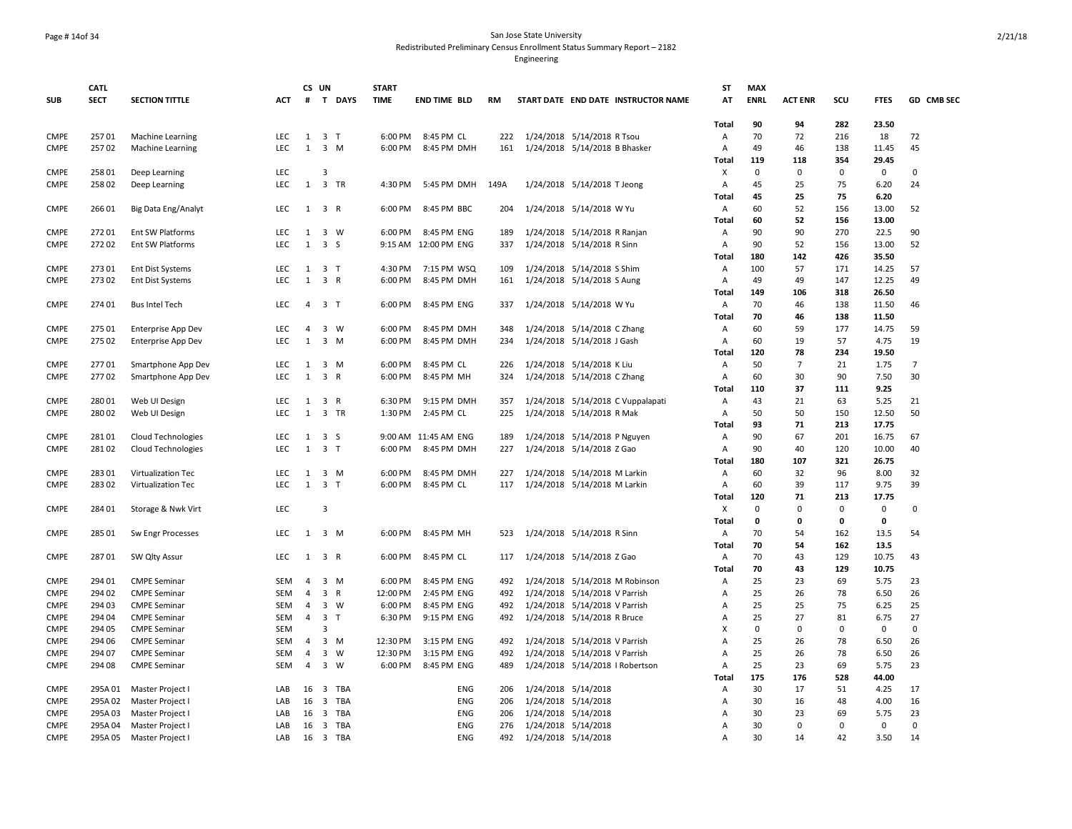### Page # 14of 34 San Jose State University Redistributed Preliminary Census Enrollment Status Summary Report – 2182

|                            | <b>CATL</b>      |                                          |            |                | CS UN                   |                | <b>START</b> |                          |            |                                                              |                                     | <b>ST</b>                        | <b>MAX</b>  |                |                   |                     |                |
|----------------------------|------------------|------------------------------------------|------------|----------------|-------------------------|----------------|--------------|--------------------------|------------|--------------------------------------------------------------|-------------------------------------|----------------------------------|-------------|----------------|-------------------|---------------------|----------------|
| <b>SUB</b>                 | <b>SECT</b>      | <b>SECTION TITTLE</b>                    | <b>ACT</b> |                |                         | # T DAYS       | <b>TIME</b>  | <b>END TIME BLD</b>      | <b>RM</b>  |                                                              | START DATE END DATE INSTRUCTOR NAME | AT                               | <b>ENRL</b> | <b>ACT ENR</b> | scu               | <b>FTES</b>         | GD CMB SEC     |
|                            |                  |                                          |            |                |                         |                |              |                          |            |                                                              |                                     | Total                            | 90          | 94             | 282               | 23.50               |                |
| <b>CMPE</b>                | 25701            | <b>Machine Learning</b>                  | LEC        | 1              | 3 <sub>1</sub>          |                | 6:00 PM      | 8:45 PM CL               | 222        | 1/24/2018 5/14/2018 R Tsou                                   |                                     | Α                                | 70          | 72             | 216               | 18                  | 72             |
| <b>CMPE</b>                | 25702            | <b>Machine Learning</b>                  | <b>LEC</b> | $\mathbf{1}$   |                         | 3 M            | 6:00 PM      | 8:45 PM DMH              | 161        | 1/24/2018 5/14/2018 B Bhasker                                |                                     | Α                                | 49          | 46             | 138               | 11.45               | 45             |
|                            |                  |                                          |            |                |                         |                |              |                          |            |                                                              |                                     | Total                            | 119         | 118            | 354               | 29.45               |                |
| <b>CMPE</b>                | 258 01           | Deep Learning                            | LEC        |                | 3                       |                |              |                          |            |                                                              |                                     | X                                | $\mathbf 0$ | 0              | $\mathbf 0$       | $\mathbf 0$         | $\Omega$       |
| <b>CMPE</b>                | 258 02           | Deep Learning                            | <b>LEC</b> | 1              |                         | 3 TR           | 4:30 PM      | 5:45 PM DMH              | 149A       | 1/24/2018 5/14/2018 T Jeong                                  |                                     | A                                | 45          | 25             | 75                | 6.20                | 24             |
|                            |                  |                                          |            |                |                         |                |              |                          |            |                                                              |                                     | Total                            | 45          | 25             | 75                | 6.20                |                |
| <b>CMPE</b>                | 266 01           | Big Data Eng/Analyt                      | LEC        |                | $1 \quad 3 \quad R$     |                | 6:00 PM      | 8:45 PM BBC              | 204        | 1/24/2018 5/14/2018 W Yu                                     |                                     | Α<br>Total                       | 60<br>60    | 52<br>52       | 156<br>156        | 13.00<br>13.00      | 52             |
| <b>CMPE</b>                | 27201            | Ent SW Platforms                         | LEC        | 1              | 3 W                     |                | 6:00 PM      | 8:45 PM ENG              | 189        | 1/24/2018 5/14/2018 R Ranjan                                 |                                     | Α                                | 90          | 90             | 270               | 22.5                | 90             |
| <b>CMPE</b>                | 27202            | Ent SW Platforms                         | <b>LEC</b> | $\mathbf{1}$   | 3 <sub>5</sub>          |                |              | 9:15 AM 12:00 PM ENG     | 337        | 1/24/2018 5/14/2018 R Sinn                                   |                                     | Α                                | 90          | 52             | 156               | 13.00               | 52             |
|                            |                  |                                          |            |                |                         |                |              |                          |            |                                                              |                                     | Total                            | 180         | 142            | 426               | 35.50               |                |
| <b>CMPE</b>                | 273 01           | Ent Dist Systems                         | LEC        | 1              | 3 T                     |                | 4:30 PM      | 7:15 PM WSQ              | 109        | 1/24/2018 5/14/2018 S Shim                                   |                                     | Α                                | 100         | 57             | 171               | 14.25               | 57             |
| <b>CMPE</b>                | 273 02           | Ent Dist Systems                         | LEC        | $\mathbf{1}$   | 3 R                     |                | 6:00 PM      | 8:45 PM DMH              | 161        | 1/24/2018 5/14/2018 S Aung                                   |                                     | Α                                | 49          | 49             | 147               | 12.25               | 49             |
|                            |                  |                                          |            |                |                         |                |              |                          |            |                                                              |                                     | Total                            | 149         | 106            | 318               | 26.50               |                |
| <b>CMPE</b>                | 274 01           | <b>Bus Intel Tech</b>                    | LEC        | $\overline{4}$ | 3 <sub>1</sub>          |                | 6:00 PM      | 8:45 PM ENG              | 337        | 1/24/2018 5/14/2018 W Yu                                     |                                     | Α                                | 70          | 46             | 138               | 11.50               | 46             |
|                            |                  |                                          |            |                |                         |                |              |                          |            |                                                              |                                     | Total                            | 70          | 46             | 138               | 11.50               |                |
| <b>CMPE</b>                | 275 01           | Enterprise App Dev                       | LEC        | 4              | 3                       | W              | 6:00 PM      | 8:45 PM DMH              | 348        | 1/24/2018 5/14/2018 C Zhang                                  |                                     | $\overline{A}$                   | 60          | 59             | 177               | 14.75               | 59             |
| <b>CMPE</b>                | 275 02           | Enterprise App Dev                       | <b>LEC</b> | 1              |                         | $3 \, M$       | 6:00 PM      | 8:45 PM DMH              | 234        | 1/24/2018 5/14/2018 J Gash                                   |                                     | Α                                | 60          | 19             | 57                | 4.75                | 19             |
|                            |                  |                                          |            |                |                         |                |              |                          |            |                                                              |                                     | Total                            | 120         | 78             | 234               | 19.50               |                |
| <b>CMPE</b>                | 27701            | Smartphone App Dev                       | <b>LEC</b> | 1              | $\overline{\mathbf{3}}$ | M              | 6:00 PM      | 8:45 PM CL               | 226        | 1/24/2018 5/14/2018 K Liu                                    |                                     | Α                                | 50          | $\overline{7}$ | 21                | 1.75                | $\overline{7}$ |
| <b>CMPE</b>                | 27702            | Smartphone App Dev                       | LEC        | $\mathbf{1}$   | 3 R                     |                | 6:00 PM      | 8:45 PM MH               | 324        | 1/24/2018 5/14/2018 C Zhang                                  |                                     | А                                | 60          | 30             | 90                | 7.50                | 30             |
|                            |                  |                                          |            |                |                         |                |              |                          |            |                                                              |                                     | Total                            | 110         | 37             | 111               | 9.25                |                |
| <b>CMPE</b>                | 280 01           | Web UI Design                            | LEC        | 1              | $\overline{\mathbf{3}}$ | $\mathsf{R}$   | 6:30 PM      | 9:15 PM DMH              | 357        |                                                              | 1/24/2018 5/14/2018 C Vuppalapati   | Α                                | 43          | 21             | 63                | 5.25                | 21             |
| <b>CMPE</b>                | 280 02           | Web UI Design                            | LEC        | $\mathbf{1}$   |                         | 3 TR           | 1:30 PM      | 2:45 PM CL               | 225        | 1/24/2018 5/14/2018 R Mak                                    |                                     | Α                                | 50          | 50             | 150               | 12.50               | 50             |
|                            |                  |                                          |            |                |                         |                |              |                          |            |                                                              |                                     | Total                            | 93          | 71             | 213               | 17.75               |                |
| <b>CMPE</b>                | 28101            | Cloud Technologies                       | LEC        | 1              | 3 <sub>5</sub>          |                |              | 9:00 AM 11:45 AM ENG     | 189        | 1/24/2018 5/14/2018 P Nguyen                                 |                                     | Α                                | 90          | 67             | 201               | 16.75               | 67             |
| <b>CMPE</b>                | 28102            | <b>Cloud Technologies</b>                | <b>LEC</b> | 1              | 3 <sub>1</sub>          |                | 6:00 PM      | 8:45 PM DMH              | 227        | 1/24/2018 5/14/2018 Z Gao                                    |                                     | A                                | 90<br>180   | 40             | 120               | 10.00               | 40             |
|                            | 283 01           |                                          | LEC        |                |                         |                | 6:00 PM      | 8:45 PM DMH              | 227        |                                                              |                                     | Total                            | 60          | 107<br>32      | 321<br>96         | 26.75<br>8.00       | 32             |
| <b>CMPE</b><br><b>CMPE</b> | 283 02           | Virtualization Tec<br>Virtualization Tec | LEC.       | 1              | $1 \quad 3 \quad T$     | $3 \, M$       | 6:00 PM      | 8:45 PM CL               | 117        | 1/24/2018 5/14/2018 M Larkin<br>1/24/2018 5/14/2018 M Larkin |                                     | Α<br>Α                           | 60          | 39             | 117               | 9.75                | 39             |
|                            |                  |                                          |            |                |                         |                |              |                          |            |                                                              |                                     | Total                            | 120         | 71             | 213               | 17.75               |                |
| <b>CMPE</b>                | 284 01           | Storage & Nwk Virt                       | LEC        |                | 3                       |                |              |                          |            |                                                              |                                     | Χ                                | 0           | $\mathbf 0$    | 0                 | 0                   | 0              |
|                            |                  |                                          |            |                |                         |                |              |                          |            |                                                              |                                     | Total                            | $\mathbf 0$ | 0              | $\mathbf 0$       | 0                   |                |
| <b>CMPE</b>                | 285 01           | Sw Engr Processes                        | <b>LEC</b> | 1              | 3 M                     |                | 6:00 PM      | 8:45 PM MH               | 523        | 1/24/2018 5/14/2018 R Sinn                                   |                                     | Α                                | 70          | 54             | 162               | 13.5                | 54             |
|                            |                  |                                          |            |                |                         |                |              |                          |            |                                                              |                                     | <b>Total</b>                     | 70          | 54             | 162               | 13.5                |                |
| <b>CMPE</b>                | 28701            | SW Qlty Assur                            | LEC        |                | $1 \quad 3 \quad R$     |                | 6:00 PM      | 8:45 PM CL               | 117        | 1/24/2018 5/14/2018 Z Gao                                    |                                     | Α                                | 70          | 43             | 129               | 10.75               | 43             |
|                            |                  |                                          |            |                |                         |                |              |                          |            |                                                              |                                     | Total                            | 70          | 43             | 129               | 10.75               |                |
| <b>CMPE</b>                | 294 01           | <b>CMPE Seminar</b>                      | <b>SEM</b> | 4              |                         | 3 M            | 6:00 PM      | 8:45 PM ENG              | 492        |                                                              | 1/24/2018 5/14/2018 M Robinson      | Α                                | 25          | 23             | 69                | 5.75                | 23             |
| <b>CMPE</b>                | 294 02           | <b>CMPE Seminar</b>                      | <b>SEM</b> | $\overline{4}$ | 3 R                     |                | 12:00 PM     | 2:45 PM ENG              | 492        | 1/24/2018 5/14/2018 V Parrish                                |                                     | $\overline{A}$                   | 25          | 26             | 78                | 6.50                | 26             |
| <b>CMPE</b>                | 294 03           | <b>CMPE Seminar</b>                      | <b>SEM</b> | $\overline{4}$ |                         | 3 W            | 6:00 PM      | 8:45 PM ENG              | 492        | 1/24/2018 5/14/2018 V Parrish                                |                                     | $\overline{A}$                   | 25          | 25             | 75                | 6.25                | 25             |
| <b>CMPE</b>                | 294 04           | <b>CMPE Seminar</b>                      | SEM        | 4              | 3 <sub>1</sub>          |                | 6:30 PM      | 9:15 PM ENG              | 492        | 1/24/2018 5/14/2018 R Bruce                                  |                                     | $\overline{A}$                   | 25          | 27             | 81                | 6.75                | 27             |
| <b>CMPE</b>                | 294 05           | <b>CMPE Seminar</b>                      | <b>SEM</b> |                | 3                       |                |              |                          |            |                                                              |                                     | X                                | 0           | $\Omega$       | $\Omega$          | $\mathbf 0$         | $\Omega$       |
| <b>CMPE</b>                | 294 06           | <b>CMPE Seminar</b>                      | SEM        | 4              |                         | $3 \, M$       | 12:30 PM     | 3:15 PM ENG              | 492        | 1/24/2018 5/14/2018 V Parrish                                |                                     | A                                | 25          | 26             | 78                | 6.50                | 26             |
| <b>CMPE</b>                | 294 07           | <b>CMPE Seminar</b>                      | SEM        | 4              |                         | $3 \quad W$    | 12:30 PM     | 3:15 PM ENG              | 492        | 1/24/2018 5/14/2018 V Parrish                                |                                     | $\overline{A}$                   | 25          | 26             | 78                | 6.50                | 26             |
| <b>CMPE</b>                | 294 08           | <b>CMPE Seminar</b>                      | <b>SEM</b> | 4              |                         | 3 W            | 6:00 PM      | 8:45 PM ENG              | 489        |                                                              | 1/24/2018 5/14/2018   Robertson     | Α                                | 25          | 23             | 69                | 5.75                | 23             |
|                            |                  |                                          |            |                |                         |                |              |                          |            |                                                              |                                     | Total                            | 175         | 176            | 528               | 44.00               |                |
| <b>CMPE</b>                | 295A 01          | Master Project I                         | LAB        | 16             |                         | 3 TBA          |              | ENG                      | 206        | 1/24/2018 5/14/2018                                          |                                     | Α                                | 30          | 17             | 51                | 4.25                | 17             |
| <b>CMPE</b>                | 295A02           | Master Project I                         | LAB        | 16             |                         | 3 TBA          |              | <b>ENG</b>               | 206        | 1/24/2018 5/14/2018                                          |                                     | A                                | 30          | 16             | 48                | 4.00                | 16             |
| <b>CMPE</b><br><b>CMPE</b> | 295A03<br>295A04 | Master Project                           | LAB<br>LAB | 16<br>16       |                         | 3 TBA<br>3 TBA |              | <b>ENG</b><br><b>ENG</b> | 206<br>276 | 1/24/2018 5/14/2018<br>1/24/2018 5/14/2018                   |                                     | $\overline{A}$<br>$\overline{A}$ | 30<br>30    | 23<br>$\Omega$ | 69<br>$\mathbf 0$ | 5.75<br>$\mathbf 0$ | 23<br>$\Omega$ |
| <b>CMPE</b>                | 295A05           | Master Project I                         | LAB        | 16             |                         | 3 TBA          |              | <b>ENG</b>               | 492        |                                                              |                                     | А                                | 30          | 14             | 42                | 3.50                | 14             |
|                            |                  | Master Project I                         |            |                |                         |                |              |                          |            | 1/24/2018 5/14/2018                                          |                                     |                                  |             |                |                   |                     |                |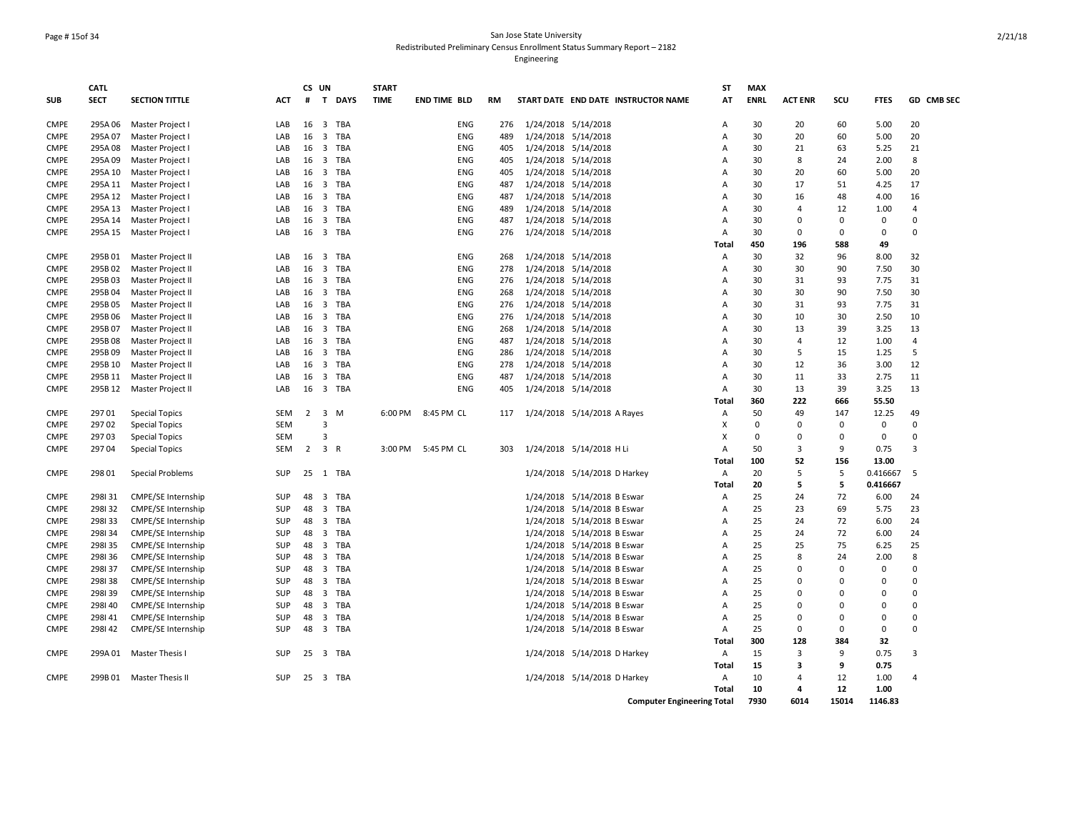## Page # 15of 34 San Jose State University Redistributed Preliminary Census Enrollment Status Summary Report – 2182

|             | CATL        |                           |            |                | CS UN                            |            | <b>START</b> |                     |           |                                     | <b>ST</b>      | <b>MAX</b>  |                |              |                   |                |
|-------------|-------------|---------------------------|------------|----------------|----------------------------------|------------|--------------|---------------------|-----------|-------------------------------------|----------------|-------------|----------------|--------------|-------------------|----------------|
| <b>SUB</b>  | <b>SECT</b> | <b>SECTION TITTLE</b>     | <b>ACT</b> | #              |                                  | T DAYS     | <b>TIME</b>  | <b>END TIME BLD</b> | <b>RM</b> | START DATE END DATE INSTRUCTOR NAME | AT             | <b>ENRL</b> | <b>ACT ENR</b> | SCU          | <b>FTES</b>       | GD CMB SEC     |
| <b>CMPE</b> | 295A06      | Master Project I          | LAB        | 16             |                                  | 3 TBA      |              | <b>ENG</b>          | 276       | 1/24/2018 5/14/2018                 | A              | 30          | 20             | 60           | 5.00              | 20             |
| <b>CMPE</b> | 295A07      | Master Project I          | LAB        | 16             |                                  | 3 TBA      |              | <b>ENG</b>          | 489       | 1/24/2018 5/14/2018                 | $\overline{A}$ | 30          | 20             | 60           | 5.00              | 20             |
| <b>CMPE</b> | 295A08      | Master Project I          | LAB        | 16             |                                  | 3 TBA      |              | <b>ENG</b>          | 405       | 1/24/2018 5/14/2018                 | $\overline{A}$ | 30          | 21             | 63           | 5.25              | 21             |
| <b>CMPE</b> | 295A 09     | Master Project I          | LAB        | 16             |                                  | 3 TBA      |              | ENG                 | 405       | 1/24/2018 5/14/2018                 | $\overline{A}$ | 30          | 8              | 24           | 2.00              | 8              |
| <b>CMPE</b> | 295A 10     | Master Project I          | LAB        | 16             | $\overline{\mathbf{3}}$          | TBA        |              | <b>ENG</b>          | 405       | 1/24/2018 5/14/2018                 | Α              | 30          | 20             | 60           | 5.00              | 20             |
| <b>CMPE</b> | 295A 11     | Master Project I          | LAB        | 16             | $\overline{\mathbf{3}}$          | TBA        |              | ENG                 | 487       | 1/24/2018 5/14/2018                 | $\overline{A}$ | 30          | 17             | 51           | 4.25              | 17             |
| <b>CMPE</b> | 295A 12     | Master Project I          | LAB        | 16             | $\overline{\mathbf{3}}$          | TBA        |              | <b>ENG</b>          | 487       | 1/24/2018 5/14/2018                 | $\overline{A}$ | 30          | 16             | 48           | 4.00              | 16             |
| <b>CMPE</b> | 295A 13     | Master Project I          | LAB        | 16             |                                  | 3 TBA      |              | <b>ENG</b>          | 489       | 1/24/2018 5/14/2018                 | $\overline{A}$ | 30          | $\overline{4}$ | 12           | 1.00              | $\overline{4}$ |
| <b>CMPE</b> | 295A 14     | Master Project I          | LAB        | 16             |                                  | 3 TBA      |              | <b>ENG</b>          | 487       | 1/24/2018 5/14/2018                 | $\overline{A}$ | 30          | $\Omega$       | $\mathbf{0}$ | $\mathbf 0$       | $\mathbf{0}$   |
| <b>CMPE</b> | 295A 15     | Master Project I          | LAB        | 16             |                                  | 3 TBA      |              | ENG                 | 276       | 1/24/2018 5/14/2018                 | $\overline{A}$ | 30          | 0              | $\mathbf{0}$ | $\mathbf 0$       | $\mathbf 0$    |
|             |             |                           |            |                |                                  |            |              |                     |           |                                     | Total          | 450         | 196            | 588          | 49                |                |
| <b>CMPE</b> | 295B01      | Master Project II         | LAB        | 16             | 3                                | TBA        |              | ENG                 | 268       | 1/24/2018 5/14/2018                 | Α              | 30          | 32             | 96           | 8.00              | 32             |
| <b>CMPE</b> | 295B02      | Master Project II         | LAB        | 16             | $\overline{3}$                   | <b>TBA</b> |              | ENG                 | 278       | 1/24/2018 5/14/2018                 | Α              | 30          | 30             | 90           | 7.50              | 30             |
| <b>CMPE</b> | 295B03      | Master Project II         | LAB        | 16             | $\overline{\mathbf{3}}$          | TBA        |              | <b>ENG</b>          | 276       | 1/24/2018 5/14/2018                 | Α              | 30          | 31             | 93           | 7.75              | 31             |
| <b>CMPE</b> | 295B04      | Master Project II         | LAB        | 16             | $\overline{\mathbf{3}}$          | TBA        |              | <b>ENG</b>          | 268       | 1/24/2018 5/14/2018                 | $\overline{A}$ | 30          | 30             | 90           | 7.50              | 30             |
| <b>CMPE</b> | 295B05      | Master Project II         | LAB        | 16             |                                  | 3 TBA      |              | ENG                 | 276       | 1/24/2018 5/14/2018                 | Α              | 30          | 31             | 93           | 7.75              | 31             |
| <b>CMPE</b> | 295B06      | Master Project II         | LAB        | 16             |                                  | 3 TBA      |              | <b>ENG</b>          | 276       | 1/24/2018 5/14/2018                 | $\overline{A}$ | 30          | 10             | 30           | 2.50              | 10             |
| <b>CMPE</b> | 295B07      | Master Project II         | LAB        | 16             |                                  | 3 TBA      |              | <b>ENG</b>          | 268       | 1/24/2018 5/14/2018                 | $\overline{A}$ | 30          | 13             | 39           | 3.25              | 13             |
| <b>CMPE</b> | 295B08      | Master Project II         | LAB        | 16             |                                  | 3 TBA      |              | <b>ENG</b>          | 487       | 1/24/2018 5/14/2018                 | $\overline{A}$ | 30          | $\overline{4}$ | 12           | 1.00              | $\overline{4}$ |
| <b>CMPE</b> | 295B09      | Master Project II         | LAB        | 16             |                                  | 3 TBA      |              | ENG                 | 286       | 1/24/2018 5/14/2018                 | A              | 30          | 5              | 15           | 1.25              | 5              |
| <b>CMPE</b> | 295B 10     | Master Project II         | LAB        | 16             | $\overline{\mathbf{3}}$          | TBA        |              | <b>ENG</b>          | 278       | 1/24/2018 5/14/2018                 | $\overline{A}$ | 30          | 12             | 36           | 3.00              | 12             |
| <b>CMPE</b> | 295B 11     | Master Project II         | LAB        | 16             | $\overline{\mathbf{3}}$          | TBA        |              | ENG                 | 487       | 1/24/2018 5/14/2018                 | $\overline{A}$ | 30          | 11             | 33           | 2.75              | 11             |
| <b>CMPE</b> | 295B 12     | Master Project II         | LAB        | 16             |                                  | 3 TBA      |              | ENG                 | 405       | 1/24/2018 5/14/2018                 | $\overline{A}$ | 30          | 13             | 39           | 3.25              | 13             |
|             |             |                           |            |                |                                  |            |              |                     |           |                                     | Total          | 360         | 222            | 666          | 55.50             |                |
| <b>CMPE</b> | 29701       | <b>Special Topics</b>     | <b>SEM</b> | 2              | $\overline{\mathbf{3}}$          | M          | 6:00 PM      | 8:45 PM CL          | 117       | 1/24/2018 5/14/2018 A Rayes         | Α              | 50          | 49             | 147          | 12.25             | 49             |
| <b>CMPE</b> | 29702       | <b>Special Topics</b>     | <b>SEM</b> |                | $\overline{3}$<br>$\overline{3}$ |            |              |                     |           |                                     | X              | 0           | $\Omega$       | 0            | $\mathbf 0$       | 0              |
| <b>CMPE</b> | 29703       | <b>Special Topics</b>     | <b>SEM</b> |                |                                  |            |              |                     |           |                                     | X              | 0           | $\mathbf 0$    | 0            | $\mathbf 0$       | 0              |
| <b>CMPE</b> | 297 04      | <b>Special Topics</b>     | SEM        | $\overline{2}$ | 3 R                              |            | 3:00 PM      | 5:45 PM CL          | 303       | 1/24/2018 5/14/2018 H Li            | $\overline{A}$ | 50<br>100   | 3<br>52        | 9            | 0.75              | $\overline{3}$ |
| <b>CMPE</b> | 298 01      |                           | <b>SUP</b> | 25             | 1                                | TBA        |              |                     |           |                                     | Total<br>Α     | 20          | 5              | 156<br>5     | 13.00<br>0.416667 | 5              |
|             |             | <b>Special Problems</b>   |            |                |                                  |            |              |                     |           | 1/24/2018 5/14/2018 D Harkey        | Total          | 20          | 5              | 5            | 0.416667          |                |
| <b>CMPE</b> | 298131      | CMPE/SE Internship        | <b>SUP</b> | 48             | $\overline{\mathbf{3}}$          | TBA        |              |                     |           | 1/24/2018 5/14/2018 B Eswar         | Α              | 25          | 24             | 72           | 6.00              | 24             |
| <b>CMPE</b> | 298132      | CMPE/SE Internship        | SUP        | 48             |                                  | 3 TBA      |              |                     |           | 1/24/2018 5/14/2018 B Eswar         | $\overline{A}$ | 25          | 23             | 69           | 5.75              | 23             |
| <b>CMPE</b> | 298133      | CMPE/SE Internship        | <b>SUP</b> | 48             |                                  | 3 TBA      |              |                     |           | 1/24/2018 5/14/2018 B Eswar         | $\overline{A}$ | 25          | 24             | 72           | 6.00              | 24             |
| <b>CMPE</b> | 298134      | CMPE/SE Internship        | <b>SUP</b> | 48             |                                  | 3 TBA      |              |                     |           | 1/24/2018 5/14/2018 B Eswar         | $\overline{A}$ | 25          | 24             | 72           | 6.00              | 24             |
| <b>CMPE</b> | 298135      | CMPE/SE Internship        | SUP        | 48             |                                  | 3 TBA      |              |                     |           | 1/24/2018 5/14/2018 B Eswar         | $\overline{A}$ | 25          | 25             | 75           | 6.25              | 25             |
| <b>CMPE</b> | 298136      | CMPE/SE Internship        | <b>SUP</b> | 48             | $\overline{\mathbf{3}}$          | TBA        |              |                     |           | 1/24/2018 5/14/2018 B Eswar         | $\overline{A}$ | 25          | 8              | 24           | 2.00              | 8              |
| <b>CMPE</b> | 298137      | CMPE/SE Internship        | SUP        | 48             | $\overline{\mathbf{3}}$          | TBA        |              |                     |           | 1/24/2018 5/14/2018 B Eswar         | A              | 25          | $\Omega$       | 0            | $\mathbf 0$       | 0              |
| <b>CMPE</b> | 298138      | CMPE/SE Internship        | SUP        | 48             | $\overline{\mathbf{3}}$          | TBA        |              |                     |           | 1/24/2018 5/14/2018 B Eswar         | $\overline{A}$ | 25          | 0              | $\Omega$     | $\mathbf 0$       | $\mathbf 0$    |
| <b>CMPE</b> | 298139      | CMPE/SE Internship        | <b>SUP</b> | 48             |                                  | 3 TBA      |              |                     |           | 1/24/2018 5/14/2018 B Eswar         | $\overline{A}$ | 25          | $\Omega$       | $\Omega$     | $\Omega$          | $\mathbf{0}$   |
| <b>CMPE</b> | 298140      | CMPE/SE Internship        | <b>SUP</b> | 48             |                                  | 3 TBA      |              |                     |           | 1/24/2018 5/14/2018 B Eswar         | $\overline{A}$ | 25          | $\Omega$       | $\Omega$     | $\mathbf 0$       | $\Omega$       |
| <b>CMPE</b> | 298141      | CMPE/SE Internship        | SUP        | 48             |                                  | 3 TBA      |              |                     |           | 1/24/2018 5/14/2018 B Eswar         | $\overline{A}$ | 25          | $\Omega$       | $\Omega$     | $\mathbf 0$       | $\mathbf 0$    |
| <b>CMPE</b> | 298142      | <b>CMPE/SE Internship</b> | <b>SUP</b> | 48             |                                  | 3 TBA      |              |                     |           | 1/24/2018 5/14/2018 B Eswar         | A              | 25          | 0              | $\mathbf{0}$ | $\mathbf 0$       | $\mathbf{0}$   |
|             |             |                           |            |                |                                  |            |              |                     |           |                                     | Total          | 300         | 128            | 384          | 32                |                |
| <b>CMPE</b> |             | 299A 01 Master Thesis I   | <b>SUP</b> | 25             |                                  | 3 TBA      |              |                     |           | 1/24/2018 5/14/2018 D Harkey        | Α              | 15          | 3              | 9            | 0.75              | 3              |
|             |             |                           |            |                |                                  |            |              |                     |           |                                     | Total          | 15          | 3              | 9            | 0.75              |                |
| <b>CMPE</b> | 299B 01     | Master Thesis II          | <b>SUP</b> | 25             |                                  | 3 TBA      |              |                     |           | 1/24/2018 5/14/2018 D Harkey        | Α              | 10          | $\overline{4}$ | 12           | 1.00              | $\overline{4}$ |
|             |             |                           |            |                |                                  |            |              |                     |           |                                     | Total          | 10          | 4              | 12           | 1.00              |                |
|             |             |                           |            |                |                                  |            |              |                     |           | <b>Computer Engineering Total</b>   |                | 7930        | 6014           | 15014        | 1146.83           |                |
|             |             |                           |            |                |                                  |            |              |                     |           |                                     |                |             |                |              |                   |                |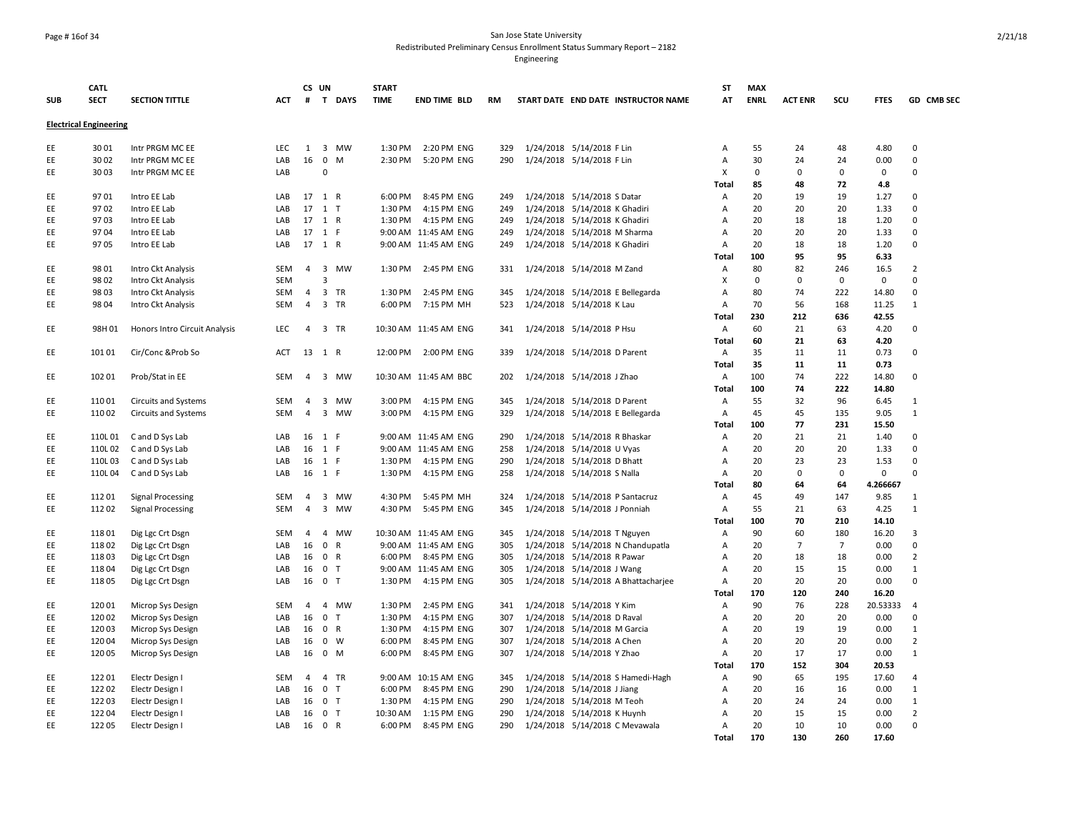### Page # 16of 34 San Jose State University Redistributed Preliminary Census Enrollment Status Summary Report – 2182

|            | <b>CATL</b>                   |                               |            | CS UN          |                  | <b>START</b> |                       |           |                               |                                     | <b>ST</b>      | <b>MAX</b>  |                |                |             |                |
|------------|-------------------------------|-------------------------------|------------|----------------|------------------|--------------|-----------------------|-----------|-------------------------------|-------------------------------------|----------------|-------------|----------------|----------------|-------------|----------------|
| <b>SUB</b> | <b>SECT</b>                   | <b>SECTION TITTLE</b>         | <b>ACT</b> |                | # T DAYS         | <b>TIME</b>  | <b>END TIME BLD</b>   | <b>RM</b> |                               | START DATE END DATE INSTRUCTOR NAME | AT             | <b>ENRL</b> | <b>ACT ENR</b> | scu            | <b>FTES</b> | GD CMB SEC     |
|            | <b>Electrical Engineering</b> |                               |            |                |                  |              |                       |           |                               |                                     |                |             |                |                |             |                |
| EE         | 3001                          | Intr PRGM MC EE               | <b>LEC</b> | $\mathbf{1}$   | 3 MW             | 1:30 PM      | 2:20 PM ENG           | 329       | 1/24/2018 5/14/2018 F Lin     |                                     | Α              | 55          | 24             | 48             | 4.80        | $\Omega$       |
| EE         | 3002                          | Intr PRGM MC EE               | LAB        | 16             | $\mathbf 0$<br>M | 2:30 PM      | 5:20 PM ENG           | 290       | 1/24/2018 5/14/2018 F Lin     |                                     | $\overline{A}$ | 30          | 24             | 24             | 0.00        | $\Omega$       |
| EE         | 3003                          | Intr PRGM MC EE               | LAB        |                | $\mathbf 0$      |              |                       |           |                               |                                     | X              | $\mathbf 0$ | 0              | $\mathbf 0$    | $\mathbf 0$ | $\Omega$       |
|            |                               |                               |            |                |                  |              |                       |           |                               |                                     | Total          | 85          | 48             | 72             | 4.8         |                |
| EE         | 9701                          | Intro EE Lab                  | LAB        | 17             | 1 R              | 6:00 PM      | 8:45 PM ENG           | 249       | 1/24/2018 5/14/2018 S Datar   |                                     | A              | 20          | 19             | 19             | 1.27        | $\Omega$       |
| EE         | 9702                          | Intro EE Lab                  | LAB        | 17             | $1$ T            | 1:30 PM      | 4:15 PM ENG           | 249       | 1/24/2018 5/14/2018 K Ghadiri |                                     | $\overline{A}$ | 20          | 20             | 20             | 1.33        | $\Omega$       |
| EE         | 9703                          | Intro EE Lab                  | LAB        | 17             | 1 R              | 1:30 PM      | 4:15 PM ENG           | 249       | 1/24/2018 5/14/2018 K Ghadiri |                                     | $\overline{A}$ | 20          | 18             | 18             | 1.20        | $\Omega$       |
| EE         | 9704                          | Intro EE Lab                  | LAB        |                | 17 1 F           |              | 9:00 AM 11:45 AM ENG  | 249       | 1/24/2018 5/14/2018 M Sharma  |                                     | A              | 20          | 20             | 20             | 1.33        | $\Omega$       |
| EE         | 9705                          | Intro EE Lab                  | LAB        | 17             | 1 R              |              | 9:00 AM 11:45 AM ENG  | 249       | 1/24/2018 5/14/2018 K Ghadiri |                                     | $\overline{A}$ | 20          | 18             | 18             | 1.20        | $\Omega$       |
|            |                               |                               |            |                |                  |              |                       |           |                               |                                     | Total          | 100         | 95             | 95             | 6.33        |                |
| EE         | 9801                          | Intro Ckt Analysis            | <b>SEM</b> | $\overline{4}$ | 3 MW             | 1:30 PM      | 2:45 PM ENG           | 331       | 1/24/2018 5/14/2018 M Zand    |                                     | Α              | 80          | 82             | 246            | 16.5        | $\overline{2}$ |
| EE         | 9802                          | Intro Ckt Analysis            | <b>SEM</b> |                | 3                |              |                       |           |                               |                                     | X              | $\mathbf 0$ | $\Omega$       | $\mathbf 0$    | $\mathbf 0$ | $\Omega$       |
| EE         | 9803                          | Intro Ckt Analysis            | <b>SEM</b> | 4              | 3 TR             | 1:30 PM      | 2:45 PM ENG           | 345       |                               | 1/24/2018 5/14/2018 E Bellegarda    | $\overline{A}$ | 80          | 74             | 222            | 14.80       | $\Omega$       |
| EE         | 9804                          | Intro Ckt Analysis            | <b>SEM</b> | $\overline{4}$ | 3 TR             |              | 6:00 PM 7:15 PM MH    | 523       | 1/24/2018 5/14/2018 K Lau     |                                     | $\overline{A}$ | 70          | 56             | 168            | 11.25       | $\mathbf{1}$   |
|            |                               |                               |            |                |                  |              |                       |           |                               |                                     | Total          | 230         | 212            | 636            | 42.55       |                |
| EE         | 98H 01                        | Honors Intro Circuit Analysis | <b>LEC</b> | 4              | 3 TR             |              | 10:30 AM 11:45 AM ENG | 341       | 1/24/2018 5/14/2018 P Hsu     |                                     | $\overline{A}$ | 60          | 21             | 63             | 4.20        | $\Omega$       |
|            |                               |                               |            |                |                  |              |                       |           |                               |                                     | Total          | 60          | 21             | 63             | 4.20        |                |
| EE         | 101 01                        | Cir/Conc & Prob So            | ACT        | 13             | 1 R              | 12:00 PM     | 2:00 PM ENG           | 339       | 1/24/2018 5/14/2018 D Parent  |                                     | Α              | 35          | 11             | 11             | 0.73        | $\mathbf 0$    |
|            |                               |                               |            |                |                  |              |                       |           |                               |                                     | <b>Total</b>   | 35          | 11             | 11             | 0.73        |                |
| EE         | 102 01                        | Prob/Stat in EE               | SEM        | $\overline{4}$ | 3 MW             |              | 10:30 AM 11:45 AM BBC | 202       | 1/24/2018 5/14/2018 J Zhao    |                                     | Α              | 100         | 74             | 222            | 14.80       | $\mathbf 0$    |
|            |                               |                               |            |                |                  |              |                       |           |                               |                                     | Total          | 100         | 74             | 222            | 14.80       |                |
| EE         | 110 01                        | <b>Circuits and Systems</b>   | SEM        | 4              | 3 MW             | 3:00 PM      | 4:15 PM ENG           | 345       | 1/24/2018 5/14/2018 D Parent  |                                     | A              | 55          | 32             | 96             | 6.45        | 1              |
| EE         | 110 02                        | <b>Circuits and Systems</b>   | <b>SEM</b> | $\overline{4}$ | 3 MW             | 3:00 PM      | 4:15 PM ENG           | 329       |                               | 1/24/2018 5/14/2018 E Bellegarda    | $\overline{A}$ | 45          | 45             | 135            | 9.05        | 1              |
|            |                               |                               |            |                |                  |              |                       |           |                               |                                     | Total          | 100         | 77             | 231            | 15.50       |                |
| EE         | 110L 01                       | C and D Sys Lab               | LAB        | 16             | 1 F              |              | 9:00 AM 11:45 AM ENG  | 290       | 1/24/2018 5/14/2018 R Bhaskar |                                     | Α              | 20          | 21             | 21             | 1.40        | $\mathbf 0$    |
| EE         | 110L02                        | C and D Sys Lab               | LAB        | 16             | 1 F              |              | 9:00 AM 11:45 AM ENG  | 258       | 1/24/2018 5/14/2018 U Vyas    |                                     | A              | 20          | 20             | 20             | 1.33        | $\mathbf 0$    |
| EE         | 110L03                        | C and D Sys Lab               | LAB        | 16             | 1 F              | 1:30 PM      | 4:15 PM ENG           | 290       | 1/24/2018 5/14/2018 D Bhatt   |                                     | Α              | 20          | 23             | 23             | 1.53        | $\mathbf 0$    |
| EE         | 110L04                        | C and D Sys Lab               | LAB        |                | 16 1 F           | 1:30 PM      | 4:15 PM ENG           | 258       | 1/24/2018 5/14/2018 S Nalla   |                                     | $\overline{A}$ | 20          | $\Omega$       | $\mathbf 0$    | $\mathbf 0$ | $\Omega$       |
|            |                               |                               |            |                |                  |              |                       |           |                               |                                     | Total          | 80          | 64             | 64             | 4.266667    |                |
| EE         | 112 01                        | <b>Signal Processing</b>      | SEM        | 4              | 3 MW             | 4:30 PM      | 5:45 PM MH            | 324       |                               | 1/24/2018 5/14/2018 P Santacruz     | Α              | 45          | 49             | 147            | 9.85        | $\mathbf{1}$   |
| EE         | 11202                         | <b>Signal Processing</b>      | SEM        | $\overline{4}$ | 3 MW             | 4:30 PM      | 5:45 PM ENG           | 345       | 1/24/2018 5/14/2018 J Ponniah |                                     | Α              | 55          | 21             | 63             | 4.25        | $\mathbf{1}$   |
|            |                               |                               |            |                |                  |              |                       |           |                               |                                     | Total          | 100         | 70             | 210            | 14.10       |                |
| EE         | 11801                         | Dig Lgc Crt Dsgn              | <b>SEM</b> | 4              | 4 MW             |              | 10:30 AM 11:45 AM ENG | 345       | 1/24/2018 5/14/2018 T Nguyen  |                                     | Α              | 90          | 60             | 180            | 16.20       | 3              |
| EE         | 11802                         | Dig Lgc Crt Dsgn              | LAB        | 16             | $\mathbf 0$<br>R |              | 9:00 AM 11:45 AM ENG  | 305       |                               | 1/24/2018 5/14/2018 N Chandupatla   | A              | 20          | $\overline{7}$ | $\overline{7}$ | 0.00        | $\mathbf 0$    |
| EE         | 11803                         | Dig Lgc Crt Dsgn              | LAB        | 16             | 0 R              | 6:00 PM      | 8:45 PM ENG           | 305       | 1/24/2018 5/14/2018 R Pawar   |                                     | Α              | 20          | 18             | 18             | 0.00        | $\overline{2}$ |
| EE         | 11804                         | Dig Lgc Crt Dsgn              | LAB        | 16             | $\mathbf 0$<br>T |              | 9:00 AM 11:45 AM ENG  | 305       | 1/24/2018 5/14/2018 J Wang    |                                     | A              | 20          | 15             | 15             | 0.00        | $\mathbf{1}$   |
| EE         | 11805                         | Dig Lgc Crt Dsgn              | LAB        | 16             | $\mathbf 0$<br>T | 1:30 PM      | 4:15 PM ENG           | 305       |                               | 1/24/2018 5/14/2018 A Bhattacharjee | A              | 20          | 20             | 20             | 0.00        | $\Omega$       |
|            |                               |                               |            |                |                  |              |                       |           |                               |                                     | <b>Total</b>   | 170         | 120            | 240            | 16.20       |                |
| EE         | 120 01                        | Microp Sys Design             | SEM        | 4              | 4 MW             | 1:30 PM      | 2:45 PM ENG           | 341       | 1/24/2018 5/14/2018 Y Kim     |                                     | Α              | 90          | 76             | 228            | 20.53333    | $\overline{4}$ |
| EE         | 120 02                        | Microp Sys Design             | LAB        | 16             | $\mathbf 0$<br>T | 1:30 PM      | 4:15 PM ENG           | 307       | 1/24/2018 5/14/2018 D Raval   |                                     | A              | 20          | 20             | 20             | 0.00        | $\Omega$       |
| EE         | 120 03                        | Microp Sys Design             | LAB        | 16             | 0 R              | 1:30 PM      | 4:15 PM ENG           | 307       | 1/24/2018 5/14/2018 M Garcia  |                                     | $\overline{A}$ | 20          | 19             | 19             | 0.00        | $\mathbf{1}$   |
| EE         | 120 04                        | Microp Sys Design             | LAB        | 16             | $0 \quad W$      | 6:00 PM      | 8:45 PM ENG           | 307       | 1/24/2018 5/14/2018 A Chen    |                                     | $\overline{A}$ | 20          | 20             | 20             | 0.00        | $\overline{2}$ |
| EE         | 120 05                        | Microp Sys Design             | LAB        | 16             | $0 \quad M$      | 6:00 PM      | 8:45 PM ENG           | 307       | 1/24/2018 5/14/2018 Y Zhao    |                                     | $\overline{A}$ | 20          | 17             | 17             | 0.00        | $\mathbf{1}$   |
|            |                               |                               |            |                |                  |              |                       |           |                               |                                     | <b>Total</b>   | 170         | 152            | 304            | 20.53       |                |
| EE         | 122 01                        | Electr Design I               | SEM        | $\overline{4}$ | 4 TR             |              | 9:00 AM 10:15 AM ENG  | 345       |                               | 1/24/2018 5/14/2018 S Hamedi-Hagh   | Α              | 90          | 65             | 195            | 17.60       | $\overline{4}$ |
| EE         | 122 02                        | Electr Design I               | LAB        | 16             | 0 <sub>T</sub>   | 6:00 PM      | 8:45 PM ENG           | 290       | 1/24/2018 5/14/2018 J Jiang   |                                     | Α              | 20          | 16             | 16             | 0.00        | 1              |
| EE         | 122 03                        | Electr Design I               | LAB        | 16             | 0 <sub>T</sub>   | 1:30 PM      | 4:15 PM ENG           | 290       | 1/24/2018 5/14/2018 M Teoh    |                                     | Α              | 20          | 24             | 24             | 0.00        | $\mathbf{1}$   |
| EE         | 122 04                        | Electr Design I               | LAB        | 16             | 0 <sub>T</sub>   | 10:30 AM     | 1:15 PM ENG           | 290       | 1/24/2018 5/14/2018 K Huynh   |                                     | $\overline{A}$ | 20          | 15             | 15             | 0.00        | $\overline{2}$ |
| EE         | 12205                         | Electr Design I               | LAB        | 16             | 0 R              | 6:00 PM      | 8:45 PM ENG           | 290       |                               | 1/24/2018 5/14/2018 C Mevawala      | $\overline{A}$ | 20          | 10             | 10             | 0.00        | $\Omega$       |
|            |                               |                               |            |                |                  |              |                       |           |                               |                                     | <b>Total</b>   | 170         | 130            | 260            | 17.60       |                |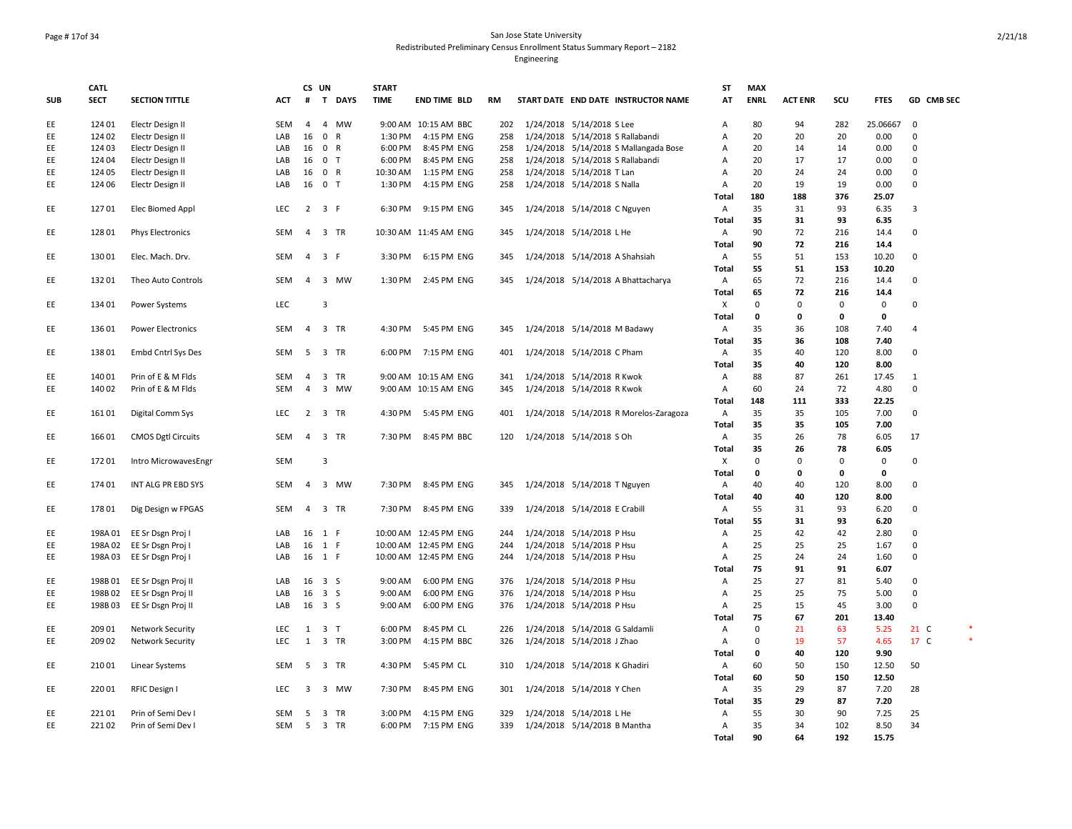## Page # 17of 34 San Jose State University Redistributed Preliminary Census Enrollment Status Summary Report – 2182

|            | <b>CATL</b> |                           |            |                | CS UN          |        | <b>START</b> |                       |     |                                        | ST             | <b>MAX</b>  |                |             |              |                |
|------------|-------------|---------------------------|------------|----------------|----------------|--------|--------------|-----------------------|-----|----------------------------------------|----------------|-------------|----------------|-------------|--------------|----------------|
| <b>SUB</b> | <b>SECT</b> | <b>SECTION TITTLE</b>     | ACT        | #              |                | T DAYS | <b>TIME</b>  | <b>END TIME BLD</b>   | RM  | START DATE END DATE INSTRUCTOR NAME    | AT             | <b>ENRL</b> | <b>ACT ENR</b> | SCU         | <b>FTES</b>  | GD CMB SEC     |
| EE         | 124 01      | Electr Design II          | SEM        | 4              |                | 4 MW   |              | 9:00 AM 10:15 AM BBC  | 202 | 1/24/2018 5/14/2018 S Lee              | A              | 80          | 94             | 282         | 25.06667     | $\mathbf 0$    |
| EE         | 124 02      | Electr Design II          | LAB        | 16             | 0 R            |        | 1:30 PM      | 4:15 PM ENG           | 258 | 1/24/2018 5/14/2018 S Rallabandi       | Α              | 20          | 20             | 20          | 0.00         | $\mathbf 0$    |
| EE         | 124 03      | Electr Design II          | LAB        | 16             | 0 R            |        | 6:00 PM      | 8:45 PM ENG           | 258 | 1/24/2018 5/14/2018 S Mallangada Bose  | А              | 20          | 14             | 14          | 0.00         | $\mathbf 0$    |
| EE         | 124 04      | Electr Design II          | LAB        | 16 0 T         |                |        | 6:00 PM      | 8:45 PM ENG           | 258 | 1/24/2018 5/14/2018 S Rallabandi       | Α              | 20          | 17             | 17          | 0.00         | $\Omega$       |
| EE         | 124 05      | Electr Design II          | LAB        | 16             | 0 R            |        | 10:30 AM     | 1:15 PM ENG           | 258 | 1/24/2018 5/14/2018 T Lan              | Α              | 20          | 24             | 24          | 0.00         | $\mathbf 0$    |
| EE         | 124 06      | Electr Design II          | LAB        |                | 16 0 T         |        | 1:30 PM      | 4:15 PM ENG           | 258 | 1/24/2018 5/14/2018 S Nalla            | Α              | 20          | 19             | 19          | 0.00         | $\mathbf{0}$   |
|            |             |                           |            |                |                |        |              |                       |     |                                        | Total          | 180         | 188            | 376         | 25.07        |                |
| EE         | 12701       | Elec Biomed Appl          | LEC        | $\overline{2}$ | 3 F            |        | 6:30 PM      | 9:15 PM ENG           | 345 | 1/24/2018 5/14/2018 C Nguyen           | Α              | 35          | 31             | 93          | 6.35         | 3              |
|            |             |                           |            |                |                |        |              |                       |     |                                        | Total          | 35          | 31             | 93          | 6.35         |                |
| EE         | 128 01      | <b>Phys Electronics</b>   | SEM        | 4              |                | 3 TR   |              | 10:30 AM 11:45 AM ENG | 345 | 1/24/2018 5/14/2018 L He               | Α              | 90          | 72             | 216         | 14.4         | $\mathbf 0$    |
|            |             |                           |            |                |                |        |              |                       |     |                                        | <b>Total</b>   | 90          | 72             | 216         | 14.4         |                |
| EE         | 13001       | Elec. Mach. Drv.          | SEM        | $\overline{4}$ | 3 F            |        |              | 3:30 PM 6:15 PM ENG   | 345 | 1/24/2018 5/14/2018 A Shahsiah         | Α              | 55          | 51             | 153         | 10.20        | $\mathbf 0$    |
|            |             |                           |            |                |                |        |              |                       |     |                                        | Total          | 55          | 51             | 153         | 10.20        |                |
| EE         | 13201       | Theo Auto Controls        | SEM        |                |                | 4 3 MW |              | 1:30 PM 2:45 PM ENG   | 345 | 1/24/2018 5/14/2018 A Bhattacharya     | Α              | 65          | 72             | 216         | 14.4         | 0              |
|            |             |                           |            |                |                |        |              |                       |     |                                        | Total          | 65          | 72             | 216         | 14.4         |                |
| EE         | 134 01      | Power Systems             | <b>LEC</b> |                | 3              |        |              |                       |     |                                        | X              | $\mathbf 0$ | $\mathbf 0$    | $\mathbf 0$ | $\mathbf{0}$ | $\mathbf 0$    |
|            |             |                           |            |                |                |        |              |                       |     |                                        | <b>Total</b>   | 0           | $\mathbf 0$    | 0           | $\mathbf 0$  |                |
| EE         | 13601       | <b>Power Electronics</b>  | SEM        | $\overline{4}$ |                | 3 TR   |              | 4:30 PM 5:45 PM ENG   | 345 | 1/24/2018 5/14/2018 M Badawy           | Α              | 35<br>35    | 36<br>36       | 108         | 7.40         | $\overline{4}$ |
| EE         | 13801       |                           | SEM        |                | 5 3 TR         |        |              | 6:00 PM 7:15 PM ENG   | 401 |                                        | Total          | 35          | 40             | 108<br>120  | 7.40<br>8.00 | 0              |
|            |             | Embd Cntrl Sys Des        |            |                |                |        |              |                       |     | 1/24/2018 5/14/2018 C Pham             | Α              | 35          | 40             | 120         | 8.00         |                |
| EE         | 140 01      | Prin of E & M Flds        | SEM        | 4              |                | 3 TR   |              | 9:00 AM 10:15 AM ENG  | 341 | 1/24/2018 5/14/2018 R Kwok             | Total<br>Α     | 88          | 87             | 261         | 17.45        | 1              |
| EE         | 140 02      | Prin of E & M Flds        | SEM        | $\overline{4}$ |                | 3 MW   |              | 9:00 AM 10:15 AM ENG  | 345 | 1/24/2018 5/14/2018 R Kwok             | Α              | 60          | 24             | 72          | 4.80         | $\mathbf 0$    |
|            |             |                           |            |                |                |        |              |                       |     |                                        | Total          | 148         | 111            | 333         | 22.25        |                |
| EE         | 161 01      | Digital Comm Sys          | LEC        |                | 2 3 TR         |        |              | 4:30 PM 5:45 PM ENG   | 401 | 1/24/2018 5/14/2018 R Morelos-Zaragoza | Α              | 35          | 35             | 105         | 7.00         | 0              |
|            |             |                           |            |                |                |        |              |                       |     |                                        | Total          | 35          | 35             | 105         | 7.00         |                |
| EE         | 16601       | <b>CMOS Dgtl Circuits</b> | SEM        | $\overline{4}$ | 3 TR           |        | 7:30 PM      | 8:45 PM BBC           | 120 | 1/24/2018 5/14/2018 S Oh               | Α              | 35          | 26             | 78          | 6.05         | 17             |
|            |             |                           |            |                |                |        |              |                       |     |                                        | Total          | 35          | 26             | 78          | 6.05         |                |
| EE         | 17201       | Intro MicrowavesEngr      | <b>SEM</b> |                | 3              |        |              |                       |     |                                        | X              | $\mathbf 0$ | $\Omega$       | $\mathbf 0$ | $\mathbf 0$  | $\mathsf 0$    |
|            |             |                           |            |                |                |        |              |                       |     |                                        | <b>Total</b>   | $\mathbf 0$ | $\mathbf 0$    | 0           | $\mathbf 0$  |                |
| EE         | 174 01      | INT ALG PR EBD SYS        | SEM        | $\overline{4}$ |                | 3 MW   |              | 7:30 PM 8:45 PM ENG   | 345 | 1/24/2018 5/14/2018 T Nguyen           | $\overline{A}$ | 40          | 40             | 120         | 8.00         | $\mathbf 0$    |
|            |             |                           |            |                |                |        |              |                       |     |                                        | Total          | 40          | 40             | 120         | 8.00         |                |
| EE         | 17801       | Dig Design w FPGAS        | SEM        | 4              |                | 3 TR   | 7:30 PM      | 8:45 PM ENG           | 339 | 1/24/2018 5/14/2018 E Crabill          | Α              | 55          | 31             | 93          | 6.20         | 0              |
|            |             |                           |            |                |                |        |              |                       |     |                                        | Total          | 55          | 31             | 93          | 6.20         |                |
| EE         | 198A 01     | EE Sr Dsgn Proj I         | LAB        | 16 1 F         |                |        |              | 10:00 AM 12:45 PM ENG | 244 | 1/24/2018 5/14/2018 P Hsu              | Α              | 25          | 42             | 42          | 2.80         | $\mathbf 0$    |
| EE         | 198A 02     | EE Sr Dsgn Proj I         | LAB        | 16             | 1 F            |        |              | 10:00 AM 12:45 PM ENG | 244 | 1/24/2018 5/14/2018 P Hsu              | Α              | 25          | 25             | 25          | 1.67         | $\mathbf 0$    |
| EE         | 198A03      | EE Sr Dsgn Proj I         | LAB        | 16 1 F         |                |        |              | 10:00 AM 12:45 PM ENG | 244 | 1/24/2018 5/14/2018 P Hsu              | Α              | 25          | 24             | 24          | 1.60         | $\mathsf 0$    |
|            |             |                           |            |                |                |        |              |                       |     |                                        | Total          | 75          | 91             | 91          | 6.07         |                |
| EE         | 198B01      | EE Sr Dsgn Proj II        | LAB        | 16 3 S         |                |        | 9:00 AM      | 6:00 PM ENG           | 376 | 1/24/2018 5/14/2018 P Hsu              | Α              | 25          | 27             | 81          | 5.40         | $\mathbf 0$    |
| EE         | 198B 02     | EE Sr Dsgn Proj II        | LAB        |                | 16 3 S         |        | 9:00 AM      | 6:00 PM ENG           | 376 | 1/24/2018 5/14/2018 P Hsu              | Α              | 25          | 25             | 75          | 5.00         | $\mathsf 0$    |
| EE         | 198B03      | EE Sr Dsgn Proj II        | LAB        | 16 3 S         |                |        | 9:00 AM      | 6:00 PM ENG           | 376 | 1/24/2018 5/14/2018 P Hsu              | Α              | 25          | 15             | 45          | 3.00         | $\mathbf 0$    |
|            |             |                           |            |                |                |        |              |                       |     |                                        | Total          | 75          | 67             | 201         | 13.40        |                |
| EE         | 209 01      | Network Security          | <b>LEC</b> | 1              | 3 <sub>1</sub> |        | 6:00 PM      | 8:45 PM CL            | 226 | 1/24/2018 5/14/2018 G Saldamli         | Α              | $\mathbf 0$ | 21             | 63          | 5.25         | 21 C           |
| EE         | 209 02      | <b>Network Security</b>   | <b>LEC</b> | 1              | 3 TR           |        | 3:00 PM      | 4:15 PM BBC           | 326 | 1/24/2018 5/14/2018 J Zhao             | Α              | $\mathbf 0$ | 19             | 57          | 4.65         | 17 C           |
|            |             |                           |            |                |                |        |              |                       |     |                                        | Total          | 0           | 40             | 120         | 9.90         |                |
| EE         | 21001       | Linear Systems            | SEM        | 5              |                | 3 TR   | 4:30 PM      | 5:45 PM CL            | 310 | 1/24/2018 5/14/2018 K Ghadiri          | Α              | 60          | 50             | 150         | 12.50        | 50             |
|            |             |                           |            |                |                |        |              |                       |     |                                        | <b>Total</b>   | 60          | 50             | 150         | 12.50        |                |
| EE         | 220 01      | RFIC Design I             | LEC        |                |                | 3 3 MW | 7:30 PM      | 8:45 PM ENG           | 301 | 1/24/2018 5/14/2018 Y Chen             | Α              | 35          | 29             | 87          | 7.20         | 28             |
|            |             |                           |            |                |                |        |              |                       |     |                                        | Total          | 35          | 29             | 87          | 7.20         |                |
| EE         | 22101       | Prin of Semi Dev I        | SEM        | 5              |                | 3 TR   | 3:00 PM      | 4:15 PM ENG           | 329 | 1/24/2018 5/14/2018 L He               | Α              | 55          | 30             | 90          | 7.25         | 25             |
| EE         | 22102       | Prin of Semi Dev I        | SEM        | 5              | 3 TR           |        |              | 6:00 PM 7:15 PM ENG   | 339 | 1/24/2018 5/14/2018 B Mantha           | Α              | 35          | 34             | 102         | 8.50         | 34             |
|            |             |                           |            |                |                |        |              |                       |     |                                        | Total          | 90          | 64             | 192         | 15.75        |                |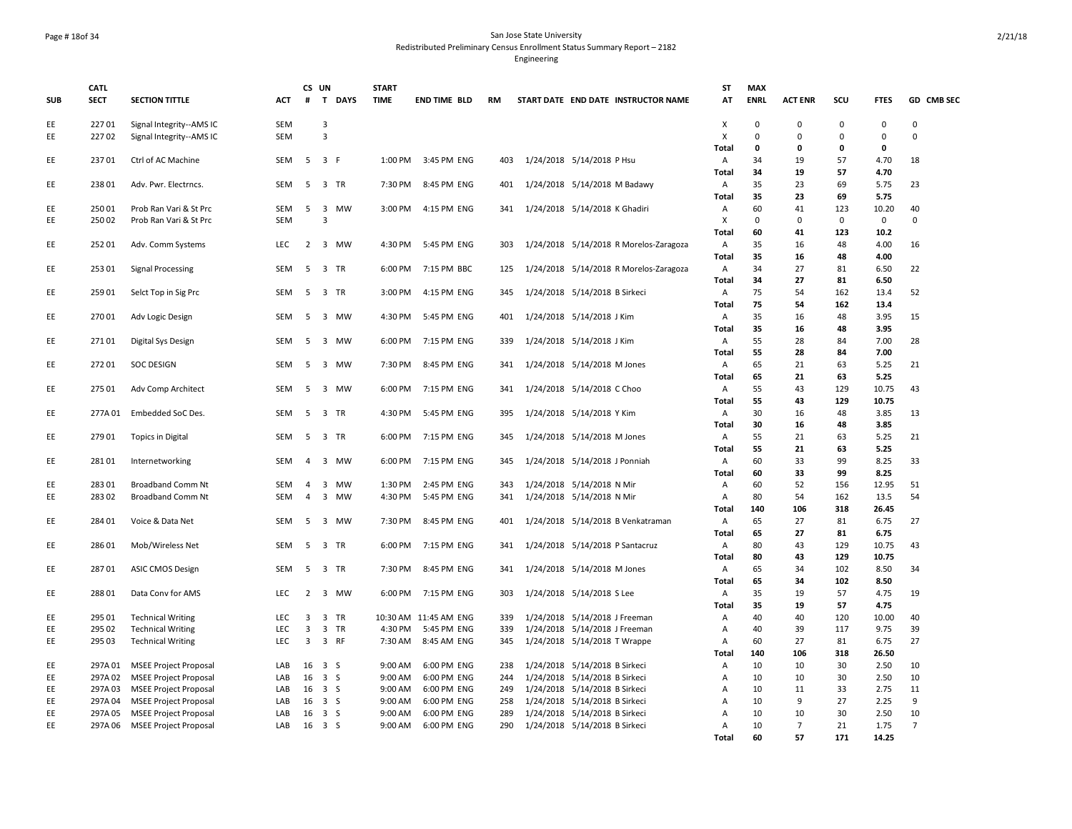**CATL** 

**SECT SECTION TITTLE** 

**SUB**

### Page # 18of 34 San Jose State University Redistributed Preliminary Census Enrollment Status Summary Report – 2182 Engineering

**MAX** 

**ENRL ACT ENR SCU FTES GD CMB SEC**

**CS UN # T DAYS START TIME END TIME BLD RM START DATE END DATE INSTRUCTOR NAME ST AT** ed the control of the control of the control of the control of the control of the control of the control of the control of the control of the control of the control of the control of the control of the control of the contr EE 22702 Signal Integrity--AMS IC SEM 3<br>
Total 0 0 0 0 0 **Total 0 0 0 0**

| EE  | 23701   | Ctrl of AC Machine           | SEM        | 5 <sup>5</sup> | 3 F                     |           | 1:00 PM | 3:45 PM ENG           | 403 | 1/24/2018 5/14/2018 P Hsu              | Α            | 34       | 19             | 57          | 4.70         | 18             |
|-----|---------|------------------------------|------------|----------------|-------------------------|-----------|---------|-----------------------|-----|----------------------------------------|--------------|----------|----------------|-------------|--------------|----------------|
|     |         |                              |            |                |                         |           |         |                       |     |                                        | <b>Total</b> | 34       | 19             | 57          | 4.70         |                |
| EE. | 23801   | Adv. Pwr. Electrncs.         | <b>SEM</b> |                | 5 3 TR                  |           | 7:30 PM | 8:45 PM ENG           | 401 | 1/24/2018 5/14/2018 M Badawy           | Α            | 35       | 23             | 69          | 5.75         | 23             |
|     |         |                              |            |                |                         |           |         |                       |     |                                        | <b>Total</b> | 35       | 23             | 69          | 5.75         |                |
| EE  | 250 01  | Prob Ran Vari & St Prc       | SEM        | 5              | 3                       | <b>MW</b> | 3:00 PM | 4:15 PM ENG           | 341 | 1/24/2018 5/14/2018 K Ghadiri          | Α            | 60       | 41             | 123         | 10.20        | 40             |
| EE  | 250 02  | Prob Ran Vari & St Prc       | <b>SEM</b> |                | $\overline{3}$          |           |         |                       |     |                                        | X            | 0        | $\Omega$       | $\mathsf 0$ | 0            | 0              |
|     |         |                              |            |                |                         |           |         |                       |     |                                        | <b>Total</b> | 60       | 41             | 123         | 10.2         |                |
| EE  | 252 01  | Adv. Comm Systems            | LEC        |                | 2 3 MW                  |           | 4:30 PM | 5:45 PM ENG           | 303 | 1/24/2018 5/14/2018 R Morelos-Zaragoza | Α            | 35       | 16             | 48          | 4.00         | 16             |
|     |         |                              |            |                |                         |           |         |                       |     |                                        | Total        | 35       | 16             | 48          | 4.00         |                |
| EE  | 253 01  | <b>Signal Processing</b>     | SEM        | 5              | 3 TR                    |           | 6:00 PM | 7:15 PM BBC           | 125 | 1/24/2018 5/14/2018 R Morelos-Zaragoza | Α            | 34       | 27             | 81          | 6.50         | 22             |
|     |         |                              |            |                |                         |           |         |                       |     |                                        | <b>Total</b> | 34       | 27             | 81          | 6.50         |                |
| EE. | 259 01  | Selct Top in Sig Prc         | <b>SEM</b> | 5              | 3 TR                    |           | 3:00 PM | 4:15 PM ENG           | 345 | 1/24/2018 5/14/2018 B Sirkeci          | А            | 75       | 54             | 162         | 13.4         | 52             |
|     |         |                              |            |                |                         |           |         |                       |     |                                        | Total        | 75       | 54             | 162         | 13.4         |                |
| EE  | 270 01  | Adv Logic Design             | <b>SEM</b> | 5              | $\overline{\mathbf{3}}$ | MW        | 4:30 PM | 5:45 PM ENG           | 401 | 1/24/2018 5/14/2018 J Kim              | Α            | 35       | 16             | 48          | 3.95         | 15             |
|     |         |                              |            |                |                         |           |         |                       |     |                                        | Total        | 35       | 16             | 48          | 3.95         |                |
| EE  | 27101   | Digital Sys Design           | SEM        | 5              |                         | 3 MW      | 6:00 PM | 7:15 PM ENG           | 339 | 1/24/2018 5/14/2018 J Kim              | А            | 55<br>55 | 28<br>28       | 84<br>84    | 7.00<br>7.00 | 28             |
| EE  | 27201   | <b>SOC DESIGN</b>            | <b>SEM</b> | 5              | $\overline{\mathbf{3}}$ | <b>MW</b> | 7:30 PM | 8:45 PM ENG           | 341 |                                        | Total<br>А   | 65       | 21             | 63          | 5.25         | 21             |
|     |         |                              |            |                |                         |           |         |                       |     | 1/24/2018 5/14/2018 M Jones            | Total        | 65       | 21             | 63          | 5.25         |                |
| EE  | 275 01  | Adv Comp Architect           | <b>SEM</b> | 5              | 3                       | MW        | 6:00 PM | 7:15 PM ENG           | 341 | 1/24/2018 5/14/2018 C Choo             | Α            | 55       | 43             | 129         | 10.75        | 43             |
|     |         |                              |            |                |                         |           |         |                       |     |                                        | <b>Total</b> | 55       | 43             | 129         | 10.75        |                |
| EE  | 277A01  | Embedded SoC Des.            | SEM        | 5              | $\overline{\mathbf{3}}$ | TR        | 4:30 PM | 5:45 PM ENG           | 395 | 1/24/2018 5/14/2018 Y Kim              | А            | 30       | 16             | 48          | 3.85         | 13             |
|     |         |                              |            |                |                         |           |         |                       |     |                                        | <b>Total</b> | 30       | 16             | 48          | 3.85         |                |
| EE  | 279 01  | <b>Topics in Digital</b>     | <b>SEM</b> | 5              | 3                       | TR        | 6:00 PM | 7:15 PM ENG           | 345 | 1/24/2018 5/14/2018 M Jones            | Α            | 55       | 21             | 63          | 5.25         | 21             |
|     |         |                              |            |                |                         |           |         |                       |     |                                        | <b>Total</b> | 55       | 21             | 63          | 5.25         |                |
| EE  | 28101   | Internetworking              | SEM        | 4              | 3                       | MW        | 6:00 PM | 7:15 PM ENG           | 345 | 1/24/2018 5/14/2018 J Ponniah          | А            | 60       | 33             | 99          | 8.25         | 33             |
|     |         |                              |            |                |                         |           |         |                       |     |                                        | Total        | 60       | 33             | 99          | 8.25         |                |
| EE  | 283 01  | Broadband Comm Nt            | <b>SEM</b> | $\overline{4}$ | 3                       | <b>MW</b> | 1:30 PM | 2:45 PM ENG           | 343 | 1/24/2018 5/14/2018 N Mir              | Α            | 60       | 52             | 156         | 12.95        | 51             |
| EE  | 28302   | Broadband Comm Nt            | <b>SEM</b> | $\overline{4}$ | $\overline{\mathbf{3}}$ | MW        | 4:30 PM | 5:45 PM ENG           | 341 | 1/24/2018 5/14/2018 N Mir              | Α            | 80       | 54             | 162         | 13.5         | 54             |
|     |         |                              |            |                |                         |           |         |                       |     |                                        | Total        | 140      | 106            | 318         | 26.45        |                |
| EE  | 284 01  | Voice & Data Net             | <b>SEM</b> | 5              |                         | 3 MW      | 7:30 PM | 8:45 PM ENG           | 401 | 1/24/2018 5/14/2018 B Venkatraman      | Α            | 65       | 27             | 81          | 6.75         | 27             |
|     |         |                              |            |                |                         |           |         |                       |     |                                        | Total        | 65       | 27             | 81          | 6.75         |                |
| EE  | 28601   | Mob/Wireless Net             | SEM        | 5              | 3 TR                    |           | 6:00 PM | 7:15 PM ENG           | 341 | 1/24/2018 5/14/2018 P Santacruz        | А            | 80       | 43             | 129         | 10.75        | 43             |
|     |         |                              |            |                |                         |           |         |                       |     |                                        | <b>Total</b> | 80       | 43             | 129         | 10.75        |                |
| EE  | 28701   | <b>ASIC CMOS Design</b>      | <b>SEM</b> | 5              | 3 TR                    |           | 7:30 PM | 8:45 PM ENG           | 341 | 1/24/2018 5/14/2018 M Jones            | Α            | 65       | 34             | 102         | 8.50         | 34             |
|     |         |                              |            |                |                         |           |         |                       |     |                                        | <b>Total</b> | 65       | 34             | 102         | 8.50         |                |
| EE  | 28801   | Data Conv for AMS            | LEC        | $\overline{2}$ | 3                       | MW        | 6:00 PM | 7:15 PM ENG           | 303 | 1/24/2018 5/14/2018 S Lee              | Α            | 35       | 19             | 57          | 4.75         | 19             |
|     |         |                              |            |                |                         |           |         |                       |     |                                        | <b>Total</b> | 35       | 19             | 57          | 4.75         |                |
| EE  | 295 01  | <b>Technical Writing</b>     | LEC        | 3              | 3                       | TR        |         | 10:30 AM 11:45 AM ENG | 339 | 1/24/2018 5/14/2018 J Freeman          | А            | 40       | 40             | 120         | 10.00        | 40             |
| EE  | 295 02  | <b>Technical Writing</b>     | <b>LEC</b> | 3              | 3                       | TR        | 4:30 PM | 5:45 PM ENG           | 339 | 1/24/2018 5/14/2018 J Freeman          | A            | 40       | 39             | 117         | 9.75         | 39             |
| EE  | 295 03  | <b>Technical Writing</b>     | <b>LEC</b> | 3              | 3 RF                    |           | 7:30 AM | 8:45 AM ENG           | 345 | 1/24/2018 5/14/2018 T Wrappe           | A            | 60       | 27             | 81          | 6.75         | 27             |
|     |         |                              |            |                |                         |           |         |                       |     |                                        | <b>Total</b> | 140      | 106            | 318         | 26.50        |                |
| EE  | 297A 01 | <b>MSEE Project Proposal</b> | LAB        | 16             | 3 S                     |           | 9:00 AM | 6:00 PM ENG           | 238 | 1/24/2018 5/14/2018 B Sirkeci          | Α            | 10       | 10             | 30          | 2.50         | 10             |
| EE  | 297A02  | <b>MSEE Project Proposal</b> | LAB        | 16             | 3S                      |           | 9:00 AM | 6:00 PM ENG           | 244 | 1/24/2018 5/14/2018 B Sirkeci          | Α            | 10       | 10             | 30          | 2.50         | 10             |
| EE  | 297A03  | <b>MSEE Project Proposal</b> | LAB        | 16             | 3 S                     |           | 9:00 AM | 6:00 PM ENG           | 249 | 1/24/2018 5/14/2018 B Sirkeci          | Α            | 10       | 11             | 33          | 2.75         | 11             |
| EE  | 297A 04 | <b>MSEE Project Proposal</b> | LAB        |                | 16 3 S                  |           | 9:00 AM | 6:00 PM ENG           | 258 | 1/24/2018 5/14/2018 B Sirkeci          | Α            | 10       | 9              | 27          | 2.25         | 9              |
| EE  | 297A05  | <b>MSEE Project Proposal</b> | LAB        | 16             | 3 S                     |           | 9:00 AM | 6:00 PM ENG           | 289 | 1/24/2018 5/14/2018 B Sirkeci          | A            | 10       | 10             | 30          | 2.50         | 10             |
| EE  | 297A06  | <b>MSEE Project Proposal</b> | LAB        | 16             | 3S                      |           | 9:00 AM | 6:00 PM ENG           | 290 | 1/24/2018 5/14/2018 B Sirkeci          | А            | 10       | $\overline{7}$ | 21          | 1.75         | $\overline{7}$ |
|     |         |                              |            |                |                         |           |         |                       |     |                                        | Total        | 60       | 57             | 171         | 14.25        |                |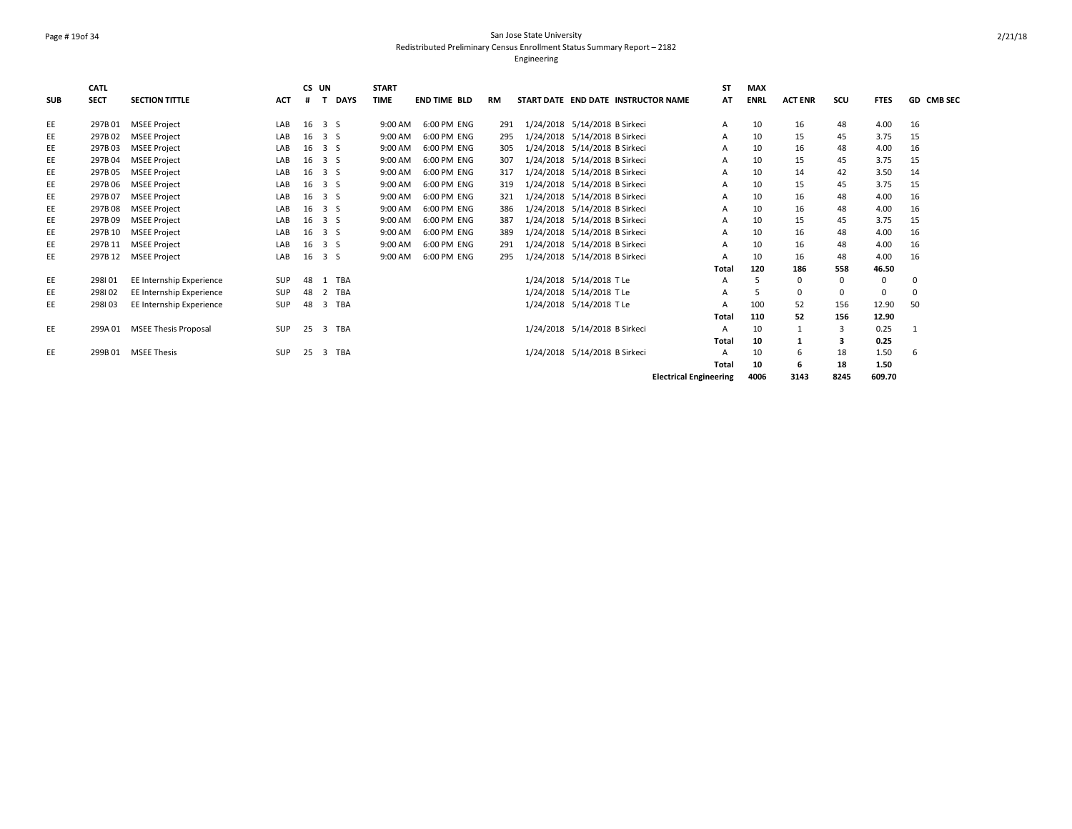# Page # 19of 34 San Jose State University Redistributed Preliminary Census Enrollment Status Summary Report – 2182

|            | <b>CATL</b> |                             |            | CS UN |                               |             | <b>START</b> |                     |     |                                     |                               | <b>ST</b> | <b>MAX</b>  |                |          |             |                   |
|------------|-------------|-----------------------------|------------|-------|-------------------------------|-------------|--------------|---------------------|-----|-------------------------------------|-------------------------------|-----------|-------------|----------------|----------|-------------|-------------------|
| <b>SUB</b> | <b>SECT</b> | <b>SECTION TITTLE</b>       | <b>ACT</b> | #     | T                             | <b>DAYS</b> | <b>TIME</b>  | <b>END TIME BLD</b> | RM  | START DATE END DATE INSTRUCTOR NAME |                               | AT        | <b>ENRL</b> | <b>ACT ENR</b> | scu      | <b>FTES</b> | <b>GD CMB SEC</b> |
| EE         | 297B01      | <b>MSEE Project</b>         | LAB        | 16    | 3S                            |             | 9:00 AM      | 6:00 PM ENG         | 291 | 1/24/2018 5/14/2018 B Sirkeci       |                               | A         | 10          | 16             | 48       | 4.00        | 16                |
| EE         | 297B02      | <b>MSEE Project</b>         | LAB        | 16    | 3 S                           |             | 9:00 AM      | 6:00 PM ENG         | 295 | 1/24/2018 5/14/2018 B Sirkeci       |                               | A         | 10          | 15             | 45       | 3.75        | 15                |
| EE         | 297B03      | <b>MSEE Project</b>         | LAB        | 16    | 3 S                           |             | 9:00 AM      | 6:00 PM ENG         | 305 | 1/24/2018 5/14/2018 B Sirkeci       |                               | A         | 10          | 16             | 48       | 4.00        | 16                |
| EE         | 297B04      | <b>MSEE Project</b>         | LAB        | 16    | 3 S                           |             | 9:00 AM      | 6:00 PM ENG         | 307 | 1/24/2018 5/14/2018 B Sirkeci       |                               | A         | 10          | 15             | 45       | 3.75        | 15                |
| EE         | 297B05      | <b>MSEE Project</b>         | LAB        | 16    | 3 S                           |             | 9:00 AM      | 6:00 PM ENG         | 317 | 1/24/2018 5/14/2018 B Sirkeci       |                               | A         | 10          | 14             | 42       | 3.50        | 14                |
| EE         | 297B 06     | <b>MSEE Project</b>         | LAB        | 16    | 3 S                           |             | 9:00 AM      | 6:00 PM ENG         | 319 | 1/24/2018 5/14/2018 B Sirkeci       |                               | A         | 10          | 15             | 45       | 3.75        | 15                |
| EE         | 297B07      | <b>MSEE Project</b>         | LAB        | 16    | 3 S                           |             | 9:00 AM      | 6:00 PM ENG         | 321 | 1/24/2018 5/14/2018 B Sirkeci       |                               | A         | 10          | 16             | 48       | 4.00        | 16                |
| EE         | 297B08      | <b>MSEE Project</b>         | LAB        | 16    | $\overline{3}$ $\overline{5}$ |             | 9:00 AM      | 6:00 PM ENG         | 386 | 1/24/2018 5/14/2018 B Sirkeci       |                               | A         | 10          | 16             | 48       | 4.00        | 16                |
| EE         | 297B09      | <b>MSEE Project</b>         | LAB        | 16    | 3 S                           |             | 9:00 AM      | 6:00 PM ENG         | 387 | 1/24/2018 5/14/2018 B Sirkeci       |                               | A         | 10          | 15             | 45       | 3.75        | 15                |
| EE         | 297B 10     | <b>MSEE Project</b>         | LAB        | 16    | $\overline{3}$ $\overline{5}$ |             | 9:00 AM      | 6:00 PM ENG         | 389 | 1/24/2018 5/14/2018 B Sirkeci       |                               | A         | 10          | 16             | 48       | 4.00        | 16                |
| EE         | 297B 11     | <b>MSEE Project</b>         | LAB        | 16    | $\overline{3}$ $\overline{5}$ |             | 9:00 AM      | 6:00 PM ENG         | 291 | 1/24/2018 5/14/2018 B Sirkeci       |                               | A         | 10          | 16             | 48       | 4.00        | 16                |
| EE         | 297B 12     | <b>MSEE Project</b>         | LAB        | 16    | 3S                            |             | 9:00 AM      | 6:00 PM ENG         | 295 | 1/24/2018 5/14/2018 B Sirkeci       |                               | А         | 10          | 16             | 48       | 4.00        | 16                |
|            |             |                             |            |       |                               |             |              |                     |     |                                     | <b>Total</b>                  |           | 120         | 186            | 558      | 46.50       |                   |
| EE         | 298101      | EE Internship Experience    | SUP        | 48    | 1 TBA                         |             |              |                     |     | 1/24/2018 5/14/2018 T Le            |                               | A         | 5           | 0              | $\Omega$ | $\mathbf 0$ |                   |
| EE         | 298102      | EE Internship Experience    | SUP        | 48    | 2 TBA                         |             |              |                     |     | 1/24/2018 5/14/2018 T Le            |                               | A         | 5           | 0              |          | $\mathbf 0$ | $\Omega$          |
| EE         | 298103      | EE Internship Experience    | SUP        | 48    | 3 TBA                         |             |              |                     |     | 1/24/2018 5/14/2018 T Le            |                               | A         | 100         | 52             | 156      | 12.90       | 50                |
|            |             |                             |            |       |                               |             |              |                     |     |                                     | <b>Total</b>                  |           | 110         | 52             | 156      | 12.90       |                   |
| EE         | 299A 01     | <b>MSEE Thesis Proposal</b> | <b>SUP</b> | 25    | 3 TBA                         |             |              |                     |     | 1/24/2018 5/14/2018 B Sirkeci       |                               | A         | 10          | $\mathbf{1}$   | 3        | 0.25        | 1                 |
|            |             |                             |            |       |                               |             |              |                     |     |                                     | <b>Total</b>                  |           | 10          | $\mathbf{1}$   | 3        | 0.25        |                   |
| EE         | 299B01      | <b>MSEE Thesis</b>          | <b>SUP</b> | 25    | 3 TBA                         |             |              |                     |     | 1/24/2018 5/14/2018 B Sirkeci       |                               | A         | 10          | 6              | 18       | 1.50        | 6                 |
|            |             |                             |            |       |                               |             |              |                     |     |                                     | Total                         |           | 10          | 6              | 18       | 1.50        |                   |
|            |             |                             |            |       |                               |             |              |                     |     |                                     | <b>Electrical Engineering</b> |           | 4006        | 3143           | 8245     | 609.70      |                   |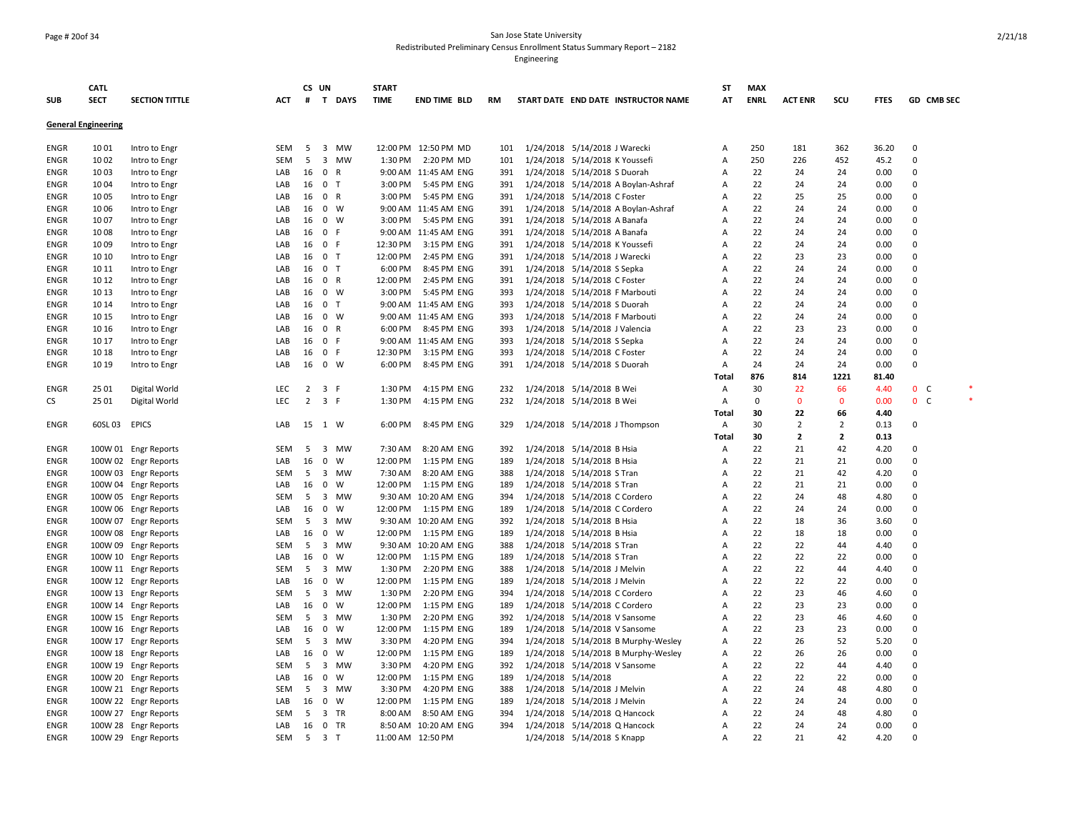### Page # 20of 34 San Jose State University Redistributed Preliminary Census Enrollment Status Summary Report – 2182

|             | <b>CATL</b>                |                       |            | CS UN          |                |        | <b>START</b> |                      |     |                                |                                     | <b>ST</b> | <b>MAX</b>  |                |                |             |                |  |
|-------------|----------------------------|-----------------------|------------|----------------|----------------|--------|--------------|----------------------|-----|--------------------------------|-------------------------------------|-----------|-------------|----------------|----------------|-------------|----------------|--|
| <b>SUB</b>  | <b>SECT</b>                | <b>SECTION TITTLE</b> | <b>ACT</b> | #              |                | T DAYS | <b>TIME</b>  | <b>END TIME BLD</b>  | RM  |                                | START DATE END DATE INSTRUCTOR NAME | AT        | <b>ENRL</b> | <b>ACT ENR</b> | SCU            | <b>FTES</b> | GD CMB SEC     |  |
|             | <b>General Engineering</b> |                       |            |                |                |        |              |                      |     |                                |                                     |           |             |                |                |             |                |  |
| ENGR        | 10 01                      | Intro to Engr         | SEM        | 5              |                | 3 MW   |              | 12:00 PM 12:50 PM MD | 101 | 1/24/2018 5/14/2018 J Warecki  |                                     | Α         | 250         | 181            | 362            | 36.20       | 0              |  |
| ENGR        | 1002                       | Intro to Engr         | SEM        | 5              |                | 3 MW   |              | 1:30 PM 2:20 PM MD   | 101 | 1/24/2018 5/14/2018 K Youssefi |                                     | Α         | 250         | 226            | 452            | 45.2        | $\mathbf 0$    |  |
| ENGR        | 1003                       | Intro to Engr         | LAB        | 16             | 0 R            |        |              | 9:00 AM 11:45 AM ENG | 391 | 1/24/2018 5/14/2018 S Duorah   |                                     | Α         | 22          | 24             | 24             | 0.00        | 0              |  |
| ENGR        | 1004                       | Intro to Engr         | LAB        | 16             | 0 <sub>T</sub> |        | 3:00 PM      | 5:45 PM ENG          | 391 |                                | 1/24/2018 5/14/2018 A Boylan-Ashraf | Α         | 22          | 24             | 24             | 0.00        | 0              |  |
| ENGR        | 1005                       | Intro to Engr         | LAB        | 16             | 0 R            |        | 3:00 PM      | 5:45 PM ENG          | 391 | 1/24/2018 5/14/2018 C Foster   |                                     | Α         | 22          | 25             | 25             | 0.00        | 0              |  |
| ENGR        | 1006                       | Intro to Engr         | LAB        | 16             | 0 W            |        |              | 9:00 AM 11:45 AM ENG | 391 |                                | 1/24/2018 5/14/2018 A Boylan-Ashraf | A         | 22          | 24             | 24             | 0.00        | $\Omega$       |  |
| ENGR        | 1007                       | Intro to Engr         | LAB        | 16             | $0 \quad W$    |        | 3:00 PM      | 5:45 PM ENG          | 391 | 1/24/2018 5/14/2018 A Banafa   |                                     | Α         | 22          | 24             | 24             | 0.00        | 0              |  |
| <b>ENGR</b> | 1008                       | Intro to Engr         | LAB        | 16             | 0 F            |        |              | 9:00 AM 11:45 AM ENG | 391 | 1/24/2018 5/14/2018 A Banafa   |                                     | Α         | 22          | 24             | 24             | 0.00        | $\mathbf 0$    |  |
| ENGR        | 1009                       | Intro to Engr         | LAB        | 16             | 0 F            |        | 12:30 PM     | 3:15 PM ENG          | 391 | 1/24/2018 5/14/2018 K Youssefi |                                     | Α         | 22          | 24             | 24             | 0.00        | $\mathbf{0}$   |  |
| ENGR        | 10 10                      | Intro to Engr         | LAB        | 16             | 0 <sub>T</sub> |        | 12:00 PM     | 2:45 PM ENG          | 391 | 1/24/2018 5/14/2018 J Warecki  |                                     | Α         | 22          | 23             | 23             | 0.00        | 0              |  |
| ENGR        | 10 11                      | Intro to Engr         | LAB        | 16             | 0 <sub>T</sub> |        | 6:00 PM      | 8:45 PM ENG          | 391 | 1/24/2018 5/14/2018 S Sepka    |                                     | Α         | 22          | 24             | 24             | 0.00        | $\mathbf 0$    |  |
| ENGR        | 10 12                      | Intro to Engr         | LAB        | 16             | 0 R            |        | 12:00 PM     | 2:45 PM ENG          | 391 | 1/24/2018 5/14/2018 C Foster   |                                     | A         | 22          | 24             | 24             | 0.00        | 0              |  |
| ENGR        | 10 13                      | Intro to Engr         | LAB        | 16             | $0 \quad W$    |        | 3:00 PM      | 5:45 PM ENG          | 393 |                                | 1/24/2018 5/14/2018 F Marbouti      | A         | 22          | 24             | 24             | 0.00        | $\Omega$       |  |
| ENGR        | 10 14                      | Intro to Engr         | LAB        | 16             | 0 <sub>T</sub> |        |              | 9:00 AM 11:45 AM ENG | 393 | 1/24/2018 5/14/2018 S Duorah   |                                     | Α         | 22          | 24             | 24             | 0.00        | 0              |  |
| <b>ENGR</b> | 10 15                      | Intro to Engr         | LAB        | 16             | 0 W            |        |              | 9:00 AM 11:45 AM ENG | 393 | 1/24/2018 5/14/2018 F Marbouti |                                     | Α         | 22          | 24             | 24             | 0.00        | $\mathbf 0$    |  |
| ENGR        | 10 16                      | Intro to Engr         | LAB        | 16             | 0 R            |        | 6:00 PM      | 8:45 PM ENG          | 393 | 1/24/2018 5/14/2018 J Valencia |                                     | Α         | 22          | 23             | 23             | 0.00        | $\mathbf{0}$   |  |
| <b>ENGR</b> | 10 17                      | Intro to Engr         | LAB        | 16             | 0 F            |        |              | 9:00 AM 11:45 AM ENG | 393 | 1/24/2018 5/14/2018 S Sepka    |                                     | Α         | 22          | 24             | 24             | 0.00        | 0              |  |
| <b>ENGR</b> | 10 18                      | Intro to Engr         | LAB        | 16             | 0 F            |        | 12:30 PM     | 3:15 PM ENG          | 393 | 1/24/2018 5/14/2018 C Foster   |                                     | Α         | 22          | 24             | 24             | 0.00        | $\mathbf 0$    |  |
| <b>ENGR</b> | 10 19                      | Intro to Engr         | LAB        | 16             | 0 W            |        | 6:00 PM      | 8:45 PM ENG          | 391 | 1/24/2018 5/14/2018 S Duorah   |                                     | Α         | 24          | 24             | 24             | 0.00        | $\Omega$       |  |
|             |                            |                       |            |                |                |        |              |                      |     |                                |                                     | Total     | 876         | 814            | 1221           | 81.40       |                |  |
| <b>ENGR</b> | 25 01                      | Digital World         | LEC        | $\overline{2}$ | 3 F            |        | 1:30 PM      | 4:15 PM ENG          | 232 | 1/24/2018 5/14/2018 B Wei      |                                     | Α         | 30          | 22             | 66             | 4.40        | 0 <sub>c</sub> |  |
| CS          | 25 01                      | Digital World         | LEC        | $\overline{2}$ | 3 F            |        | 1:30 PM      | 4:15 PM ENG          | 232 | 1/24/2018 5/14/2018 B Wei      |                                     | Α         | 0           | $\mathbf{0}$   | $\mathbf{0}$   | 0.00        | 0 <sub>c</sub> |  |
|             |                            |                       |            |                |                |        |              |                      |     |                                |                                     | Total     | 30          | 22             | 66             | 4.40        |                |  |
| <b>ENGR</b> | 60SL 03 EPICS              |                       | LAB        | 15 1 W         |                |        | 6:00 PM      | 8:45 PM ENG          | 329 |                                | 1/24/2018 5/14/2018 J Thompson      | Α         | 30          | $\overline{2}$ | $\overline{2}$ | 0.13        | $\mathbf 0$    |  |
|             |                            |                       |            |                |                |        |              |                      |     |                                |                                     | Total     | 30          | $\overline{2}$ | $\overline{2}$ | 0.13        |                |  |
| <b>ENGR</b> |                            | 100W 01 Engr Reports  | SEM        | 5              |                | 3 MW   | 7:30 AM      | 8:20 AM ENG          | 392 | 1/24/2018 5/14/2018 B Hsia     |                                     | Α         | 22          | 21             | 42             | 4.20        | $\mathbf{0}$   |  |
| ENGR        |                            | 100W 02 Engr Reports  | LAB        | 16             | $\mathbf 0$    | W      | 12:00 PM     | 1:15 PM ENG          | 189 | 1/24/2018 5/14/2018 B Hsia     |                                     | Α         | 22          | 21             | 21             | 0.00        | 0              |  |
| <b>ENGR</b> |                            | 100W 03 Engr Reports  | SEM        | 5              |                | 3 MW   | 7:30 AM      | 8:20 AM ENG          | 388 | 1/24/2018 5/14/2018 S Tran     |                                     | Α         | 22          | 21             | 42             | 4.20        | $\mathbf{0}$   |  |
| <b>ENGR</b> |                            | 100W 04 Engr Reports  | LAB        | 16             | $\mathbf 0$    | W      | 12:00 PM     | 1:15 PM ENG          | 189 | 1/24/2018 5/14/2018 S Tran     |                                     | Α         | 22          | 21             | 21             | 0.00        | $\mathbf 0$    |  |
| ENGR        |                            | 100W 05 Engr Reports  | <b>SEM</b> | 5              |                | 3 MW   |              | 9:30 AM 10:20 AM ENG | 394 | 1/24/2018 5/14/2018 C Cordero  |                                     | A         | 22          | 24             | 48             | 4.80        | $\Omega$       |  |
| <b>ENGR</b> |                            | 100W 06 Engr Reports  | LAB        | 16             | $\mathbf 0$    | W      | 12:00 PM     | 1:15 PM ENG          | 189 | 1/24/2018 5/14/2018 C Cordero  |                                     | Α         | 22          | 24             | 24             | 0.00        | $\mathbf 0$    |  |
| <b>ENGR</b> |                            | 100W 07 Engr Reports  | <b>SEM</b> | 5              |                | 3 MW   |              | 9:30 AM 10:20 AM ENG | 392 | 1/24/2018 5/14/2018 B Hsia     |                                     | A         | 22          | 18             | 36             | 3.60        | $\Omega$       |  |
| ENGR        |                            | 100W 08 Engr Reports  | LAB        | 16             | $\mathbf 0$    | W      | 12:00 PM     | 1:15 PM ENG          | 189 | 1/24/2018 5/14/2018 B Hsia     |                                     | A         | 22          | 18             | 18             | 0.00        | $\mathbf{0}$   |  |
| <b>ENGR</b> |                            | 100W 09 Engr Reports  | SEM        | 5              |                | 3 MW   |              | 9:30 AM 10:20 AM ENG | 388 | 1/24/2018 5/14/2018 S Tran     |                                     | A         | 22          | 22             | 44             | 4.40        | $\mathbf 0$    |  |
| <b>ENGR</b> |                            | 100W 10 Engr Reports  | LAB        | 16             | $\mathbf 0$    | W      | 12:00 PM     | 1:15 PM ENG          | 189 | 1/24/2018 5/14/2018 S Tran     |                                     | Α         | 22          | 22             | 22             | 0.00        | $\mathbf 0$    |  |
| <b>ENGR</b> |                            | 100W 11 Engr Reports  | <b>SEM</b> | 5              |                | 3 MW   | 1:30 PM      | 2:20 PM ENG          | 388 | 1/24/2018 5/14/2018 J Melvin   |                                     | Α         | 22          | 22             | 44             | 4.40        | $\mathbf 0$    |  |
| <b>ENGR</b> |                            | 100W 12 Engr Reports  | LAB        | 16             | $\mathbf 0$    | W      | 12:00 PM     | 1:15 PM ENG          | 189 | 1/24/2018 5/14/2018 J Melvin   |                                     | A         | 22          | 22             | 22             | 0.00        | $\Omega$       |  |
| <b>ENGR</b> |                            | 100W 13 Engr Reports  | SEM        | 5              |                | 3 MW   | 1:30 PM      | 2:20 PM ENG          | 394 | 1/24/2018 5/14/2018 C Cordero  |                                     | Α         | 22          | 23             | 46             | 4.60        | $\mathbf 0$    |  |
| <b>ENGR</b> |                            | 100W 14 Engr Reports  | LAB        | 16             | $\mathbf 0$    | W      | 12:00 PM     | 1:15 PM ENG          | 189 | 1/24/2018 5/14/2018 C Cordero  |                                     | Α         | 22          | 23             | 23             | 0.00        | $\Omega$       |  |
| <b>ENGR</b> |                            | 100W 15 Engr Reports  | SEM        | 5              |                | 3 MW   | 1:30 PM      | 2:20 PM ENG          | 392 | 1/24/2018 5/14/2018 V Sansome  |                                     | Α         | 22          | 23             | 46             | 4.60        | 0              |  |
| ENGR        |                            | 100W 16 Engr Reports  | LAB        | 16             | $\mathbf 0$    | W      | 12:00 PM     | 1:15 PM ENG          | 189 |                                | 1/24/2018 5/14/2018 V Sansome       | Α         | 22          | 23             | 23             | 0.00        | $\mathbf 0$    |  |
| <b>ENGR</b> |                            | 100W 17 Engr Reports  | SEM        | 5              |                | 3 MW   | 3:30 PM      | 4:20 PM ENG          | 394 |                                | 1/24/2018 5/14/2018 B Murphy-Wesley | Α         | 22          | 26             | 52             | 5.20        | $\mathbf 0$    |  |
| <b>ENGR</b> |                            | 100W 18 Engr Reports  | LAB        | 16             | $\mathbf 0$    | W      | 12:00 PM     | 1:15 PM ENG          | 189 |                                | 1/24/2018 5/14/2018 B Murphy-Wesley | Α         | 22          | 26             | 26             | 0.00        | $\Omega$       |  |
| ENGR        |                            | 100W 19 Engr Reports  | SEM        | 5              |                | 3 MW   | 3:30 PM      | 4:20 PM ENG          | 392 |                                | 1/24/2018 5/14/2018 V Sansome       | Α         | 22          | 22             | 44             | 4.40        | $\mathbf 0$    |  |
| ENGR        |                            | 100W 20 Engr Reports  | LAB        | 16             | $\mathbf 0$    | W      | 12:00 PM     | 1:15 PM ENG          | 189 | 1/24/2018 5/14/2018            |                                     | Α         | 22          | 22             | 22             | 0.00        | $\mathbf 0$    |  |
| ENGR        |                            | 100W 21 Engr Reports  | SEM        | 5              |                | 3 MW   | 3:30 PM      | 4:20 PM ENG          | 388 | 1/24/2018 5/14/2018 J Melvin   |                                     | Α         | 22          | 24             | 48             | 4.80        | $\mathbf 0$    |  |
| ENGR        |                            | 100W 22 Engr Reports  | LAB        | 16             | $0 \quad W$    |        | 12:00 PM     | 1:15 PM ENG          | 189 | 1/24/2018 5/14/2018 J Melvin   |                                     | A         | 22          | 24             | 24             | 0.00        | $\mathbf 0$    |  |
| ENGR        |                            | 100W 27 Engr Reports  | SEM        | 5              | 3 TR           |        | 8:00 AM      | 8:50 AM ENG          | 394 |                                | 1/24/2018 5/14/2018 Q Hancock       | Α         | 22          | 24             | 48             | 4.80        | 0              |  |
| <b>ENGR</b> |                            | 100W 28 Engr Reports  | LAB        | 16             | 0 TR           |        |              | 8:50 AM 10:20 AM ENG | 394 | 1/24/2018 5/14/2018 Q Hancock  |                                     | Α         | 22          | 24             | 24             | 0.00        | $\mathbf 0$    |  |
| ENGR        |                            | 100W 29 Engr Reports  | SEM        |                | 5 3 T          |        |              | 11:00 AM 12:50 PM    |     | 1/24/2018 5/14/2018 S Knapp    |                                     | Α         | 22          | 21             | 42             | 4.20        | $\Omega$       |  |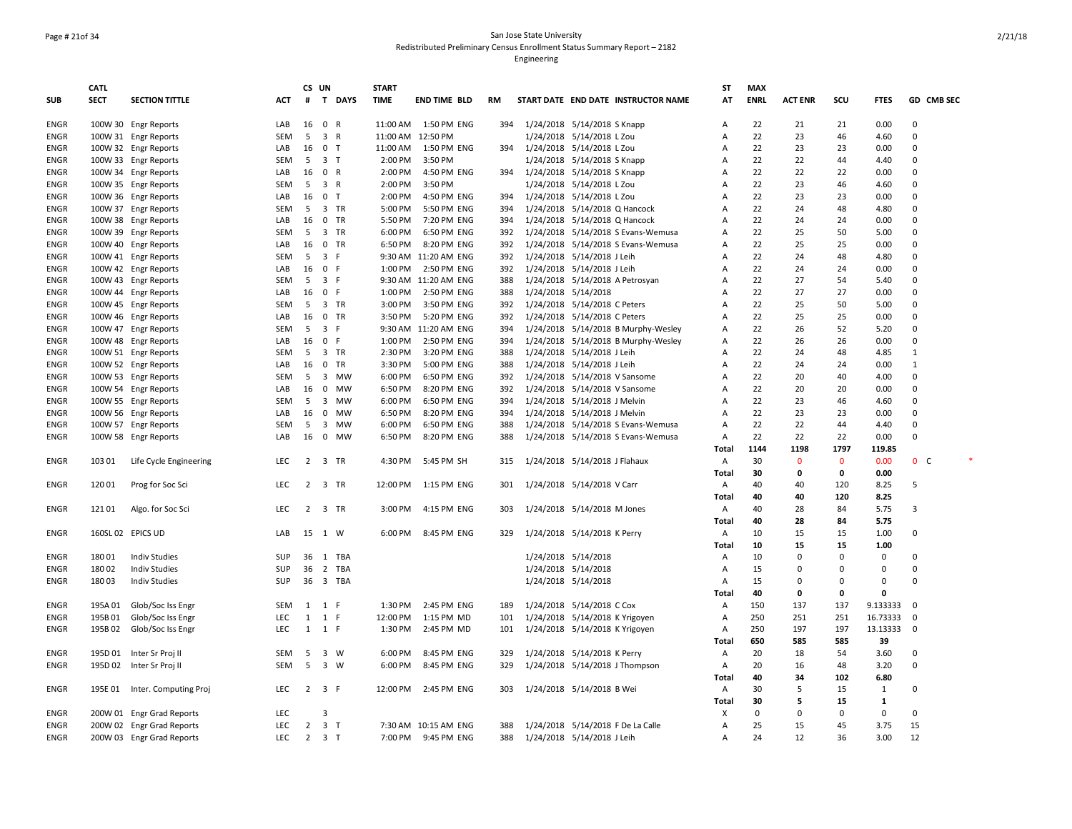# Page # 21of 34 San Jose State University Redistributed Preliminary Census Enrollment Status Summary Report – 2182

|             | <b>CATL</b> |                               |            | CS UN          |                         |             | <b>START</b> |                      |     |                                |                                     | ST             | <b>MAX</b>  |                |              |              |                |            |
|-------------|-------------|-------------------------------|------------|----------------|-------------------------|-------------|--------------|----------------------|-----|--------------------------------|-------------------------------------|----------------|-------------|----------------|--------------|--------------|----------------|------------|
| <b>SUB</b>  | <b>SECT</b> | <b>SECTION TITTLE</b>         | <b>ACT</b> | #              |                         | T DAYS      | <b>TIME</b>  | <b>END TIME BLD</b>  | RM  |                                | START DATE END DATE INSTRUCTOR NAME | AT             | <b>ENRL</b> | <b>ACT ENR</b> | SCU          | <b>FTES</b>  |                | GD CMB SEC |
| ENGR        |             | 100W 30 Engr Reports          | LAB        | 16             | 0 R                     |             | 11:00 AM     | 1:50 PM ENG          | 394 | 1/24/2018 5/14/2018 S Knapp    |                                     | Α              | 22          | 21             | 21           | 0.00         | 0              |            |
| ENGR        |             | 100W 31 Engr Reports          | SEM        | 5              | 3 R                     |             | 11:00 AM     | 12:50 PM             |     | 1/24/2018 5/14/2018 L Zou      |                                     | Α              | 22          | 23             | 46           | 4.60         | 0              |            |
| <b>ENGR</b> |             | 100W 32 Engr Reports          | LAB        | 16             | 0 <sub>T</sub>          |             | 11:00 AM     | 1:50 PM ENG          | 394 | 1/24/2018 5/14/2018 L Zou      |                                     | Α              | 22          | 23             | 23           | 0.00         | 0              |            |
| ENGR        |             | 100W 33 Engr Reports          | SEM        | 5              | 3 <sub>1</sub>          |             | 2:00 PM      | 3:50 PM              |     | 1/24/2018 5/14/2018 S Knapp    |                                     | A              | 22          | 22             | 44           | 4.40         | $\Omega$       |            |
| <b>ENGR</b> |             | 100W 34 Engr Reports          | LAB        | 16             | 0 R                     |             | 2:00 PM      | 4:50 PM ENG          | 394 | 1/24/2018 5/14/2018 S Knapp    |                                     | Α              | 22          | 22             | 22           | 0.00         | 0              |            |
| <b>ENGR</b> |             | 100W 35 Engr Reports          | SEM        | 5              | 3 R                     |             | 2:00 PM      | 3:50 PM              |     | 1/24/2018 5/14/2018 L Zou      |                                     | Α              | 22          | 23             | 46           | 4.60         | $\mathbf 0$    |            |
| ENGR        |             | 100W 36 Engr Reports          | LAB        | 16             | 0 <sub>T</sub>          |             | 2:00 PM      | 4:50 PM ENG          | 394 | 1/24/2018 5/14/2018 L Zou      |                                     | Α              | 22          | 23             | 23           | 0.00         | $\mathbf{0}$   |            |
| <b>ENGR</b> |             | 100W 37 Engr Reports          | SEM        | 5              |                         | 3 TR        | 5:00 PM      | 5:50 PM ENG          | 394 |                                | 1/24/2018 5/14/2018 Q Hancock       | A              | 22          | 24             | 48           | 4.80         | $\mathbf 0$    |            |
| <b>ENGR</b> |             | 100W 38 Engr Reports          | LAB        | 16             |                         | 0 TR        | 5:50 PM      | 7:20 PM ENG          | 394 |                                | 1/24/2018 5/14/2018 Q Hancock       | A              | 22          | 24             | 24           | 0.00         | $\Omega$       |            |
| <b>ENGR</b> |             | 100W 39 Engr Reports          | <b>SEM</b> | 5              |                         | 3 TR        | 6:00 PM      | 6:50 PM ENG          | 392 |                                | 1/24/2018 5/14/2018 S Evans-Wemusa  | Α              | 22          | 25             | 50           | 5.00         | $\Omega$       |            |
| <b>ENGR</b> |             | 100W 40 Engr Reports          | LAB        | 16             |                         | 0 TR        | 6:50 PM      | 8:20 PM ENG          | 392 |                                | 1/24/2018 5/14/2018 S Evans-Wemusa  | A              | 22          | 25             | 25           | 0.00         | $\Omega$       |            |
| <b>ENGR</b> |             | 100W 41 Engr Reports          | <b>SEM</b> | 5              | 3 F                     |             |              | 9:30 AM 11:20 AM ENG | 392 | 1/24/2018 5/14/2018 J Leih     |                                     | Α              | 22          | 24             | 48           | 4.80         | $\mathbf 0$    |            |
| ENGR        |             | 100W 42 Engr Reports          | LAB        | 16             | 0 F                     |             | 1:00 PM      | 2:50 PM ENG          | 392 | 1/24/2018 5/14/2018 J Leih     |                                     | Α              | 22          | 24             | 24           | 0.00         | $\mathbf 0$    |            |
| ENGR        |             | 100W 43 Engr Reports          | SEM        | 5              | 3 F                     |             |              | 9:30 AM 11:20 AM ENG | 388 |                                | 1/24/2018 5/14/2018 A Petrosyan     | Α              | 22          | 27             | 54           | 5.40         | $\Omega$       |            |
| <b>ENGR</b> |             | 100W 44 Engr Reports          | LAB        | 16             | 0 F                     |             | 1:00 PM      | 2:50 PM ENG          | 388 | 1/24/2018 5/14/2018            |                                     | Α              | 22          | 27             | 27           | 0.00         | 0              |            |
| <b>ENGR</b> |             | 100W 45 Engr Reports          | SEM        | 5              |                         | 3 TR        | 3:00 PM      | 3:50 PM ENG          | 392 | 1/24/2018 5/14/2018 C Peters   |                                     | Α              | 22          | 25             | 50           | 5.00         | 0              |            |
| ENGR        |             | 100W 46 Engr Reports          | LAB        | 16             |                         | 0 TR        | 3:50 PM      | 5:20 PM ENG          | 392 | 1/24/2018 5/14/2018 C Peters   |                                     | Α              | 22          | 25             | 25           | 0.00         | $\mathbf{0}$   |            |
| ENGR        |             | 100W 47 Engr Reports          | SEM        | 5              | 3 F                     |             |              | 9:30 AM 11:20 AM ENG | 394 |                                | 1/24/2018 5/14/2018 B Murphy-Wesley | Α              | 22          | 26             | 52           | 5.20         | 0              |            |
| <b>ENGR</b> |             | 100W 48 Engr Reports          | LAB        | 16             | 0 F                     |             | 1:00 PM      | 2:50 PM ENG          | 394 |                                | 1/24/2018 5/14/2018 B Murphy-Wesley | Α              | 22          | 26             | 26           | 0.00         | $\Omega$       |            |
| <b>ENGR</b> |             | 100W 51 Engr Reports          | SEM        | 5              |                         | 3 TR        | 2:30 PM      | 3:20 PM ENG          | 388 | 1/24/2018 5/14/2018 J Leih     |                                     | Α              | 22          | 24             | 48           | 4.85         | $\mathbf{1}$   |            |
| <b>ENGR</b> |             | 100W 52 Engr Reports          | LAB        | 16             | $\mathbf 0$             | TR          | 3:30 PM      | 5:00 PM ENG          | 388 | 1/24/2018 5/14/2018 J Leih     |                                     | A              | 22          | 24             | 24           | 0.00         | $\mathbf{1}$   |            |
| <b>ENGR</b> |             | 100W 53 Engr Reports          | SEM        | 5              |                         | 3 MW        | 6:00 PM      | 6:50 PM ENG          | 392 |                                | 1/24/2018 5/14/2018 V Sansome       | Α              | 22          | 20             | 40           | 4.00         | 0              |            |
| <b>ENGR</b> |             | 100W 54 Engr Reports          | LAB        | 16             | $\mathbf 0$             | <b>MW</b>   | 6:50 PM      | 8:20 PM ENG          | 392 |                                | 1/24/2018 5/14/2018 V Sansome       | Α              | 22          | 20             | 20           | 0.00         | $\mathbf 0$    |            |
| <b>ENGR</b> |             | 100W 55 Engr Reports          | SEM        | 5              | $\overline{\mathbf{3}}$ | <b>MW</b>   | 6:00 PM      | 6:50 PM ENG          | 394 | 1/24/2018 5/14/2018 J Melvin   |                                     | A              | 22          | 23             | 46           | 4.60         | $\Omega$       |            |
| <b>ENGR</b> |             | 100W 56 Engr Reports          | LAB        | 16             | $\mathbf 0$             | <b>MW</b>   | 6:50 PM      | 8:20 PM ENG          | 394 | 1/24/2018 5/14/2018 J Melvin   |                                     | A              | 22          | 23             | 23           | 0.00         | $\mathbf 0$    |            |
| <b>ENGR</b> |             | 100W 57 Engr Reports          | <b>SEM</b> | 5              | $\overline{\mathbf{3}}$ | <b>MW</b>   | 6:00 PM      | 6:50 PM ENG          | 388 |                                | 1/24/2018 5/14/2018 S Evans-Wemusa  | A              | 22          | 22             | 44           | 4.40         | $\Omega$       |            |
| <b>ENGR</b> |             | 100W 58 Engr Reports          | LAB        | 16             | $\mathbf 0$             | <b>MW</b>   | 6:50 PM      | 8:20 PM ENG          | 388 |                                | 1/24/2018 5/14/2018 S Evans-Wemusa  | А              | 22          | 22             | 22           | 0.00         | $\Omega$       |            |
|             |             |                               |            |                |                         |             |              |                      |     |                                |                                     | Total          | 1144        | 1198           | 1797         | 119.85       |                |            |
| <b>ENGR</b> | 103 01      | Life Cycle Engineering        | LEC        | $\overline{2}$ | 3 TR                    |             | 4:30 PM      | 5:45 PM SH           | 315 | 1/24/2018 5/14/2018 J Flahaux  |                                     | Α              | 30          | $\mathbf{0}$   | $\mathbf{0}$ | 0.00         | 0 <sup>o</sup> |            |
|             |             |                               |            |                |                         |             |              |                      |     |                                |                                     | Total          | 30          | 0              | 0            | 0.00         |                |            |
| <b>ENGR</b> | 120 01      | Prog for Soc Sci              | <b>LEC</b> |                | 2 3 TR                  |             | 12:00 PM     | 1:15 PM ENG          | 301 | 1/24/2018 5/14/2018 V Carr     |                                     | Α              | 40          | 40             | 120          | 8.25         | 5              |            |
|             |             |                               |            |                |                         |             |              |                      |     |                                |                                     | Total          | 40          | 40             | 120          | 8.25         |                |            |
| <b>ENGR</b> | 121 01      | Algo. for Soc Sci             | <b>LEC</b> | $\overline{2}$ |                         | 3 TR        | 3:00 PM      | 4:15 PM ENG          | 303 | 1/24/2018 5/14/2018 M Jones    |                                     | Α              | 40          | 28             | 84           | 5.75         | 3              |            |
|             |             |                               |            |                |                         |             |              |                      |     |                                |                                     | Total          | 40          | 28             | 84           | 5.75         |                |            |
| <b>ENGR</b> |             | 160SL 02 EPICS UD             | LAB        | 15 1 W         |                         |             | 6:00 PM      | 8:45 PM ENG          | 329 | 1/24/2018 5/14/2018 K Perry    |                                     | Α              | 10          | 15             | 15           | 1.00         | $\mathbf 0$    |            |
|             |             |                               |            |                |                         |             |              |                      |     |                                |                                     | <b>Total</b>   | 10          | 15             | 15           | 1.00         |                |            |
| <b>ENGR</b> | 18001       | <b>Indiv Studies</b>          | SUP        |                |                         | 36 1 TBA    |              |                      |     | 1/24/2018 5/14/2018            |                                     | Α              | 10          | $\Omega$       | $\mathbf 0$  | $\Omega$     | $\mathbf 0$    |            |
| ENGR        | 180 02      | <b>Indiv Studies</b>          | SUP        | 36             |                         | 2 TBA       |              |                      |     | 1/24/2018 5/14/2018            |                                     | Α              | 15          | $\mathbf 0$    | 0            | $\mathbf{0}$ | $\mathbf 0$    |            |
| <b>ENGR</b> | 18003       | <b>Indiv Studies</b>          | SUP        |                |                         | 36 3 TBA    |              |                      |     | 1/24/2018 5/14/2018            |                                     | A              | 15          | $\mathbf 0$    | $\mathbf 0$  | $\mathbf 0$  | $\Omega$       |            |
|             |             |                               |            |                |                         |             |              |                      |     |                                |                                     | <b>Total</b>   | 40          | 0              | 0            | $\Omega$     |                |            |
| <b>ENGR</b> | 195A 01     | Glob/Soc Iss Engr             | SEM        | 1              | 1 F                     |             | 1:30 PM      | 2:45 PM ENG          | 189 | 1/24/2018 5/14/2018 C Cox      |                                     | А              | 150         | 137            | 137          | 9.133333     | $\Omega$       |            |
| ENGR        | 195B01      | Glob/Soc Iss Engr             | LEC        | 1              | 1 F                     |             | 12:00 PM     | 1:15 PM MD           | 101 | 1/24/2018 5/14/2018 K Yrigoyen |                                     | Α              | 250         | 251            | 251          | 16.73333     | $\mathbf 0$    |            |
| ENGR        | 195B 02     | Glob/Soc Iss Engr             | <b>LEC</b> |                | 1 1 F                   |             | 1:30 PM      | 2:45 PM MD           | 101 | 1/24/2018 5/14/2018 K Yrigoyen |                                     | Α              | 250         | 197            | 197          | 13.13333     | 0              |            |
|             |             |                               |            |                |                         |             |              |                      |     |                                |                                     | Total          | 650         | 585            | 585          | 39           |                |            |
| <b>ENGR</b> |             | 195D 01 Inter Sr Proj II      | SEM        | 5              | 3 W                     |             | 6:00 PM      | 8:45 PM ENG          | 329 | 1/24/2018 5/14/2018 K Perry    |                                     | Α              | 20          | 18             | 54           | 3.60         | 0              |            |
| <b>ENGR</b> |             | 195D 02 Inter Sr Proj II      | <b>SEM</b> | -5             |                         | $3 \quad W$ | 6:00 PM      | 8:45 PM ENG          | 329 |                                | 1/24/2018 5/14/2018 J Thompson      | Α              | 20          | 16             | 48           | 3.20         | 0              |            |
|             |             |                               |            |                |                         |             |              |                      |     |                                |                                     | Total          | 40          | 34             | 102          | 6.80         |                |            |
| ENGR        |             | 195E 01 Inter. Computing Proj | LEC        |                | $2 \quad 3 \quad F$     |             | 12:00 PM     | 2:45 PM ENG          | 303 | 1/24/2018 5/14/2018 B Wei      |                                     | Α              | 30          | 5              | 15           | 1            | 0              |            |
|             |             |                               |            |                |                         |             |              |                      |     |                                |                                     | Total          | 30          | 5              | 15           | 1            |                |            |
| <b>ENGR</b> |             | 200W 01 Engr Grad Reports     | <b>LEC</b> |                | 3                       |             |              |                      |     |                                |                                     | X              | 0           | $\mathbf 0$    | $\mathbf 0$  | $\mathbf 0$  | $\mathbf{0}$   |            |
| <b>ENGR</b> |             | 200W 02 Engr Grad Reports     | <b>LEC</b> | $\overline{2}$ | 3 <sub>T</sub>          |             |              | 7:30 AM 10:15 AM ENG | 388 |                                | 1/24/2018 5/14/2018 F De La Calle   | $\overline{A}$ | 25          | 15             | 45           | 3.75         | 15             |            |
| <b>ENGR</b> |             | 200W 03 Engr Grad Reports     | <b>LEC</b> |                | $2 \quad 3 \quad T$     |             |              | 7:00 PM 9:45 PM ENG  | 388 | 1/24/2018 5/14/2018 J Leih     |                                     | А              | 24          | 12             | 36           | 3.00         | 12             |            |
|             |             |                               |            |                |                         |             |              |                      |     |                                |                                     |                |             |                |              |              |                |            |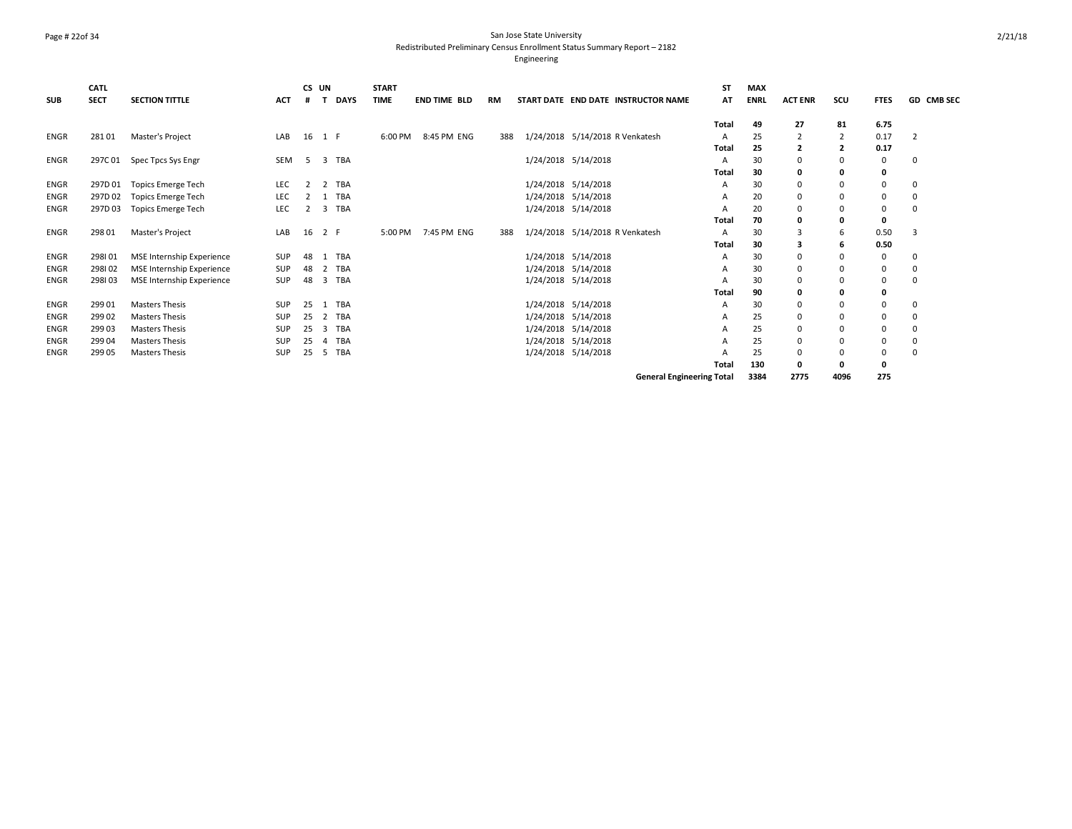### Page # 22of 34 San Jose State University Redistributed Preliminary Census Enrollment Status Summary Report – 2182

|             | CATL        |                                  |            | CS UN  |     |             | <b>START</b> |                     |           |                                 |                                     | <b>ST</b>    | <b>MAX</b>  |                |                |             |                   |
|-------------|-------------|----------------------------------|------------|--------|-----|-------------|--------------|---------------------|-----------|---------------------------------|-------------------------------------|--------------|-------------|----------------|----------------|-------------|-------------------|
| <b>SUB</b>  | <b>SECT</b> | <b>SECTION TITTLE</b>            | <b>ACT</b> |        |     | <b>DAYS</b> | <b>TIME</b>  | <b>END TIME BLD</b> | <b>RM</b> |                                 | START DATE END DATE INSTRUCTOR NAME | AΤ           | <b>ENRL</b> | <b>ACT ENR</b> | scu            | <b>FTES</b> | <b>GD CMB SEC</b> |
|             |             |                                  |            |        |     |             |              |                     |           |                                 |                                     | <b>Total</b> | 49          | 27             | 81             | 6.75        |                   |
| ENGR        | 28101       | Master's Project                 | LAB        | 16 1 F |     |             | 6:00 PM      | 8:45 PM ENG         | 388       | 1/24/2018 5/14/2018 R Venkatesh |                                     | A            | 25          | $\overline{2}$ |                | 0.17        | $\overline{2}$    |
|             |             |                                  |            |        |     |             |              |                     |           |                                 |                                     | <b>Total</b> | 25          | $\overline{2}$ | $\overline{2}$ | 0.17        |                   |
| ENGR        | 297C 01     | Spec Tpcs Sys Engr               | <b>SEM</b> | -5     |     | 3 TBA       |              |                     |           | 1/24/2018 5/14/2018             |                                     | Α            | 30          | $\mathbf 0$    | 0              | 0           | 0                 |
|             |             |                                  |            |        |     |             |              |                     |           |                                 |                                     | Total        | 30          | 0              | 0              | 0           |                   |
| ENGR        | 297D 01     | Topics Emerge Tech               | LEC        | 2      |     | 2 TBA       |              |                     |           | 1/24/2018 5/14/2018             |                                     | А            | 30          | $\mathbf 0$    | $\mathbf 0$    | 0           | 0                 |
| ENGR        | 297D 02     | <b>Topics Emerge Tech</b>        | LEC        |        |     | <b>TBA</b>  |              |                     |           | 1/24/2018 5/14/2018             |                                     | А            | 20          | $\mathbf 0$    | $\Omega$       | 0           | 0                 |
| ENGR        | 297D03      | Topics Emerge Tech               | LEC        | 2      |     | 3 TBA       |              |                     |           | 1/24/2018 5/14/2018             |                                     | А            | 20          | $\mathbf 0$    | $\mathbf 0$    | 0           | 0                 |
|             |             |                                  |            |        |     |             |              |                     |           |                                 |                                     | Total        | 70          | 0              | 0              | 0           |                   |
| <b>ENGR</b> | 298 01      | Master's Project                 | LAB        | 16     | 2 F |             | 5:00 PM      | 7:45 PM ENG         | 388       | 1/24/2018 5/14/2018 R Venkatesh |                                     | Α            | 30          | 3              | 6              | 0.50        | 3                 |
|             |             |                                  |            |        |     |             |              |                     |           |                                 |                                     | Total        | 30          | 3              | 6              | 0.50        |                   |
| ENGR        | 298101      | MSE Internship Experience        | SUP        | 48     |     | 1 TBA       |              |                     |           | 1/24/2018 5/14/2018             |                                     | А            | 30          | 0              | 0              | 0           | 0                 |
| ENGR        | 298102      | <b>MSE Internship Experience</b> | SUP        | 48     |     | 2 TBA       |              |                     |           | 1/24/2018 5/14/2018             |                                     |              | 30          | $\Omega$       | $\Omega$       | 0           | 0                 |
| ENGR        | 298103      | MSE Internship Experience        | SUP        | 48     |     | 3 TBA       |              |                     |           | 1/24/2018 5/14/2018             |                                     |              | 30          | $\Omega$       | $\Omega$       | 0           | 0                 |
|             |             |                                  |            |        |     |             |              |                     |           |                                 |                                     | Total        | 90          | 0              | 0              | 0           |                   |
| <b>ENGR</b> | 299 01      | Masters Thesis                   | <b>SUP</b> | 25     |     | 1 TBA       |              |                     |           | 1/24/2018 5/14/2018             |                                     | А            | 30          | $\Omega$       | $\Omega$       | 0           | 0                 |
| ENGR        | 299 02      | Masters Thesis                   | SUP        | 25     |     | 2 TBA       |              |                     |           | 1/24/2018 5/14/2018             |                                     | А            | 25          | $\Omega$       | $\Omega$       | 0           | 0                 |
| ENGR        | 299 03      | <b>Masters Thesis</b>            | SUP        | 25     |     | 3 TBA       |              |                     |           | 1/24/2018 5/14/2018             |                                     | А            | 25          | $\Omega$       | $\Omega$       | 0           | 0                 |
| ENGR        | 299 04      | <b>Masters Thesis</b>            | SUP        | 25     | 4   | <b>TBA</b>  |              |                     |           | 1/24/2018 5/14/2018             |                                     | А            | 25          | $\Omega$       | $\Omega$       | 0           |                   |
| ENGR        | 299 05      | <b>Masters Thesis</b>            | SUP        | 25     |     | 5 TBA       |              |                     |           | 1/24/2018 5/14/2018             |                                     |              | 25          | $\Omega$       | $\Omega$       | 0           | 0                 |
|             |             |                                  |            |        |     |             |              |                     |           |                                 |                                     | <b>Total</b> | 130         | 0              | 0              | 0           |                   |
|             |             |                                  |            |        |     |             |              |                     |           |                                 | <b>General Engineering Total</b>    |              | 3384        | 2775           | 4096           | 275         |                   |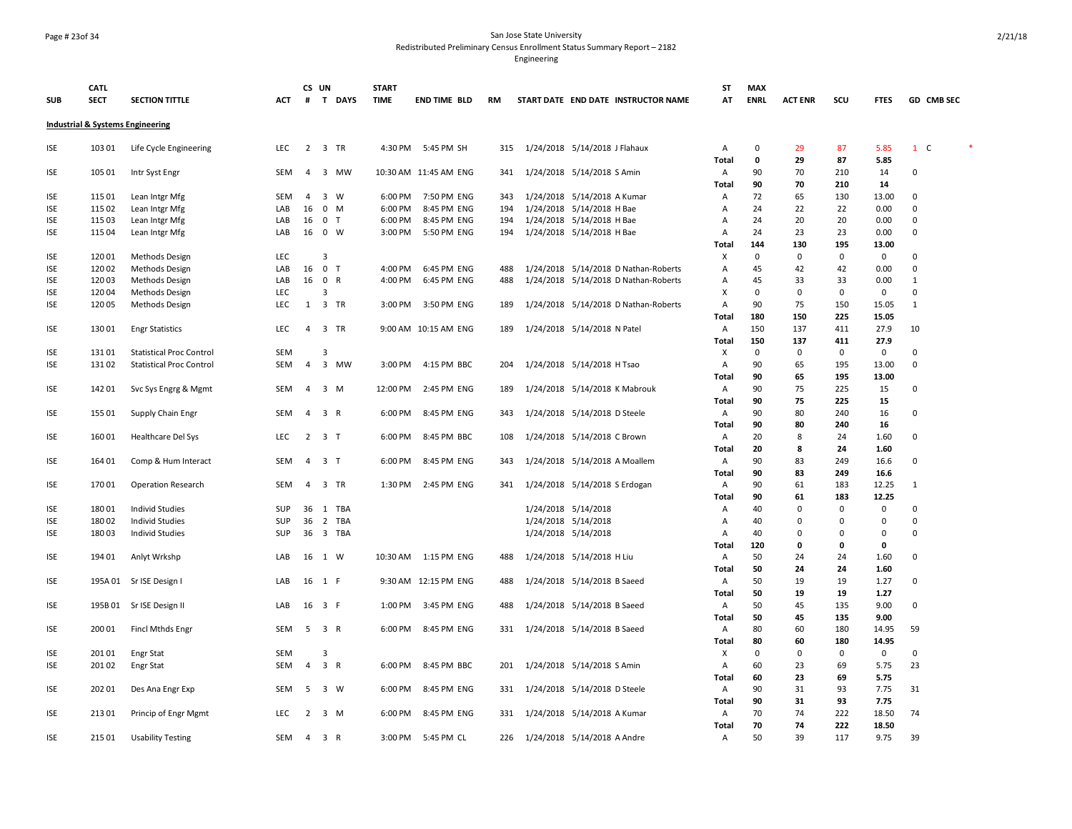### Page # 23of 34 San Jose State University Redistributed Preliminary Census Enrollment Status Summary Report – 2182

|            | <b>CATL</b> |                                             |            | CS UN          |                | <b>START</b> |                       |     |                               |                                      | ST           | <b>MAX</b>  |                |              |              |                       |
|------------|-------------|---------------------------------------------|------------|----------------|----------------|--------------|-----------------------|-----|-------------------------------|--------------------------------------|--------------|-------------|----------------|--------------|--------------|-----------------------|
| <b>SUB</b> | <b>SECT</b> | <b>SECTION TITTLE</b>                       | ACT        |                | # T DAYS       | <b>TIME</b>  | <b>END TIME BLD</b>   | RM  |                               | START DATE END DATE INSTRUCTOR NAME  | AT           | <b>ENRL</b> | <b>ACT ENR</b> | SCU          | <b>FTES</b>  | GD CMB SEC            |
|            |             | <b>Industrial &amp; Systems Engineering</b> |            |                |                |              |                       |     |                               |                                      |              |             |                |              |              |                       |
| ISE        | 103 01      | Life Cycle Engineering                      | LEC        |                | 2 3 TR         |              | 4:30 PM 5:45 PM SH    | 315 | 1/24/2018 5/14/2018 J Flahaux |                                      | A            | 0           | 29             | 87           | 5.85         | $\ast$<br>$1 \quad C$ |
|            |             |                                             |            |                |                |              |                       |     |                               |                                      | <b>Total</b> | $\mathbf 0$ | 29             | 87           | 5.85         |                       |
| ISE        | 105 01      | Intr Syst Engr                              | SEM        | $\overline{4}$ | 3 MW           |              | 10:30 AM 11:45 AM ENG | 341 | 1/24/2018 5/14/2018 S Amin    |                                      | Α            | 90          | 70             | 210          | 14           | $\mathbf 0$           |
|            |             |                                             |            |                |                |              |                       |     |                               |                                      | Total        | 90          | 70             | 210          | 14           |                       |
| <b>ISE</b> | 115 01      | Lean Intgr Mfg                              | <b>SEM</b> | $\overline{4}$ | $3 \quad W$    | 6:00 PM      | 7:50 PM ENG           | 343 | 1/24/2018 5/14/2018 A Kumar   |                                      | Α            | 72          | 65             | 130          | 13.00        | $\Omega$              |
| ISE        | 115 02      | Lean Intgr Mfg                              | LAB        | 16             | $0$ M          | 6:00 PM      | 8:45 PM ENG           | 194 | 1/24/2018 5/14/2018 H Bae     |                                      | Α            | 24          | 22             | 22           | 0.00         | $\Omega$              |
| <b>ISE</b> | 115 03      | Lean Intgr Mfg                              | LAB        | 16             | 0 <sub>T</sub> | 6:00 PM      | 8:45 PM ENG           | 194 | 1/24/2018 5/14/2018 H Bae     |                                      | Α            | 24          | 20             | 20           | 0.00         | $\Omega$              |
| ISE        | 115 04      | Lean Intgr Mfg                              | LAB        |                | 16 0 W         | 3:00 PM      | 5:50 PM ENG           | 194 | 1/24/2018 5/14/2018 H Bae     |                                      | Α            | 24          | 23             | 23           | 0.00         | $\mathbf 0$           |
|            |             |                                             |            |                |                |              |                       |     |                               |                                      | Total        | 144         | 130            | 195          | 13.00        |                       |
| ISE        | 120 01      | Methods Design                              | LEC        |                | 3              |              |                       |     |                               |                                      | X            | 0           | 0              | $\mathsf 0$  | 0            | $\mathbf 0$           |
| <b>ISE</b> | 120 02      | Methods Design                              | LAB        | 16             | 0 <sub>T</sub> | 4:00 PM      | 6:45 PM ENG           | 488 |                               | 1/24/2018 5/14/2018 D Nathan-Roberts | Α            | 45          | 42             | 42           | 0.00         | $\mathbf 0$           |
| ISE        | 120 03      | Methods Design                              | LAB        |                | 16 0 R         | 4:00 PM      | 6:45 PM ENG           | 488 |                               | 1/24/2018 5/14/2018 D Nathan-Roberts | Α            | 45          | 33             | 33           | 0.00         | $\mathbf{1}$          |
| <b>ISE</b> | 120 04      | Methods Design                              | LEC        |                | $\overline{3}$ |              |                       |     |                               |                                      | X            | $\mathbf 0$ | $\mathbf 0$    | $\mathbf 0$  | $\mathbf 0$  | $\Omega$              |
| <b>ISE</b> | 120 05      | <b>Methods Design</b>                       | <b>LEC</b> | 1              | 3 TR           | 3:00 PM      | 3:50 PM ENG           | 189 |                               | 1/24/2018 5/14/2018 D Nathan-Roberts | Α            | 90          | 75             | 150          | 15.05        | $\mathbf{1}$          |
|            |             |                                             |            |                |                |              |                       |     |                               |                                      | Total        | 180         | 150            | 225          | 15.05        |                       |
| <b>ISE</b> | 130 01      | <b>Engr Statistics</b>                      | <b>LEC</b> | $\overline{4}$ | 3 TR           |              | 9:00 AM 10:15 AM ENG  | 189 | 1/24/2018 5/14/2018 N Patel   |                                      | Α            | 150         | 137            | 411          | 27.9         | 10                    |
|            |             |                                             |            |                |                |              |                       |     |                               |                                      | Total        | 150         | 137            | 411          | 27.9         |                       |
| <b>ISE</b> | 13101       | <b>Statistical Proc Control</b>             | SEM        |                | 3              |              |                       |     |                               |                                      | Χ            | $\mathsf 0$ | $\mathsf 0$    | $\mathsf 0$  | $\mathsf 0$  | $\Omega$              |
| ISE        | 13102       | <b>Statistical Proc Control</b>             | SEM        | $\overline{4}$ | 3 MW           | 3:00 PM      | 4:15 PM BBC           | 204 | 1/24/2018 5/14/2018 H Tsao    |                                      | A            | 90          | 65             | 195          | 13.00        | $\mathbf 0$           |
|            |             |                                             |            |                |                |              |                       |     |                               |                                      | Total        | 90          | 65             | 195          | 13.00        |                       |
| ISE        | 142 01      | Svc Sys Engrg & Mgmt                        | SEM        | $\overline{4}$ | 3 M            | 12:00 PM     | 2:45 PM ENG           | 189 | 1/24/2018 5/14/2018 K Mabrouk |                                      | Α            | 90          | 75             | 225          | 15           | 0                     |
|            |             |                                             |            |                |                |              |                       |     |                               |                                      | Total        | 90          | 75             | 225          | 15           |                       |
| <b>ISE</b> | 155 01      | Supply Chain Engr                           | SEM        | $\overline{4}$ | 3 R            | 6:00 PM      | 8:45 PM ENG           | 343 | 1/24/2018 5/14/2018 D Steele  |                                      | A            | 90          | 80             | 240          | 16           | $\mathbf 0$           |
|            |             |                                             |            |                |                |              |                       |     |                               |                                      | Total        | 90          | 80             | 240          | 16           |                       |
| ISE        | 160 01      | <b>Healthcare Del Sys</b>                   | LEC        | $\overline{2}$ | 3 <sub>1</sub> | 6:00 PM      | 8:45 PM BBC           | 108 | 1/24/2018 5/14/2018 C Brown   |                                      | Α            | 20          | 8              | 24           | 1.60         | $\mathbf 0$           |
|            |             |                                             |            |                |                |              |                       |     |                               |                                      | Total        | 20          | 8              | 24           | 1.60         |                       |
| <b>ISE</b> | 164 01      | Comp & Hum Interact                         | <b>SEM</b> | $\overline{4}$ | 3 <sub>7</sub> | 6:00 PM      | 8:45 PM ENG           | 343 | 1/24/2018 5/14/2018 A Moallem |                                      | Α            | 90          | 83             | 249          | 16.6         | $\mathbf 0$           |
|            |             |                                             |            |                |                |              |                       |     |                               |                                      | Total        | 90          | 83             | 249          | 16.6         |                       |
| <b>ISE</b> | 170 01      | <b>Operation Research</b>                   | SEM        | $\overline{4}$ | 3 TR           | 1:30 PM      | 2:45 PM ENG           | 341 | 1/24/2018 5/14/2018 S Erdogan |                                      | Α            | 90          | 61             | 183          | 12.25        | $\mathbf{1}$          |
|            |             |                                             |            |                |                |              |                       |     |                               |                                      | Total        | 90          | 61             | 183          | 12.25        |                       |
| <b>ISE</b> | 18001       | <b>Individ Studies</b>                      | SUP        | 36             | 1 TBA          |              |                       |     | 1/24/2018 5/14/2018           |                                      | Α            | 40          | 0              | 0            | 0            | 0                     |
| <b>ISE</b> | 180 02      | <b>Individ Studies</b>                      | SUP        |                | 36 2 TBA       |              |                       |     | 1/24/2018 5/14/2018           |                                      | Α            | 40          | 0              | 0            | $\mathbf 0$  | $\mathbf 0$           |
| ISE        | 18003       | <b>Individ Studies</b>                      | SUP        | 36             | 3 TBA          |              |                       |     | 1/24/2018 5/14/2018           |                                      | Α            | 40          | 0              | 0            | $\mathbf 0$  | $\mathbf 0$           |
|            |             |                                             |            |                |                |              |                       |     |                               |                                      | Total        | 120         | 0              | $\mathbf{0}$ | $\mathbf{0}$ |                       |
| <b>ISE</b> | 194 01      | Anlyt Wrkshp                                | LAB        |                | 16 1 W         |              | 10:30 AM  1:15 PM ENG | 488 | 1/24/2018 5/14/2018 H Liu     |                                      | A            | 50          | 24             | 24           | 1.60         | $\mathbf 0$           |
|            |             |                                             |            |                |                |              |                       |     |                               |                                      | Total        | 50          | 24             | 24           | 1.60         |                       |
| <b>ISE</b> |             | 195A 01 Sr ISE Design I                     | LAB        |                | 16 1 F         |              | 9:30 AM 12:15 PM ENG  | 488 | 1/24/2018 5/14/2018 B Saeed   |                                      | Α            | 50          | 19             | 19           | 1.27         | $\Omega$              |
|            |             |                                             |            |                |                |              |                       |     |                               |                                      | Total        | 50          | 19             | 19           | 1.27         |                       |
| <b>ISE</b> |             | 195B 01 Sr ISE Design II                    | LAB        |                | 16 3 F         | 1:00 PM      | 3:45 PM ENG           | 488 | 1/24/2018 5/14/2018 B Saeed   |                                      | Α            | 50          | 45             | 135          | 9.00         | $\Omega$              |
|            |             |                                             |            |                |                |              |                       |     |                               |                                      | <b>Total</b> | 50          | 45             | 135          | 9.00         |                       |
| <b>ISE</b> | 200 01      | Fincl Mthds Engr                            | SEM        | 5              | 3 R            | 6:00 PM      | 8:45 PM ENG           | 331 | 1/24/2018 5/14/2018 B Saeed   |                                      | Α            | 80          | 60             | 180          | 14.95        | 59                    |
|            |             |                                             |            |                |                |              |                       |     |                               |                                      | Total        | 80          | 60             | 180          | 14.95        |                       |
| ISE        | 201 01      | Engr Stat                                   | SEM        |                | 3              |              |                       |     |                               |                                      | х            | 0           | $\mathsf 0$    | $\mathsf 0$  | $\mathsf 0$  | $\mathbf 0$           |
| ISE        | 201 02      | <b>Engr Stat</b>                            | <b>SEM</b> | $\overline{4}$ | 3 R            | 6:00 PM      | 8:45 PM BBC           | 201 | 1/24/2018 5/14/2018 S Amin    |                                      | A            | 60          | 23             | 69           | 5.75         | 23                    |
|            |             |                                             |            |                |                |              |                       |     |                               |                                      | Total        | 60          | 23             | 69           | 5.75         |                       |
| ISE        | 202 01      | Des Ana Engr Exp                            | SEM        | 5              | 3 W            | 6:00 PM      | 8:45 PM ENG           | 331 | 1/24/2018 5/14/2018 D Steele  |                                      | A            | 90          | 31             | 93           | 7.75         | 31                    |
|            |             |                                             |            |                |                |              |                       |     |                               |                                      | Total        | 90          | 31             | 93           | 7.75         |                       |
| ISE        | 21301       | Princip of Engr Mgmt                        | <b>LEC</b> | 2              | $3 \, M$       | 6:00 PM      | 8:45 PM ENG           | 331 | 1/24/2018 5/14/2018 A Kumar   |                                      | Α            | 70          | 74             | 222          | 18.50        | 74                    |
|            |             |                                             |            |                |                |              |                       |     |                               |                                      | Total        | 70          | 74             | 222          | 18.50        |                       |
| <b>ISE</b> | 215 01      | <b>Usability Testing</b>                    | SEM        | 4              | 3 R            | 3:00 PM      | 5:45 PM CL            | 226 | 1/24/2018 5/14/2018 A Andre   |                                      | Α            | 50          | 39             | 117          | 9.75         | 39                    |
|            |             |                                             |            |                |                |              |                       |     |                               |                                      |              |             |                |              |              |                       |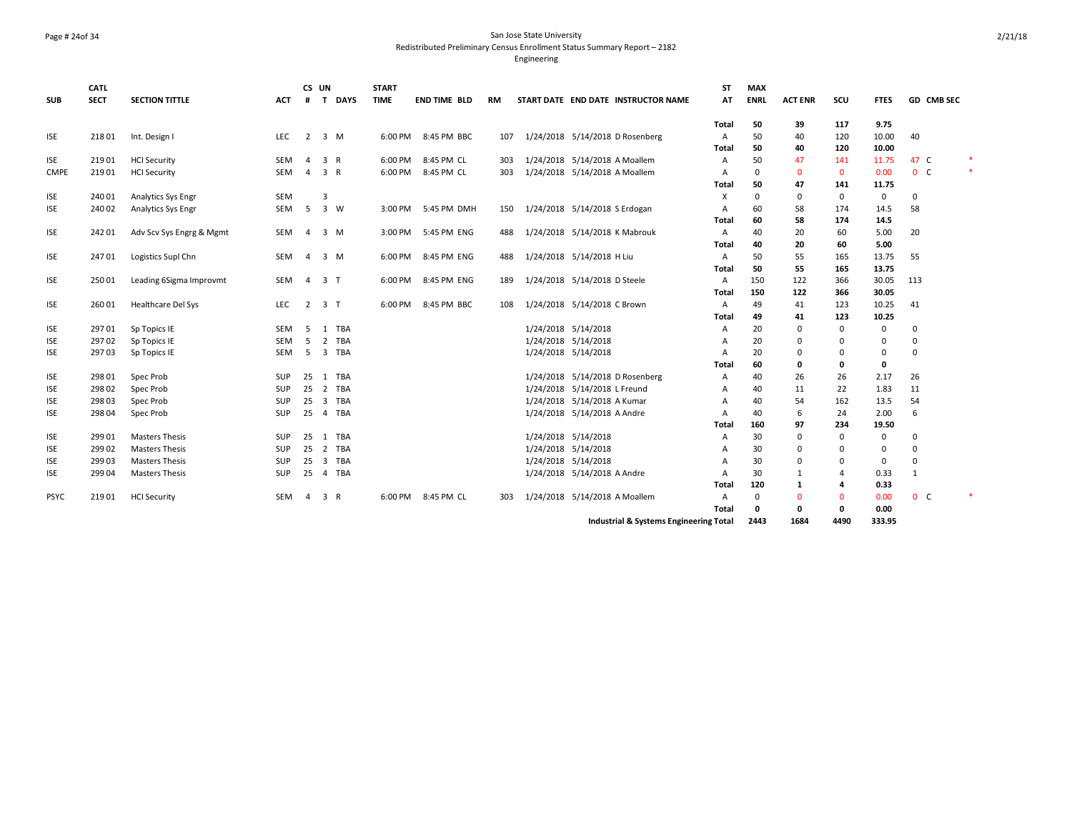### Page # 24of 34 San Jose State University Redistributed Preliminary Census Enrollment Status Summary Report – 2182

| <b>SUB</b>  | <b>CATL</b><br><b>SECT</b> | <b>SECTION TITTLE</b>     | ACT        | CS UN<br>#     | T DAYS                                | <b>START</b><br><b>TIME</b> | <b>END TIME BLD</b> | RM  | START DATE END DATE INSTRUCTOR NAME    | <b>ST</b><br>AT | <b>MAX</b><br><b>ENRL</b> | <b>ACT ENR</b> | SCU            | <b>FTES</b> | GD CMB SEC     |        |
|-------------|----------------------------|---------------------------|------------|----------------|---------------------------------------|-----------------------------|---------------------|-----|----------------------------------------|-----------------|---------------------------|----------------|----------------|-------------|----------------|--------|
|             |                            |                           |            |                |                                       |                             |                     |     |                                        | Total           | 50                        | 39             | 117            | 9.75        |                |        |
| <b>ISE</b>  | 21801                      | Int. Design I             | <b>LEC</b> | $\overline{2}$ | $3 \, M$                              |                             | 6:00 PM 8:45 PM BBC | 107 | 1/24/2018 5/14/2018 D Rosenberg        | Α               | 50                        | 40             | 120            | 10.00       | 40             |        |
|             |                            |                           |            |                |                                       |                             |                     |     |                                        | Total           | 50                        | 40             | 120            | 10.00       |                |        |
| <b>ISE</b>  | 21901                      | <b>HCI Security</b>       | SEM        | $\overline{4}$ | 3 R                                   |                             | 6:00 PM 8:45 PM CL  | 303 | 1/24/2018 5/14/2018 A Moallem          | A               | 50                        | 47             | 141            | 11.75       | 47 C           | $\ast$ |
| <b>CMPE</b> | 219 01                     | <b>HCI Security</b>       | <b>SEM</b> | $\overline{4}$ | 3 R                                   | 6:00 PM                     | 8:45 PM CL          | 303 | 1/24/2018 5/14/2018 A Moallem          | A               | 0                         | $\mathbf 0$    | $\mathbf{0}$   | 0.00        | 0 <sub>c</sub> | $\ast$ |
|             |                            |                           |            |                |                                       |                             |                     |     |                                        | Total           | 50                        | 47             | 141            | 11.75       |                |        |
| <b>ISE</b>  | 240 01                     | Analytics Sys Engr        | <b>SEM</b> |                | 3                                     |                             |                     |     |                                        | X               | 0                         | 0              | $\mathbf 0$    | 0           | 0              |        |
| <b>ISE</b>  | 240 02                     | Analytics Sys Engr        | SEM        | 5              | 3 W                                   |                             | 3:00 PM 5:45 PM DMH | 150 | 1/24/2018 5/14/2018 S Erdogan          | Α               | 60                        | 58             | 174            | 14.5        | 58             |        |
|             |                            |                           |            |                |                                       |                             |                     |     |                                        | Total           | 60                        | 58             | 174            | 14.5        |                |        |
| ISE         | 242 01                     | Adv Scv Sys Engrg & Mgmt  | SEM        | $\overline{4}$ | $3 \, M$                              |                             | 3:00 PM 5:45 PM ENG | 488 | 1/24/2018 5/14/2018 K Mabrouk          | Α               | 40                        | 20             | 60             | 5.00        | 20             |        |
|             |                            |                           |            |                |                                       |                             |                     |     |                                        | Total           | 40                        | 20             | 60             | 5.00        |                |        |
| <b>ISE</b>  | 24701                      | Logistics Supl Chn        | SEM        | $\overline{a}$ | $3 \, M$                              | 6:00 PM                     | 8:45 PM ENG         | 488 | 1/24/2018 5/14/2018 H Liu              | Α               | 50                        | 55             | 165            | 13.75       | 55             |        |
|             |                            |                           |            |                |                                       |                             |                     |     |                                        | Total           | 50                        | 55             | 165            | 13.75       |                |        |
| <b>ISE</b>  | 250 01                     | Leading 6Sigma Improvmt   | SEM        | $\overline{4}$ | 3 <sub>1</sub>                        | 6:00 PM                     | 8:45 PM ENG         | 189 | 1/24/2018 5/14/2018 D Steele           | Α               | 150                       | 122            | 366            | 30.05       | 113            |        |
|             |                            |                           |            |                |                                       |                             |                     |     |                                        | Total           | 150                       | 122            | 366            | 30.05       |                |        |
| <b>ISE</b>  | 260 01                     | <b>Healthcare Del Sys</b> | LEC        | $\overline{2}$ | 3 <sub>T</sub>                        | 6:00 PM                     | 8:45 PM BBC         | 108 | 1/24/2018 5/14/2018 C Brown            | Α               | 49                        | 41             | 123            | 10.25       | 41             |        |
|             |                            |                           |            |                |                                       |                             |                     |     |                                        | Total           | 49                        | 41             | 123            | 10.25       |                |        |
| <b>ISE</b>  | 297 01                     | Sp Topics IE              | SEM        | -5             | 1 TBA                                 |                             |                     |     | 1/24/2018 5/14/2018                    | Α               | 20                        | 0              | $\mathbf 0$    | 0           | 0              |        |
| <b>ISE</b>  | 297 02                     | Sp Topics IE              | <b>SEM</b> | 5              | 2<br><b>TBA</b>                       |                             |                     |     | 1/24/2018 5/14/2018                    | A               | 20                        | 0              | 0              | 0           | 0              |        |
| <b>ISE</b>  | 29703                      | Sp Topics IE              | <b>SEM</b> | 5              | 3 TBA                                 |                             |                     |     | 1/24/2018 5/14/2018                    | A               | 20                        | 0              | $\Omega$       | 0           | 0              |        |
|             |                            |                           |            |                |                                       |                             |                     |     |                                        | <b>Total</b>    | 60                        | 0              | 0              | 0           |                |        |
| <b>ISE</b>  | 298 01                     | Spec Prob                 | <b>SUP</b> | 25             | 1 TBA                                 |                             |                     |     | 1/24/2018 5/14/2018 D Rosenberg        | $\overline{A}$  | 40                        | 26             | 26             | 2.17        | 26             |        |
| <b>ISE</b>  | 298 02                     | Spec Prob                 | SUP        | 25             | 2 TBA                                 |                             |                     |     | 1/24/2018 5/14/2018 L Freund           | A               | 40                        | 11             | 22             | 1.83        | 11             |        |
| <b>ISE</b>  | 298 03                     | Spec Prob                 | <b>SUP</b> | 25             | $\overline{3}$<br><b>TBA</b>          |                             |                     |     | 1/24/2018 5/14/2018 A Kumar            | A               | 40                        | 54             | 162            | 13.5        | 54             |        |
| <b>ISE</b>  | 298 04                     | Spec Prob                 | <b>SUP</b> | 25             | 4 TBA                                 |                             |                     |     | 1/24/2018 5/14/2018 A Andre            | $\overline{A}$  | 40                        | 6              | 24             | 2.00        | 6              |        |
|             |                            |                           |            |                |                                       |                             |                     |     |                                        | Total           | 160                       | 97             | 234            | 19.50       |                |        |
| <b>ISE</b>  | 299 01                     | <b>Masters Thesis</b>     | <b>SUP</b> | 25             | 1 TBA                                 |                             |                     |     | 1/24/2018 5/14/2018                    | A               | 30                        | $\mathbf 0$    | $\mathbf 0$    | 0           | $\mathbf 0$    |        |
| <b>ISE</b>  | 299 02                     | <b>Masters Thesis</b>     | SUP        | 25             | 2 TBA                                 |                             |                     |     | 1/24/2018 5/14/2018                    | A               | 30                        | 0              | $\mathbf 0$    | 0           | 0              |        |
| <b>ISE</b>  | 299 03                     | <b>Masters Thesis</b>     | <b>SUP</b> | 25             | $\overline{\mathbf{3}}$<br><b>TBA</b> |                             |                     |     | 1/24/2018 5/14/2018                    | A               | 30                        | 0              | 0              | 0           | 0              |        |
| <b>ISE</b>  | 299 04                     | <b>Masters Thesis</b>     | <b>SUP</b> | 25             | <b>TBA</b><br>$\overline{4}$          |                             |                     |     | 1/24/2018 5/14/2018 A Andre            | A               | 30                        | $\mathbf{1}$   | $\overline{4}$ | 0.33        | 1              |        |
|             |                            |                           |            |                |                                       |                             |                     |     |                                        | Total           | 120                       | 1              | 4              | 0.33        |                |        |
| <b>PSYC</b> | 21901                      | <b>HCI Security</b>       | SEM        | 4              | 3<br>R                                | 6:00 PM                     | 8:45 PM CL          | 303 | 1/24/2018 5/14/2018 A Moallem          | Α               | $\mathbf 0$               | $\mathbf{0}$   | $\mathbf 0$    | 0.00        | 0 <sub>c</sub> | $\ast$ |
|             |                            |                           |            |                |                                       |                             |                     |     |                                        | Total           | 0                         | 0              | $\mathbf 0$    | 0.00        |                |        |
|             |                            |                           |            |                |                                       |                             |                     |     | Industrial & Systems Engineering Total |                 | 2443                      | 1684           | 4490           | 333.95      |                |        |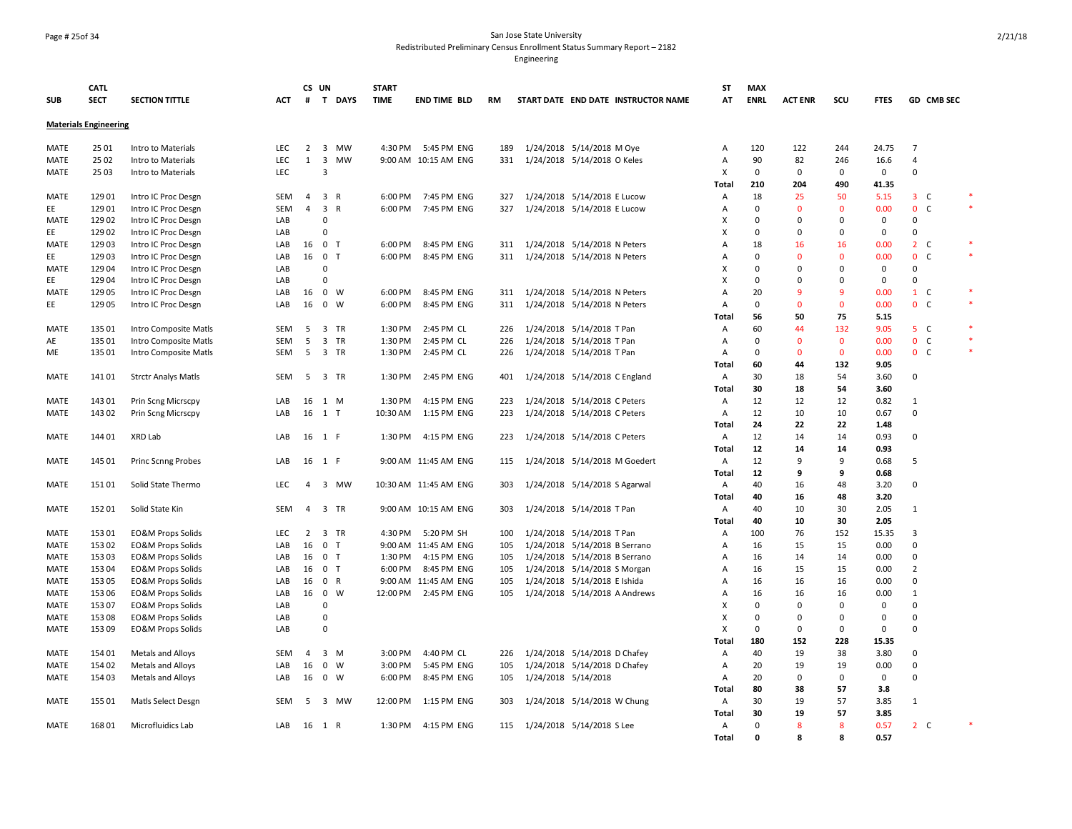### Page # 25of 34 San Jose State University Redistributed Preliminary Census Enrollment Status Summary Report – 2182

|             | <b>CATL</b>                  |                              |            | CS UN          |                                | <b>START</b> |                       |     |                                     | ST             | <b>MAX</b>  |                |              |             |                   |        |
|-------------|------------------------------|------------------------------|------------|----------------|--------------------------------|--------------|-----------------------|-----|-------------------------------------|----------------|-------------|----------------|--------------|-------------|-------------------|--------|
| <b>SUB</b>  | <b>SECT</b>                  | <b>SECTION TITTLE</b>        | ACT        | #              | T DAYS                         | <b>TIME</b>  | <b>END TIME BLD</b>   | RM  | START DATE END DATE INSTRUCTOR NAME | AT             | <b>ENRL</b> | <b>ACT ENR</b> | scu          | <b>FTES</b> | GD CMB SEC        |        |
|             | <b>Materials Engineering</b> |                              |            |                |                                |              |                       |     |                                     |                |             |                |              |             |                   |        |
| MATE        | 25 01                        | Intro to Materials           | <b>LEC</b> | $\overline{2}$ | 3 MW                           | 4:30 PM      | 5:45 PM ENG           | 189 | 1/24/2018 5/14/2018 M Oye           | Α              | 120         | 122            | 244          | 24.75       | $\overline{7}$    |        |
| MATE        | 2502                         | Intro to Materials           | LEC        | 1              | $\overline{\mathbf{3}}$<br>MW  |              | 9:00 AM 10:15 AM ENG  | 331 | 1/24/2018 5/14/2018 O Keles         | A              | 90          | 82             | 246          | 16.6        | 4                 |        |
| MATE        | 2503                         | Intro to Materials           | <b>LEC</b> |                | $\overline{3}$                 |              |                       |     |                                     | X              | $\mathbf 0$ | 0              | $\mathbf 0$  | $\mathbf 0$ | $\Omega$          |        |
|             |                              |                              |            |                |                                |              |                       |     |                                     | Total          | 210         | 204            | 490          | 41.35       |                   |        |
| <b>MATE</b> | 129 01                       | Intro IC Proc Desgn          | <b>SEM</b> | 4              | 3 R                            | 6:00 PM      | 7:45 PM ENG           | 327 | 1/24/2018 5/14/2018 E Lucow         | Α              | 18          | 25             | 50           | 5.15        | $3-$              | $\ast$ |
| EE          | 129 01                       | Intro IC Proc Desgn          | SEM        | 4              | $\overline{3}$<br>$\mathsf{R}$ | 6:00 PM      | 7:45 PM ENG           | 327 | 1/24/2018 5/14/2018 E Lucow         | Α              | $\mathbf 0$ | $\mathbf{0}$   | $\mathbf 0$  | 0.00        | 0 <sup>o</sup>    | $\ast$ |
| MATE        | 129 02                       | Intro IC Proc Desgn          | LAB        |                | 0                              |              |                       |     |                                     | X              | $\Omega$    | 0              | 0            | 0           | $\Omega$          |        |
| EE          | 129 02                       | Intro IC Proc Desgn          | LAB        |                | $\Omega$                       |              |                       |     |                                     | X              | 0           | $\mathbf 0$    | 0            | 0           | $\Omega$          |        |
| MATE        | 129 03                       | Intro IC Proc Desgn          | LAB        | 16             | 0 <sub>T</sub>                 | 6:00 PM      | 8:45 PM ENG           | 311 | 1/24/2018 5/14/2018 N Peters        | A              | 18          | 16             | 16           | 0.00        | $2\degree$ C      | $\ast$ |
| EE          | 129 03                       | Intro IC Proc Desgn          | LAB        | 16             | 0 <sub>T</sub>                 | 6:00 PM      | 8:45 PM ENG           | 311 | 1/24/2018 5/14/2018 N Peters        | A              | $\Omega$    | $\mathbf{0}$   | $\mathbf{0}$ | 0.00        | $\mathbf{0}$<br>C | $\ast$ |
| <b>MATE</b> | 129 04                       | Intro IC Proc Desgn          | LAB        |                | $\Omega$                       |              |                       |     |                                     | X              | $\mathbf 0$ | $\mathbf 0$    | 0            | 0           | 0                 |        |
| EE          | 129 04                       | Intro IC Proc Desgn          | LAB        |                | $\mathbf 0$                    |              |                       |     |                                     | X              | $\Omega$    | $\Omega$       | 0            | 0           | $\Omega$          |        |
| MATE        | 129 05                       | Intro IC Proc Desgn          | LAB        | 16             | $0 \quad W$                    | 6:00 PM      | 8:45 PM ENG           | 311 | 1/24/2018 5/14/2018 N Peters        | $\overline{A}$ | 20          | 9              | 9            | 0.00        | $1\quad$ C        |        |
| EE          | 129 05                       | Intro IC Proc Desgn          | LAB        | 16             | $0 \quad W$                    | 6:00 PM      | 8:45 PM ENG           | 311 | 1/24/2018 5/14/2018 N Peters        | Α              | 0           | $\Omega$       | $\mathbf 0$  | 0.00        | 0 <sub>c</sub>    | $\ast$ |
|             |                              |                              |            |                |                                |              |                       |     |                                     | Total          | 56          | 50             | 75           | 5.15        |                   |        |
| <b>MATE</b> | 135 01                       | Intro Composite Matls        | SEM        | 5              | 3 TR                           | 1:30 PM      | 2:45 PM CL            | 226 | 1/24/2018 5/14/2018 T Pan           | Α              | 60          | 44             | 132          | 9.05        | 5 <sub>c</sub>    |        |
| AE          | 135 01                       | Intro Composite Matls        | <b>SEM</b> | 5              | 3 TR                           | 1:30 PM      | 2:45 PM CL            | 226 | 1/24/2018 5/14/2018 T Pan           | Α              | 0           | $\Omega$       | $\mathbf 0$  | 0.00        | 0 <sub>c</sub>    | $\ast$ |
| ME          | 135 01                       | Intro Composite Matls        | SEM        | 5              | 3 TR                           | 1:30 PM      | 2:45 PM CL            | 226 | 1/24/2018 5/14/2018 T Pan           | Α              | $\mathbf 0$ | $\mathbf{0}$   | $\mathbf 0$  | 0.00        | 0 <sub>c</sub>    | $\ast$ |
|             |                              |                              |            |                |                                |              |                       |     |                                     | Total          | 60          | 44             | 132          | 9.05        |                   |        |
| MATE        | 141 01                       | <b>Strctr Analys Matls</b>   | SEM        |                | 5 3 TR                         | 1:30 PM      | 2:45 PM ENG           | 401 | 1/24/2018 5/14/2018 C England       | Α              | 30          | 18             | 54           | 3.60        | $\Omega$          |        |
|             |                              |                              |            |                |                                |              |                       |     |                                     | Total          | 30          | 18             | 54           | 3.60        |                   |        |
| <b>MATE</b> | 143 01                       | Prin Scng Micrscpy           | LAB        | 16             | 1 M                            | 1:30 PM      | 4:15 PM ENG           | 223 | 1/24/2018 5/14/2018 C Peters        | Α              | 12          | 12             | 12           | 0.82        | 1                 |        |
| MATE        | 143 02                       | Prin Scng Micrscpy           | LAB        | 16             | 1 T                            | 10:30 AM     | 1:15 PM ENG           | 223 | 1/24/2018 5/14/2018 C Peters        | Α              | 12          | 10             | 10           | 0.67        | $\Omega$          |        |
|             |                              |                              |            |                |                                |              |                       |     |                                     | Total          | 24          | 22             | 22           | 1.48        |                   |        |
| MATE        | 144 01                       | XRD Lab                      | LAB        |                | 16 1 F                         | 1:30 PM      | 4:15 PM ENG           | 223 | 1/24/2018 5/14/2018 C Peters        | Α              | 12          | 14             | 14           | 0.93        | 0                 |        |
|             |                              |                              |            |                |                                |              |                       |     |                                     | Total          | 12          | 14             | 14           | 0.93        |                   |        |
| <b>MATE</b> | 145 01                       | <b>Princ Scnng Probes</b>    | LAB        |                | 16 1 F                         |              | 9:00 AM 11:45 AM ENG  | 115 | 1/24/2018 5/14/2018 M Goedert       | Α              | 12          | 9              | 9            | 0.68        | 5                 |        |
|             |                              |                              |            |                |                                |              |                       |     |                                     | Total          | 12          | 9              | 9            | 0.68        |                   |        |
| <b>MATE</b> | 15101                        | Solid State Thermo           | <b>LEC</b> | $\overline{4}$ | 3 MW                           |              | 10:30 AM 11:45 AM ENG | 303 | 1/24/2018 5/14/2018 S Agarwal       | Α              | 40          | 16             | 48           | 3.20        | $\mathbf 0$       |        |
|             |                              |                              |            |                |                                |              |                       |     |                                     | Total          | 40          | 16             | 48           | 3.20        |                   |        |
| <b>MATE</b> | 152 01                       | Solid State Kin              | <b>SEM</b> | $\overline{4}$ | 3 TR                           |              | 9:00 AM 10:15 AM ENG  | 303 | 1/24/2018 5/14/2018 T Pan           | Α              | 40          | 10             | 30           | 2.05        | $\mathbf{1}$      |        |
|             |                              |                              |            |                |                                |              |                       |     |                                     | Total          | 40          | 10             | 30           | 2.05        |                   |        |
| <b>MATE</b> | 153 01                       | <b>EO&amp;M Props Solids</b> | <b>LEC</b> | 2              | 3 TR                           | 4:30 PM      | 5:20 PM SH            | 100 | 1/24/2018 5/14/2018 T Pan           | Α              | 100         | 76             | 152          | 15.35       | 3                 |        |
| MATE        | 153 02                       | <b>EO&amp;M Props Solids</b> | LAB        | 16             | 0 <sub>T</sub>                 |              | 9:00 AM 11:45 AM ENG  | 105 | 1/24/2018 5/14/2018 B Serrano       | Α              | 16          | 15             | 15           | 0.00        | $\Omega$          |        |
| MATE        | 153 03                       | <b>EO&amp;M Props Solids</b> | LAB        | 16             | 0 <sub>T</sub>                 | 1:30 PM      | 4:15 PM ENG           | 105 | 1/24/2018 5/14/2018 B Serrano       | Α              | 16          | 14             | 14           | 0.00        | $\Omega$          |        |
| <b>MATE</b> | 153 04                       | <b>EO&amp;M Props Solids</b> | LAB        | 16             | 0 <sub>T</sub>                 | 6:00 PM      | 8:45 PM ENG           | 105 | 1/24/2018 5/14/2018 S Morgan        | Α              | 16          | 15             | 15           | 0.00        | $\overline{2}$    |        |
| MATE        | 153 05                       | <b>EO&amp;M Props Solids</b> | LAB        | 16             | 0 R                            |              | 9:00 AM 11:45 AM ENG  | 105 | 1/24/2018 5/14/2018 E Ishida        | A              | 16          | 16             | 16           | 0.00        | $\mathbf 0$       |        |
| <b>MATE</b> | 153 06                       | <b>EO&amp;M Props Solids</b> | LAB        | 16             | $0 \quad W$                    | 12:00 PM     | 2:45 PM ENG           | 105 | 1/24/2018 5/14/2018 A Andrews       | Α              | 16          | 16             | 16           | 0.00        | 1                 |        |
| MATE        | 153 07                       | <b>EO&amp;M Props Solids</b> | LAB        |                | $\mathbf 0$                    |              |                       |     |                                     | X              | $\mathbf 0$ | $\mathbf 0$    | 0            | 0           | $\mathbf 0$       |        |
| MATE        | 153 08                       | <b>EO&amp;M Props Solids</b> | LAB        |                | $\mathbf 0$                    |              |                       |     |                                     | X              | $\Omega$    | 0              | 0            | $\Omega$    | $\Omega$          |        |
| <b>MATE</b> | 153 09                       | <b>EO&amp;M Props Solids</b> | LAB        |                | $\Omega$                       |              |                       |     |                                     | X              | $\mathbf 0$ | $\mathbf 0$    | 0            | $\mathbf 0$ | $\Omega$          |        |
|             |                              |                              |            |                |                                |              |                       |     |                                     | Total          | 180         | 152            | 228          | 15.35       |                   |        |
| <b>MATE</b> | 154 01                       | Metals and Alloys            | <b>SEM</b> | $\overline{4}$ | $3 \, M$                       | 3:00 PM      | 4:40 PM CL            | 226 | 1/24/2018 5/14/2018 D Chafey        | Α              | 40          | 19             | 38           | 3.80        | $\Omega$          |        |
| MATE        | 154 02                       | Metals and Alloys            | LAB        | 16             | $0 \quad W$                    | 3:00 PM      | 5:45 PM ENG           | 105 | 1/24/2018 5/14/2018 D Chafey        | A              | 20          | 19             | 19           | 0.00        | $\mathbf 0$       |        |
| <b>MATE</b> | 154 03                       | Metals and Alloys            | LAB        | 16             | 0 W                            | 6:00 PM      | 8:45 PM ENG           | 105 | 1/24/2018 5/14/2018                 | Α              | 20          | $\Omega$       | $\mathbf 0$  | $\mathbf 0$ | $\Omega$          |        |
|             |                              |                              |            |                |                                |              |                       |     |                                     | Total          | 80          | 38             | 57           | 3.8         |                   |        |
| MATE        | 155 01                       | Matls Select Desgn           | SEM        | 5              | 3 MW                           | 12:00 PM     | 1:15 PM ENG           | 303 | 1/24/2018 5/14/2018 W Chung         | Α              | 30          | 19             | 57           | 3.85        | $\mathbf{1}$      |        |
|             |                              |                              |            |                |                                |              |                       |     |                                     | Total          | 30          | 19             | 57           | 3.85        |                   |        |
| <b>MATE</b> | 168 01                       | Microfluidics Lab            | LAB        |                | 16 1 R                         | 1:30 PM      | 4:15 PM ENG           | 115 | 1/24/2018 5/14/2018 S Lee           | Α              | $\mathbf 0$ | 8              | 8            | 0.57        | 2 <sub>c</sub>    |        |
|             |                              |                              |            |                |                                |              |                       |     |                                     | <b>Total</b>   | $\Omega$    | 8              | 8            | 0.57        |                   |        |
|             |                              |                              |            |                |                                |              |                       |     |                                     |                |             |                |              |             |                   |        |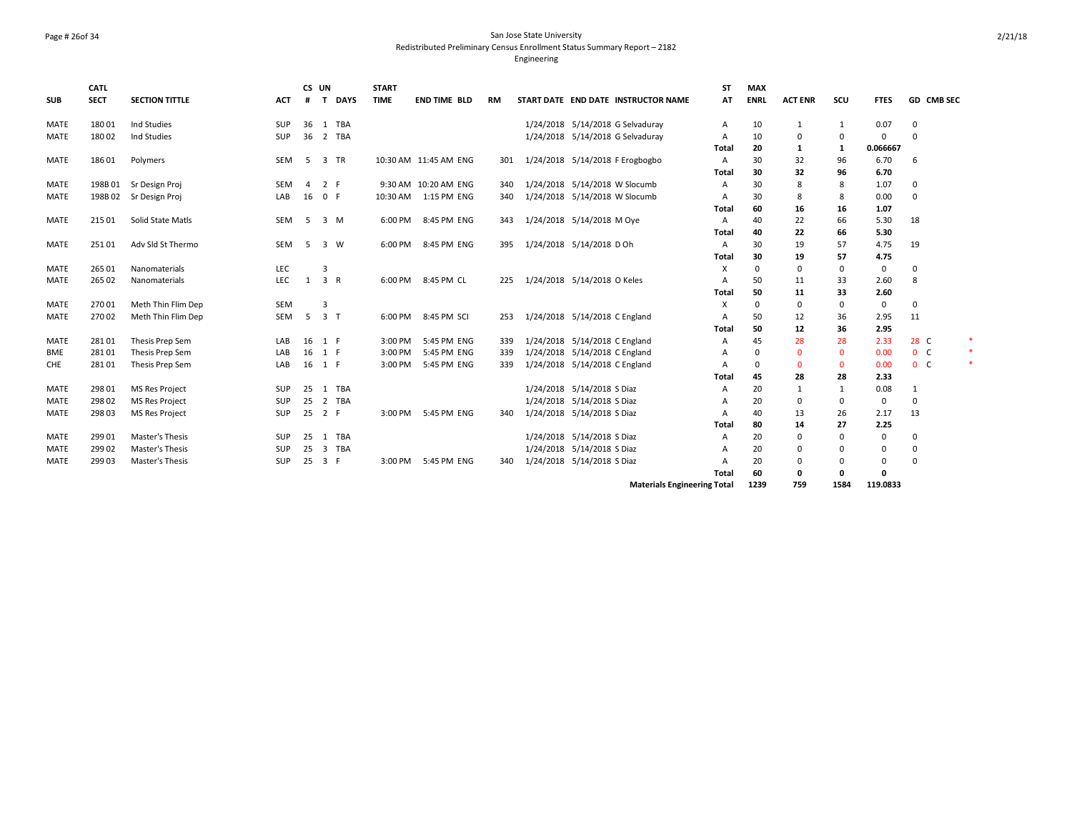### Page # 26of 34 San Jose State University Redistributed Preliminary Census Enrollment Status Summary Report – 2182 Engineering

|             | <b>CATL</b> |                       |            | CS UN          |                             | <b>START</b> |                       |     |                                     |                                    | <b>ST</b>      | <b>MAX</b>  |                |             |             |                   |        |
|-------------|-------------|-----------------------|------------|----------------|-----------------------------|--------------|-----------------------|-----|-------------------------------------|------------------------------------|----------------|-------------|----------------|-------------|-------------|-------------------|--------|
| <b>SUB</b>  | <b>SECT</b> | <b>SECTION TITTLE</b> | <b>ACT</b> | #              | <b>DAYS</b><br>$\mathbf{T}$ | <b>TIME</b>  | <b>END TIME BLD</b>   | RM  | START DATE END DATE INSTRUCTOR NAME |                                    | AT             | <b>ENRL</b> | <b>ACT ENR</b> | SCU         | <b>FTES</b> | <b>GD CMB SEC</b> |        |
| MATE        | 18001       | Ind Studies           | SUP        |                | 36 1 TBA                    |              |                       |     | 1/24/2018 5/14/2018 G Selvaduray    |                                    | Α              | 10          | -1             | 1           | 0.07        | 0                 |        |
| <b>MATE</b> | 180 02      | Ind Studies           | <b>SUP</b> | 36             | 2 TBA                       |              |                       |     | 1/24/2018 5/14/2018 G Selvaduray    |                                    | A              | 10          | 0              | 0           | 0           | 0                 |        |
|             |             |                       |            |                |                             |              |                       |     |                                     |                                    | Total          | 20          | 1              | 1           | 0.066667    |                   |        |
| <b>MATE</b> | 186 01      | Polymers              | SEM        | -5             | 3 TR                        |              | 10:30 AM 11:45 AM ENG | 301 | 1/24/2018 5/14/2018 F Erogbogbo     |                                    | A              | 30          | 32             | 96          | 6.70        | 6                 |        |
|             |             |                       |            |                |                             |              |                       |     |                                     |                                    | Total          | 30          | 32             | 96          | 6.70        |                   |        |
| MATE        | 198B01      | Sr Design Proj        | <b>SEM</b> | $\overline{4}$ | 2 F                         |              | 9:30 AM 10:20 AM ENG  | 340 | 1/24/2018 5/14/2018 W Slocumb       |                                    | A              | 30          | 8              | 8           | 1.07        | 0                 |        |
| <b>MATE</b> | 198B02      | Sr Design Proj        | LAB        | 16             | 0 F                         | 10:30 AM     | 1:15 PM ENG           | 340 | 1/24/2018 5/14/2018 W Slocumb       |                                    | A              | 30          | 8              | 8           | 0.00        | 0                 |        |
|             |             |                       |            |                |                             |              |                       |     |                                     |                                    | Total          | 60          | 16             | 16          | 1.07        |                   |        |
| <b>MATE</b> | 215 01      | Solid State Matls     | SEM        | 5              | 3 M                         | 6:00 PM      | 8:45 PM ENG           | 343 | 1/24/2018 5/14/2018 M Oye           |                                    | $\mathsf{A}$   | 40          | 22             | 66          | 5.30        | 18                |        |
|             |             |                       |            |                |                             |              |                       |     |                                     |                                    | Total          | 40          | 22             | 66          | 5.30        |                   |        |
| MATE        | 25101       | Adv Sld St Thermo     | SEM        | -5             | 3 W                         | 6:00 PM      | 8:45 PM ENG           | 395 | 1/24/2018 5/14/2018 D Oh            |                                    | A              | 30          | 19             | 57          | 4.75        | 19                |        |
|             |             |                       |            |                |                             |              |                       |     |                                     |                                    | Total          | 30          | 19             | 57          | 4.75        |                   |        |
| <b>MATE</b> | 265 01      | Nanomaterials         | <b>LEC</b> |                | 3                           |              |                       |     |                                     |                                    | X              | $\mathbf 0$ | $\mathbf 0$    | $\mathbf 0$ | $\mathbf 0$ | 0                 |        |
| <b>MATE</b> | 265 02      | Nanomaterials         | <b>LEC</b> | 1              | 3 R                         | 6:00 PM      | 8:45 PM CL            | 225 | 1/24/2018 5/14/2018 O Keles         |                                    | A              | 50          | 11             | 33          | 2.60        | 8                 |        |
|             |             |                       |            |                |                             |              |                       |     |                                     |                                    | Total          | 50          | 11             | 33          | 2.60        |                   |        |
| MATE        | 270 01      | Meth Thin Flim Dep    | <b>SEM</b> |                | 3                           |              |                       |     |                                     |                                    | X              | 0           | $\mathbf 0$    | $\mathbf 0$ | 0           | 0                 |        |
| <b>MATE</b> | 27002       | Meth Thin Flim Dep    | SEM        | 5              | 3 <sub>1</sub>              | 6:00 PM      | 8:45 PM SCI           | 253 | 1/24/2018 5/14/2018 C England       |                                    | А              | 50          | 12             | 36          | 2.95        | 11                |        |
|             |             |                       |            |                |                             |              |                       |     |                                     |                                    | Total          | 50          | 12             | 36          | 2.95        |                   |        |
| <b>MATE</b> | 28101       | Thesis Prep Sem       | LAB        |                | 16 1 F                      | 3:00 PM      | 5:45 PM ENG           | 339 | 1/24/2018 5/14/2018 C England       |                                    | A              | 45          | 28             | 28          | 2.33        | 28 C              |        |
| BME         | 28101       | Thesis Prep Sem       | LAB        | 16             | 1 F                         | 3:00 PM      | 5:45 PM ENG           | 339 | 1/24/2018 5/14/2018 C England       |                                    | A              | 0           | $\mathbf 0$    | $\mathbf 0$ | 0.00        | 0 <sub>c</sub>    | $\ast$ |
| CHE         | 28101       | Thesis Prep Sem       | LAB        | 16             | 1 F                         | 3:00 PM      | 5:45 PM ENG           | 339 | 1/24/2018 5/14/2018 C England       |                                    | A              | 0           | $\mathbf 0$    | $\mathbf 0$ | 0.00        | 0 <sub>c</sub>    | $\ast$ |
|             |             |                       |            |                |                             |              |                       |     |                                     |                                    | Total          | 45          | 28             | 28          | 2.33        |                   |        |
| <b>MATE</b> | 298 01      | MS Res Project        | SUP        | 25             | 1 TBA                       |              |                       |     | 1/24/2018 5/14/2018 S Diaz          |                                    | A              | 20          | 1              | 1           | 0.08        | 1                 |        |
| <b>MATE</b> | 298 02      | <b>MS Res Project</b> | SUP        | 25             | 2 TBA                       |              |                       |     | 1/24/2018 5/14/2018 S Diaz          |                                    | A              | 20          | 0              | 0           | 0           | 0                 |        |
| <b>MATE</b> | 298 03      | <b>MS Res Project</b> | SUP        | 25             | 2 F                         | 3:00 PM      | 5:45 PM ENG           | 340 | 1/24/2018 5/14/2018 S Diaz          |                                    | A              | 40          | 13             | 26          | 2.17        | 13                |        |
|             |             |                       |            |                |                             |              |                       |     |                                     |                                    | Total          | 80          | 14             | 27          | 2.25        |                   |        |
| <b>MATE</b> | 299 01      | Master's Thesis       | <b>SUP</b> | 25             | 1 TBA                       |              |                       |     | 1/24/2018 5/14/2018 S Diaz          |                                    | A              | 20          | $\mathbf 0$    | $\mathbf 0$ | $\mathbf 0$ | 0                 |        |
| <b>MATE</b> | 299 02      | Master's Thesis       | <b>SUP</b> | 25             | 3 TBA                       |              |                       |     | 1/24/2018 5/14/2018 S Diaz          |                                    | A              | 20          | 0              | 0           | 0           | 0                 |        |
| MATE        | 299 03      | Master's Thesis       | <b>SUP</b> |                | 25 3 F                      | 3:00 PM      | 5:45 PM ENG           | 340 | 1/24/2018 5/14/2018 S Diaz          |                                    | $\overline{A}$ | 20          | 0              | 0           | 0           | 0                 |        |
|             |             |                       |            |                |                             |              |                       |     |                                     |                                    | Total          | 60          | 0              | 0           | 0           |                   |        |
|             |             |                       |            |                |                             |              |                       |     |                                     | <b>Materials Engineering Total</b> |                | 1239        | 759            | 1584        | 119.0833    |                   |        |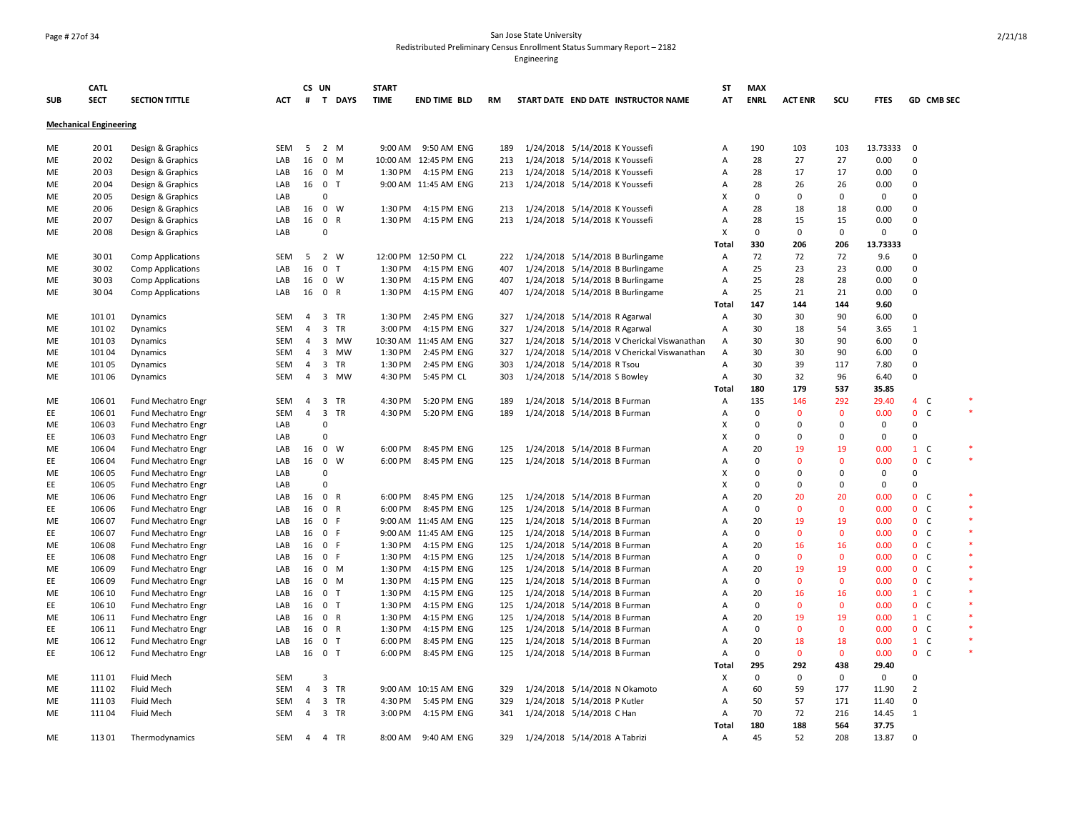### Page # 27of 34 San Jose State University Redistributed Preliminary Census Enrollment Status Summary Report – 2182

|            | <b>CATL</b>                   |                           |            | CS UN          |                                      | <b>START</b> |                       |     |           |                                  |                                             | ST     | <b>MAX</b>  |                |              |             |                   |            |
|------------|-------------------------------|---------------------------|------------|----------------|--------------------------------------|--------------|-----------------------|-----|-----------|----------------------------------|---------------------------------------------|--------|-------------|----------------|--------------|-------------|-------------------|------------|
| <b>SUB</b> | <b>SECT</b>                   | <b>SECTION TITTLE</b>     | ACT        |                | # T DAYS                             | <b>TIME</b>  | <b>END TIME BLD</b>   | RM  |           |                                  | START DATE END DATE INSTRUCTOR NAME         | AT     | <b>ENRL</b> | <b>ACT ENR</b> | SCU          | <b>FTES</b> |                   | GD CMB SEC |
|            | <b>Mechanical Engineering</b> |                           |            |                |                                      |              |                       |     |           |                                  |                                             |        |             |                |              |             |                   |            |
| ME         | 2001                          | Design & Graphics         | SEM        | -5             | 2 M                                  | 9:00 AM      | 9:50 AM ENG           | 189 |           | 1/24/2018 5/14/2018 K Youssefi   |                                             | Α      | 190         | 103            | 103          | 13.73333    | 0                 |            |
| ME         | 2002                          | Design & Graphics         | LAB        | 16             | $0$ M                                |              | 10:00 AM 12:45 PM ENG | 213 | 1/24/2018 | 5/14/2018 K Youssefi             |                                             | A      | 28          | 27             | 27           | 0.00        | $\mathbf 0$       |            |
| ME         | 2003                          | Design & Graphics         | LAB        | 16             | $0 \t M$                             | 1:30 PM      | 4:15 PM ENG           | 213 |           | 1/24/2018 5/14/2018 K Youssefi   |                                             | A      | 28          | 17             | 17           | 0.00        | $\Omega$          |            |
| ME         | 2004                          | Design & Graphics         | LAB        | 16             | $\mathbf{0}$<br>T                    |              | 9:00 AM 11:45 AM ENG  | 213 |           | 1/24/2018 5/14/2018 K Youssefi   |                                             | Α      | 28          | 26             | 26           | 0.00        | $\mathbf 0$       |            |
| ME         | 2005                          | Design & Graphics         | LAB        |                | $\mathbf 0$                          |              |                       |     |           |                                  |                                             | X      | 0           | 0              | $\mathbf 0$  | 0           | $\mathbf 0$       |            |
| ME         | 2006                          | Design & Graphics         | LAB        | 16             | $0 \quad W$                          | 1:30 PM      | 4:15 PM ENG           | 213 |           | 1/24/2018 5/14/2018 K Youssefi   |                                             | A      | 28          | 18             | 18           | 0.00        | $\Omega$          |            |
| ME         | 2007                          | Design & Graphics         | LAB        | 16             | $\mathbf 0$<br>$\mathsf{R}$          | 1:30 PM      | 4:15 PM ENG           | 213 |           | 1/24/2018 5/14/2018 K Youssefi   |                                             | Α      | 28          | 15             | 15           | 0.00        | $\mathbf 0$       |            |
| ME         | 2008                          | Design & Graphics         | LAB        |                | $\Omega$                             |              |                       |     |           |                                  |                                             | X      | $\mathbf 0$ | $\mathbf 0$    | $\mathbf 0$  | $\mathbf 0$ | $\Omega$          |            |
|            |                               |                           |            |                |                                      |              |                       |     |           |                                  |                                             | Total  | 330         | 206            | 206          | 13.73333    |                   |            |
| ME         | 3001                          | <b>Comp Applications</b>  | SEM        | 5              | 2 W                                  |              | 12:00 PM 12:50 PM CL  | 222 |           | 1/24/2018 5/14/2018 B Burlingame |                                             | Α      | 72          | 72             | 72           | 9.6         | $\mathbf 0$       |            |
| ME         | 3002                          | <b>Comp Applications</b>  | LAB        | 16             | 0 <sub>T</sub>                       | 1:30 PM      | 4:15 PM ENG           | 407 | 1/24/2018 | 5/14/2018 B Burlingame           |                                             | Α      | 25          | 23             | 23           | 0.00        | $\mathbf 0$       |            |
|            | 3003                          |                           | LAB        |                | $0 \quad W$                          | 1:30 PM      | 4:15 PM ENG           |     |           |                                  |                                             |        | 25          | 28             | 28           | 0.00        | $\Omega$          |            |
| ME         |                               | <b>Comp Applications</b>  |            | 16             |                                      |              |                       | 407 |           | 1/24/2018 5/14/2018 B Burlingame |                                             | Α      | 25          |                |              |             | $\Omega$          |            |
| ME         | 3004                          | <b>Comp Applications</b>  | LAB        | 16             | 0 R                                  | 1:30 PM      | 4:15 PM ENG           | 407 |           | 1/24/2018 5/14/2018 B Burlingame |                                             | Α      |             | 21             | 21           | 0.00        |                   |            |
|            |                               |                           |            |                |                                      |              |                       |     |           |                                  |                                             | Total  | 147         | 144            | 144          | 9.60        |                   |            |
| ME         | 101 01                        | Dynamics                  | SEM        | $\overline{4}$ | 3 TR                                 | 1:30 PM      | 2:45 PM ENG           | 327 |           | 1/24/2018 5/14/2018 R Agarwal    |                                             | Α      | 30          | 30             | 90           | 6.00        | $\mathbf 0$       |            |
| ME         | 101 02                        | Dynamics                  | SEM        | 4              | $\overline{\mathbf{3}}$<br><b>TR</b> | 3:00 PM      | 4:15 PM ENG           | 327 | 1/24/2018 | 5/14/2018 R Agarwal              |                                             | Α      | 30          | 18             | 54           | 3.65        | 1                 |            |
| ME         | 101 03                        | Dynamics                  | <b>SEM</b> | $\overline{4}$ | 3 MW                                 |              | 10:30 AM 11:45 AM ENG | 327 | 1/24/2018 |                                  | 5/14/2018 V Cherickal Viswanathan           | Α      | 30          | 30             | 90           | 6.00        | $\Omega$          |            |
| ME         | 101 04                        | Dynamics                  | <b>SEM</b> | $\overline{4}$ | 3 MW                                 | 1:30 PM      | 2:45 PM ENG           | 327 |           |                                  | 1/24/2018 5/14/2018 V Cherickal Viswanathan | A      | 30          | 30             | 90           | 6.00        | $\Omega$          |            |
| ME         | 101 05                        | Dynamics                  | SEM        | 4              | 3<br>TR                              | 1:30 PM      | 2:45 PM ENG           | 303 | 1/24/2018 | 5/14/2018 R Tsou                 |                                             | A      | 30          | 39             | 117          | 7.80        | $\Omega$          |            |
| ME         | 101 06                        | Dynamics                  | <b>SEM</b> | $\overline{4}$ | 3 MW                                 | 4:30 PM      | 5:45 PM CL            | 303 |           | 1/24/2018 5/14/2018 S Bowley     |                                             | $\,$ A | 30          | 32             | 96           | 6.40        | $\mathbf 0$       |            |
|            |                               |                           |            |                |                                      |              |                       |     |           |                                  |                                             | Total  | 180         | 179            | 537          | 35.85       |                   |            |
| ME         | 106 01                        | Fund Mechatro Engr        | <b>SEM</b> | 4              | $\overline{3}$<br>TR                 | 4:30 PM      | 5:20 PM ENG           | 189 |           | 1/24/2018 5/14/2018 B Furman     |                                             | A      | 135         | 146            | 292          | 29.40       | $4-$              |            |
| EE         | 106 01                        | Fund Mechatro Engr        | SEM        | $\overline{4}$ | $\overline{\mathbf{3}}$<br>TR        | 4:30 PM      | 5:20 PM ENG           | 189 |           | 1/24/2018 5/14/2018 B Furman     |                                             | Α      | $\mathbf 0$ | $\mathbf{0}$   | $\mathbf 0$  | 0.00        | 0 <sub>c</sub>    |            |
| ME         | 106 03                        | Fund Mechatro Engr        | LAB        |                | $\Omega$                             |              |                       |     |           |                                  |                                             | X      | $\Omega$    | 0              | $\mathbf 0$  | 0           | $\Omega$          |            |
| EE         | 106 03                        | Fund Mechatro Engr        | LAB        |                | $\Omega$                             |              |                       |     |           |                                  |                                             | X      | $\Omega$    | $\Omega$       | $\mathbf 0$  | $\Omega$    | $\Omega$          |            |
| ME         | 106 04                        | Fund Mechatro Engr        | LAB        | 16             | $\mathbf 0$<br>W                     | 6:00 PM      | 8:45 PM ENG           | 125 |           | 1/24/2018 5/14/2018 B Furman     |                                             | A      | 20          | 19             | 19           | 0.00        | $1 \quad C$       |            |
| EE         | 106 04                        | Fund Mechatro Engr        | LAB        | 16             | $\mathbf 0$<br>W                     | 6:00 PM      | 8:45 PM ENG           | 125 |           | 1/24/2018 5/14/2018 B Furman     |                                             | A      | $\Omega$    | $\Omega$       | $\mathbf{0}$ | 0.00        | $\mathbf{0}$<br>C | $\ast$     |
| ME         | 106 05                        | Fund Mechatro Engr        | LAB        |                | $\Omega$                             |              |                       |     |           |                                  |                                             | X      | $\Omega$    | $\Omega$       | $\mathbf{0}$ | $\Omega$    | $\Omega$          |            |
| EE         | 106 05                        | <b>Fund Mechatro Engr</b> | LAB        |                | $\Omega$                             |              |                       |     |           |                                  |                                             | X      | $\Omega$    | $\mathbf 0$    | $\mathbf 0$  | $\pmb{0}$   | $\mathbf 0$       |            |
| ME         | 106 06                        | <b>Fund Mechatro Engr</b> | LAB        | 16             | 0 R                                  | 6:00 PM      | 8:45 PM ENG           | 125 | 1/24/2018 | 5/14/2018 B Furman               |                                             | A      | 20          | 20             | 20           | 0.00        | 0 <sup>o</sup>    | $\ast$     |
|            |                               |                           | LAB        |                | 0 R                                  | 6:00 PM      | 8:45 PM ENG           |     |           |                                  |                                             |        | 0           | $\mathbf{0}$   | $\mathbf{0}$ | 0.00        | 0 <sub>c</sub>    |            |
| EE         | 106 06                        | Fund Mechatro Engr        |            | 16             |                                      |              |                       | 125 |           | 1/24/2018 5/14/2018 B Furman     |                                             | A      |             |                |              |             |                   |            |
| ME         | 106 07                        | Fund Mechatro Engr        | LAB        | 16             | 0 F                                  |              | 9:00 AM 11:45 AM ENG  | 125 |           | 1/24/2018 5/14/2018 B Furman     |                                             | A      | 20          | 19             | 19           | 0.00        | 0 C               | $\ast$     |
| EE         | 106 07                        | Fund Mechatro Engr        | LAB        | 16             | 0 F                                  |              | 9:00 AM 11:45 AM ENG  | 125 | 1/24/2018 | 5/14/2018 B Furman               |                                             | A      | $\Omega$    | $\Omega$       | $\mathbf{0}$ | 0.00        | 0 <sub>c</sub>    |            |
| ME         | 106 08                        | Fund Mechatro Engr        | LAB        | 16             | 0 F                                  | 1:30 PM      | 4:15 PM ENG           | 125 | 1/24/2018 | 5/14/2018 B Furman               |                                             | Α      | 20          | 16             | 16           | 0.00        | 0 <sub>c</sub>    |            |
| EE         | 106 08                        | Fund Mechatro Engr        | LAB        | 16             | 0 F                                  | 1:30 PM      | 4:15 PM ENG           | 125 |           | 1/24/2018 5/14/2018 B Furman     |                                             | A      | 0           | $\mathbf 0$    | $\mathbf 0$  | 0.00        | 0 <sub>c</sub>    |            |
| ME         | 106 09                        | Fund Mechatro Engr        | LAB        | 16             | $0$ M                                | 1:30 PM      | 4:15 PM ENG           | 125 | 1/24/2018 | 5/14/2018 B Furman               |                                             | A      | 20          | 19             | 19           | 0.00        | 0 <sub>c</sub>    | $\ast$     |
| EE         | 106 09                        | Fund Mechatro Engr        | LAB        | 16             | $0 \t M$                             | 1:30 PM      | 4:15 PM ENG           | 125 | 1/24/2018 | 5/14/2018 B Furman               |                                             | A      | $\Omega$    | $\mathbf{0}$   | $\mathbf{0}$ | 0.00        | 0 <sub>c</sub>    |            |
| ME         | 106 10                        | Fund Mechatro Engr        | LAB        | 16             | 0 <sub>T</sub>                       | 1:30 PM      | 4:15 PM ENG           | 125 |           | 1/24/2018 5/14/2018 B Furman     |                                             | A      | 20          | 16             | 16           | 0.00        | $1 \quad C$       |            |
| EE         | 106 10                        | <b>Fund Mechatro Engr</b> | LAB        | 16             | 0 <sub>T</sub>                       | 1:30 PM      | 4:15 PM ENG           | 125 | 1/24/2018 | 5/14/2018 B Furman               |                                             | Α      | $\mathbf 0$ | $\mathbf{0}$   | $\mathbf 0$  | 0.00        | 0 <sub>c</sub>    | $\ast$     |
| ME         | 106 11                        | <b>Fund Mechatro Engr</b> | LAB        | 16             | 0 R                                  | 1:30 PM      | 4:15 PM ENG           | 125 |           | 1/24/2018 5/14/2018 B Furman     |                                             | Α      | 20          | 19             | 19           | 0.00        | $1\quad C$        |            |
| EE         | 106 11                        | Fund Mechatro Engr        | LAB        | 16             | 0 R                                  | 1:30 PM      | 4:15 PM ENG           | 125 |           | 1/24/2018 5/14/2018 B Furman     |                                             | A      | 0           | $\mathbf{0}$   | $\mathbf{0}$ | 0.00        | 0 <sub>c</sub>    |            |
| ME         | 106 12                        | Fund Mechatro Engr        | LAB        | 16             | 0 <sub>T</sub>                       | 6:00 PM      | 8:45 PM ENG           | 125 | 1/24/2018 | 5/14/2018 B Furman               |                                             | A      | 20          | 18             | 18           | 0.00        | $1 \quad C$       |            |
| EE         | 106 12                        | <b>Fund Mechatro Engr</b> | LAB        | 16             | 0 <sub>T</sub>                       | 6:00 PM      | 8:45 PM ENG           | 125 |           | 1/24/2018 5/14/2018 B Furman     |                                             | A      | 0           | $\mathbf{0}$   | $\mathbf{0}$ | 0.00        | 0 <sup>o</sup>    |            |
|            |                               |                           |            |                |                                      |              |                       |     |           |                                  |                                             | Total  | 295         | 292            | 438          | 29.40       |                   |            |
| ME         | 11101                         | Fluid Mech                | <b>SEM</b> |                | $\overline{3}$                       |              |                       |     |           |                                  |                                             | X      | $\mathbf 0$ | 0              | $\mathbf 0$  | 0           | $\mathbf 0$       |            |
| ME         | 11102                         | <b>Fluid Mech</b>         | SEM        | 4              | 3 TR                                 |              | 9:00 AM 10:15 AM ENG  | 329 | 1/24/2018 | 5/14/2018 N Okamoto              |                                             | Α      | 60          | 59             | 177          | 11.90       | $\overline{2}$    |            |
| ME         | 11103                         | Fluid Mech                | <b>SEM</b> | $\overline{4}$ | 3 TR                                 | 4:30 PM      | 5:45 PM ENG           | 329 |           | 1/24/2018 5/14/2018 P Kutler     |                                             | Α      | 50          | 57             | 171          | 11.40       | $\mathbf 0$       |            |
| ME         | 11104                         | Fluid Mech                | <b>SEM</b> | $\overline{4}$ | 3 TR                                 | 3:00 PM      | 4:15 PM ENG           | 341 |           | 1/24/2018 5/14/2018 C Han        |                                             | Α      | 70          | 72             | 216          | 14.45       | 1                 |            |
|            |                               |                           |            |                |                                      |              |                       |     |           |                                  |                                             | Total  | 180         | 188            | 564          | 37.75       |                   |            |
|            | 113 01                        |                           | SEM        | $\overline{4}$ | 4 TR                                 |              | 8:00 AM 9:40 AM ENG   | 329 |           | 1/24/2018 5/14/2018 A Tabrizi    |                                             |        | 45          | 52             | 208          | 13.87       | $\mathbf 0$       |            |
| ME         |                               | Thermodynamics            |            |                |                                      |              |                       |     |           |                                  |                                             | Α      |             |                |              |             |                   |            |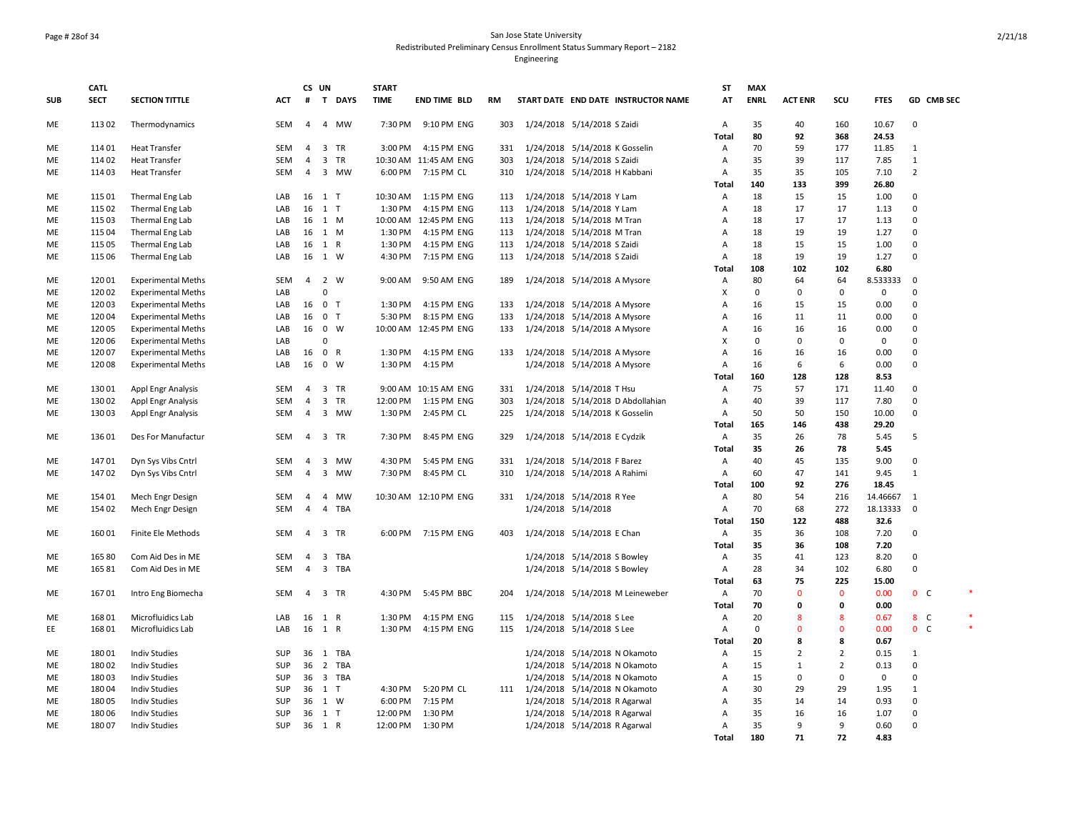### Page # 28of 34 San Jose State University Redistributed Preliminary Census Enrollment Status Summary Report – 2182

|            | <b>CATL</b>    |                                       |            |                | CS UN                   |           | <b>START</b>         |                       |     |                               |                                                                |                                     | SΤ           | <b>MAX</b>  |                     |                |                     |                  |   |
|------------|----------------|---------------------------------------|------------|----------------|-------------------------|-----------|----------------------|-----------------------|-----|-------------------------------|----------------------------------------------------------------|-------------------------------------|--------------|-------------|---------------------|----------------|---------------------|------------------|---|
| <b>SUB</b> | <b>SECT</b>    | <b>SECTION TITTLE</b>                 | ACT        | #              |                         | T DAYS    | <b>TIME</b>          | <b>END TIME BLD</b>   | RM  |                               |                                                                | START DATE END DATE INSTRUCTOR NAME | AT           | <b>ENRL</b> | <b>ACT ENR</b>      | SCU            | <b>FTES</b>         | GD CMB SEC       |   |
| ME         | 113 02         | Thermodynamics                        | <b>SEM</b> | 4              |                         | 4 MW      | 7:30 PM              | 9:10 PM ENG           | 303 |                               | 1/24/2018 5/14/2018 S Zaidi                                    |                                     | A            | 35          | 40                  | 160            | 10.67               | $\Omega$         |   |
|            |                |                                       |            |                |                         |           |                      |                       |     |                               |                                                                |                                     | <b>Total</b> | 80          | 92                  | 368            | 24.53               |                  |   |
| ME         | 114 01         | <b>Heat Transfer</b>                  | SEM        | $\overline{4}$ | 3 TR                    |           | 3:00 PM              | 4:15 PM ENG           | 331 |                               | 1/24/2018 5/14/2018 K Gosselin                                 |                                     | Α            | 70          | 59                  | 177            | 11.85               | $\mathbf{1}$     |   |
| ME         | 114 02         | <b>Heat Transfer</b>                  | <b>SEM</b> | 4              | $\overline{\mathbf{3}}$ | TR        |                      | 10:30 AM 11:45 AM ENG | 303 |                               | 1/24/2018 5/14/2018 S Zaidi                                    |                                     | Α            | 35          | 39                  | 117            | 7.85                | $\mathbf{1}$     |   |
| ME         | 114 03         | <b>Heat Transfer</b>                  | SEM        | 4              |                         | 3 MW      | 6:00 PM              | 7:15 PM CL            | 310 |                               | 1/24/2018 5/14/2018 H Kabbani                                  |                                     | Α            | 35          | 35                  | 105            | 7.10                | $\overline{2}$   |   |
|            |                |                                       |            |                |                         |           |                      |                       |     |                               |                                                                |                                     | Total        | 140         | 133                 | 399            | 26.80               |                  |   |
| ME         | 115 01         | Thermal Eng Lab                       | LAB        | 16             | $1$ T                   |           | 10:30 AM             | 1:15 PM ENG           | 113 |                               | 1/24/2018 5/14/2018 Y Lam                                      |                                     | Α            | 18          | 15                  | 15             | 1.00                | $\mathbf 0$      |   |
| ME         | 115 02         | Thermal Eng Lab                       | LAB        | 16             | $1$ T                   |           | 1:30 PM              | 4:15 PM ENG           | 113 |                               | 1/24/2018 5/14/2018 Y Lam                                      |                                     | Α            | 18          | 17                  | 17             | 1.13                | $\mathbf 0$      |   |
| ME         | 115 03         | Thermal Eng Lab                       | LAB        |                | 16 1 M                  |           |                      | 10:00 AM 12:45 PM ENG | 113 |                               | 1/24/2018 5/14/2018 M Tran                                     |                                     | Α            | 18          | 17                  | 17             | 1.13                | $\mathbf 0$      |   |
| ME         | 115 04         | Thermal Eng Lab                       | LAB        | 16             | 1 M                     |           | 1:30 PM              | 4:15 PM ENG           | 113 |                               | 1/24/2018 5/14/2018 M Tran                                     |                                     | A            | 18          | 19                  | 19             | 1.27                | $\mathbf 0$      |   |
| ME         | 115 05         | Thermal Eng Lab                       | LAB        | 16             | 1 R                     |           | 1:30 PM              | 4:15 PM ENG           | 113 |                               | 1/24/2018 5/14/2018 S Zaidi                                    |                                     | Α            | 18          | 15                  | 15             | 1.00                | $\pmb{0}$        |   |
| ME         | 115 06         | Thermal Eng Lab                       | LAB        | 16             | 1 W                     |           | 4:30 PM              | 7:15 PM ENG           | 113 |                               | 1/24/2018 5/14/2018 S Zaidi                                    |                                     | A            | 18          | 19                  | 19             | 1.27                | $\mathbf 0$      |   |
|            |                |                                       |            |                |                         |           |                      |                       |     |                               |                                                                |                                     | Total        | 108         | 102                 | 102            | 6.80                |                  |   |
| ME         | 120 01         | <b>Experimental Meths</b>             | <b>SEM</b> | $\overline{4}$ | 2 W                     |           | 9:00 AM              | 9:50 AM ENG           | 189 |                               | 1/24/2018 5/14/2018 A Mysore                                   |                                     | Α            | 80          | 64                  | 64             | 8.533333            | $\Omega$         |   |
| ME         | 120 02         | <b>Experimental Meths</b>             | LAB        |                | $\mathbf 0$             |           |                      |                       |     |                               |                                                                |                                     | X            | $\mathbf 0$ | $\Omega$            | $\mathbf 0$    | $\mathbf 0$         | $\Omega$         |   |
| ME         | 12003          | <b>Experimental Meths</b>             | LAB        | 16             | 0 <sub>T</sub>          |           | 1:30 PM              | 4:15 PM ENG           | 133 |                               | 1/24/2018 5/14/2018 A Mysore                                   |                                     | Α            | 16          | 15                  | 15             | 0.00                | $\mathbf 0$      |   |
| ME         | 120 04         | <b>Experimental Meths</b>             | LAB        | 16             | 0 <sub>T</sub>          |           | 5:30 PM              | 8:15 PM ENG           | 133 |                               | 1/24/2018 5/14/2018 A Mysore                                   |                                     | Α            | 16          | 11                  | 11             | 0.00                | $\mathbf 0$      |   |
| ME         | 120 05         | <b>Experimental Meths</b>             | LAB        | 16             | $0 \quad W$             |           |                      | 10:00 AM 12:45 PM ENG | 133 |                               | 1/24/2018 5/14/2018 A Mysore                                   |                                     | Α            | 16          | 16                  | 16             | 0.00                | $\mathbf 0$      |   |
| <b>ME</b>  | 120 06         | <b>Experimental Meths</b>             | LAB        |                | $\Omega$                |           |                      |                       |     |                               |                                                                |                                     | x            | $\mathbf 0$ | $\mathbf 0$         | $\mathbf 0$    | $\mathsf 0$         | $\mathbf 0$      |   |
| ME         | 120 07         | <b>Experimental Meths</b>             | LAB        | 16             | 0 R                     |           | 1:30 PM              | 4:15 PM ENG           | 133 |                               | 1/24/2018 5/14/2018 A Mysore                                   |                                     | A            | 16          | 16                  | 16             | 0.00                | $\mathbf 0$      |   |
| ME         | 120 08         | <b>Experimental Meths</b>             | LAB        | 16             | $0 \quad W$             |           | 1:30 PM              | 4:15 PM               |     |                               | 1/24/2018 5/14/2018 A Mysore                                   |                                     | Α            | 16          | 6                   | 6              | 0.00                | $\mathbf 0$      |   |
|            |                |                                       |            |                |                         |           |                      |                       |     |                               |                                                                |                                     | Total        | 160         | 128                 | 128            | 8.53                |                  |   |
| ME         | 13001          | <b>Appl Engr Analysis</b>             | <b>SEM</b> | $\overline{4}$ | 3 TR                    |           |                      | 9:00 AM 10:15 AM ENG  | 331 |                               | 1/24/2018 5/14/2018 T Hsu                                      |                                     | Α            | 75          | 57                  | 171            | 11.40               | $\mathbf 0$      |   |
| ME         | 130 02         | <b>Appl Engr Analysis</b>             | SEM        | 4              | 3 TR                    |           | 12:00 PM             | 1:15 PM ENG           | 303 |                               |                                                                | 1/24/2018 5/14/2018 D Abdollahian   | Α            | 40          | 39                  | 117            | 7.80                | $\mathbf 0$      |   |
| ME         | 13003          | Appl Engr Analysis                    | <b>SEM</b> | $\overline{4}$ |                         | 3 MW      | 1:30 PM              | 2:45 PM CL            | 225 |                               | 1/24/2018 5/14/2018 K Gosselin                                 |                                     | Α            | 50          | 50                  | 150            | 10.00               | $\mathbf 0$      |   |
|            |                |                                       |            |                |                         |           |                      |                       |     |                               |                                                                |                                     | Total        | 165         | 146                 | 438            | 29.20               |                  |   |
| ME         | 13601          | Des For Manufactur                    | <b>SEM</b> | 4              | 3 TR                    |           | 7:30 PM              | 8:45 PM ENG           | 329 |                               | 1/24/2018 5/14/2018 E Cydzik                                   |                                     | Α            | 35          | 26                  | 78             | 5.45                | 5                |   |
|            |                |                                       |            |                |                         |           |                      |                       |     |                               |                                                                |                                     | Total        | 35          | 26                  | 78             | 5.45                |                  |   |
| ME         | 14701          | Dyn Sys Vibs Cntrl                    | SEM        | $\overline{4}$ | 3                       | MW        | 4:30 PM              | 5:45 PM ENG           | 331 |                               | 1/24/2018 5/14/2018 F Barez                                    |                                     | Α            | 40          | 45                  | 135            | 9.00                | $\mathbf 0$      |   |
| ME         | 14702          | Dyn Sys Vibs Cntrl                    | SEM        | 4              |                         | 3 MW      | 7:30 PM              | 8:45 PM CL            | 310 |                               | 1/24/2018 5/14/2018 A Rahimi                                   |                                     | Α            | 60          | 47                  | 141            | 9.45                | $\mathbf{1}$     |   |
|            |                |                                       |            |                |                         |           |                      |                       |     |                               |                                                                |                                     | Total        | 100         | 92                  | 276            | 18.45               |                  |   |
| <b>ME</b>  | 154 01         | Mech Engr Design                      | <b>SEM</b> | $\overline{a}$ | $\overline{4}$          | <b>MW</b> |                      | 10:30 AM 12:10 PM ENG | 331 | 1/24/2018 5/14/2018 R Yee     |                                                                |                                     | A            | 80          | 54                  | 216            | 14.46667            | 1                |   |
| ME         | 154 02         | Mech Engr Design                      | SEM        | $\overline{4}$ | 4                       | TBA       |                      |                       |     |                               | 1/24/2018 5/14/2018                                            |                                     | Α            | 70          | 68                  | 272            | 18.13333            | $\Omega$         |   |
|            |                |                                       |            |                |                         |           |                      |                       |     |                               |                                                                |                                     | Total        | 150         | 122                 | 488            | 32.6                |                  |   |
| ME         | 160 01         | Finite Ele Methods                    | SEM        | 4              | 3 TR                    |           | 6:00 PM              | 7:15 PM ENG           | 403 | 1/24/2018 5/14/2018 E Chan    |                                                                |                                     | Α            | 35          | 36                  | 108            | 7.20                | 0                |   |
|            |                |                                       |            |                |                         |           |                      |                       |     |                               |                                                                |                                     | Total        | 35          | 36                  | 108            | 7.20                |                  |   |
| ME         | 165 80         | Com Aid Des in ME                     | SEM        | 4              | 3                       | TBA       |                      |                       |     |                               | 1/24/2018 5/14/2018 S Bowley                                   |                                     | Α            | 35          | 41                  | 123            | 8.20                | 0<br>$\mathbf 0$ |   |
| <b>ME</b>  | 16581          | Com Aid Des in ME                     | <b>SEM</b> | $\overline{4}$ |                         | 3 TBA     |                      |                       |     |                               | 1/24/2018 5/14/2018 S Bowley                                   |                                     | А            | 28          | 34                  | 102            | 6.80                |                  |   |
|            |                |                                       |            |                |                         |           |                      |                       |     |                               |                                                                |                                     | Total        | 63          | 75                  | 225            | 15.00               |                  | × |
| ME         | 16701          | Intro Eng Biomecha                    | <b>SEM</b> | $\overline{4}$ |                         | 3 TR      | 4:30 PM              | 5:45 PM BBC           | 204 |                               |                                                                | 1/24/2018 5/14/2018 M Leineweber    | Α            | 70          | $\Omega$            | $\mathbf{0}$   | 0.00                | 0 <sup>o</sup>   |   |
|            |                |                                       |            |                |                         |           |                      |                       |     |                               |                                                                |                                     | Total        | 70          | $\mathbf 0$         | 0              | 0.00                |                  |   |
| ME         | 168 01         | Microfluidics Lab                     | LAB        |                | 16 1 R                  |           | 1:30 PM              | 4:15 PM ENG           | 115 |                               | 1/24/2018 5/14/2018 S Lee                                      |                                     | Α            | 20          | 8<br>$\Omega$       | 8              | 0.67                | 8 C              |   |
| EE         | 168 01         | Microfluidics Lab                     | LAB        |                | 16 1 R                  |           | 1:30 PM              | 4:15 PM ENG           | 115 |                               | 1/24/2018 5/14/2018 S Lee                                      |                                     | Α            | $\mathbf 0$ |                     | 0<br>8         | 0.00                | $0-$             |   |
|            | 18001          | <b>Indiv Studies</b>                  | SUP        | 36             |                         | 1 TBA     |                      |                       |     |                               |                                                                |                                     | Total        | 20<br>15    | 8<br>$\overline{2}$ | $\overline{2}$ | 0.67<br>0.15        | $\mathbf{1}$     |   |
| ME         |                |                                       |            |                |                         |           |                      |                       |     |                               |                                                                | 1/24/2018 5/14/2018 N Okamoto       | Α            |             |                     | $\overline{2}$ |                     | $\Omega$         |   |
| ME         | 18002          | <b>Indiv Studies</b>                  | SUP        | 36             |                         | 2 TBA     |                      |                       |     |                               |                                                                | 1/24/2018 5/14/2018 N Okamoto       | Α            | 15          | $\mathbf{1}$        | $\mathbf 0$    | 0.13<br>$\mathbf 0$ | $\mathbf 0$      |   |
| ME         | 18003<br>18004 | <b>Indiv Studies</b>                  | SUP<br>SUP |                | 36 3 TBA                |           |                      | 5:20 PM CL            |     |                               |                                                                | 1/24/2018 5/14/2018 N Okamoto       | Α            | 15<br>30    | 0<br>29             | 29             |                     |                  |   |
| ME<br>ME   | 18005          | <b>Indiv Studies</b>                  | SUP        | 36<br>36       | 1 T<br>1 W              |           | 4:30 PM<br>6:00 PM   | 7:15 PM               | 111 | 1/24/2018 5/14/2018 N Okamoto |                                                                |                                     | Α            | 35          | 14                  | 14             | 1.95<br>0.93        | 1<br>0           |   |
|            | 18006          | <b>Indiv Studies</b>                  | SUP        |                | 1 T                     |           |                      | 1:30 PM               |     |                               | 1/24/2018 5/14/2018 R Agarwal                                  |                                     | Α<br>A       | 35          | 16                  | 16             |                     | $\Omega$         |   |
| ME<br>ME   | 18007          | Indiv Studies<br><b>Indiv Studies</b> | <b>SUP</b> | 36             | 36 1 R                  |           | 12:00 PM<br>12:00 PM | 1:30 PM               |     |                               | 1/24/2018 5/14/2018 R Agarwal<br>1/24/2018 5/14/2018 R Agarwal |                                     | A            | 35          | 9                   | 9              | 1.07<br>0.60        | $\Omega$         |   |
|            |                |                                       |            |                |                         |           |                      |                       |     |                               |                                                                |                                     | <b>Total</b> | 180         | 71                  | 72             | 4.83                |                  |   |
|            |                |                                       |            |                |                         |           |                      |                       |     |                               |                                                                |                                     |              |             |                     |                |                     |                  |   |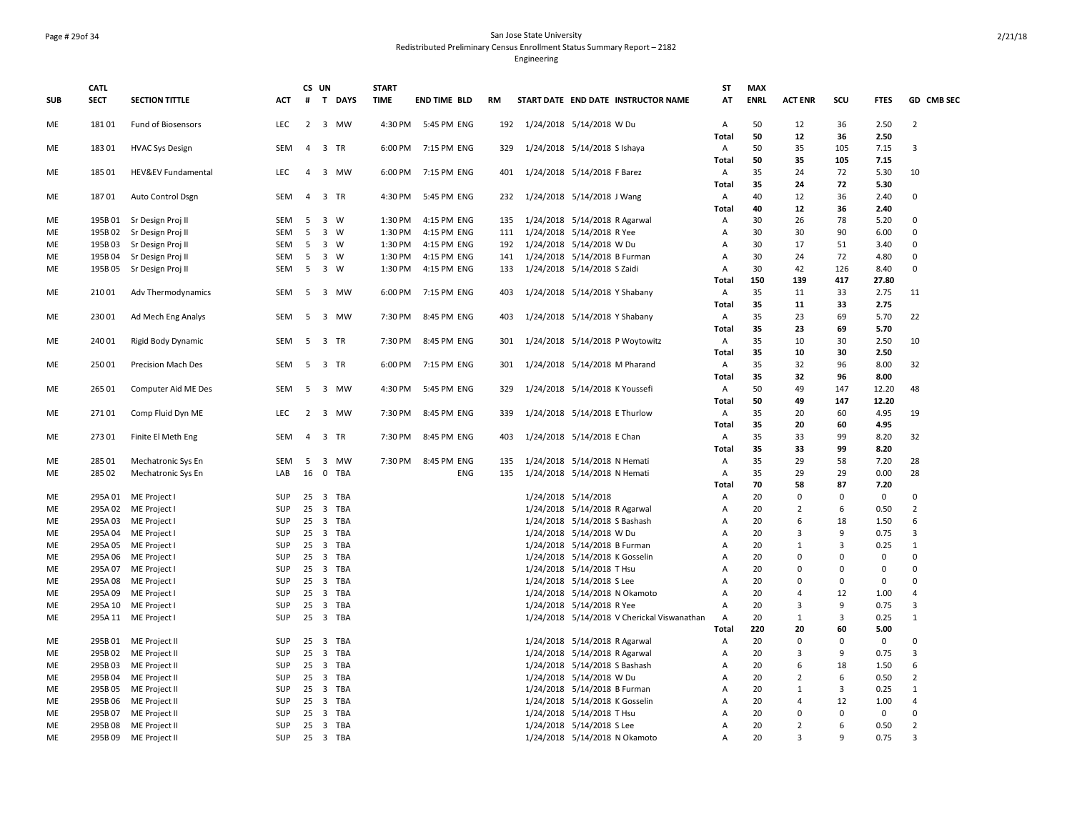### Page # 29of 34 San Jose State University Redistributed Preliminary Census Enrollment Status Summary Report – 2182 Engineering

|            | <b>CATL</b> |                               |            | CS UN           |                                       | <b>START</b> |                     |     |                                             | <b>ST</b>      | <b>MAX</b>  |                |                |             |                |
|------------|-------------|-------------------------------|------------|-----------------|---------------------------------------|--------------|---------------------|-----|---------------------------------------------|----------------|-------------|----------------|----------------|-------------|----------------|
| <b>SUB</b> | <b>SECT</b> | <b>SECTION TITTLE</b>         | <b>ACT</b> | #               | T DAYS                                | <b>TIME</b>  | <b>END TIME BLD</b> | RM  | START DATE END DATE INSTRUCTOR NAME         | AT             | <b>ENRL</b> | <b>ACT ENR</b> | SCU            | <b>FTES</b> | GD CMB SEC     |
| <b>ME</b>  | 18101       | Fund of Biosensors            | <b>LEC</b> | 2               | 3 MW                                  | 4:30 PM      | 5:45 PM ENG         |     | 192 1/24/2018 5/14/2018 W Du                | Α              | 50          | 12             | 36             | 2.50        | $\overline{2}$ |
|            |             |                               |            |                 |                                       |              |                     |     |                                             | <b>Total</b>   | 50          | 12             | 36             | 2.50        |                |
| ME         | 18301       | <b>HVAC Sys Design</b>        | <b>SEM</b> | $\overline{4}$  | 3 TR                                  | 6:00 PM      | 7:15 PM ENG         | 329 | 1/24/2018 5/14/2018 S Ishaya                | Α              | 50          | 35             | 105            | 7.15        | $\overline{3}$ |
|            |             |                               |            |                 |                                       |              |                     |     |                                             | Total          | 50          | 35             | 105            | 7.15        |                |
| ME         | 185 01      | <b>HEV&amp;EV Fundamental</b> | <b>LEC</b> | $\overline{4}$  | 3 MW                                  | 6:00 PM      | 7:15 PM ENG         | 401 | 1/24/2018 5/14/2018 F Barez                 | Α              | 35          | 24             | 72             | 5.30        | 10             |
|            |             |                               |            |                 |                                       |              |                     |     |                                             | <b>Total</b>   | 35          | 24             | 72             | 5.30        |                |
| ME         | 18701       | Auto Control Dsgn             | SEM        | $\overline{4}$  | 3 TR                                  | 4:30 PM      | 5:45 PM ENG         | 232 | 1/24/2018 5/14/2018 J Wang                  | Α              | 40          | 12             | 36             | 2.40        | $\mathbf 0$    |
|            |             |                               |            |                 |                                       |              |                     |     |                                             | Total          | 40          | 12             | 36             | 2.40        |                |
| ME         | 195B01      | Sr Design Proj II             | SEM        | 5               | 3 W                                   | 1:30 PM      | 4:15 PM ENG         | 135 | 1/24/2018 5/14/2018 R Agarwal               | Α              | 30          | 26             | 78             | 5.20        | 0              |
| <b>ME</b>  | 195B02      | Sr Design Proj II             | <b>SEM</b> | 5               | 3 W                                   | 1:30 PM      | 4:15 PM ENG         | 111 | 1/24/2018 5/14/2018 R Yee                   | А              | 30          | 30             | 90             | 6.00        | $\Omega$       |
| ME         | 195B03      | Sr Design Proj II             | SEM        | $5\phantom{.0}$ | 3 W                                   | 1:30 PM      | 4:15 PM ENG         | 192 | 1/24/2018 5/14/2018 W Du                    | $\overline{A}$ | 30          | 17             | 51             | 3.40        | $\mathbf 0$    |
| <b>ME</b>  | 195B04      | Sr Design Proj II             | <b>SEM</b> | -5              | $\overline{3}$<br>W                   | 1:30 PM      | 4:15 PM ENG         | 141 | 1/24/2018 5/14/2018 B Furman                | A              | 30          | 24             | 72             | 4.80        | $\Omega$       |
| ME         | 195B05      | Sr Design Proj II             | SEM        | 5               | 3 W                                   | 1:30 PM      | 4:15 PM ENG         | 133 | 1/24/2018 5/14/2018 S Zaidi                 | А              | 30          | 42             | 126            | 8.40        | $\mathbf{0}$   |
|            |             |                               |            |                 |                                       |              |                     |     |                                             | Total          | 150         | 139            | 417            | 27.80       |                |
| ME         | 210 01      | Adv Thermodynamics            | <b>SEM</b> | -5              | 3 MW                                  | 6:00 PM      | 7:15 PM ENG         | 403 | 1/24/2018 5/14/2018 Y Shabany               | Α              | 35          | 11             | 33             | 2.75        | 11             |
|            |             |                               |            |                 |                                       |              |                     |     |                                             | Total          | 35          | 11             | 33             | 2.75        |                |
| ME         | 230 01      | Ad Mech Eng Analys            | SEM        | 5               | 3 MW                                  | 7:30 PM      | 8:45 PM ENG         | 403 | 1/24/2018 5/14/2018 Y Shabany               | Α              | 35          | 23             | 69             | 5.70        | 22             |
|            |             |                               |            |                 |                                       |              |                     |     |                                             | Total          | 35          | 23             | 69             | 5.70        |                |
| ME         | 240 01      | Rigid Body Dynamic            | SEM        |                 | 5 3 TR                                | 7:30 PM      | 8:45 PM ENG         | 301 | 1/24/2018 5/14/2018 P Woytowitz             | Α              | 35          | 10             | 30             | 2.50        | 10             |
|            |             |                               |            |                 |                                       |              |                     |     |                                             | Total          | 35          | 10             | 30             | 2.50        |                |
| ME         | 250 01      | Precision Mach Des            | SEM        | - 5             | 3 TR                                  | 6:00 PM      | 7:15 PM ENG         | 301 | 1/24/2018 5/14/2018 M Pharand               | Α              | 35          | 32             | 96             | 8.00        | 32             |
|            |             |                               |            |                 |                                       |              |                     |     |                                             | Total          | 35          | 32             | 96             | 8.00        |                |
| ME         | 265 01      | Computer Aid ME Des           | SEM        | 5               | 3 MW                                  | 4:30 PM      | 5:45 PM ENG         | 329 | 1/24/2018 5/14/2018 K Youssefi              | Α              | 50          | 49             | 147            | 12.20       | 48             |
|            |             |                               |            |                 |                                       |              |                     |     |                                             | Total          | 50          | 49             | 147            | 12.20       |                |
| ME         | 27101       | Comp Fluid Dyn ME             | LEC        |                 | 2 3 MW                                | 7:30 PM      | 8:45 PM ENG         | 339 | 1/24/2018 5/14/2018 E Thurlow               | Α              | 35          | 20             | 60             | 4.95        | 19             |
|            |             |                               |            |                 |                                       |              |                     |     |                                             | Total          | 35          | 20             | 60             | 4.95        |                |
| ME         | 273 01      | Finite El Meth Eng            | SEM        | 4               | 3 TR                                  | 7:30 PM      | 8:45 PM ENG         | 403 | 1/24/2018 5/14/2018 E Chan                  | Α              | 35          | 33             | 99             | 8.20        | 32             |
|            |             |                               |            |                 |                                       |              |                     |     |                                             | Total          | 35          | 33             | 99             | 8.20        |                |
| ME         | 285 01      | Mechatronic Sys En            | SEM        | - 5             | 3 MW                                  | 7:30 PM      | 8:45 PM ENG         | 135 | 1/24/2018 5/14/2018 N Hemati                | Α              | 35          | 29             | 58             | 7.20        | 28             |
| ME         | 285 02      | Mechatronic Sys En            | LAB        | 16              | 0 TBA                                 |              | ENG                 | 135 | 1/24/2018 5/14/2018 N Hemati                | Α              | 35          | 29             | 29             | 0.00        | 28             |
|            |             |                               |            |                 |                                       |              |                     |     |                                             | Total          | 70          | 58             | 87             | 7.20        |                |
| ME         | 295A01      | ME Project I                  | SUP        |                 | 25 3 TBA                              |              |                     |     | 1/24/2018 5/14/2018                         | Α              | 20          | 0              | $\Omega$       | $\mathsf 0$ | $\Omega$       |
| ME         | 295A02      | ME Project I                  | SUP        | 25              | 3 TBA                                 |              |                     |     | 1/24/2018 5/14/2018 R Agarwal               | А              | 20          | $\overline{2}$ | 6              | 0.50        | $\overline{2}$ |
| ME         | 295A03      | ME Project I                  | SUP        | 25              | 3 TBA                                 |              |                     |     | 1/24/2018 5/14/2018 S Bashash               | Α              | 20          | 6              | 18             | 1.50        | 6              |
| ME         | 295A04      | ME Project                    | <b>SUP</b> | 25              | 3 TBA                                 |              |                     |     | 1/24/2018 5/14/2018 W Du                    | $\overline{A}$ | 20          | $\overline{3}$ | 9              | 0.75        | $\overline{3}$ |
| ME         | 295A05      | ME Project I                  | SUP        |                 | 25 3 TBA                              |              |                     |     | 1/24/2018 5/14/2018 B Furman                | Α              | 20          | 1              | $\overline{3}$ | 0.25        | $\mathbf{1}$   |
| ME         | 295A06      | ME Project I                  | SUP        | 25              | $\overline{\mathbf{3}}$<br><b>TBA</b> |              |                     |     | 1/24/2018 5/14/2018 K Gosselin              | Α              | 20          | $\Omega$       | $\mathbf{0}$   | $\mathbf 0$ | $\mathbf 0$    |
| ME         | 295A07      | ME Project I                  | SUP        |                 | 25 3 TBA                              |              |                     |     | 1/24/2018 5/14/2018 T Hsu                   | $\overline{A}$ | 20          | $\Omega$       | $\Omega$       | $\mathbf 0$ | $\mathbf 0$    |
| ME         | 295A08      | ME Project I                  | SUP        |                 | 25 3 TBA                              |              |                     |     | 1/24/2018 5/14/2018 S Lee                   | $\overline{A}$ | 20          | $\Omega$       | $\Omega$       | $\mathbf 0$ | $\Omega$       |
| ME         | 295A09      | ME Project I                  | SUP        | 25              | 3 TBA                                 |              |                     |     | 1/24/2018 5/14/2018 N Okamoto               | A              | 20          | $\overline{4}$ | 12             | 1.00        | $\overline{4}$ |
| ME         | 295A 10     | ME Project I                  | SUP        | 25              | 3 TBA                                 |              |                     |     | 1/24/2018 5/14/2018 R Yee                   | $\overline{A}$ | 20          | $\overline{3}$ | 9              | 0.75        | 3              |
| ME         | 295A 11     | ME Project I                  | <b>SUP</b> | 25              | 3 TBA                                 |              |                     |     | 1/24/2018 5/14/2018 V Cherickal Viswanathan | Α              | 20          | $\mathbf{1}$   | $\overline{3}$ | 0.25        | $\mathbf{1}$   |
|            |             |                               |            |                 |                                       |              |                     |     |                                             | <b>Total</b>   | 220         | 20             | 60             | 5.00        |                |
| ME         | 295B01      | ME Project II                 | SUP        | 25              | 3 TBA                                 |              |                     |     | 1/24/2018 5/14/2018 R Agarwal               | Α              | 20          | $\mathbf 0$    | $\mathbf 0$    | $\mathsf 0$ | $\mathbf 0$    |
| ME         | 295B02      | ME Project II                 | SUP        | 25              | 3 TBA                                 |              |                     |     | 1/24/2018 5/14/2018 R Agarwal               | А              | 20          | 3              | 9              | 0.75        | $\overline{3}$ |
| ME         | 295B03      | ME Project II                 | SUP        |                 | 25 3 TBA                              |              |                     |     | 1/24/2018 5/14/2018 S Bashash               | $\overline{A}$ | 20          | 6              | 18             | 1.50        | 6              |
| <b>ME</b>  | 295B04      | ME Project II                 | <b>SUP</b> |                 | 25 3 TBA                              |              |                     |     | 1/24/2018 5/14/2018 W Du                    | A              | 20          | $\overline{2}$ | 6              | 0.50        | $\overline{2}$ |
| ME         | 295B05      | ME Project II                 | SUP        | 25              | 3 TBA                                 |              |                     |     | 1/24/2018 5/14/2018 B Furman                | А              | 20          | $\mathbf{1}$   | $\overline{3}$ | 0.25        | $\mathbf{1}$   |
| ME         | 295B06      | ME Project II                 | SUP        | 25              | 3 TBA                                 |              |                     |     | 1/24/2018 5/14/2018 K Gosselin              | $\overline{A}$ | 20          | 4              | 12             | 1.00        | $\overline{4}$ |
| ME         | 295B07      | ME Project II                 | SUP        |                 | 25 3 TBA                              |              |                     |     | 1/24/2018 5/14/2018 T Hsu                   | $\overline{A}$ | 20          | $\Omega$       | $\Omega$       | $\mathbf 0$ | $\Omega$       |
| ME         | 295B08      | ME Project II                 | SUP        |                 | 25 3 TBA                              |              |                     |     | 1/24/2018 5/14/2018 S Lee                   | $\overline{A}$ | 20          | $\overline{2}$ | 6              | 0.50        | $\overline{2}$ |
| ME         | 295B09      | ME Project II                 | <b>SUP</b> |                 | 25 3 TBA                              |              |                     |     | 1/24/2018 5/14/2018 N Okamoto               | A              | 20          | з              | $\mathbf{q}$   | 0.75        | $\mathbf{a}$   |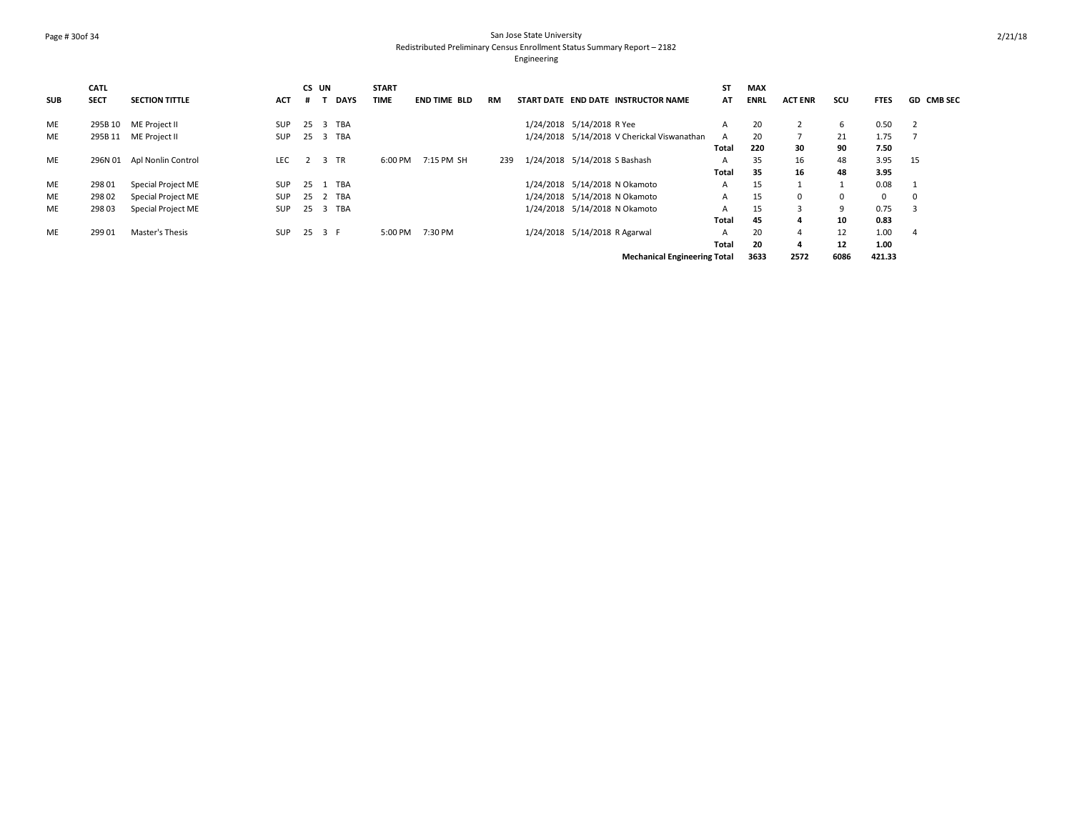## Page # 30of 34 San Jose State University Redistributed Preliminary Census Enrollment Status Summary Report – 2182

|            | CATL        |                       |            | CS UN |     |             | <b>START</b> |                     |     |                               |                                             | <b>ST</b> | <b>MAX</b>  |                |      |             |                   |
|------------|-------------|-----------------------|------------|-------|-----|-------------|--------------|---------------------|-----|-------------------------------|---------------------------------------------|-----------|-------------|----------------|------|-------------|-------------------|
| <b>SUB</b> | <b>SECT</b> | <b>SECTION TITTLE</b> | <b>ACT</b> | #     |     | <b>DAYS</b> | <b>TIME</b>  | <b>END TIME BLD</b> | RM  |                               | START DATE END DATE INSTRUCTOR NAME         | AT        | <b>ENRL</b> | <b>ACT ENR</b> | scu  | <b>FTES</b> | <b>GD CMB SEC</b> |
| ME         | 295B 10     | ME Project II         | <b>SUP</b> | -25   |     | 3 TBA       |              |                     |     | 1/24/2018 5/14/2018 R Yee     |                                             | A         | 20          |                | b    | 0.50        |                   |
| <b>ME</b>  | 295B 11     | ME Project II         | <b>SUP</b> | -25   |     | 3 TBA       |              |                     |     |                               | 1/24/2018 5/14/2018 V Cherickal Viswanathan |           | 20          |                | 21   | 1.75        |                   |
|            |             |                       |            |       |     |             |              |                     |     |                               |                                             | Total     | 220         | 30             | 90   | 7.50        |                   |
| <b>ME</b>  | 296N 01     | Apl Nonlin Control    | <b>LEC</b> |       |     | 3 TR        | 6:00 PM      | 7:15 PM SH          | 239 | 1/24/2018 5/14/2018 S Bashash |                                             | A         | 35          | 16             | 48   | 3.95        | 15                |
|            |             |                       |            |       |     |             |              |                     |     |                               |                                             | Total     | 35          | 16             | 48   | 3.95        |                   |
| ME         | 298 01      | Special Project ME    | <b>SUP</b> | -25   |     | <b>TBA</b>  |              |                     |     |                               | 1/24/2018 5/14/2018 N Okamoto               | A         | 15          |                |      | 0.08        |                   |
| ME         | 298 02      | Special Project ME    | <b>SUP</b> | 25    |     | 2 TBA       |              |                     |     |                               | 1/24/2018 5/14/2018 N Okamoto               | A         | 15          | $\mathbf{0}$   |      | $\mathbf 0$ | $\Omega$          |
| ME         | 298 03      | Special Project ME    | <b>SUP</b> | 25    |     | 3 TBA       |              |                     |     |                               | 1/24/2018 5/14/2018 N Okamoto               | A         | 15          | 3              | a    | 0.75        |                   |
|            |             |                       |            |       |     |             |              |                     |     |                               |                                             | Total     | 45          | 4              | 10   | 0.83        |                   |
| ME         | 299 01      | Master's Thesis       | <b>SUP</b> | -25   | 3 F |             | 5:00 PM      | 7:30 PM             |     | 1/24/2018 5/14/2018 R Agarwal |                                             | A         | 20          | $\overline{a}$ | 12   | 1.00        |                   |
|            |             |                       |            |       |     |             |              |                     |     |                               |                                             | Total     | 20          | 4              | 12   | 1.00        |                   |
|            |             |                       |            |       |     |             |              |                     |     |                               | <b>Mechanical Engineering Total</b>         |           | 3633        | 2572           | 6086 | 421.33      |                   |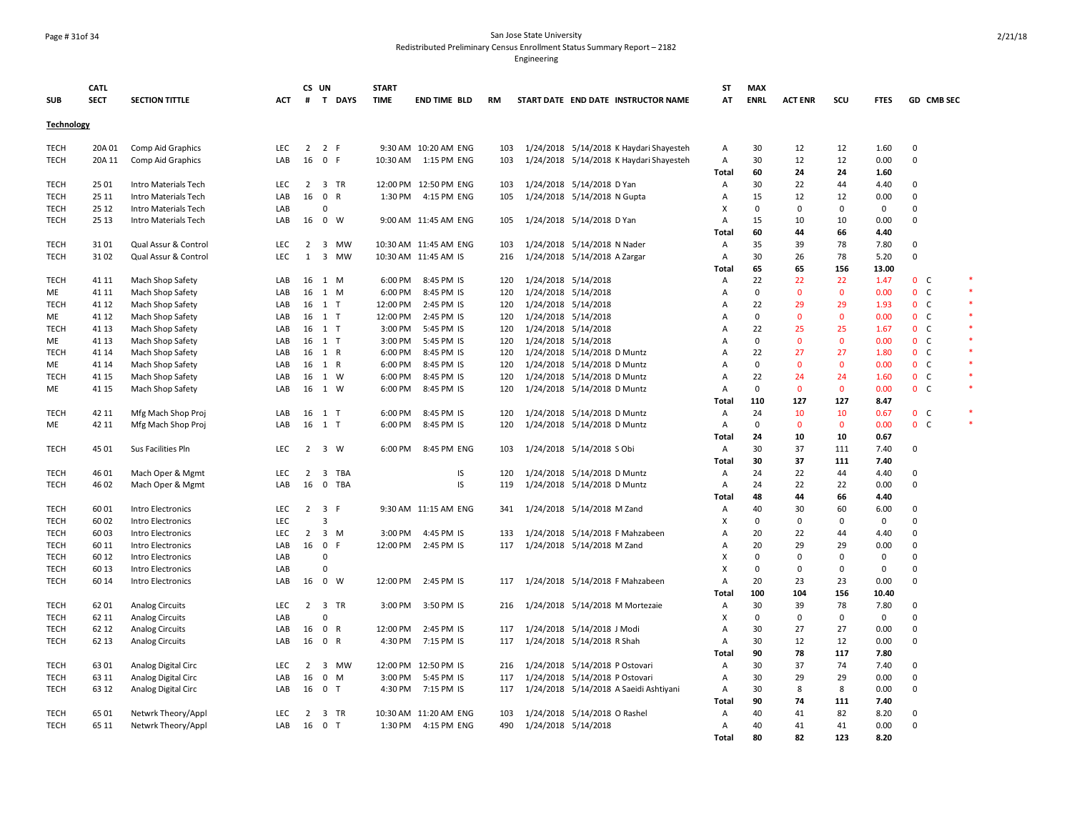### Page # 31of 34 San Jose State University Redistributed Preliminary Census Enrollment Status Summary Report – 2182

|             | <b>CATL</b> |                        |            |                | CS UN               |             | <b>START</b> |                       |           |                     |                                         | <b>ST</b>    | <b>MAX</b>  |                |              |              |              |                |   |
|-------------|-------------|------------------------|------------|----------------|---------------------|-------------|--------------|-----------------------|-----------|---------------------|-----------------------------------------|--------------|-------------|----------------|--------------|--------------|--------------|----------------|---|
| <b>SUB</b>  | <b>SECT</b> | <b>SECTION TITTLE</b>  | <b>ACT</b> | #              |                     | T DAYS      | <b>TIME</b>  | <b>END TIME BLD</b>   | <b>RM</b> |                     | START DATE END DATE INSTRUCTOR NAME     | AT           | <b>ENRL</b> | <b>ACT ENR</b> | SCU          | <b>FTES</b>  |              | GD CMB SEC     |   |
| Technology  |             |                        |            |                |                     |             |              |                       |           |                     |                                         |              |             |                |              |              |              |                |   |
| TECH        | 20A 01      | Comp Aid Graphics      | <b>LEC</b> | $\overline{2}$ | 2 F                 |             |              | 9:30 AM 10:20 AM ENG  | 103       |                     | 1/24/2018 5/14/2018 K Haydari Shayesteh | Α            | 30          | 12             | 12           | 1.60         | $\mathbf 0$  |                |   |
| TECH        | 20A 11      | Comp Aid Graphics      | LAB        | 16             | 0 F                 |             | 10:30 AM     | 1:15 PM ENG           | 103       |                     | 1/24/2018 5/14/2018 K Haydari Shayesteh | А            | 30          | 12             | 12           | 0.00         | $\mathbf 0$  |                |   |
|             |             |                        |            |                |                     |             |              |                       |           |                     |                                         | Total        | 60          | 24             | 24           | 1.60         |              |                |   |
| TECH        | 25 01       | Intro Materials Tech   | LEC        | 2              |                     | 3 TR        |              | 12:00 PM 12:50 PM ENG | 103       |                     | 1/24/2018 5/14/2018 D Yan               | Α            | 30          | 22             | 44           | 4.40         | $\mathbf 0$  |                |   |
| <b>TECH</b> | 25 11       | Intro Materials Tech   | LAB        | 16             | 0 R                 |             | 1:30 PM      | 4:15 PM ENG           | 105       |                     | 1/24/2018 5/14/2018 N Gupta             | Α            | 15          | 12             | 12           | 0.00         | $\mathbf 0$  |                |   |
| TECH        | 25 12       | Intro Materials Tech   | LAB        |                | $\mathbf 0$         |             |              |                       |           |                     |                                         | X            | $\mathbf 0$ | $\mathbf 0$    | 0            | $\mathbf 0$  | $\mathbf 0$  |                |   |
| TECH        | 25 13       | Intro Materials Tech   | LAB        | 16             | $\mathbf{0}$        | W           |              | 9:00 AM 11:45 AM ENG  | 105       |                     | 1/24/2018 5/14/2018 D Yan               | A            | 15          | 10             | 10           | 0.00         | $\mathbf 0$  |                |   |
|             |             |                        |            |                |                     |             |              |                       |           |                     |                                         | Total        | 60          | 44             | 66           | 4.40         |              |                |   |
| TECH        | 3101        | Qual Assur & Control   | <b>LEC</b> | $\overline{2}$ |                     | 3 MW        |              | 10:30 AM 11:45 AM ENG | 103       |                     | 1/24/2018 5/14/2018 N Nader             | Α            | 35          | 39             | 78           | 7.80         | $\mathbf 0$  |                |   |
| <b>TECH</b> | 3102        | Qual Assur & Control   | <b>LEC</b> | 1              |                     | 3 MW        |              | 10:30 AM 11:45 AM IS  | 216       |                     | 1/24/2018 5/14/2018 A Zargar            | Α            | 30          | 26             | 78           | 5.20         | $\mathbf 0$  |                |   |
|             |             |                        |            |                |                     |             |              |                       |           |                     |                                         | Total        | 65          | 65             | 156          | 13.00        |              |                |   |
| <b>TECH</b> | 41 11       | Mach Shop Safety       | LAB        |                | 16 1 M              |             | 6:00 PM      | 8:45 PM IS            | 120       | 1/24/2018 5/14/2018 |                                         | A            | 22          | 22             | 22           | 1.47         |              | 0 <sub>c</sub> | × |
| ME          | 41 11       | Mach Shop Safety       | LAB        | 16             | 1 M                 |             | 6:00 PM      | 8:45 PM IS            | 120       |                     | 1/24/2018 5/14/2018                     | A            | 0           | $\mathbf{0}$   | $\mathbf 0$  | 0.00         |              | 0 <sup>o</sup> |   |
| <b>TECH</b> | 41 12       | Mach Shop Safety       | LAB        | 16             | 1 T                 |             | 12:00 PM     | 2:45 PM IS            | 120       |                     | 1/24/2018 5/14/2018                     | A            | 22          | 29             | 29           | 1.93         |              | 0 <sub>c</sub> |   |
| ME          | 41 12       | Mach Shop Safety       | LAB        | 16             | 1 T                 |             | 12:00 PM     | 2:45 PM IS            | 120       | 1/24/2018 5/14/2018 |                                         | Α            | 0           | $\mathbf{0}$   | $\mathbf 0$  | 0.00         |              | 0 <sub>c</sub> |   |
| <b>TECH</b> | 41 13       | Mach Shop Safety       | LAB        | 16             | $1$ T               |             | 3:00 PM      | 5:45 PM IS            | 120       |                     | 1/24/2018 5/14/2018                     | Α            | 22          | 25             | 25           | 1.67         |              | 0 <sub>c</sub> |   |
| ME          | 41 13       | Mach Shop Safety       | LAB        |                | 16 1 T              |             | 3:00 PM      | 5:45 PM IS            | 120       | 1/24/2018 5/14/2018 |                                         | A            | $\mathbf 0$ | $\mathbf{0}$   | 0            | 0.00         |              | 0 <sup>o</sup> |   |
| TECH        | 41 14       | Mach Shop Safety       | LAB        | 16             | 1 R                 |             | 6:00 PM      | 8:45 PM IS            | 120       |                     | 1/24/2018 5/14/2018 D Muntz             | A            | 22          | 27             | 27           | 1.80         |              | 0 <sub>c</sub> |   |
| ME          | 41 14       | Mach Shop Safety       | LAB        | 16             | 1 R                 |             | 6:00 PM      | 8:45 PM IS            | 120       |                     | 1/24/2018 5/14/2018 D Muntz             | Α            | 0           | $\Omega$       | $\mathbf 0$  | 0.00         |              | 0 <sub>c</sub> |   |
| TECH        | 41 15       | Mach Shop Safety       | LAB        | 16             | 1 W                 |             | 6:00 PM      | 8:45 PM IS            | 120       |                     | 1/24/2018 5/14/2018 D Muntz             | A            | 22          | 24             | 24           | 1.60         |              | $0\quad C$     |   |
| ME          | 41 15       | Mach Shop Safety       | LAB        | 16             | 1 W                 |             | 6:00 PM      | 8:45 PM IS            | 120       |                     | 1/24/2018 5/14/2018 D Muntz             | A            | $\mathbf 0$ | $\mathbf{0}$   | $\mathbf{0}$ | 0.00         |              | 0 <sup>o</sup> |   |
|             |             |                        |            |                |                     |             |              |                       |           |                     |                                         | <b>Total</b> | 110         | 127            | 127          | 8.47         |              |                |   |
| <b>TECH</b> | 42 11       | Mfg Mach Shop Proj     | LAB        | 16             | $1$ T               |             | 6:00 PM      | 8:45 PM IS            | 120       |                     | 1/24/2018 5/14/2018 D Muntz             | Α            | 24          | 10             | 10           | 0.67         |              | 0 <sup>o</sup> |   |
| ME          | 42 11       | Mfg Mach Shop Proj     | LAB        | 16             | 1 T                 |             | 6:00 PM      | 8:45 PM IS            | 120       |                     | 1/24/2018 5/14/2018 D Muntz             | Α            | $\mathbf 0$ | $\mathbf{0}$   | $\mathbf 0$  | 0.00         |              | 0 <sup>o</sup> |   |
|             |             |                        |            |                |                     |             |              |                       |           |                     |                                         | Total        | 24          | 10             | 10           | 0.67         |              |                |   |
| <b>TECH</b> | 45 01       | Sus Facilities Pln     | <b>LEC</b> | 2              |                     | $3 \quad W$ | 6:00 PM      | 8:45 PM ENG           | 103       |                     | 1/24/2018 5/14/2018 S Obi               | Α            | 30          | 37             | 111          | 7.40         | $\mathbf 0$  |                |   |
|             |             |                        |            |                |                     |             |              |                       |           |                     |                                         | Total        | 30          | 37             | 111          | 7.40         |              |                |   |
| TECH        | 46 01       | Mach Oper & Mgmt       | <b>LEC</b> | $\overline{2}$ |                     | 3 TBA       |              | IS                    | 120       |                     | 1/24/2018 5/14/2018 D Muntz             | A            | 24          | 22             | 44           | 4.40         | $\mathbf{0}$ |                |   |
| <b>TECH</b> | 46 02       | Mach Oper & Mgmt       | LAB        | 16             | $\mathbf 0$         | <b>TBA</b>  |              | IS                    | 119       |                     | 1/24/2018 5/14/2018 D Muntz             | Α            | 24          | 22             | 22           | 0.00         | $\mathbf 0$  |                |   |
|             |             |                        |            |                |                     |             |              |                       |           |                     |                                         | Total        | 48          | 44             | 66           | 4.40         |              |                |   |
| <b>TECH</b> | 6001        | Intro Electronics      | <b>LEC</b> |                | $2 \quad 3 \quad F$ |             |              | 9:30 AM 11:15 AM ENG  | 341       |                     | 1/24/2018 5/14/2018 M Zand              | A            | 40          | 30             | 60           | 6.00         | $\mathbf 0$  |                |   |
| TECH        | 6002        | Intro Electronics      | <b>LEC</b> |                | $\overline{3}$      |             |              |                       |           |                     |                                         | х            | $\mathbf 0$ | $\Omega$       | $\Omega$     | $\mathbf{0}$ | $\mathbf 0$  |                |   |
| <b>TECH</b> | 6003        | Intro Electronics      | <b>LEC</b> | $\overline{2}$ |                     | $3 \, M$    | 3:00 PM      | 4:45 PM IS            | 133       |                     | 1/24/2018 5/14/2018 F Mahzabeen         | A            | 20          | 22             | 44           | 4.40         | $\mathbf 0$  |                |   |
| TECH        | 60 11       | Intro Electronics      | LAB        | 16             | $\overline{0}$      | F           | 12:00 PM     | 2:45 PM IS            | 117       |                     | 1/24/2018 5/14/2018 M Zand              | A            | 20          | 29             | 29           | 0.00         | $\mathbf 0$  |                |   |
| TECH        | 60 12       | Intro Electronics      | LAB        |                | $\Omega$            |             |              |                       |           |                     |                                         | х            | $\Omega$    | $\Omega$       | $\Omega$     | 0            | $\mathbf{0}$ |                |   |
| TECH        | 60 13       | Intro Electronics      | LAB        |                | $\Omega$            |             |              |                       |           |                     |                                         | X            | 0           | 0              | 0            | 0            | $\mathbf 0$  |                |   |
| TECH        | 60 14       | Intro Electronics      | LAB        | 16             |                     | 0 W         | 12:00 PM     | 2:45 PM IS            | 117       |                     | 1/24/2018 5/14/2018 F Mahzabeen         | A            | 20          | 23             | 23           | 0.00         | $\mathbf 0$  |                |   |
|             |             |                        |            |                |                     |             |              |                       |           |                     |                                         | Total        | 100         | 104            | 156          | 10.40        |              |                |   |
| <b>TECH</b> | 6201        | <b>Analog Circuits</b> | LEC        | $\overline{2}$ |                     | 3 TR        | 3:00 PM      | 3:50 PM IS            | 216       |                     | 1/24/2018 5/14/2018 M Mortezaie         | Α            | 30          | 39             | 78           | 7.80         | 0            |                |   |
| TECH        | 62 11       | <b>Analog Circuits</b> | LAB        |                | $\Omega$            |             |              |                       |           |                     |                                         | х            | 0           | 0              | 0            | 0            | $\mathbf 0$  |                |   |
| TECH        | 62 12       | <b>Analog Circuits</b> | LAB        | 16             | 0 R                 |             | 12:00 PM     | 2:45 PM IS            | 117       |                     | 1/24/2018 5/14/2018 J Modi              | Α            | 30          | 27             | 27           | 0.00         | $\mathbf 0$  |                |   |
| <b>TECH</b> | 62 13       | <b>Analog Circuits</b> | LAB        | 16             | 0 R                 |             | 4:30 PM      | 7:15 PM IS            | 117       |                     | 1/24/2018 5/14/2018 R Shah              | A            | 30          | 12             | 12           | 0.00         | $\mathbf 0$  |                |   |
|             |             |                        |            |                |                     |             |              |                       |           |                     |                                         | Total        | 90          | 78             | 117          | 7.80         |              |                |   |
| <b>TECH</b> | 6301        | Analog Digital Circ    | <b>LEC</b> | $\overline{2}$ |                     | 3 MW        |              | 12:00 PM 12:50 PM IS  | 216       |                     | 1/24/2018 5/14/2018 P Ostovari          | Α            | 30          | 37             | 74           | 7.40         | $\mathbf{0}$ |                |   |
| TECH        | 63 11       | Analog Digital Circ    | LAB        | 16             | $\mathsf 0$         | M           | 3:00 PM      | 5:45 PM IS            | 117       |                     | 1/24/2018 5/14/2018 P Ostovari          | Α            | 30          | 29             | 29           | 0.00         | $\mathbf 0$  |                |   |
| TECH        | 63 12       | Analog Digital Circ    | LAB        | 16             | 0 <sub>T</sub>      |             | 4:30 PM      | 7:15 PM IS            | 117       |                     | 1/24/2018 5/14/2018 A Saeidi Ashtiyani  | Α            | 30          | 8              | 8            | 0.00         | $\mathbf 0$  |                |   |
|             |             |                        |            |                |                     |             |              |                       |           |                     |                                         | Total        | 90          | 74             | 111          | 7.40         |              |                |   |
| TECH        | 6501        | Netwrk Theory/Appl     | <b>LEC</b> | 2              |                     | 3 TR        |              | 10:30 AM 11:20 AM ENG | 103       |                     | 1/24/2018 5/14/2018 O Rashel            | A            | 40          | 41             | 82           | 8.20         | $\mathbf 0$  |                |   |
| <b>TECH</b> | 65 11       | Netwrk Theory/Appl     | LAB        | 16             | 0 <sub>T</sub>      |             | 1:30 PM      | 4:15 PM ENG           | 490       | 1/24/2018 5/14/2018 |                                         | A            | 40          | 41             | 41           | 0.00         | $\mathbf{0}$ |                |   |
|             |             |                        |            |                |                     |             |              |                       |           |                     |                                         | Total        | 80          | 82             | 123          | 8.20         |              |                |   |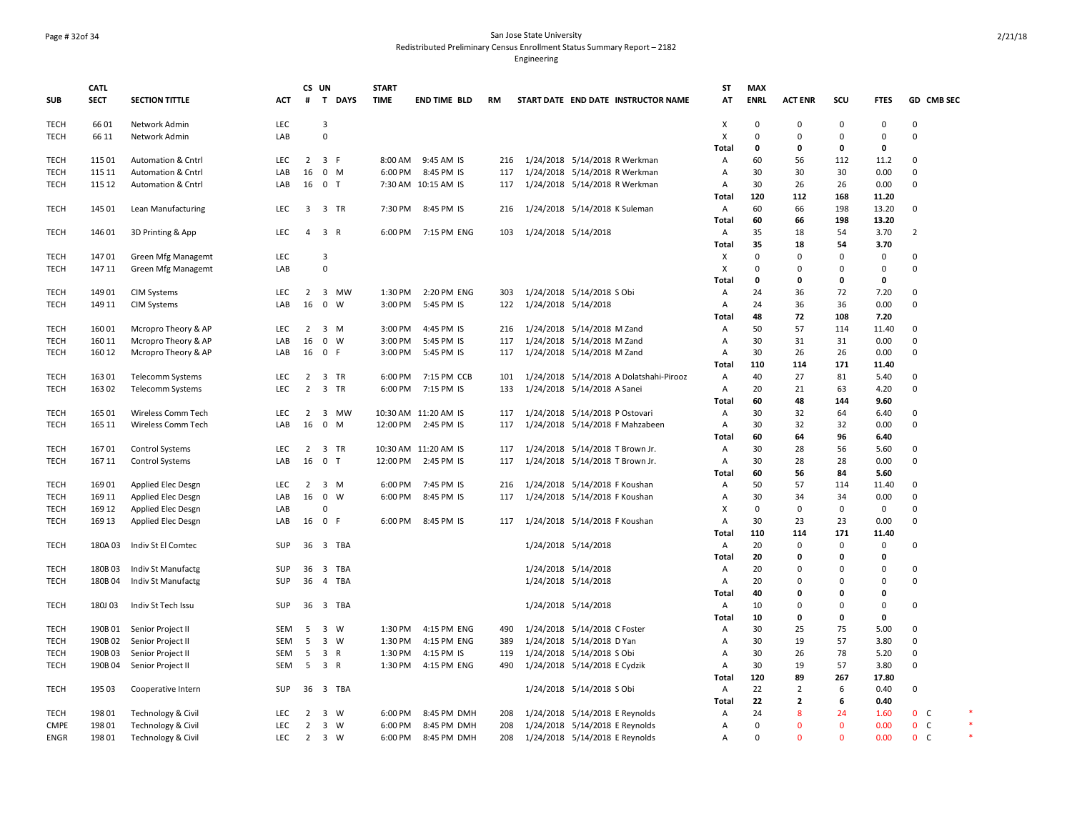## Page # 32of 34 San Jose State University Redistributed Preliminary Census Enrollment Status Summary Report – 2182

|             | <b>CATL</b> |                               |            | CS UN          |                         |        | <b>START</b> |                      |     |                                         | ST           | <b>MAX</b>   |                  |                     |               |                |            |  |
|-------------|-------------|-------------------------------|------------|----------------|-------------------------|--------|--------------|----------------------|-----|-----------------------------------------|--------------|--------------|------------------|---------------------|---------------|----------------|------------|--|
| <b>SUB</b>  | <b>SECT</b> | <b>SECTION TITTLE</b>         | <b>ACT</b> | #              |                         | T DAYS | <b>TIME</b>  | <b>END TIME BLD</b>  | RM  | START DATE END DATE INSTRUCTOR NAME     | AT           | <b>ENRL</b>  | <b>ACT ENR</b>   | SCU                 | <b>FTES</b>   |                | GD CMB SEC |  |
| <b>TECH</b> | 6601        | Network Admin                 | LEC        |                | $\overline{3}$          |        |              |                      |     |                                         | X            | 0            | $\mathbf 0$      | $\mathbf 0$         | $\pmb{0}$     | $\mathbf 0$    |            |  |
| <b>TECH</b> | 66 11       | Network Admin                 | LAB        |                | $\mathbf 0$             |        |              |                      |     |                                         | X            | $\Omega$     | $\Omega$         | $\Omega$            | $\mathbf 0$   | $\mathbf 0$    |            |  |
|             |             |                               |            |                |                         |        |              |                      |     |                                         | <b>Total</b> | $\mathbf{0}$ | $\mathbf 0$      | 0                   | $\mathbf{0}$  |                |            |  |
| <b>TECH</b> | 115 01      | Automation & Cntrl            | LEC        | $\overline{2}$ | 3 F                     |        | 8:00 AM      | 9:45 AM IS           | 216 | 1/24/2018 5/14/2018 R Werkman           | Α            | 60           | 56               | 112                 | 11.2          | $\mathbf 0$    |            |  |
| <b>TECH</b> | 115 11      | Automation & Cntrl            | LAB        | 16             | $0$ M                   |        | 6:00 PM      | 8:45 PM IS           | 117 | 1/24/2018 5/14/2018 R Werkman           | А            | 30           | 30               | 30                  | 0.00          | $\mathbf 0$    |            |  |
| <b>TECH</b> | 115 12      | <b>Automation &amp; Cntrl</b> | LAB        |                | 16 0 T                  |        |              | 7:30 AM 10:15 AM IS  | 117 | 1/24/2018 5/14/2018 R Werkman           | Α            | 30           | 26               | 26                  | 0.00          | $\Omega$       |            |  |
|             |             |                               |            |                |                         |        |              |                      |     |                                         | Total        | 120          | 112              | 168                 | 11.20         |                |            |  |
| <b>TECH</b> | 145 01      | Lean Manufacturing            | LEC        | 3              | 3 TR                    |        | 7:30 PM      | 8:45 PM IS           | 216 | 1/24/2018 5/14/2018 K Suleman           | Α            | 60           | 66               | 198                 | 13.20         | $\mathbf 0$    |            |  |
|             |             |                               |            |                |                         |        |              |                      |     |                                         | Total        | 60           | 66               | 198                 | 13.20         |                |            |  |
| <b>TECH</b> | 146 01      | 3D Printing & App             | LEC        | $\overline{4}$ | 3 R                     |        | 6:00 PM      | 7:15 PM ENG          | 103 | 1/24/2018 5/14/2018                     | Α            | 35           | 18               | 54                  | 3.70          | $\overline{2}$ |            |  |
|             |             |                               |            |                |                         |        |              |                      |     |                                         | <b>Total</b> | 35           | 18               | 54                  | 3.70          |                |            |  |
| <b>TECH</b> | 14701       | Green Mfg Managemt            | LEC        |                | $\overline{3}$          |        |              |                      |     |                                         | Х            | $\Omega$     | 0                | $\Omega$            | $\mathbf 0$   | 0              |            |  |
| <b>TECH</b> | 147 11      | Green Mfg Managemt            | LAB        |                | $\mathbf 0$             |        |              |                      |     |                                         | X            | 0            | $\mathbf 0$      | 0                   | $\mathbf{0}$  | $\mathbf{0}$   |            |  |
|             |             |                               |            |                |                         |        |              |                      |     |                                         | Total        | 0            | 0                | 0                   | $\mathbf 0$   |                |            |  |
| <b>TECH</b> | 149 01      | <b>CIM Systems</b>            | <b>LEC</b> | 2              | 3 MW                    |        | 1:30 PM      | 2:20 PM ENG          | 303 | 1/24/2018 5/14/2018 S Obi               | Α            | 24           | 36               | 72                  | 7.20          | 0              |            |  |
| <b>TECH</b> | 149 11      | <b>CIM Systems</b>            | LAB        | 16             | $0 \quad W$             |        | 3:00 PM      | 5:45 PM IS           | 122 | 1/24/2018 5/14/2018                     | Α            | 24           | 36               | 36                  | 0.00          | $\mathsf 0$    |            |  |
|             |             |                               |            |                |                         |        |              |                      |     |                                         | Total        | 48           | 72               | 108                 | 7.20          |                |            |  |
| <b>TECH</b> | 160 01      | Mcropro Theory & AP           | LEC        | 2              | $3 \, M$                |        | 3:00 PM      | 4:45 PM IS           | 216 | 1/24/2018 5/14/2018 M Zand              | Α            | 50           | 57               | 114                 | 11.40         | 0              |            |  |
| <b>TECH</b> | 160 11      | Mcropro Theory & AP           | LAB        | 16             | $0 \quad W$             |        | 3:00 PM      | 5:45 PM IS           | 117 | 1/24/2018 5/14/2018 M Zand              | Α            | 30           | 31               | 31                  | 0.00          | 0              |            |  |
| <b>TECH</b> | 160 12      | Mcropro Theory & AP           | LAB        |                | 16 0 F                  |        | 3:00 PM      | 5:45 PM IS           | 117 | 1/24/2018 5/14/2018 M Zand              | Α            | 30           | 26               | 26                  | 0.00          | $\mathbf 0$    |            |  |
|             |             |                               |            |                |                         |        |              |                      |     |                                         | Total        | 110          | 114              | 171                 | 11.40         |                |            |  |
| <b>TECH</b> | 163 01      | Telecomm Systems              | <b>LEC</b> | $\overline{2}$ | 3 TR                    |        | 6:00 PM      | 7:15 PM CCB          | 101 | 1/24/2018 5/14/2018 A Dolatshahi-Pirooz | Α            | 40           | 27               | 81                  | 5.40          | 0              |            |  |
| <b>TECH</b> | 163 02      | <b>Telecomm Systems</b>       | LEC        | $\overline{2}$ | 3 TR                    |        | 6:00 PM      | 7:15 PM IS           | 133 | 1/24/2018 5/14/2018 A Sanei             | Α            | 20           | 21               | 63                  | 4.20          | $\mathbf 0$    |            |  |
|             |             |                               |            |                |                         |        |              |                      |     |                                         | <b>Total</b> | 60           | 48               | 144                 | 9.60          |                |            |  |
| <b>TECH</b> | 165 01      | Wireless Comm Tech            | LEC        | $\overline{2}$ | 3 MW                    |        |              | 10:30 AM 11:20 AM IS | 117 | 1/24/2018 5/14/2018 P Ostovari          | Α            | 30           | 32               | 64                  | 6.40          | 0              |            |  |
| <b>TECH</b> | 165 11      | Wireless Comm Tech            | LAB        | 16             | $\mathbf 0$             | M      | 12:00 PM     | 2:45 PM IS           | 117 | 1/24/2018 5/14/2018 F Mahzabeen         | Α            | 30           | 32               | 32                  | 0.00          | $\mathsf 0$    |            |  |
|             |             |                               |            |                |                         |        |              |                      |     |                                         | <b>Total</b> | 60           | 64               | 96                  | 6.40          |                |            |  |
| <b>TECH</b> | 16701       | <b>Control Systems</b>        | LEC        | 2              | 3 TR                    |        |              | 10:30 AM 11:20 AM IS | 117 | 1/24/2018 5/14/2018 T Brown Jr.         | Α            | 30           | 28               | 56                  | 5.60          | $\mathbf 0$    |            |  |
| <b>TECH</b> | 167 11      | <b>Control Systems</b>        | LAB        | 16             | 0 <sub>T</sub>          |        | 12:00 PM     | 2:45 PM IS           | 117 | 1/24/2018 5/14/2018 T Brown Jr.         | Α            | 30           | 28               | 28                  | 0.00          | $\mathbf 0$    |            |  |
|             |             |                               |            |                |                         |        |              |                      |     |                                         | <b>Total</b> | 60           | 56               | 84                  | 5.60          |                |            |  |
| <b>TECH</b> | 169 01      | Applied Elec Desgn            | LEC        | $2^{\circ}$    | 3 M                     |        | 6:00 PM      | 7:45 PM IS           | 216 | 1/24/2018 5/14/2018 F Koushan           | Α            | 50           | 57               | 114                 | 11.40         | 0              |            |  |
| <b>TECH</b> | 169 11      | Applied Elec Desgn            | LAB        | 16             | $\mathbf 0$             | W      | 6:00 PM      | 8:45 PM IS           | 117 | 1/24/2018 5/14/2018 F Koushan           | Α            | 30           | 34               | 34                  | 0.00          | $\mathbf 0$    |            |  |
|             |             |                               | LAB        |                | 0                       |        |              |                      |     |                                         | X            | 0            | $\mathsf 0$      | $\mathsf{O}\xspace$ | $\mathbf 0$   | $\mathbf 0$    |            |  |
| TECH        | 169 12      | Applied Elec Desgn            |            |                | 16 0 F                  |        |              | 8:45 PM IS           |     |                                         |              | 30           | 23               |                     |               | $\mathbf 0$    |            |  |
| <b>TECH</b> | 169 13      | Applied Elec Desgn            | LAB        |                |                         |        | 6:00 PM      |                      | 117 | 1/24/2018 5/14/2018 F Koushan           | Α            | 110          |                  | 23<br>171           | 0.00<br>11.40 |                |            |  |
|             |             |                               |            |                | 3 TBA                   |        |              |                      |     |                                         | Total        | 20           | 114              | $\mathbf 0$         | $\mathbf 0$   |                |            |  |
| <b>TECH</b> | 180A03      | Indiv St El Comtec            | SUP        | 36             |                         |        |              |                      |     | 1/24/2018 5/14/2018                     | Α            |              | 0<br>$\mathbf 0$ |                     | $\mathbf{0}$  | 0              |            |  |
|             | 180B03      |                               | SUP        |                | $\overline{\mathbf{3}}$ |        |              |                      |     |                                         | Total        | 20<br>20     |                  | 0<br>0              | $\mathbf 0$   | 0              |            |  |
| <b>TECH</b> |             | Indiv St Manufactg            |            | 36             |                         | TBA    |              |                      |     | 1/24/2018 5/14/2018                     | Α            |              | 0<br>$\Omega$    | $\Omega$            | $\mathbf 0$   | $\mathbf{0}$   |            |  |
| <b>TECH</b> | 180B 04     | Indiv St Manufactg            | SUP        | 36             | 4 TBA                   |        |              |                      |     | 1/24/2018 5/14/2018                     | Α            | 20           |                  |                     |               |                |            |  |
|             |             |                               |            |                |                         |        |              |                      |     |                                         | Total        | 40           | $\mathbf 0$      | 0                   | $\Omega$      |                |            |  |
| <b>TECH</b> | 180J03      | Indiv St Tech Issu            | SUP        | 36             | 3 TBA                   |        |              |                      |     | 1/24/2018 5/14/2018                     | A            | 10           | 0                | $\Omega$            | $\Omega$      | $\Omega$       |            |  |
|             |             |                               |            |                |                         |        |              |                      |     |                                         | Total        | 10           | 0                | 0                   | $\mathbf{0}$  |                |            |  |
| <b>TECH</b> | 190B 01     | Senior Project II             | <b>SEM</b> | 5              | 3 W                     |        | 1:30 PM      | 4:15 PM ENG          | 490 | 1/24/2018 5/14/2018 C Foster            | Α            | 30           | 25               | 75                  | 5.00          | 0              |            |  |
| <b>TECH</b> | 190B 02     | Senior Project II             | <b>SEM</b> | 5              | 3 W                     |        | 1:30 PM      | 4:15 PM ENG          | 389 | 1/24/2018 5/14/2018 D Yan               | Α            | 30           | 19               | 57                  | 3.80          | $\mathbf{0}$   |            |  |
| <b>TECH</b> | 190B03      | Senior Project II             | SEM        | 5              | 3 R                     |        | 1:30 PM      | 4:15 PM IS           | 119 | 1/24/2018 5/14/2018 S Obi               | Α            | 30           | 26               | 78                  | 5.20          | 0              |            |  |
| <b>TECH</b> | 190B04      | Senior Project II             | <b>SEM</b> | 5              | 3 R                     |        | 1:30 PM      | 4:15 PM ENG          | 490 | 1/24/2018 5/14/2018 E Cydzik            | Α            | 30           | 19               | 57                  | 3.80          | $\Omega$       |            |  |
|             |             |                               |            |                |                         |        |              |                      |     |                                         | Total        | 120          | 89               | 267                 | 17.80         |                |            |  |
| <b>TECH</b> | 195 03      | Cooperative Intern            | SUP        |                | 36 3 TBA                |        |              |                      |     | 1/24/2018 5/14/2018 S Obi               | Α            | 22           | $\overline{2}$   | 6                   | 0.40          | $\mathbf 0$    |            |  |
|             |             |                               |            |                |                         |        |              |                      |     |                                         | Total        | 22           | $\overline{2}$   | 6                   | 0.40          |                |            |  |
| <b>TECH</b> | 198 01      | Technology & Civil            | <b>LEC</b> | 2              | 3 W                     |        | 6:00 PM      | 8:45 PM DMH          | 208 | 1/24/2018 5/14/2018 E Reynolds          | Α            | 24           | 8                | 24                  | 1.60          | 0 <sup>o</sup> |            |  |
| <b>CMPE</b> | 198 01      | Technology & Civil            | <b>LEC</b> | 2              | 3 W                     |        | 6:00 PM      | 8:45 PM DMH          | 208 | 1/24/2018 5/14/2018 E Reynolds          | A            | 0            | $\Omega$         | $\mathbf{0}$        | 0.00          | 0 <sup>o</sup> |            |  |
| <b>ENGR</b> | 198 01      | Technology & Civil            | <b>LEC</b> | $2^{\circ}$    | 3 W                     |        | 6:00 PM      | 8:45 PM DMH          | 208 | 1/24/2018 5/14/2018 E Reynolds          | А            | 0            | $\Omega$         | $\Omega$            | 0.00          |                | $0-$       |  |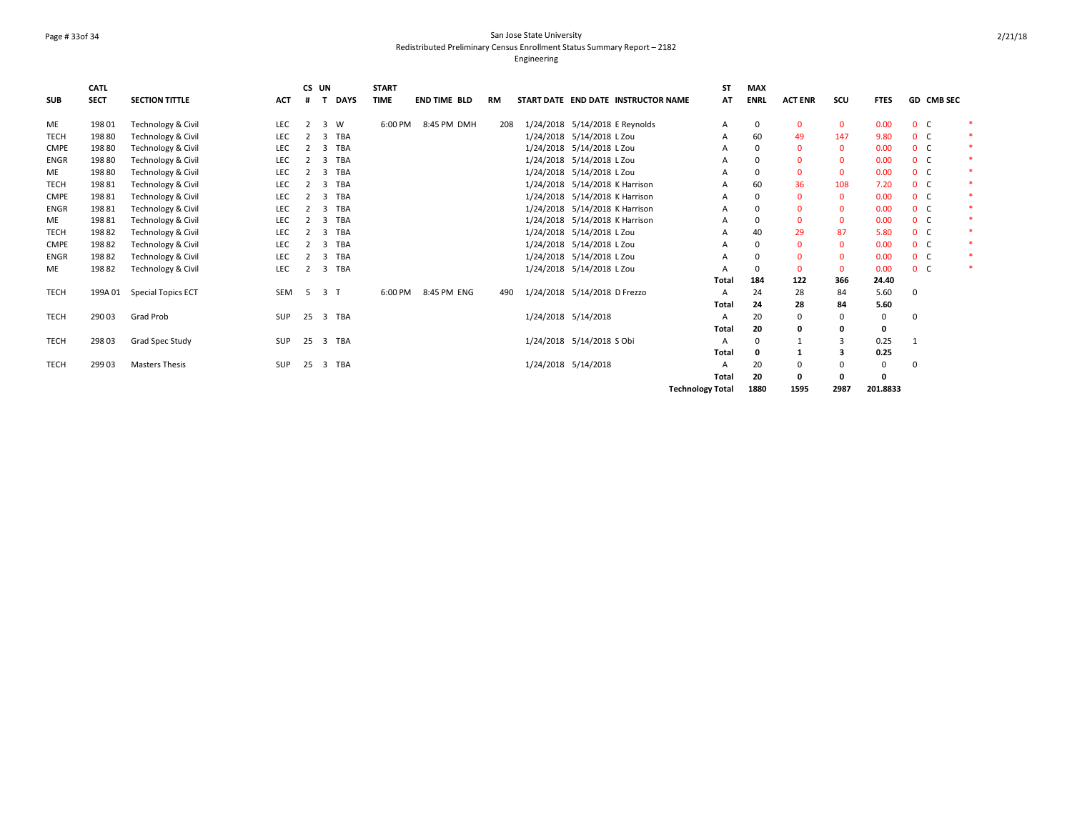### Page # 33of 34 San Jose State University Redistributed Preliminary Census Enrollment Status Summary Report – 2182 Engineering

|             | <b>CATL</b> |                               |            | CS UN          |                |             | <b>START</b> |                     |           |                                |                                     | <b>ST</b>               | <b>MAX</b>   |                |                |              |                |            |  |
|-------------|-------------|-------------------------------|------------|----------------|----------------|-------------|--------------|---------------------|-----------|--------------------------------|-------------------------------------|-------------------------|--------------|----------------|----------------|--------------|----------------|------------|--|
| SUB         | <b>SECT</b> | <b>SECTION TITTLE</b>         | <b>ACT</b> |                |                | <b>DAYS</b> | <b>TIME</b>  | <b>END TIME BLD</b> | <b>RM</b> |                                | START DATE END DATE INSTRUCTOR NAME | AT                      | <b>ENRL</b>  | <b>ACT ENR</b> | SCU            | <b>FTES</b>  |                | GD CMB SEC |  |
| <b>ME</b>   | 198 01      | <b>Technology &amp; Civil</b> | <b>LEC</b> | $\overline{2}$ |                | 3 W         | 6:00 PM      | 8:45 PM DMH         | 208       | 1/24/2018 5/14/2018 E Reynolds |                                     | Α                       | 0            | $\mathbf{0}$   | $\mathbf{0}$   | 0.00         | 0 <sup>o</sup> |            |  |
| <b>TECH</b> | 19880       | Technology & Civil            | LEC        |                | 3              | <b>TBA</b>  |              |                     |           | 1/24/2018 5/14/2018 L Zou      |                                     | А                       | 60           | 49             | 147            | 9.80         | 0 <sup>o</sup> |            |  |
| <b>CMPE</b> | 19880       | Technology & Civil            | LEC        |                | 3              | <b>TBA</b>  |              |                     |           | 1/24/2018 5/14/2018 L Zou      |                                     |                         |              | $\Omega$       | 0              | 0.00         | 0 <sup>o</sup> |            |  |
| <b>ENGR</b> | 198 80      | Technology & Civil            | LEC        |                | $\overline{3}$ | <b>TBA</b>  |              |                     |           | 1/24/2018 5/14/2018 L Zou      |                                     | А                       |              | $\Omega$       | $\mathbf{0}$   | 0.00         | 0 <sup>o</sup> |            |  |
| ME          | 19880       | <b>Technology &amp; Civil</b> | LEC        |                | $\overline{3}$ | <b>TBA</b>  |              |                     |           | 1/24/2018 5/14/2018 L Zou      |                                     | А                       | $\Omega$     | $\Omega$       | $\mathbf{0}$   | 0.00         | 0 <sup>o</sup> |            |  |
| <b>TECH</b> | 19881       | Technology & Civil            | LEC        |                | 3              | <b>TBA</b>  |              |                     |           | 1/24/2018 5/14/2018 K Harrison |                                     |                         | 60           | 36             | 108            | 7.20         | 0 <sup>o</sup> |            |  |
| <b>CMPE</b> | 19881       | Technology & Civil            | LEC        |                | $\overline{3}$ | <b>TBA</b>  |              |                     |           | 1/24/2018 5/14/2018 K Harrison |                                     | Α                       |              | $\Omega$       | $\mathbf{0}$   | 0.00         | 0 <sup>o</sup> |            |  |
| <b>ENGR</b> | 19881       | Technology & Civil            | LEC        |                | 3              | <b>TBA</b>  |              |                     |           | 1/24/2018 5/14/2018 K Harrison |                                     | Α                       |              | $\Omega$       | $\mathbf{0}$   | 0.00         | 0 <sup>o</sup> |            |  |
| <b>ME</b>   | 19881       | Technology & Civil            | LEC        |                | 3              | TBA         |              |                     |           | 1/24/2018 5/14/2018 K Harrison |                                     | А                       |              | $\Omega$       | $\mathbf{0}$   | 0.00         | 0 <sup>o</sup> |            |  |
| <b>TECH</b> | 19882       | Technology & Civil            | LEC        |                | 3              | <b>TBA</b>  |              |                     |           | 1/24/2018 5/14/2018 L Zou      |                                     | А                       | 40           | 29             | 87             | 5.80         | 0 <sup>o</sup> |            |  |
| <b>CMPE</b> | 19882       | Technology & Civil            | LEC        |                | 3              | TBA         |              |                     |           | 1/24/2018 5/14/2018 L Zou      |                                     | А                       |              | $\Omega$       | $\mathbf{0}$   | 0.00         | 0 <sup>o</sup> |            |  |
| <b>ENGR</b> | 19882       | Technology & Civil            | LEC        | 2              |                | 3 TBA       |              |                     |           | 1/24/2018 5/14/2018 L Zou      |                                     | A                       |              | $\Omega$       | $\mathbf{0}$   | 0.00         | 0 <sup>o</sup> |            |  |
| <b>ME</b>   | 19882       | Technology & Civil            | LEC        | 2              |                | 3 TBA       |              |                     |           | 1/24/2018 5/14/2018 L Zou      |                                     |                         |              | 0              | $\mathbf{0}$   | 0.00         | 0 <sup>o</sup> |            |  |
|             |             |                               |            |                |                |             |              |                     |           |                                |                                     | Total                   | 184          | 122            | 366            | 24.40        |                |            |  |
| <b>TECH</b> | 199A 01     | <b>Special Topics ECT</b>     | SEM        | 5              | 3 <sub>1</sub> |             | 6:00 PM      | 8:45 PM ENG         | 490       | 1/24/2018 5/14/2018 D Frezzo   |                                     |                         | 24           | 28             | 84             | 5.60         | 0              |            |  |
|             |             |                               |            |                |                |             |              |                     |           |                                |                                     | Total                   | 24           | 28             | 84             | 5.60         |                |            |  |
| <b>TECH</b> | 290 03      | Grad Prob                     | <b>SUP</b> | 25             |                | 3 TBA       |              |                     |           | 1/24/2018 5/14/2018            |                                     | А                       | 20           | $\Omega$       | 0              | $\mathbf{0}$ | $\Omega$       |            |  |
|             |             |                               |            |                |                |             |              |                     |           |                                |                                     | <b>Total</b>            | 20           |                | 0              | 0            |                |            |  |
| <b>TECH</b> | 298 03      | Grad Spec Study               | <b>SUP</b> | 25             |                | 3 TBA       |              |                     |           | 1/24/2018 5/14/2018 S Obi      |                                     | A                       | <sup>0</sup> |                | $\overline{3}$ | 0.25         | -1             |            |  |
|             |             |                               |            |                |                |             |              |                     |           |                                |                                     | <b>Total</b>            | 0            |                | 3              | 0.25         |                |            |  |
| <b>TECH</b> | 299 03      | <b>Masters Thesis</b>         | SUP        | 25             |                | 3 TBA       |              |                     |           | 1/24/2018 5/14/2018            |                                     | Α                       | 20           | $\Omega$       | 0              | 0            | $\Omega$       |            |  |
|             |             |                               |            |                |                |             |              |                     |           |                                |                                     | Total                   | 20           |                | 0              | $\mathbf{0}$ |                |            |  |
|             |             |                               |            |                |                |             |              |                     |           |                                |                                     | <b>Technology Total</b> | 1880         | 1595           | 2987           | 201.8833     |                |            |  |